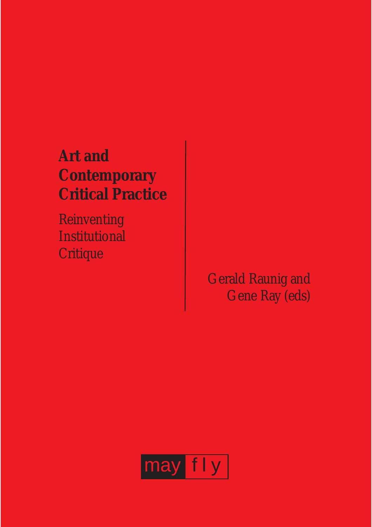# **Art and Contemporary Critical Practice**

Reinventing **Institutional Critique** 

> Gerald Raunig and Gene Ray (eds)

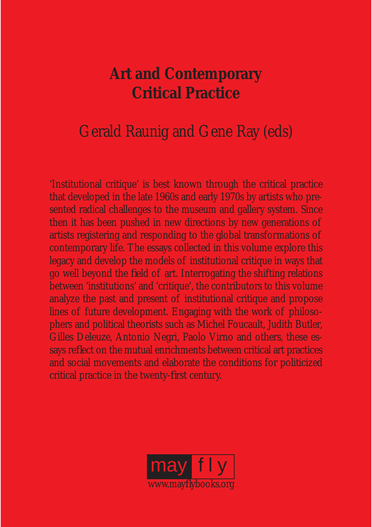# **Art and Contemporary Critical Practice**

## Gerald Raunig and Gene Ray (eds)

'Institutional critique' is best known through the critical practice that developed in the late 1960s and early 1970s by artists who presented radical challenges to the museum and gallery system. Since then it has been pushed in new directions by new generations of artists registering and responding to the global transformations of contemporary life. The essays collected in this volume explore this legacy and develop the models of institutional critique in ways that go well beyond the field of art. Interrogating the shifting relations between 'institutions' and 'critique', the contributors to this volume analyze the past and present of institutional critique and propose lines of future development. Engaging with the work of philosophers and political theorists such as Michel Foucault, Judith Butler, Gilles Deleuze, Antonio Negri, Paolo Virno and others, these essays reflect on the mutual enrichments between critical art practices and social movements and elaborate the conditions for politicized critical practice in the twenty-first century.

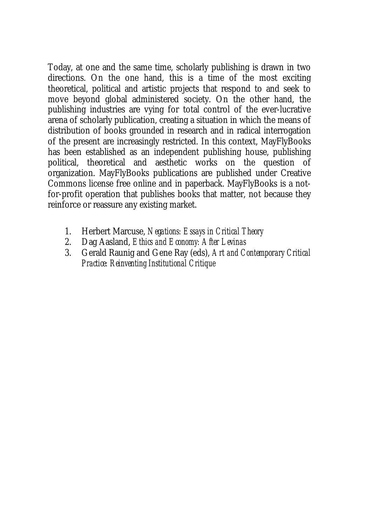Today, at one and the same time, scholarly publishing is drawn in two directions. On the one hand, this is a time of the most exciting theoretical, political and artistic projects that respond to and seek to move beyond global administered society. On the other hand, the publishing industries are vying for total control of the ever-lucrative arena of scholarly publication, creating a situation in which the means of distribution of books grounded in research and in radical interrogation of the present are increasingly restricted. In this context, MayFlyBooks has been established as an independent publishing house, publishing political, theoretical and aesthetic works on the question of organization. MayFlyBooks publications are published under Creative Commons license free online and in paperback. MayFlyBooks is a notfor-profit operation that publishes books that matter, not because they reinforce or reassure any existing market.

- 1. Herbert Marcuse, *Negations: Essays in Critical Theory*
- 2. Dag Aasland, *Ethics and Economy: After Levinas*
- 3. Gerald Raunig and Gene Ray (eds), *Art and Contemporary Critical Practice: Reinventing Institutional Critique*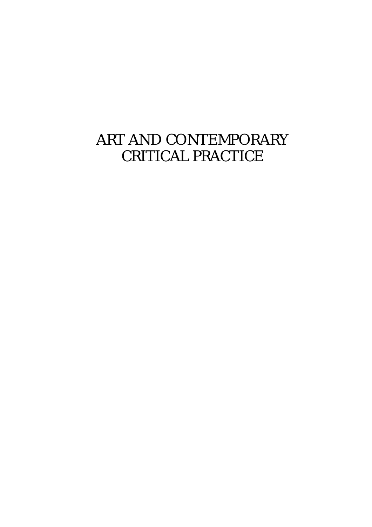## ART AND CONTEMPORARY CRITICAL PRACTICE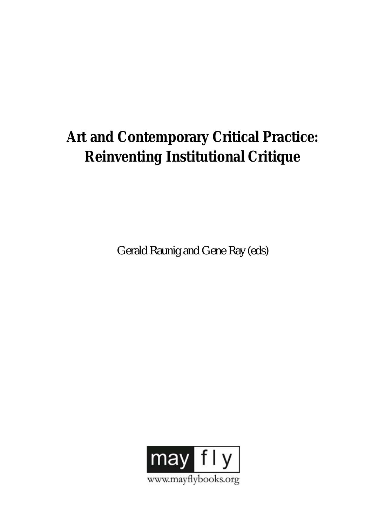# **Art and Contemporary Critical Practice: Reinventing Institutional Critique**

Gerald Raunig and Gene Ray (eds)

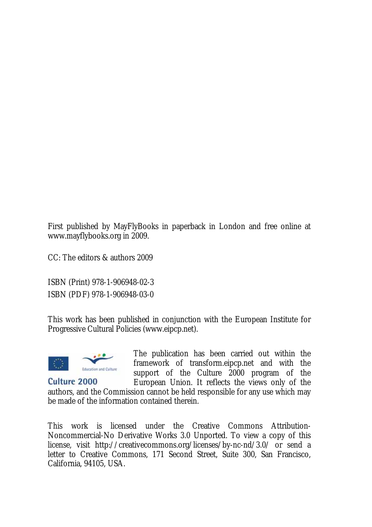First published by MayFlyBooks in paperback in London and free online at www.mayflybooks.org in 2009.

CC: The editors & authors 2009

ISBN (Print) 978-1-906948-02-3 ISBN (PDF) 978-1-906948-03-0

This work has been published in conjunction with the European Institute for Progressive Cultural Policies (www.eipcp.net).



The publication has been carried out within the framework of transform.eipcp.net and with the support of the Culture 2000 program of the European Union. It reflects the views only of the

Culture 2000 authors, and the Commission cannot be held responsible for any use which may be made of the information contained therein.

This work is licensed under the Creative Commons Attribution-Noncommercial-No Derivative Works 3.0 Unported. To view a copy of this license, visit http://creativecommons.org/licenses/by-nc-nd/3.0/ or send a letter to Creative Commons, 171 Second Street, Suite 300, San Francisco, California, 94105, USA.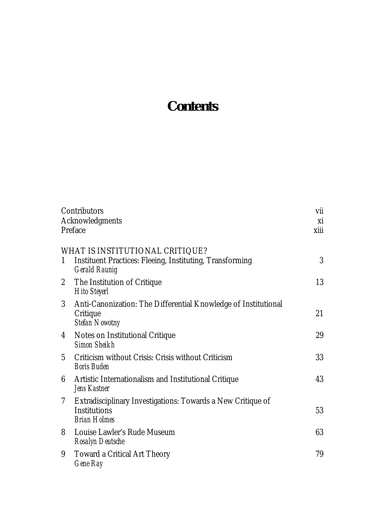## **Contents**

| Contributors<br>Acknowledgments<br>Preface |                                                                                                              | vii<br>хi<br>xiii |
|--------------------------------------------|--------------------------------------------------------------------------------------------------------------|-------------------|
| 1                                          | WHAT IS INSTITUTIONAL CRITIQUE?<br>Instituent Practices: Fleeing, Instituting, Transforming<br>Gerald Raunig | 3                 |
| $\overline{2}$                             | The Institution of Critique<br>Hito Steyerl                                                                  | 13                |
| 3 <sup>1</sup>                             | Anti-Canonization: The Differential Knowledge of Institutional<br>Critique<br>Stefan Nowotny                 | 21                |
| 4                                          | Notes on Institutional Critique<br>Simon Sheikh                                                              | 29                |
| 5                                          | Criticism without Crisis: Crisis without Criticism<br>Boris Buden                                            | 33                |
| 6                                          | Artistic Internationalism and Institutional Critique<br>Jens Kastner                                         | 43                |
| 7 <sup>1</sup>                             | Extradisciplinary Investigations: Towards a New Critique of<br><b>Institutions</b><br><b>Brian Holmes</b>    | 53                |
| 8                                          | Louise Lawler's Rude Museum<br>Rosalyn Deutsche                                                              | 63                |
| 9                                          | <b>Toward a Critical Art Theory</b><br>Gene Ray                                                              | 79                |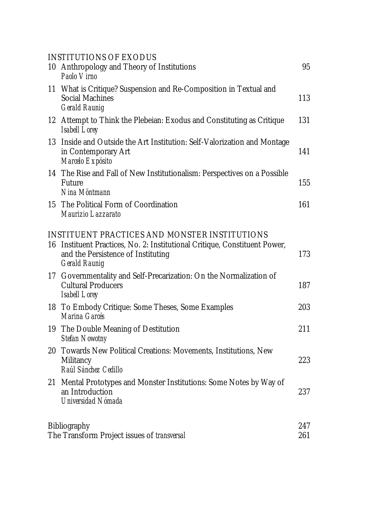|    | <b>INSTITUTIONS OF EXODUS</b>                                                                                                                                                             |            |
|----|-------------------------------------------------------------------------------------------------------------------------------------------------------------------------------------------|------------|
|    | 10 Anthropology and Theory of Institutions<br>Paolo Virno                                                                                                                                 | 95         |
|    | 11 What is Critique? Suspension and Re-Composition in Textual and<br><b>Social Machines</b><br>Gerald Raunig                                                                              | 113        |
|    | 12 Attempt to Think the Plebeian: Exodus and Constituting as Critique<br>Isabell Lorey                                                                                                    | 131        |
|    | 13 Inside and Outside the Art Institution: Self-Valorization and Montage<br>in Contemporary Art<br>Marcelo Expósito                                                                       | 141        |
|    | 14 The Rise and Fall of New Institutionalism: Perspectives on a Possible<br>Future<br>Nina Möntmann                                                                                       | 155        |
|    | 15 The Political Form of Coordination<br>Maurizio Lazzarato                                                                                                                               | 161        |
|    | <b>INSTITUENT PRACTICES AND MONSTER INSTITUTIONS</b><br>16 Instituent Practices, No. 2: Institutional Critique, Constituent Power,<br>and the Persistence of Instituting<br>Gerald Raunig | 173        |
|    | 17 Governmentality and Self-Precarization: On the Normalization of<br><b>Cultural Producers</b><br>Isabell Lorey                                                                          | 187        |
|    | 18 To Embody Critique: Some Theses, Some Examples<br>Marina Garcés                                                                                                                        | 203        |
|    | 19 The Double Meaning of Destitution<br>Stefan Nowotny                                                                                                                                    | 211        |
| 20 | Towards New Political Creations: Movements, Institutions, New<br>Militancy<br>Raúl Sánchez Cedillo                                                                                        | 223        |
| 21 | Mental Prototypes and Monster Institutions: Some Notes by Way of<br>an Introduction<br>Universidad Nómada                                                                                 | 237        |
|    | <b>Bibliography</b><br>The Transform Project issues of <i>transversal</i>                                                                                                                 | 247<br>261 |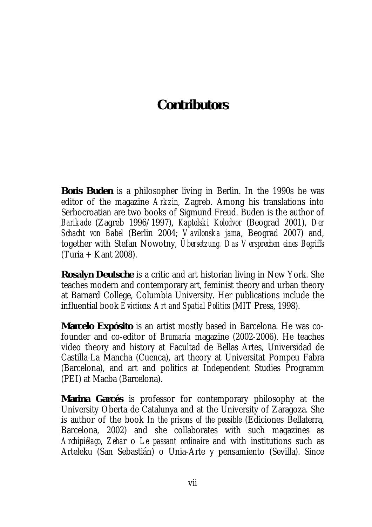## **Contributors**

**Boris Buden** is a philosopher living in Berlin. In the 1990s he was editor of the magazine *Arkzin,* Zagreb. Among his translations into Serbocroatian are two books of Sigmund Freud. Buden is the author of *Barikade* (Zagreb 1996/1997), *Kaptolski Kolodvor* (Beograd 2001), *Der Schacht von Babel* (Berlin 2004; *Vavilonska jama*, Beograd 2007) and, together with Stefan Nowotny, *Übersetzung. Das Versprechen eines Begriffs*  (Turia + Kant 2008).

**Rosalyn Deutsche** is a critic and art historian living in New York. She teaches modern and contemporary art, feminist theory and urban theory at Barnard College, Columbia University. Her publications include the influential book *Evictions: Art and Spatial Politics* (MIT Press, 1998).

**Marcelo Expósito** is an artist mostly based in Barcelona. He was cofounder and co-editor of *Brumaria* magazine (2002-2006). He teaches video theory and history at Facultad de Bellas Artes, Universidad de Castilla-La Mancha (Cuenca), art theory at Universitat Pompeu Fabra (Barcelona), and art and politics at Independent Studies Programm (PEI) at Macba (Barcelona).

**Marina Garcés** is professor for contemporary philosophy at the University Oberta de Catalunya and at the University of Zaragoza. She is author of the book *In the prisons of the possible* (Ediciones Bellaterra, Barcelona, 2002) and she collaborates with such magazines as *Archipiélago*, *Zeha*r o *Le passant ordinaire* and with institutions such as Arteleku (San Sebastián) o Unia-Arte y pensamiento (Sevilla). Since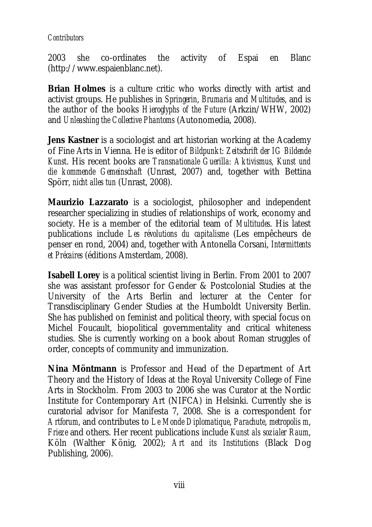#### *Contributors*

2003 she co-ordinates the activity of Espai en Blanc (http://www.espaienblanc.net).

**Brian Holmes** is a culture critic who works directly with artist and activist groups. He publishes in *Springerin*, *Brumaria* and *Multitudes*, and is the author of the books *Hieroglyphs of the Future* (Arkzin/WHW, 2002) and *Unleashing the Collective Phantoms* (Autonomedia, 2008).

**Jens Kastner** is a sociologist and art historian working at the Academy of Fine Arts in Vienna. He is editor of *Bildpunkt: Zeitschrift der IG Bildende Kunst*. His recent books are *Transnationale Guerilla: Aktivismus, Kunst und die kommende Gemeinschaft* (Unrast, 2007) and, together with Bettina Spörr, *nicht alles tun* (Unrast, 2008).

**Maurizio Lazzarato** is a sociologist, philosopher and independent researcher specializing in studies of relationships of work, economy and society. He is a member of the editorial team of *Multitudes*. His latest publications include *Les révolutions du capitalisme* (Les empêcheurs de penser en rond, 2004) and, together with Antonella Corsani, *Intermittents et Précaires* (éditions Amsterdam, 2008).

**Isabell Lorey** is a political scientist living in Berlin. From 2001 to 2007 she was assistant professor for Gender & Postcolonial Studies at the University of the Arts Berlin and lecturer at the Center for Transdisciplinary Gender Studies at the Humboldt University Berlin. She has published on feminist and political theory, with special focus on Michel Foucault, biopolitical governmentality and critical whiteness studies. She is currently working on a book about Roman struggles of order, concepts of community and immunization.

**Nina Möntmann** is Professor and Head of the Department of Art Theory and the History of Ideas at the Royal University College of Fine Arts in Stockholm. From 2003 to 2006 she was Curator at the Nordic Institute for Contemporary Art (NIFCA) in Helsinki. Currently she is curatorial advisor for Manifesta 7, 2008. She is a correspondent for *Artforum*, and contributes to *Le Monde Diplomatique*, *Parachute*, *metropolis m*, *Frieze* and others. Her recent publications include *Kunst als sozialer Raum*, Köln (Walther König, 2002); *Art and its Institutions* (Black Dog Publishing, 2006).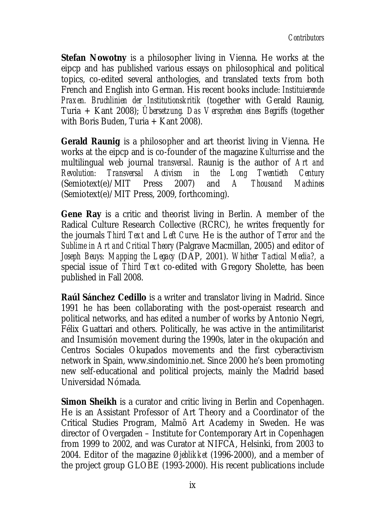**Stefan Nowotny** is a philosopher living in Vienna. He works at the eipcp and has published various essays on philosophical and political topics, co-edited several anthologies, and translated texts from both French and English into German. His recent books include: *Instituierende Praxen. Bruchlinien der Institutionskritik* (together with Gerald Raunig, Turia + Kant 2008); *Übersetzung. Das Versprechen eines Begriffs* (together with Boris Buden, Turia + Kant 2008).

**Gerald Raunig** is a philosopher and art theorist living in Vienna. He works at the eipcp and is co-founder of the magazine *Kulturrisse* and the multilingual web journal *transversal*. Raunig is the author of *Art and Revolution: Transversal Activism in the Long Twentieth Century* (Semiotext(e)/MIT Press 2007) and *A Thousand Machines* (Semiotext(e)/MIT Press, 2009, forthcoming).

**Gene Ray** is a critic and theorist living in Berlin. A member of the Radical Culture Research Collective (RCRC), he writes frequently for the journals *Third Text* and *Left Curve.* He is the author of *Terror and the Sublime in Art and Critical Theory* (Palgrave Macmillan, 2005) and editor of *Joseph Beuys: Mapping the Legacy* (DAP, 2001). *Whither Tactical Media?,* a special issue of *Third Text* co-edited with Gregory Sholette, has been published in Fall 2008.

**Raúl Sánchez Cedillo** is a writer and translator living in Madrid. Since 1991 he has been collaborating with the post-operaist research and political networks, and has edited a number of works by Antonio Negri, Félix Guattari and others. Politically, he was active in the antimilitarist and Insumisión movement during the 1990s, later in the okupación and Centros Sociales Okupados movements and the first cyberactivism network in Spain, www.sindominio.net. Since 2000 he's been promoting new self-educational and political projects, mainly the Madrid based Universidad Nómada.

**Simon Sheikh** is a curator and critic living in Berlin and Copenhagen. He is an Assistant Professor of Art Theory and a Coordinator of the Critical Studies Program, Malmö Art Academy in Sweden. He was director of Overgaden – Institute for Contemporary Art in Copenhagen from 1999 to 2002, and was Curator at NIFCA, Helsinki, from 2003 to 2004. Editor of the magazine *Øjeblikket* (1996-2000), and a member of the project group GLOBE (1993-2000). His recent publications include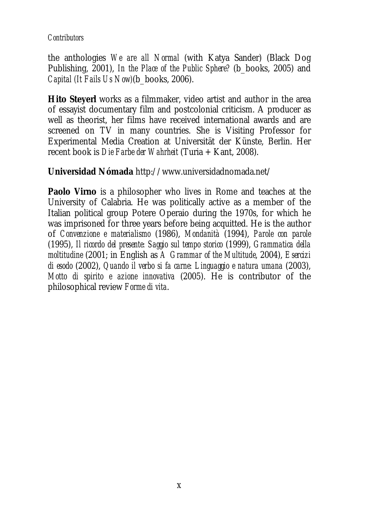the anthologies *We are all Normal* (with Katya Sander) (Black Dog Publishing, 2001), *In the Place of the Public Sphere?* (b\_books, 2005) and *Capital (It Fails Us Now)*(b\_books, 2006).

**Hito Steyerl** works as a filmmaker, video artist and author in the area of essayist documentary film and postcolonial criticism. A producer as well as theorist, her films have received international awards and are screened on TV in many countries. She is Visiting Professor for Experimental Media Creation at Universität der Künste, Berlin. Her recent book is *Die Farbe der Wahrheit* (Turia + Kant, 2008).

#### **Universidad Nómada** http://www.universidadnomada.net/

**Paolo Virno** is a philosopher who lives in Rome and teaches at the University of Calabria. He was politically active as a member of the Italian political group Potere Operaio during the 1970s, for which he was imprisoned for three years before being acquitted. He is the author of *Convenzione e materialismo* (1986), *Mondanità* (1994), *Parole con parole* (1995), *Il ricordo del presente: Saggio sul tempo storico* (1999), *Grammatica della moltitudine* (2001; in English as *A Grammar of the Multitude*, 2004), *Esercizi di esodo* (2002), *Quando il verbo si fa carne: Linguaggio e natura umana* (2003), *Motto di spirito e azione innovativa* (2005). He is contributor of the philosophical review *Forme di vita*.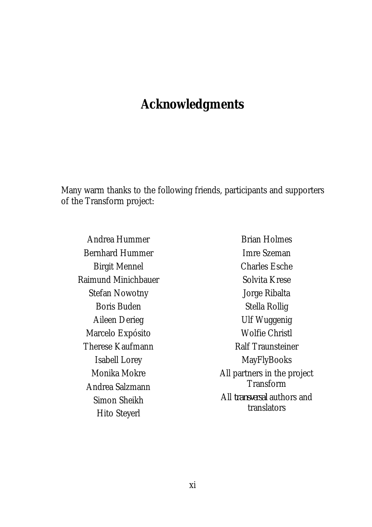## **Acknowledgments**

Many warm thanks to the following friends, participants and supporters of the Transform project:

Andrea Hummer Bernhard Hummer Birgit Mennel Raimund Minichbauer Stefan Nowotny Boris Buden Aileen Derieg Marcelo Expósito Therese Kaufmann Isabell Lorey Monika Mokre Andrea Salzmann Simon Sheikh Hito Steyerl

Brian Holmes Imre Szeman Charles Esche Solvita Krese Jorge Ribalta Stella Rollig Ulf Wuggenig Wolfie Christl Ralf Traunsteiner MayFlyBooks All partners in the project **Transform** All *transversal* authors and translators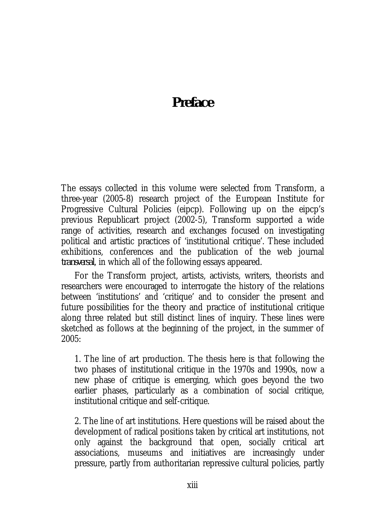## **Preface**

The essays collected in this volume were selected from Transform, a three-year (2005-8) research project of the European Institute for Progressive Cultural Policies (eipcp). Following up on the eipcp's previous Republicart project (2002-5), Transform supported a wide range of activities, research and exchanges focused on investigating political and artistic practices of 'institutional critique'. These included exhibitions, conferences and the publication of the web journal *transversal*, in which all of the following essays appeared.

For the Transform project, artists, activists, writers, theorists and researchers were encouraged to interrogate the history of the relations between 'institutions' and 'critique' and to consider the present and future possibilities for the theory and practice of institutional critique along three related but still distinct lines of inquiry. These lines were sketched as follows at the beginning of the project, in the summer of 2005:

1. The line of art production. The thesis here is that following the two phases of institutional critique in the 1970s and 1990s, now a new phase of critique is emerging, which goes beyond the two earlier phases, particularly as a combination of social critique, institutional critique and self-critique.

2. The line of art institutions. Here questions will be raised about the development of radical positions taken by critical art institutions, not only against the background that open, socially critical art associations, museums and initiatives are increasingly under pressure, partly from authoritarian repressive cultural policies, partly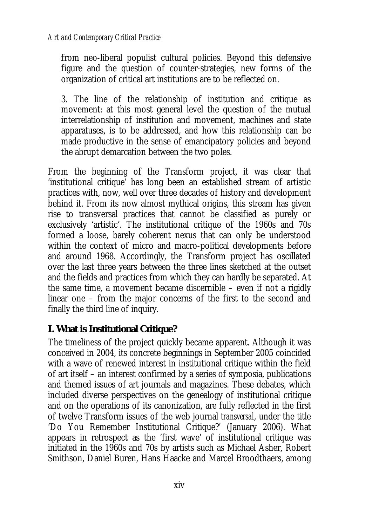from neo-liberal populist cultural policies. Beyond this defensive figure and the question of counter-strategies, new forms of the organization of critical art institutions are to be reflected on.

3. The line of the relationship of institution and critique as movement: at this most general level the question of the mutual interrelationship of institution and movement, machines and state apparatuses, is to be addressed, and how this relationship can be made productive in the sense of emancipatory policies and beyond the abrupt demarcation between the two poles.

From the beginning of the Transform project, it was clear that 'institutional critique' has long been an established stream of artistic practices with, now, well over three decades of history and development behind it. From its now almost mythical origins, this stream has given rise to transversal practices that cannot be classified as purely or exclusively 'artistic'. The institutional critique of the 1960s and 70s formed a loose, barely coherent nexus that can only be understood within the context of micro and macro-political developments before and around 1968. Accordingly, the Transform project has oscillated over the last three years between the three lines sketched at the outset and the fields and practices from which they can hardly be separated. At the same time, a movement became discernible – even if not a rigidly linear one – from the major concerns of the first to the second and finally the third line of inquiry.

#### **I. What is Institutional Critique?**

The timeliness of the project quickly became apparent. Although it was conceived in 2004, its concrete beginnings in September 2005 coincided with a wave of renewed interest in institutional critique within the field of art itself – an interest confirmed by a series of symposia, publications and themed issues of art journals and magazines. These debates, which included diverse perspectives on the genealogy of institutional critique and on the operations of its canonization, are fully reflected in the first of twelve Transform issues of the web journal *transversal*, under the title 'Do You Remember Institutional Critique?' (January 2006). What appears in retrospect as the 'first wave' of institutional critique was initiated in the 1960s and 70s by artists such as Michael Asher, Robert Smithson, Daniel Buren, Hans Haacke and Marcel Broodthaers, among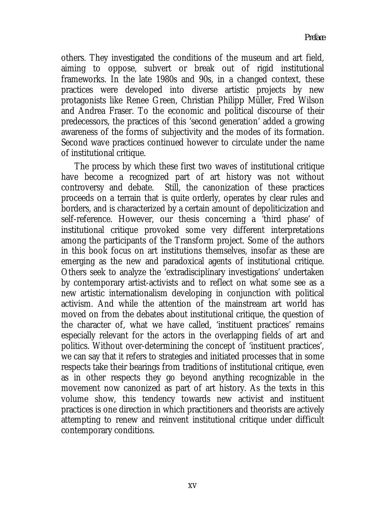others. They investigated the conditions of the museum and art field, aiming to oppose, subvert or break out of rigid institutional frameworks. In the late 1980s and 90s, in a changed context, these practices were developed into diverse artistic projects by new protagonists like Renee Green, Christian Philipp Müller, Fred Wilson and Andrea Fraser. To the economic and political discourse of their predecessors, the practices of this 'second generation' added a growing awareness of the forms of subjectivity and the modes of its formation. Second wave practices continued however to circulate under the name of institutional critique.

The process by which these first two waves of institutional critique have become a recognized part of art history was not without controversy and debate. Still, the canonization of these practices proceeds on a terrain that is quite orderly, operates by clear rules and borders, and is characterized by a certain amount of depoliticization and self-reference. However, our thesis concerning a 'third phase' of institutional critique provoked some very different interpretations among the participants of the Transform project. Some of the authors in this book focus on art institutions themselves, insofar as these are emerging as the new and paradoxical agents of institutional critique. Others seek to analyze the 'extradisciplinary investigations' undertaken by contemporary artist-activists and to reflect on what some see as a new artistic internationalism developing in conjunction with political activism. And while the attention of the mainstream art world has moved on from the debates about institutional critique, the question of the character of, what we have called, 'instituent practices' remains especially relevant for the actors in the overlapping fields of art and politics. Without over-determining the concept of 'instituent practices', we can say that it refers to strategies and initiated processes that in some respects take their bearings from traditions of institutional critique, even as in other respects they go beyond anything recognizable in the movement now canonized as part of art history. As the texts in this volume show, this tendency towards new activist and instituent practices is one direction in which practitioners and theorists are actively attempting to renew and reinvent institutional critique under difficult contemporary conditions.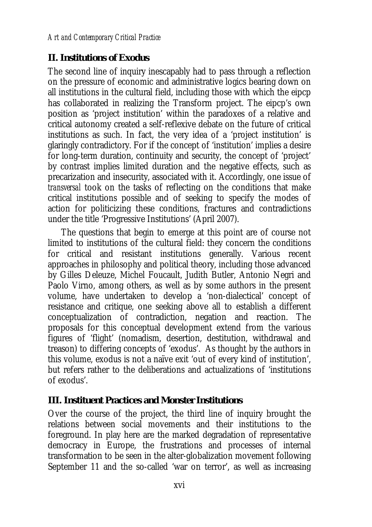#### **II. Institutions of Exodus**

The second line of inquiry inescapably had to pass through a reflection on the pressure of economic and administrative logics bearing down on all institutions in the cultural field, including those with which the eipcp has collaborated in realizing the Transform project. The eipcp's own position as 'project institution' within the paradoxes of a relative and critical autonomy created a self-reflexive debate on the future of critical institutions as such. In fact, the very idea of a 'project institution' is glaringly contradictory. For if the concept of 'institution' implies a desire for long-term duration, continuity and security, the concept of 'project' by contrast implies limited duration and the negative effects, such as precarization and insecurity, associated with it. Accordingly, one issue of *transversal* took on the tasks of reflecting on the conditions that make critical institutions possible and of seeking to specify the modes of action for politicizing these conditions, fractures and contradictions under the title 'Progressive Institutions' (April 2007).

The questions that begin to emerge at this point are of course not limited to institutions of the cultural field: they concern the conditions for critical and resistant institutions generally. Various recent approaches in philosophy and political theory, including those advanced by Gilles Deleuze, Michel Foucault, Judith Butler, Antonio Negri and Paolo Virno, among others, as well as by some authors in the present volume, have undertaken to develop a 'non-dialectical' concept of resistance and critique, one seeking above all to establish a different conceptualization of contradiction, negation and reaction. The proposals for this conceptual development extend from the various figures of 'flight' (nomadism, desertion, destitution, withdrawal and treason) to differing concepts of 'exodus'. As thought by the authors in this volume, exodus is not a naïve exit 'out of every kind of institution', but refers rather to the deliberations and actualizations of 'institutions of exodus'.

#### **III. Instituent Practices and Monster Institutions**

Over the course of the project, the third line of inquiry brought the relations between social movements and their institutions to the foreground. In play here are the marked degradation of representative democracy in Europe, the frustrations and processes of internal transformation to be seen in the alter-globalization movement following September 11 and the so-called 'war on terror', as well as increasing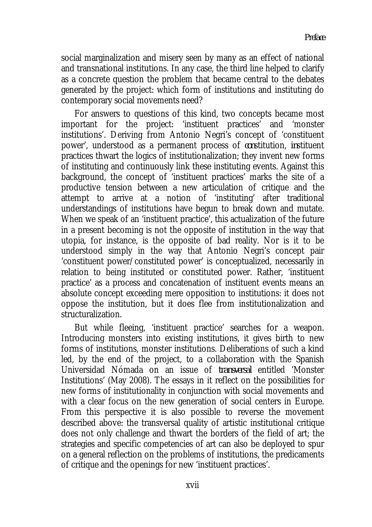social marginalization and misery seen by many as an effect of national and transnational institutions. In any case, the third line helped to clarify as a concrete question the problem that became central to the debates generated by the project: which form of institutions and instituting do contemporary social movements need?

For answers to questions of this kind, two concepts became most important for the project: 'instituent practices' and 'monster institutions'. Deriving from Antonio Negri's concept of 'constituent power', understood as a permanent process of *con*stitution, *in*stituent practices thwart the logics of institutionalization; they invent new forms of instituting and continuously link these instituting events. Against this background, the concept of 'instituent practices' marks the site of a productive tension between a new articulation of critique and the attempt to arrive at a notion of 'instituting' after traditional understandings of institutions have begun to break down and mutate. When we speak of an 'instituent practice', this actualization of the future in a present becoming is not the opposite of institution in the way that utopia, for instance, is the opposite of bad reality. Nor is it to be understood simply in the way that Antonio Negri's concept pair 'constituent power/constituted power' is conceptualized, necessarily in relation to being instituted or constituted power. Rather, 'instituent practice' as a process and concatenation of instituent events means an absolute concept exceeding mere opposition to institutions: it does not oppose the institution, but it does flee from institutionalization and structuralization.

But while fleeing, 'instituent practice' searches for a weapon. Introducing monsters into existing institutions, it gives birth to new forms of institutions, monster institutions. Deliberations of such a kind led, by the end of the project, to a collaboration with the Spanish Universidad Nómada on an issue of *transversal* entitled 'Monster Institutions' (May 2008). The essays in it reflect on the possibilities for new forms of institutionality in conjunction with social movements and with a clear focus on the new generation of social centers in Europe. From this perspective it is also possible to reverse the movement described above: the transversal quality of artistic institutional critique does not only challenge and thwart the borders of the field of art; the strategies and specific competencies of art can also be deployed to spur on a general reflection on the problems of institutions, the predicaments of critique and the openings for new 'instituent practices'.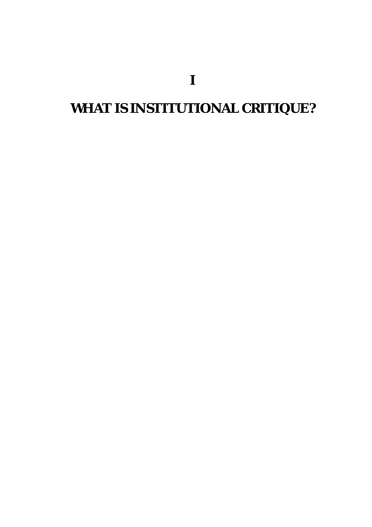# **WHAT IS INSTITUTIONAL CRITIQUE?**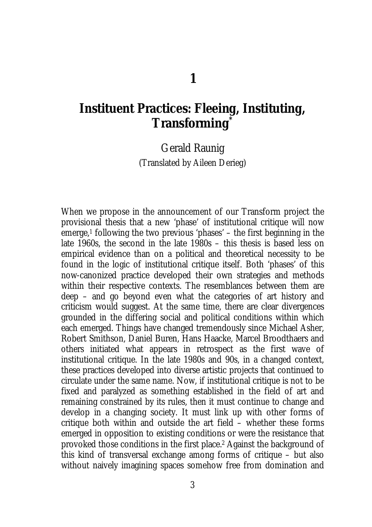### **Instituent Practices: Fleeing, Instituting, Transforming\***

Gerald Raunig (Translated by Aileen Derieg)

When we propose in the announcement of our Transform project the provisional thesis that a new 'phase' of institutional critique will now emerge,1 following the two previous 'phases' – the first beginning in the late 1960s, the second in the late 1980s – this thesis is based less on empirical evidence than on a political and theoretical necessity to be found in the logic of institutional critique itself. Both 'phases' of this now-canonized practice developed their own strategies and methods within their respective contexts. The resemblances between them are deep – and go beyond even what the categories of art history and criticism would suggest. At the same time, there are clear divergences grounded in the differing social and political conditions within which each emerged. Things have changed tremendously since Michael Asher, Robert Smithson, Daniel Buren, Hans Haacke, Marcel Broodthaers and others initiated what appears in retrospect as the first wave of institutional critique. In the late 1980s and 90s, in a changed context, these practices developed into diverse artistic projects that continued to circulate under the same name. Now, if institutional critique is not to be fixed and paralyzed as something established in the field of art and remaining constrained by its rules, then it must continue to change and develop in a changing society. It must link up with other forms of critique both within and outside the art field – whether these forms emerged in opposition to existing conditions or were the resistance that provoked those conditions in the first place.2 Against the background of this kind of transversal exchange among forms of critique – but also without naively imagining spaces somehow free from domination and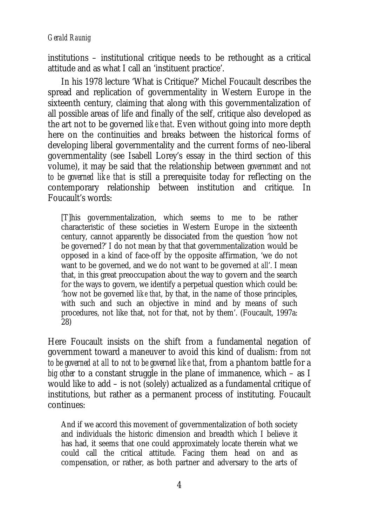#### *Gerald Raunig*

institutions – institutional critique needs to be rethought as a critical attitude and as what I call an 'instituent practice'.

In his 1978 lecture 'What is Critique?' Michel Foucault describes the spread and replication of governmentality in Western Europe in the sixteenth century, claiming that along with this governmentalization of all possible areas of life and finally of the self, critique also developed as the art not to be governed *like that*. Even without going into more depth here on the continuities and breaks between the historical forms of developing liberal governmentality and the current forms of neo-liberal governmentality (see Isabell Lorey's essay in the third section of this volume), it may be said that the relationship between *government* and *not to be governed like that* is still a prerequisite today for reflecting on the contemporary relationship between institution and critique. In Foucault's words:

[T]his governmentalization, which seems to me to be rather characteristic of these societies in Western Europe in the sixteenth century, cannot apparently be dissociated from the question 'how not be governed?' I do not mean by that that governmentalization would be opposed in a kind of face-off by the opposite affirmation, 'we do not want to be governed, and we do not want to be governed *at all*. I mean that, in this great preoccupation about the way to govern and the search for the ways to govern, we identify a perpetual question which could be: 'how not be governed *like that*, by that, in the name of those principles, with such and such an objective in mind and by means of such procedures, not like that, not for that, not by them'. (Foucault, 1997a: 28)

Here Foucault insists on the shift from a fundamental negation of government toward a maneuver to avoid this kind of dualism: from *not to be governed at all* to *not to be governed like that*, from a phantom battle for a *big other* to a constant struggle in the plane of immanence, which – as I would like to add – is not (solely) actualized as a fundamental critique of institutions, but rather as a permanent process of instituting. Foucault continues:

And if we accord this movement of governmentalization of both society and individuals the historic dimension and breadth which I believe it has had, it seems that one could approximately locate therein what we could call the critical attitude. Facing them head on and as compensation, or rather, as both partner and adversary to the arts of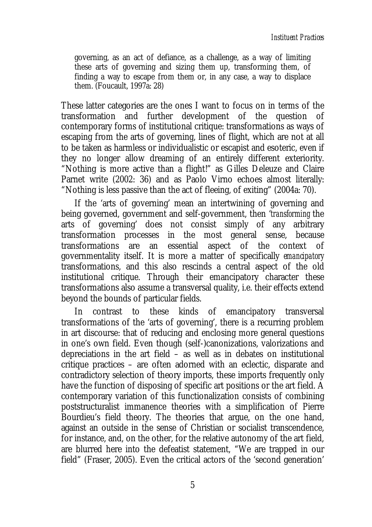governing, as an act of defiance, as a challenge, as a way of limiting these arts of governing and sizing them up, transforming them, of finding a way to escape from them or, in any case, a way to displace them. (Foucault, 1997a: 28)

These latter categories are the ones I want to focus on in terms of the transformation and further development of the question of contemporary forms of institutional critique: transformations as ways of escaping from the arts of governing, lines of flight, which are not at all to be taken as harmless or individualistic or escapist and esoteric, even if they no longer allow dreaming of an entirely different exteriority. "Nothing is more active than a flight!" as Gilles Deleuze and Claire Parnet write (2002: 36) and as Paolo Virno echoes almost literally: "Nothing is less passive than the act of fleeing, of exiting" (2004a: 70).

If the 'arts of governing' mean an intertwining of governing and being governed, government and self-government, then '*transforming* the arts of governing' does not consist simply of any arbitrary transformation processes in the most general sense, because transformations are an essential aspect of the context of governmentality itself. It is more a matter of specifically *emancipatory* transformations, and this also rescinds a central aspect of the old institutional critique. Through their emancipatory character these transformations also assume a transversal quality, i.e. their effects extend beyond the bounds of particular fields.

In contrast to these kinds of emancipatory transversal transformations of the 'arts of governing', there is a recurring problem in art discourse: that of reducing and enclosing more general questions in one's own field. Even though (self-)canonizations, valorizations and depreciations in the art field – as well as in debates on institutional critique practices – are often adorned with an eclectic, disparate and contradictory selection of theory imports, these imports frequently only have the function of disposing of specific art positions or the art field. A contemporary variation of this functionalization consists of combining poststructuralist immanence theories with a simplification of Pierre Bourdieu's field theory. The theories that argue, on the one hand, against an outside in the sense of Christian or socialist transcendence, for instance, and, on the other, for the relative autonomy of the art field, are blurred here into the defeatist statement, "We are trapped in our field" (Fraser, 2005). Even the critical actors of the 'second generation'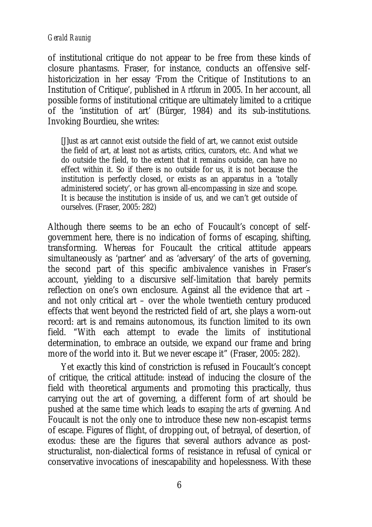#### *Gerald Raunig*

of institutional critique do not appear to be free from these kinds of closure phantasms. Fraser, for instance, conducts an offensive selfhistoricization in her essay 'From the Critique of Institutions to an Institution of Critique', published in *Artforum* in 2005. In her account, all possible forms of institutional critique are ultimately limited to a critique of the 'institution of art' (Bürger, 1984) and its sub-institutions. Invoking Bourdieu, she writes:

[J]ust as art cannot exist outside the field of art, we cannot exist outside the field of art, at least not as artists, critics, curators, etc. And what we do outside the field, to the extent that it remains outside, can have no effect within it. So if there is no outside for us, it is not because the institution is perfectly closed, or exists as an apparatus in a 'totally administered society', or has grown all-encompassing in size and scope. It is because the institution is inside of us, and we can't get outside of ourselves. (Fraser, 2005: 282)

Although there seems to be an echo of Foucault's concept of selfgovernment here, there is no indication of forms of escaping, shifting, transforming. Whereas for Foucault the critical attitude appears simultaneously as 'partner' and as 'adversary' of the arts of governing, the second part of this specific ambivalence vanishes in Fraser's account, yielding to a discursive self-limitation that barely permits reflection on one's own enclosure. Against all the evidence that art – and not only critical art – over the whole twentieth century produced effects that went beyond the restricted field of art, she plays a worn-out record: art is and remains autonomous, its function limited to its own field. "With each attempt to evade the limits of institutional determination, to embrace an outside, we expand our frame and bring more of the world into it. But we never escape it" (Fraser, 2005: 282).

Yet exactly this kind of constriction is refused in Foucault's concept of critique, the critical attitude: instead of inducing the closure of the field with theoretical arguments and promoting this practically, thus carrying out the art of governing, a different form of art should be pushed at the same time which leads to *escaping the arts of governing*. And Foucault is not the only one to introduce these new non-escapist terms of escape. Figures of flight, of dropping out, of betrayal, of desertion, of exodus: these are the figures that several authors advance as poststructuralist, non-dialectical forms of resistance in refusal of cynical or conservative invocations of inescapability and hopelessness. With these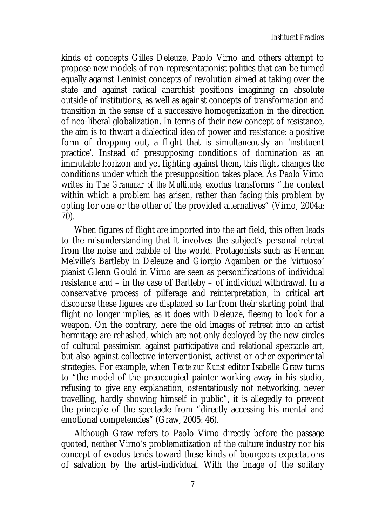kinds of concepts Gilles Deleuze, Paolo Virno and others attempt to propose new models of non-representationist politics that can be turned equally against Leninist concepts of revolution aimed at taking over the state and against radical anarchist positions imagining an absolute outside of institutions, as well as against concepts of transformation and transition in the sense of a successive homogenization in the direction of neo-liberal globalization. In terms of their new concept of resistance, the aim is to thwart a dialectical idea of power and resistance: a positive form of dropping out, a flight that is simultaneously an 'instituent practice'. Instead of presupposing conditions of domination as an immutable horizon and yet fighting against them, this flight changes the conditions under which the presupposition takes place. As Paolo Virno writes in *The Grammar of the Multitude*, exodus transforms "the context within which a problem has arisen, rather than facing this problem by opting for one or the other of the provided alternatives" (Virno, 2004a: 70).

When figures of flight are imported into the art field, this often leads to the misunderstanding that it involves the subject's personal retreat from the noise and babble of the world. Protagonists such as Herman Melville's Bartleby in Deleuze and Giorgio Agamben or the 'virtuoso' pianist Glenn Gould in Virno are seen as personifications of individual resistance and – in the case of Bartleby – of individual withdrawal. In a conservative process of pilferage and reinterpretation, in critical art discourse these figures are displaced so far from their starting point that flight no longer implies, as it does with Deleuze, fleeing to look for a weapon. On the contrary, here the old images of retreat into an artist hermitage are rehashed, which are not only deployed by the new circles of cultural pessimism against participative and relational spectacle art, but also against collective interventionist, activist or other experimental strategies. For example, when *Texte zur Kunst* editor Isabelle Graw turns to "the model of the preoccupied painter working away in his studio, refusing to give any explanation, ostentatiously not networking, never travelling, hardly showing himself in public", it is allegedly to prevent the principle of the spectacle from "directly accessing his mental and emotional competencies" (Graw, 2005: 46).

Although Graw refers to Paolo Virno directly before the passage quoted, neither Virno's problematization of the culture industry nor his concept of exodus tends toward these kinds of bourgeois expectations of salvation by the artist-individual. With the image of the solitary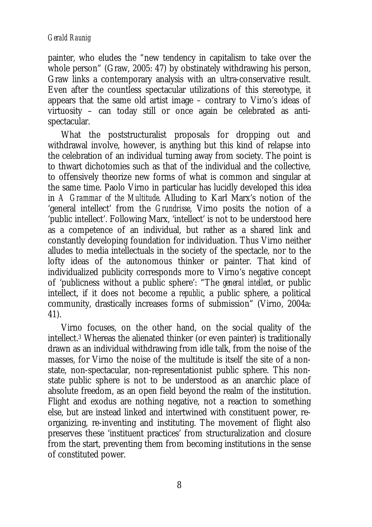#### *Gerald Raunig*

painter, who eludes the "new tendency in capitalism to take over the whole person" (Graw, 2005: 47) by obstinately withdrawing his person, Graw links a contemporary analysis with an ultra-conservative result. Even after the countless spectacular utilizations of this stereotype, it appears that the same old artist image – contrary to Virno's ideas of virtuosity – can today still or once again be celebrated as antispectacular.

What the poststructuralist proposals for dropping out and withdrawal involve, however, is anything but this kind of relapse into the celebration of an individual turning away from society. The point is to thwart dichotomies such as that of the individual and the collective, to offensively theorize new forms of what is common and singular at the same time. Paolo Virno in particular has lucidly developed this idea in *A Grammar of the Multitude*. Alluding to Karl Marx's notion of the 'general intellect' from the *Grundrisse*, Virno posits the notion of a 'public intellect'. Following Marx, 'intellect' is not to be understood here as a competence of an individual, but rather as a shared link and constantly developing foundation for individuation. Thus Virno neither alludes to media intellectuals in the society of the spectacle, nor to the lofty ideas of the autonomous thinker or painter. That kind of individualized publicity corresponds more to Virno's negative concept of 'publicness without a public sphere': "The *general intellect*, or public intellect, if it does not become a *republic*, a public sphere, a political community, drastically increases forms of submission" (Virno, 2004a: 41).

Virno focuses, on the other hand, on the social quality of the intellect.3 Whereas the alienated thinker (or even painter) is traditionally drawn as an individual withdrawing from idle talk, from the noise of the masses, for Virno the noise of the multitude is itself the site of a nonstate, non-spectacular, non-representationist public sphere. This nonstate public sphere is not to be understood as an anarchic place of absolute freedom, as an open field beyond the realm of the institution. Flight and exodus are nothing negative, not a reaction to something else, but are instead linked and intertwined with constituent power, reorganizing, re-inventing and instituting. The movement of flight also preserves these 'instituent practices' from structuralization and closure from the start, preventing them from becoming institutions in the sense of constituted power.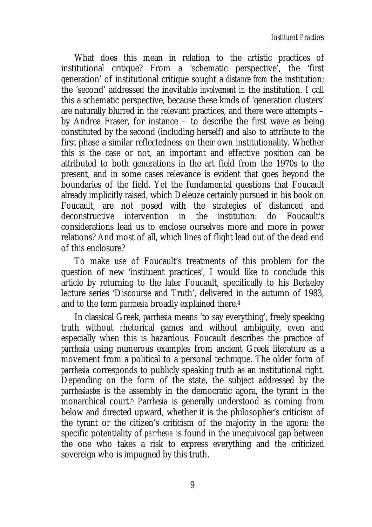What does this mean in relation to the artistic practices of institutional critique? From a 'schematic perspective', the 'first generation' of institutional critique sought a *distance from* the institution; the 'second' addressed the inevitable *involvement in* the institution. I call this a schematic perspective, because these kinds of 'generation clusters' are naturally blurred in the relevant practices, and there were attempts – by Andrea Fraser, for instance – to describe the first wave as being constituted by the second (including herself) and also to attribute to the first phase a similar reflectedness on their own institutionality. Whether this is the case or not, an important and effective position can be attributed to both generations in the art field from the 1970s to the present, and in some cases relevance is evident that goes beyond the boundaries of the field. Yet the fundamental questions that Foucault already implicitly raised, which Deleuze certainly pursued in his book on Foucault, are not posed with the strategies of distanced and deconstructive intervention in the institution: do Foucault's considerations lead us to enclose ourselves more and more in power relations? And most of all, which lines of flight lead out of the dead end of this enclosure?

To make use of Foucault's treatments of this problem for the question of new 'instituent practices', I would like to conclude this article by returning to the later Foucault, specifically to his Berkeley lecture series 'Discourse and Truth', delivered in the autumn of 1983, and to the term *parrhesia* broadly explained there.4

In classical Greek, *parrhesia* means 'to say everything', freely speaking truth without rhetorical games and without ambiguity, even and especially when this is hazardous. Foucault describes the practice of *parrhesia* using numerous examples from ancient Greek literature as a movement from a political to a personal technique. The older form of *parrhesia* corresponds to publicly speaking truth as an institutional right. Depending on the form of the state, the subject addressed by the *parrhesiastes* is the assembly in the democratic agora, the tyrant in the monarchical court.5 *Parrhesia* is generally understood as coming from below and directed upward, whether it is the philosopher's criticism of the tyrant or the citizen's criticism of the majority in the agora: the specific potentiality of *parrhesia* is found in the unequivocal gap between the one who takes a risk to express everything and the criticized sovereign who is impugned by this truth.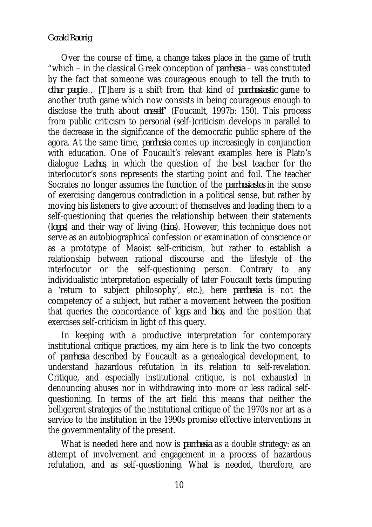#### *Gerald Raunig*

Over the course of time, a change takes place in the game of truth "which – in the classical Greek conception of *parrhesia* – was constituted by the fact that someone was courageous enough to tell the truth to *other people*… [T]here is a shift from that kind of *parrhesiastic* game to another truth game which now consists in being courageous enough to disclose the truth about *oneself*" (Foucault, 1997b: 150). This process from public criticism to personal (self-)criticism develops in parallel to the decrease in the significance of the democratic public sphere of the agora. At the same time, *parrhesia* comes up increasingly in conjunction with education. One of Foucault's relevant examples here is Plato's dialogue *Laches*, in which the question of the best teacher for the interlocutor's sons represents the starting point and foil. The teacher Socrates no longer assumes the function of the *parrhesiastes* in the sense of exercising dangerous contradiction in a political sense, but rather by moving his listeners to give account of themselves and leading them to a self-questioning that queries the relationship between their statements (*logos*) and their way of living (*bios*). However, this technique does not serve as an autobiographical confession or examination of conscience or as a prototype of Maoist self-criticism, but rather to establish a relationship between rational discourse and the lifestyle of the interlocutor or the self-questioning person. Contrary to any individualistic interpretation especially of later Foucault texts (imputing a 'return to subject philosophy', etc.), here *parrhesia* is not the competency of a subject, but rather a movement between the position that queries the concordance of *logos* and *bios*, and the position that exercises self-criticism in light of this query.

In keeping with a productive interpretation for contemporary institutional critique practices, my aim here is to link the two concepts of *parrhesia* described by Foucault as a genealogical development, to understand hazardous refutation in its relation to self-revelation. Critique, and especially institutional critique, is not exhausted in denouncing abuses nor in withdrawing into more or less radical selfquestioning. In terms of the art field this means that neither the belligerent strategies of the institutional critique of the 1970s nor art as a service to the institution in the 1990s promise effective interventions in the governmentality of the present.

What is needed here and now is *parrhesia* as a double strategy: as an attempt of involvement and engagement in a process of hazardous refutation, and as self-questioning. What is needed, therefore, are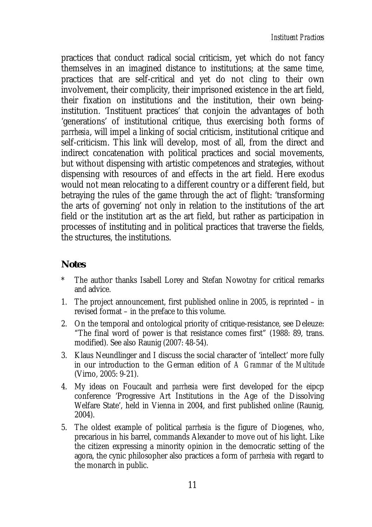practices that conduct radical social criticism, yet which do not fancy themselves in an imagined distance to institutions; at the same time, practices that are self-critical and yet do not cling to their own involvement, their complicity, their imprisoned existence in the art field, their fixation on institutions and the institution, their own beinginstitution. 'Instituent practices' that conjoin the advantages of both 'generations' of institutional critique, thus exercising both forms of *parrhesia*, will impel a linking of social criticism, institutional critique and self-criticism. This link will develop, most of all, from the direct and indirect concatenation with political practices and social movements, but without dispensing with artistic competences and strategies, without dispensing with resources of and effects in the art field. Here exodus would not mean relocating to a different country or a different field, but betraying the rules of the game through the act of flight: 'transforming the arts of governing' not only in relation to the institutions of the art field or the institution art as the art field, but rather as participation in processes of instituting and in political practices that traverse the fields, the structures, the institutions.

#### **Notes**

- \* The author thanks Isabell Lorey and Stefan Nowotny for critical remarks and advice.
- 1. The project announcement, first published online in 2005, is reprinted in revised format – in the preface to this volume.
- 2. On the temporal and ontological priority of critique-resistance, see Deleuze: "The final word of power is that resistance comes first" (1988: 89, trans. modified). See also Raunig (2007: 48-54).
- 3. Klaus Neundlinger and I discuss the social character of 'intellect' more fully in our introduction to the German edition of *A Grammar of the Multitude* (Virno, 2005: 9-21).
- 4. My ideas on Foucault and *parrhesia* were first developed for the eipcp conference 'Progressive Art Institutions in the Age of the Dissolving Welfare State', held in Vienna in 2004, and first published online (Raunig, 2004).
- 5. The oldest example of political *parrhesia* is the figure of Diogenes, who, precarious in his barrel, commands Alexander to move out of his light. Like the citizen expressing a minority opinion in the democratic setting of the agora, the cynic philosopher also practices a form of *parrhesia* with regard to the monarch in public.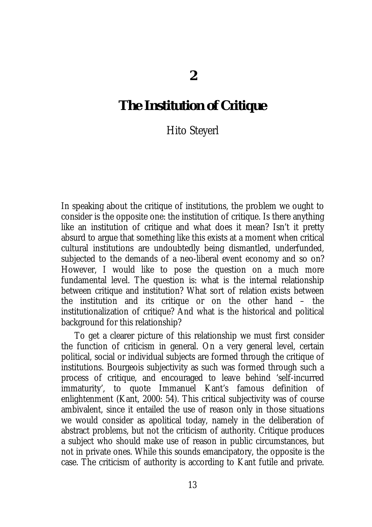### **The Institution of Critique**

#### Hito Steyerl

In speaking about the critique of institutions, the problem we ought to consider is the opposite one: the institution of critique. Is there anything like an institution of critique and what does it mean? Isn't it pretty absurd to argue that something like this exists at a moment when critical cultural institutions are undoubtedly being dismantled, underfunded, subjected to the demands of a neo-liberal event economy and so on? However, I would like to pose the question on a much more fundamental level. The question is: what is the internal relationship between critique and institution? What sort of relation exists between the institution and its critique or on the other hand – the institutionalization of critique? And what is the historical and political background for this relationship?

To get a clearer picture of this relationship we must first consider the function of criticism in general. On a very general level, certain political, social or individual subjects are formed through the critique of institutions. Bourgeois subjectivity as such was formed through such a process of critique, and encouraged to leave behind 'self-incurred immaturity', to quote Immanuel Kant's famous definition of enlightenment (Kant, 2000: 54). This critical subjectivity was of course ambivalent, since it entailed the use of reason only in those situations we would consider as apolitical today, namely in the deliberation of abstract problems, but not the criticism of authority. Critique produces a subject who should make use of reason in public circumstances, but not in private ones. While this sounds emancipatory, the opposite is the case. The criticism of authority is according to Kant futile and private.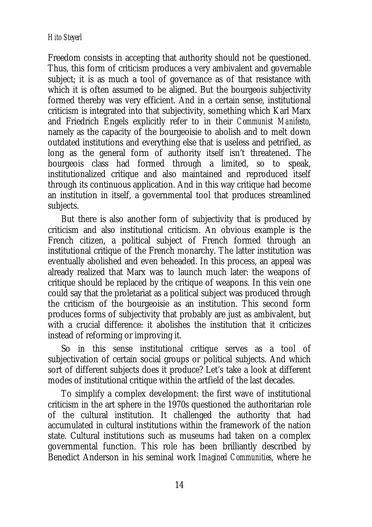#### *Hito Steyerl*

Freedom consists in accepting that authority should not be questioned. Thus, this form of criticism produces a very ambivalent and governable subject; it is as much a tool of governance as of that resistance with which it is often assumed to be aligned. But the bourgeois subjectivity formed thereby was very efficient. And in a certain sense, institutional criticism is integrated into that subjectivity, something which Karl Marx and Friedrich Engels explicitly refer to in their *Communist Manifesto*, namely as the capacity of the bourgeoisie to abolish and to melt down outdated institutions and everything else that is useless and petrified, as long as the general form of authority itself isn't threatened. The bourgeois class had formed through a limited, so to speak, institutionalized critique and also maintained and reproduced itself through its continuous application. And in this way critique had become an institution in itself, a governmental tool that produces streamlined subjects.

But there is also another form of subjectivity that is produced by criticism and also institutional criticism. An obvious example is the French citizen, a political subject of French formed through an institutional critique of the French monarchy. The latter institution was eventually abolished and even beheaded. In this process, an appeal was already realized that Marx was to launch much later: the weapons of critique should be replaced by the critique of weapons. In this vein one could say that the proletariat as a political subject was produced through the criticism of the bourgeoisie as an institution. This second form produces forms of subjectivity that probably are just as ambivalent, but with a crucial difference: it abolishes the institution that it criticizes instead of reforming or improving it.

So in this sense institutional critique serves as a tool of subjectivation of certain social groups or political subjects. And which sort of different subjects does it produce? Let's take a look at different modes of institutional critique within the artfield of the last decades.

To simplify a complex development: the first wave of institutional criticism in the art sphere in the 1970s questioned the authoritarian role of the cultural institution. It challenged the authority that had accumulated in cultural institutions within the framework of the nation state. Cultural institutions such as museums had taken on a complex governmental function. This role has been brilliantly described by Benedict Anderson in his seminal work *Imagined Communities*, where he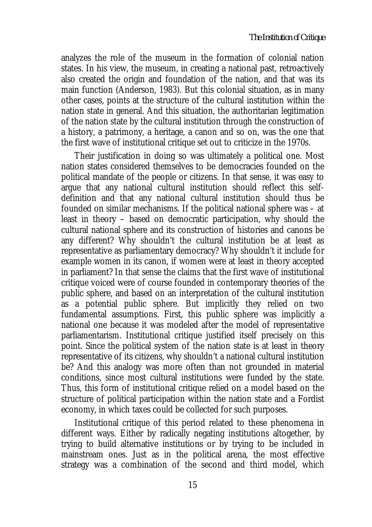analyzes the role of the museum in the formation of colonial nation states. In his view, the museum, in creating a national past, retroactively also created the origin and foundation of the nation, and that was its main function (Anderson, 1983). But this colonial situation, as in many other cases, points at the structure of the cultural institution within the nation state in general. And this situation, the authoritarian legitimation of the nation state by the cultural institution through the construction of a history, a patrimony, a heritage, a canon and so on, was the one that the first wave of institutional critique set out to criticize in the 1970s.

Their justification in doing so was ultimately a political one. Most nation states considered themselves to be democracies founded on the political mandate of the people or citizens. In that sense, it was easy to argue that any national cultural institution should reflect this selfdefinition and that any national cultural institution should thus be founded on similar mechanisms. If the political national sphere was – at least in theory – based on democratic participation, why should the cultural national sphere and its construction of histories and canons be any different? Why shouldn't the cultural institution be at least as representative as parliamentary democracy? Why shouldn't it include for example women in its canon, if women were at least in theory accepted in parliament? In that sense the claims that the first wave of institutional critique voiced were of course founded in contemporary theories of the public sphere, and based on an interpretation of the cultural institution as a potential public sphere. But implicitly they relied on two fundamental assumptions. First, this public sphere was implicitly a national one because it was modeled after the model of representative parliamentarism. Institutional critique justified itself precisely on this point. Since the political system of the nation state is at least in theory representative of its citizens, why shouldn't a national cultural institution be? And this analogy was more often than not grounded in material conditions, since most cultural institutions were funded by the state. Thus, this form of institutional critique relied on a model based on the structure of political participation within the nation state and a Fordist economy, in which taxes could be collected for such purposes.

Institutional critique of this period related to these phenomena in different ways. Either by radically negating institutions altogether, by trying to build alternative institutions or by trying to be included in mainstream ones. Just as in the political arena, the most effective strategy was a combination of the second and third model, which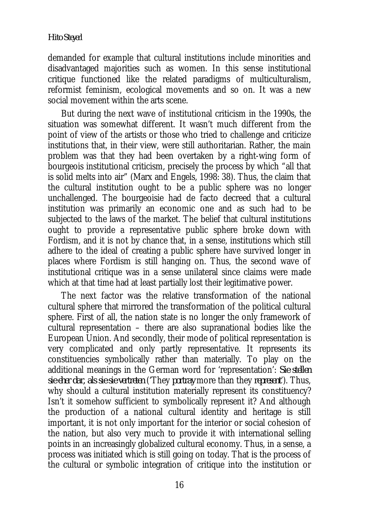### *Hito Steyerl*

demanded for example that cultural institutions include minorities and disadvantaged majorities such as women. In this sense institutional critique functioned like the related paradigms of multiculturalism, reformist feminism, ecological movements and so on. It was a new social movement within the arts scene.

But during the next wave of institutional criticism in the 1990s, the situation was somewhat different. It wasn't much different from the point of view of the artists or those who tried to challenge and criticize institutions that, in their view, were still authoritarian. Rather, the main problem was that they had been overtaken by a right-wing form of bourgeois institutional criticism, precisely the process by which "all that is solid melts into air" (Marx and Engels, 1998: 38). Thus, the claim that the cultural institution ought to be a public sphere was no longer unchallenged. The bourgeoisie had de facto decreed that a cultural institution was primarily an economic one and as such had to be subjected to the laws of the market. The belief that cultural institutions ought to provide a representative public sphere broke down with Fordism, and it is not by chance that, in a sense, institutions which still adhere to the ideal of creating a public sphere have survived longer in places where Fordism is still hanging on. Thus, the second wave of institutional critique was in a sense unilateral since claims were made which at that time had at least partially lost their legitimative power.

The next factor was the relative transformation of the national cultural sphere that mirrored the transformation of the political cultural sphere. First of all, the nation state is no longer the only framework of cultural representation – there are also supranational bodies like the European Union. And secondly, their mode of political representation is very complicated and only partly representative. It represents its constituencies symbolically rather than materially. To play on the additional meanings in the German word for 'representation': *Sie stellen sie eher dar, als sie sie vertreten* ('They *portray* more than they *represent*'). Thus, why should a cultural institution materially represent its constituency? Isn't it somehow sufficient to symbolically represent it? And although the production of a national cultural identity and heritage is still important, it is not only important for the interior or social cohesion of the nation, but also very much to provide it with international selling points in an increasingly globalized cultural economy. Thus, in a sense, a process was initiated which is still going on today. That is the process of the cultural or symbolic integration of critique into the institution or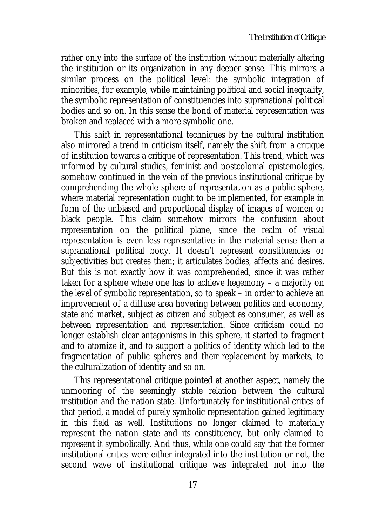rather only into the surface of the institution without materially altering the institution or its organization in any deeper sense. This mirrors a similar process on the political level: the symbolic integration of minorities, for example, while maintaining political and social inequality, the symbolic representation of constituencies into supranational political bodies and so on. In this sense the bond of material representation was broken and replaced with a more symbolic one.

This shift in representational techniques by the cultural institution also mirrored a trend in criticism itself, namely the shift from a critique of institution towards a critique of representation. This trend, which was informed by cultural studies, feminist and postcolonial epistemologies, somehow continued in the vein of the previous institutional critique by comprehending the whole sphere of representation as a public sphere, where material representation ought to be implemented, for example in form of the unbiased and proportional display of images of women or black people. This claim somehow mirrors the confusion about representation on the political plane, since the realm of visual representation is even less representative in the material sense than a supranational political body. It doesn't represent constituencies or subjectivities but creates them; it articulates bodies, affects and desires. But this is not exactly how it was comprehended, since it was rather taken for a sphere where one has to achieve hegemony – a majority on the level of symbolic representation, so to speak – in order to achieve an improvement of a diffuse area hovering between politics and economy, state and market, subject as citizen and subject as consumer, as well as between representation and representation. Since criticism could no longer establish clear antagonisms in this sphere, it started to fragment and to atomize it, and to support a politics of identity which led to the fragmentation of public spheres and their replacement by markets, to the culturalization of identity and so on.

This representational critique pointed at another aspect, namely the unmooring of the seemingly stable relation between the cultural institution and the nation state. Unfortunately for institutional critics of that period, a model of purely symbolic representation gained legitimacy in this field as well. Institutions no longer claimed to materially represent the nation state and its constituency, but only claimed to represent it symbolically. And thus, while one could say that the former institutional critics were either integrated into the institution or not, the second wave of institutional critique was integrated not into the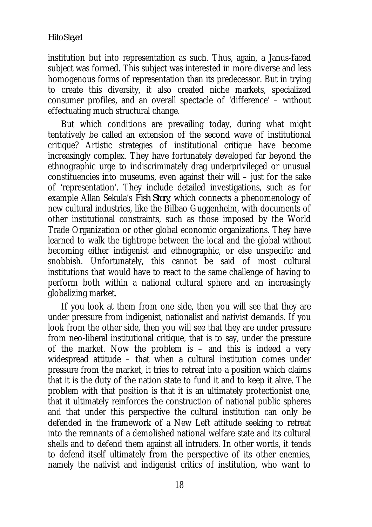institution but into representation as such. Thus, again, a Janus-faced subject was formed. This subject was interested in more diverse and less homogenous forms of representation than its predecessor. But in trying to create this diversity, it also created niche markets, specialized consumer profiles, and an overall spectacle of 'difference' – without effectuating much structural change.

But which conditions are prevailing today, during what might tentatively be called an extension of the second wave of institutional critique? Artistic strategies of institutional critique have become increasingly complex. They have fortunately developed far beyond the ethnographic urge to indiscriminately drag underprivileged or unusual constituencies into museums, even against their will – just for the sake of 'representation'. They include detailed investigations, such as for example Allan Sekula's *Fish Story*, which connects a phenomenology of new cultural industries, like the Bilbao Guggenheim, with documents of other institutional constraints, such as those imposed by the World Trade Organization or other global economic organizations. They have learned to walk the tightrope between the local and the global without becoming either indigenist and ethnographic, or else unspecific and snobbish. Unfortunately, this cannot be said of most cultural institutions that would have to react to the same challenge of having to perform both within a national cultural sphere and an increasingly globalizing market.

If you look at them from one side, then you will see that they are under pressure from indigenist, nationalist and nativist demands. If you look from the other side, then you will see that they are under pressure from neo-liberal institutional critique, that is to say, under the pressure of the market. Now the problem is – and this is indeed a very widespread attitude – that when a cultural institution comes under pressure from the market, it tries to retreat into a position which claims that it is the duty of the nation state to fund it and to keep it alive. The problem with that position is that it is an ultimately protectionist one, that it ultimately reinforces the construction of national public spheres and that under this perspective the cultural institution can only be defended in the framework of a New Left attitude seeking to retreat into the remnants of a demolished national welfare state and its cultural shells and to defend them against all intruders. In other words, it tends to defend itself ultimately from the perspective of its other enemies, namely the nativist and indigenist critics of institution, who want to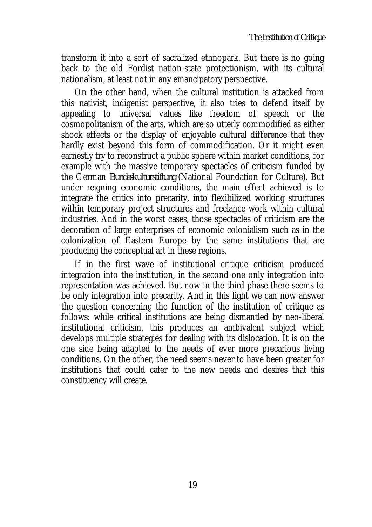transform it into a sort of sacralized ethnopark. But there is no going back to the old Fordist nation-state protectionism, with its cultural nationalism, at least not in any emancipatory perspective.

On the other hand, when the cultural institution is attacked from this nativist, indigenist perspective, it also tries to defend itself by appealing to universal values like freedom of speech or the cosmopolitanism of the arts, which are so utterly commodified as either shock effects or the display of enjoyable cultural difference that they hardly exist beyond this form of commodification. Or it might even earnestly try to reconstruct a public sphere within market conditions, for example with the massive temporary spectacles of criticism funded by the German *Bundeskulturstiftung* (National Foundation for Culture). But under reigning economic conditions, the main effect achieved is to integrate the critics into precarity, into flexibilized working structures within temporary project structures and freelance work within cultural industries. And in the worst cases, those spectacles of criticism are the decoration of large enterprises of economic colonialism such as in the colonization of Eastern Europe by the same institutions that are producing the conceptual art in these regions.

If in the first wave of institutional critique criticism produced integration into the institution, in the second one only integration into representation was achieved. But now in the third phase there seems to be only integration into precarity. And in this light we can now answer the question concerning the function of the institution of critique as follows: while critical institutions are being dismantled by neo-liberal institutional criticism, this produces an ambivalent subject which develops multiple strategies for dealing with its dislocation. It is on the one side being adapted to the needs of ever more precarious living conditions. On the other, the need seems never to have been greater for institutions that could cater to the new needs and desires that this constituency will create.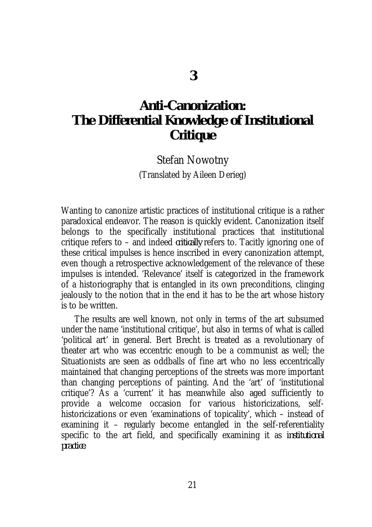# **Anti-Canonization: The Differential Knowledge of Institutional Critique**

Stefan Nowotny (Translated by Aileen Derieg)

Wanting to canonize artistic practices of institutional critique is a rather paradoxical endeavor. The reason is quickly evident. Canonization itself belongs to the specifically institutional practices that institutional critique refers to – and indeed *critically* refers to. Tacitly ignoring one of these critical impulses is hence inscribed in every canonization attempt, even though a retrospective acknowledgement of the relevance of these impulses is intended. 'Relevance' itself is categorized in the framework of a historiography that is entangled in its own preconditions, clinging jealously to the notion that in the end it has to be the art whose history is to be written.

The results are well known, not only in terms of the art subsumed under the name 'institutional critique', but also in terms of what is called 'political art' in general. Bert Brecht is treated as a revolutionary of theater art who was eccentric enough to be a communist as well; the Situationists are seen as oddballs of fine art who no less eccentrically maintained that changing perceptions of the streets was more important than changing perceptions of painting. And the 'art' of 'institutional critique'? As a 'current' it has meanwhile also aged sufficiently to provide a welcome occasion for various historicizations, selfhistoricizations or even 'examinations of topicality', which – instead of examining it – regularly become entangled in the self-referentiality specific to the art field, and specifically examining it as *institutional practice*.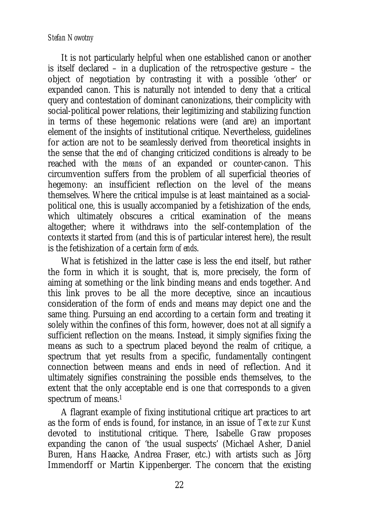It is not particularly helpful when one established canon or another is itself declared – in a duplication of the retrospective gesture – the object of negotiation by contrasting it with a possible 'other' or expanded canon. This is naturally not intended to deny that a critical query and contestation of dominant canonizations, their complicity with social-political power relations, their legitimizing and stabilizing function in terms of these hegemonic relations were (and are) an important element of the insights of institutional critique. Nevertheless, guidelines for action are not to be seamlessly derived from theoretical insights in the sense that the *end* of changing criticized conditions is already to be reached with the *means* of an expanded or counter-canon. This circumvention suffers from the problem of all superficial theories of hegemony: an insufficient reflection on the level of the means themselves. Where the critical impulse is at least maintained as a socialpolitical one, this is usually accompanied by a fetishization of the ends, which ultimately obscures a critical examination of the means altogether; where it withdraws into the self-contemplation of the contexts it started from (and this is of particular interest here), the result is the fetishization of a certain *form of ends*.

What is fetishized in the latter case is less the end itself, but rather the form in which it is sought, that is, more precisely, the form of aiming at something or the link binding means and ends together. And this link proves to be all the more deceptive, since an incautious consideration of the form of ends and means may depict one and the same thing. Pursuing an end according to a certain form and treating it solely within the confines of this form, however, does not at all signify a sufficient reflection on the means. Instead, it simply signifies fixing the means as such to a spectrum placed beyond the realm of critique, a spectrum that yet results from a specific, fundamentally contingent connection between means and ends in need of reflection. And it ultimately signifies constraining the possible ends themselves, to the extent that the only acceptable end is one that corresponds to a given spectrum of means.<sup>1</sup>

A flagrant example of fixing institutional critique art practices to art as the form of ends is found, for instance, in an issue of *Texte zur Kunst* devoted to institutional critique. There, Isabelle Graw proposes expanding the canon of 'the usual suspects' (Michael Asher, Daniel Buren, Hans Haacke, Andrea Fraser, etc.) with artists such as Jörg Immendorff or Martin Kippenberger. The concern that the existing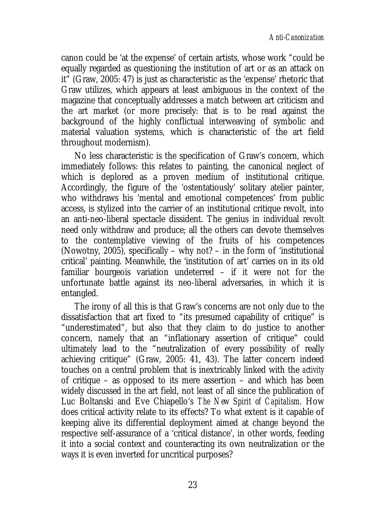canon could be 'at the expense' of certain artists, whose work "could be equally regarded as questioning the institution of art or as an attack on it" (Graw, 2005: 47) is just as characteristic as the 'expense' rhetoric that Graw utilizes, which appears at least ambiguous in the context of the magazine that conceptually addresses a match between art criticism and the art market (or more precisely: that is to be read against the background of the highly conflictual interweaving of symbolic and material valuation systems, which is characteristic of the art field throughout modernism).

No less characteristic is the specification of Graw's concern, which immediately follows: this relates to painting, the canonical neglect of which is deplored as a proven medium of institutional critique. Accordingly, the figure of the 'ostentatiously' solitary atelier painter, who withdraws his 'mental and emotional competences' from public access, is stylized into the carrier of an institutional critique revolt, into an anti-neo-liberal spectacle dissident. The genius in individual revolt need only withdraw and produce; all the others can devote themselves to the contemplative viewing of the fruits of his competences (Nowotny, 2005), specifically – why not? – in the form of 'institutional critical' painting. Meanwhile, the 'institution of art' carries on in its old familiar bourgeois variation undeterred – if it were not for the unfortunate battle against its neo-liberal adversaries, in which it is entangled.

The irony of all this is that Graw's concerns are not only due to the dissatisfaction that art fixed to "its presumed capability of critique" is "underestimated", but also that they claim to do justice to another concern, namely that an "inflationary assertion of critique" could ultimately lead to the "neutralization of every possibility of really achieving critique" (Graw, 2005: 41, 43). The latter concern indeed touches on a central problem that is inextricably linked with the *activity* of critique – as opposed to its mere assertion – and which has been widely discussed in the art field, not least of all since the publication of Luc Boltanski and Eve Chiapello's *The New Spirit of Capitalism*. How does critical activity relate to its effects? To what extent is it capable of keeping alive its differential deployment aimed at change beyond the respective self-assurance of a 'critical distance', in other words, feeding it into a social context and counteracting its own neutralization or the ways it is even inverted for uncritical purposes?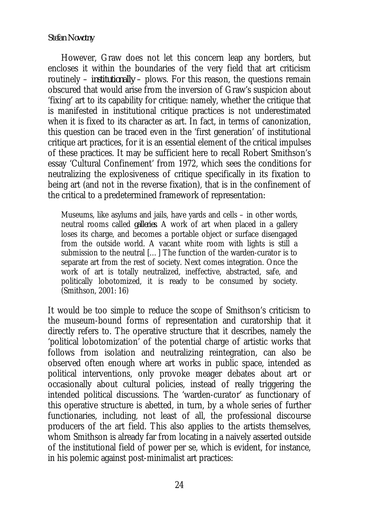### *Stefan Nowotny*

However, Graw does not let this concern leap any borders, but encloses it within the boundaries of the very field that art criticism routinely – *institutionally* – plows. For this reason, the questions remain obscured that would arise from the inversion of Graw's suspicion about 'fixing' art to its capability for critique: namely, whether the critique that is manifested in institutional critique practices is not underestimated when it is fixed to its character as art. In fact, in terms of canonization, this question can be traced even in the 'first generation' of institutional critique art practices, for it is an essential element of the critical impulses of these practices. It may be sufficient here to recall Robert Smithson's essay 'Cultural Confinement' from 1972, which sees the conditions for neutralizing the explosiveness of critique specifically in its fixation to being art (and not in the reverse fixation), that is in the confinement of the critical to a predetermined framework of representation:

Museums, like asylums and jails, have yards and cells – in other words, neutral rooms called *galleries*. A work of art when placed in a gallery loses its charge, and becomes a portable object or surface disengaged from the outside world. A vacant white room with lights is still a submission to the neutral […] The function of the warden-curator is to separate art from the rest of society. Next comes integration. Once the work of art is totally neutralized, ineffective, abstracted, safe, and politically lobotomized, it is ready to be consumed by society. (Smithson, 2001: 16)

It would be too simple to reduce the scope of Smithson's criticism to the museum-bound forms of representation and curatorship that it directly refers to. The operative structure that it describes, namely the 'political lobotomization' of the potential charge of artistic works that follows from isolation and neutralizing reintegration, can also be observed often enough where art works in public space, intended as political interventions, only provoke meager debates about art or occasionally about cultural policies, instead of really triggering the intended political discussions. The 'warden-curator' as functionary of this operative structure is abetted, in turn, by a whole series of further functionaries, including, not least of all, the professional discourse producers of the art field. This also applies to the artists themselves, whom Smithson is already far from locating in a naively asserted outside of the institutional field of power per se, which is evident, for instance, in his polemic against post-minimalist art practices: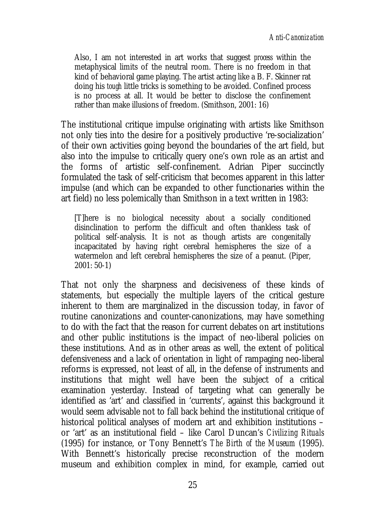Also, I am not interested in art works that suggest *process* within the metaphysical limits of the neutral room. There is no freedom in that kind of behavioral game playing. The artist acting like a B. F. Skinner rat doing his *tough* little tricks is something to be avoided. Confined process is no process at all. It would be better to disclose the confinement rather than make illusions of freedom. (Smithson, 2001: 16)

The institutional critique impulse originating with artists like Smithson not only ties into the desire for a positively productive 're-socialization' of their own activities going beyond the boundaries of the art field, but also into the impulse to critically query one's own role as an artist and the forms of artistic self-confinement. Adrian Piper succinctly formulated the task of self-criticism that becomes apparent in this latter impulse (and which can be expanded to other functionaries within the art field) no less polemically than Smithson in a text written in 1983:

[T]here is no biological necessity about a socially conditioned disinclination to perform the difficult and often thankless task of political self-analysis. It is not as though artists are congenitally incapacitated by having right cerebral hemispheres the size of a watermelon and left cerebral hemispheres the size of a peanut. (Piper, 2001: 50-1)

That not only the sharpness and decisiveness of these kinds of statements, but especially the multiple layers of the critical gesture inherent to them are marginalized in the discussion today, in favor of routine canonizations and counter-canonizations, may have something to do with the fact that the reason for current debates on art institutions and other public institutions is the impact of neo-liberal policies on these institutions. And as in other areas as well, the extent of political defensiveness and a lack of orientation in light of rampaging neo-liberal reforms is expressed, not least of all, in the defense of instruments and institutions that might well have been the subject of a critical examination yesterday. Instead of targeting what can generally be identified as 'art' and classified in 'currents', against this background it would seem advisable not to fall back behind the institutional critique of historical political analyses of modern art and exhibition institutions – or 'art' as an institutional field – like Carol Duncan's *Civilizing Rituals* (1995) for instance, or Tony Bennett's *The Birth of the Museum* (1995). With Bennett's historically precise reconstruction of the modern museum and exhibition complex in mind, for example, carried out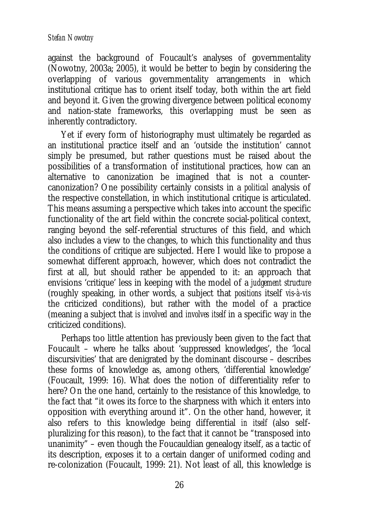### *Stefan Nowotny*

against the background of Foucault's analyses of governmentality (Nowotny, 2003a; 2005), it would be better to begin by considering the overlapping of various governmentality arrangements in which institutional critique has to orient itself today, both within the art field and beyond it. Given the growing divergence between political economy and nation-state frameworks, this overlapping must be seen as inherently contradictory.

Yet if every form of historiography must ultimately be regarded as an institutional practice itself and an 'outside the institution' cannot simply be presumed, but rather questions must be raised about the possibilities of a transformation of institutional practices, how can an alternative to canonization be imagined that is not a countercanonization? One possibility certainly consists in a *political* analysis of the respective constellation, in which institutional critique is articulated. This means assuming a perspective which takes into account the specific functionality of the art field within the concrete social-political context, ranging beyond the self-referential structures of this field, and which also includes a view to the changes, to which this functionality and thus the conditions of critique are subjected. Here I would like to propose a somewhat different approach, however, which does not contradict the first at all, but should rather be appended to it: an approach that envisions 'critique' less in keeping with the model of a *judgement structure* (roughly speaking, in other words, a subject that *positions* itself *vis-à-vis* the criticized conditions), but rather with the model of a practice (meaning a subject that *is involved* and *involves itself* in a specific way *in* the criticized conditions).

Perhaps too little attention has previously been given to the fact that Foucault – where he talks about 'suppressed knowledges', the 'local discursivities' that are denigrated by the dominant discourse – describes these forms of knowledge as, among others, 'differential knowledge' (Foucault, 1999: 16). What does the notion of differentiality refer to here? On the one hand, certainly to the resistance of this knowledge, to the fact that "it owes its force to the sharpness with which it enters into opposition with everything around it". On the other hand, however, it also refers to this knowledge being differential *in itself* (also selfpluralizing for this reason), to the fact that it cannot be "transposed into unanimity" – even though the Foucauldian genealogy itself, as a tactic of its description, exposes it to a certain danger of uniformed coding and re-colonization (Foucault, 1999: 21). Not least of all, this knowledge is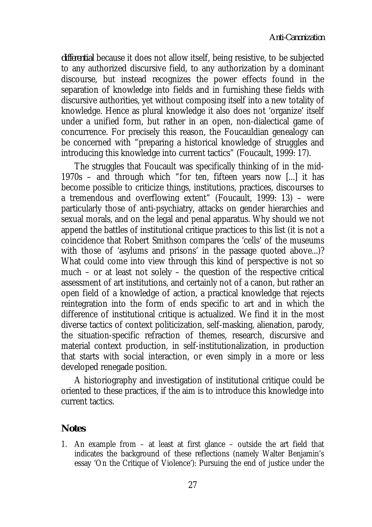*differential* because it does not allow itself, being resistive, to be subjected to any authorized discursive field, to any authorization by a dominant discourse, but instead recognizes the power effects found in the separation of knowledge into fields and in furnishing these fields with discursive authorities, yet without composing itself into a new totality of knowledge. Hence as plural knowledge it also does not 'organize' itself under a unified form, but rather in an open, non-dialectical game of concurrence. For precisely this reason, the Foucauldian genealogy can be concerned with "preparing a historical knowledge of struggles and introducing this knowledge into current tactics" (Foucault, 1999: 17).

The struggles that Foucault was specifically thinking of in the mid-1970s – and through which "for ten, fifteen years now [...] it has become possible to criticize things, institutions, practices, discourses to a tremendous and overflowing extent" (Foucault, 1999: 13) – were particularly those of anti-psychiatry, attacks on gender hierarchies and sexual morals, and on the legal and penal apparatus. Why should we not append the battles of institutional critique practices to this list (it is not a coincidence that Robert Smithson compares the 'cells' of the museums with those of 'asylums and prisons' in the passage quoted above...)? What could come into view through this kind of perspective is not so much – or at least not solely – the question of the respective critical assessment of art institutions, and certainly not of a canon, but rather an open field of a knowledge of action, a practical knowledge that rejects reintegration into the form of ends specific to art and in which the difference of institutional critique is actualized. We find it in the most diverse tactics of context politicization, self-masking, alienation, parody, the situation-specific refraction of themes, research, discursive and material context production, in self-institutionalization, in production that starts with social interaction, or even simply in a more or less developed renegade position.

A historiography and investigation of institutional critique could be oriented to these practices, if the aim is to introduce this knowledge into current tactics.

### **Notes**

1. An example from – at least at first glance – outside the art field that indicates the background of these reflections (namely Walter Benjamin's essay 'On the Critique of Violence'): Pursuing the end of justice under the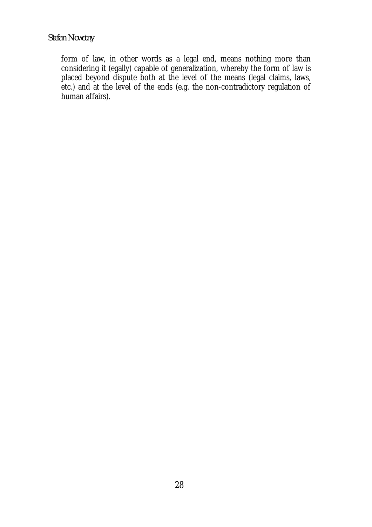*Stefan Nowotny*

form of law, in other words as a legal end, means nothing more than considering it (egally) capable of generalization, whereby the form of law is placed beyond dispute both at the level of the means (legal claims, laws, etc.) and at the level of the ends (e.g. the non-contradictory regulation of human affairs).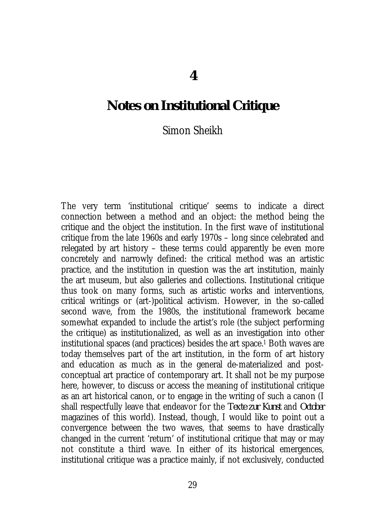## **Notes on Institutional Critique**

### Simon Sheikh

The very term 'institutional critique' seems to indicate a direct connection between a method and an object: the method being the critique and the object the institution. In the first wave of institutional critique from the late 1960s and early 1970s – long since celebrated and relegated by art history – these terms could apparently be even more concretely and narrowly defined: the critical method was an artistic practice, and the institution in question was the art institution, mainly the art museum, but also galleries and collections. Institutional critique thus took on many forms, such as artistic works and interventions, critical writings or (art-)political activism. However, in the so-called second wave, from the 1980s, the institutional framework became somewhat expanded to include the artist's role (the subject performing the critique) as institutionalized, as well as an investigation into other institutional spaces (and practices) besides the art space.1 Both waves are today themselves part of the art institution, in the form of art history and education as much as in the general de-materialized and postconceptual art practice of contemporary art. It shall not be my purpose here, however, to discuss or access the meaning of institutional critique as an art historical canon, or to engage in the writing of such a canon (I shall respectfully leave that endeavor for the *Texte zur Kunst* and *October* magazines of this world). Instead, though, I would like to point out a convergence between the two waves, that seems to have drastically changed in the current 'return' of institutional critique that may or may not constitute a third wave. In either of its historical emergences, institutional critique was a practice mainly, if not exclusively, conducted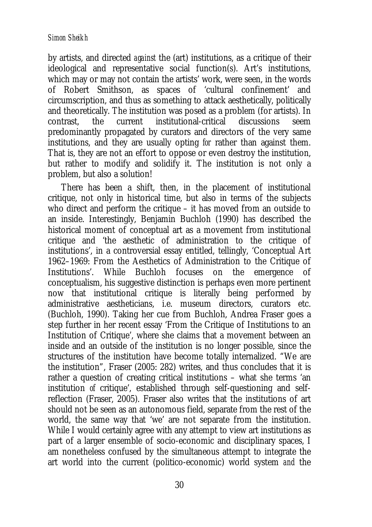by artists, and directed *against* the (art) institutions, as a critique of their ideological and representative social function(s). Art's institutions, which may or may not contain the artists' work, were seen, in the words of Robert Smithson, as spaces of 'cultural confinement' and circumscription, and thus as something to attack aesthetically, politically and theoretically. The institution was posed as a problem (for artists). In contrast, the current institutional-critical discussions seem predominantly propagated by curators and directors of the very same institutions, and they are usually opting *for* rather than against them. That is, they are not an effort to oppose or even destroy the institution, but rather to modify and solidify it. The institution is not only a problem, but also a solution!

There has been a shift, then, in the placement of institutional critique, not only in historical time, but also in terms of the subjects who direct and perform the critique – it has moved from an outside to an inside. Interestingly, Benjamin Buchloh (1990) has described the historical moment of conceptual art as a movement from institutional critique and 'the aesthetic of administration to the critique of institutions', in a controversial essay entitled, tellingly, 'Conceptual Art 1962–1969: From the Aesthetics of Administration to the Critique of Institutions'. While Buchloh focuses on the emergence of conceptualism, his suggestive distinction is perhaps even more pertinent now that institutional critique is literally being performed by administrative aestheticians, i.e. museum directors, curators etc. (Buchloh, 1990). Taking her cue from Buchloh, Andrea Fraser goes a step further in her recent essay 'From the Critique of Institutions to an Institution of Critique', where she claims that a movement between an inside and an outside of the institution is no longer possible, since the structures of the institution have become totally internalized. "We are the institution", Fraser (2005: 282) writes, and thus concludes that it is rather a question of creating critical institutions – what she terms 'an institution *of* critique', established through self-questioning and selfreflection (Fraser, 2005). Fraser also writes that the institutions of art should not be seen as an autonomous field, separate from the rest of the world, the same way that 'we' are not separate from the institution. While I would certainly agree with any attempt to view art institutions as part of a larger ensemble of socio-economic and disciplinary spaces, I am nonetheless confused by the simultaneous attempt to integrate the art world into the current (politico-economic) world system *and* the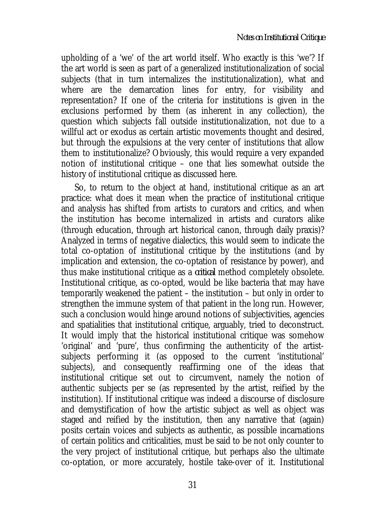upholding of a 'we' of the art world itself. Who exactly is this 'we'? If the art world is seen as part of a generalized institutionalization of social subjects (that in turn internalizes the institutionalization), what and where are the demarcation lines for entry, for visibility and representation? If one of the criteria for institutions is given in the exclusions performed by them (as inherent in any collection), the question which subjects fall outside institutionalization, not due to a willful act or exodus as certain artistic movements thought and desired, but through the expulsions at the very center of institutions that allow them to institutionalize? Obviously, this would require a very expanded notion of institutional critique – one that lies somewhat outside the history of institutional critique as discussed here.

So, to return to the object at hand, institutional critique as an art practice: what does it mean when the practice of institutional critique and analysis has shifted from artists to curators and critics, and when the institution has become internalized in artists and curators alike (through education, through art historical canon, through daily praxis)? Analyzed in terms of negative dialectics, this would seem to indicate the total co-optation of institutional critique by the institutions (and by implication and extension, the co-optation of resistance by power), and thus make institutional critique as a *critical* method completely obsolete. Institutional critique, as co-opted, would be like bacteria that may have temporarily weakened the patient – the institution – but only in order to strengthen the immune system of that patient in the long run. However, such a conclusion would hinge around notions of subjectivities, agencies and spatialities that institutional critique, arguably, tried to deconstruct. It would imply that the historical institutional critique was somehow 'original' and 'pure', thus confirming the authenticity of the artistsubjects performing it (as opposed to the current 'institutional' subjects), and consequently reaffirming one of the ideas that institutional critique set out to circumvent, namely the notion of authentic subjects per se (as represented by the artist, reified by the institution). If institutional critique was indeed a discourse of disclosure and demystification of how the artistic subject as well as object was staged and reified by the institution, then any narrative that (again) posits certain voices and subjects as authentic, as possible incarnations of certain politics and criticalities, must be said to be not only counter to the very project of institutional critique, but perhaps also the ultimate co-optation, or more accurately, hostile take-over of it. Institutional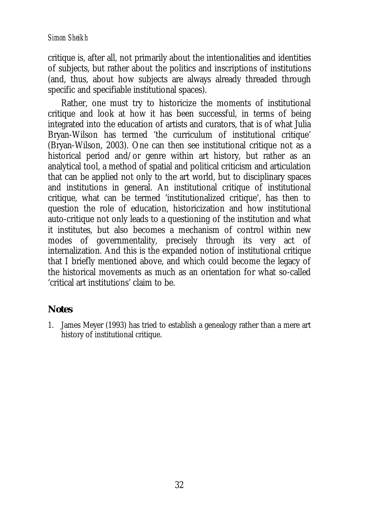critique is, after all, not primarily about the intentionalities and identities of subjects, but rather about the politics and inscriptions of institutions (and, thus, about how subjects are always already threaded through specific and specifiable institutional spaces).

Rather, one must try to historicize the moments of institutional critique and look at how it has been successful, in terms of being integrated into the education of artists and curators, that is of what Julia Bryan-Wilson has termed 'the curriculum of institutional critique' (Bryan-Wilson, 2003). One can then see institutional critique not as a historical period and/or genre within art history, but rather as an analytical tool, a method of spatial and political criticism and articulation that can be applied not only to the art world, but to disciplinary spaces and institutions in general. An institutional critique of institutional critique, what can be termed 'institutionalized critique', has then to question the role of education, historicization and how institutional auto-critique not only leads to a questioning of the institution and what it institutes, but also becomes a mechanism of control within new modes of governmentality, precisely through its very act of internalization. And this is the expanded notion of institutional critique that I briefly mentioned above, and which could become the legacy of the historical movements as much as an orientation for what so-called 'critical art institutions' claim to be.

### **Notes**

1. James Meyer (1993) has tried to establish a genealogy rather than a mere art history of institutional critique.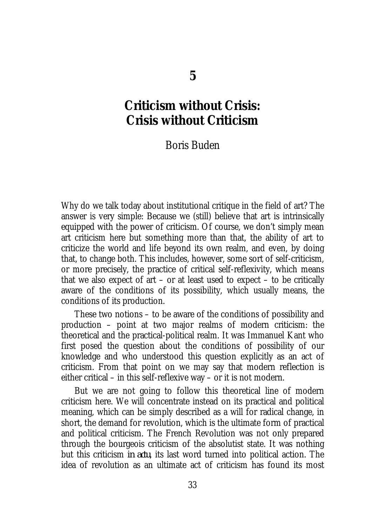# **Criticism without Crisis: Crisis without Criticism**

Boris Buden

Why do we talk today about institutional critique in the field of art? The answer is very simple: Because we (still) believe that art is intrinsically equipped with the power of criticism. Of course, we don't simply mean art criticism here but something more than that, the ability of art to criticize the world and life beyond its own realm, and even, by doing that, to change both. This includes, however, some sort of self-criticism, or more precisely, the practice of critical self-reflexivity, which means that we also expect of  $art - or$  at least used to expect  $-$  to be critically aware of the conditions of its possibility, which usually means, the conditions of its production.

These two notions – to be aware of the conditions of possibility and production – point at two major realms of modern criticism: the theoretical and the practical-political realm. It was Immanuel Kant who first posed the question about the conditions of possibility of our knowledge and who understood this question explicitly as an act of criticism. From that point on we may say that modern reflection is either critical – in this self-reflexive way – or it is not modern.

But we are not going to follow this theoretical line of modern criticism here. We will concentrate instead on its practical and political meaning, which can be simply described as a will for radical change, in short, the demand for revolution, which is the ultimate form of practical and political criticism. The French Revolution was not only prepared through the bourgeois criticism of the absolutist state. It was nothing but this criticism *in actu*, its last word turned into political action. The idea of revolution as an ultimate act of criticism has found its most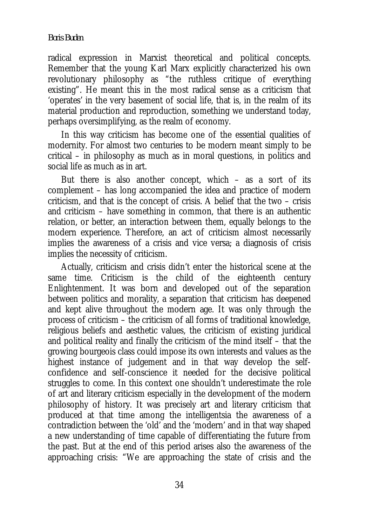#### *Boris Buden*

radical expression in Marxist theoretical and political concepts. Remember that the young Karl Marx explicitly characterized his own revolutionary philosophy as "the ruthless critique of everything existing". He meant this in the most radical sense as a criticism that 'operates' in the very basement of social life, that is, in the realm of its material production and reproduction, something we understand today, perhaps oversimplifying, as the realm of economy.

In this way criticism has become one of the essential qualities of modernity. For almost two centuries to be modern meant simply to be critical – in philosophy as much as in moral questions, in politics and social life as much as in art.

But there is also another concept, which – as a sort of its complement – has long accompanied the idea and practice of modern criticism, and that is the concept of crisis. A belief that the two – crisis and criticism – have something in common, that there is an authentic relation, or better, an interaction between them, equally belongs to the modern experience. Therefore, an act of criticism almost necessarily implies the awareness of a crisis and vice versa; a diagnosis of crisis implies the necessity of criticism.

Actually, criticism and crisis didn't enter the historical scene at the same time. Criticism is the child of the eighteenth century Enlightenment. It was born and developed out of the separation between politics and morality, a separation that criticism has deepened and kept alive throughout the modern age. It was only through the process of criticism – the criticism of all forms of traditional knowledge, religious beliefs and aesthetic values, the criticism of existing juridical and political reality and finally the criticism of the mind itself – that the growing bourgeois class could impose its own interests and values as the highest instance of judgement and in that way develop the selfconfidence and self-conscience it needed for the decisive political struggles to come. In this context one shouldn't underestimate the role of art and literary criticism especially in the development of the modern philosophy of history. It was precisely art and literary criticism that produced at that time among the intelligentsia the awareness of a contradiction between the 'old' and the 'modern' and in that way shaped a new understanding of time capable of differentiating the future from the past. But at the end of this period arises also the awareness of the approaching crisis: "We are approaching the state of crisis and the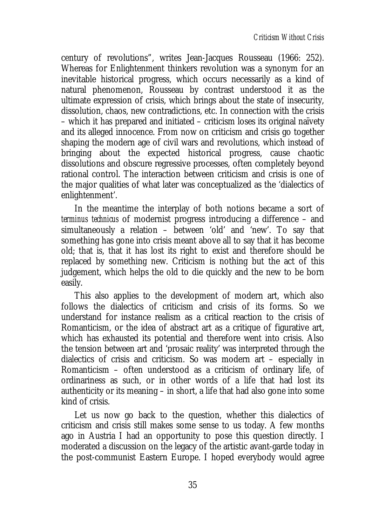century of revolutions", writes Jean-Jacques Rousseau (1966: 252). Whereas for Enlightenment thinkers revolution was a synonym for an inevitable historical progress, which occurs necessarily as a kind of natural phenomenon, Rousseau by contrast understood it as the ultimate expression of crisis, which brings about the state of insecurity, dissolution, chaos, new contradictions, etc. In connection with the crisis – which it has prepared and initiated – criticism loses its original naïvety and its alleged innocence. From now on criticism and crisis go together shaping the modern age of civil wars and revolutions, which instead of bringing about the expected historical progress, cause chaotic dissolutions and obscure regressive processes, often completely beyond rational control. The interaction between criticism and crisis is one of the major qualities of what later was conceptualized as the 'dialectics of enlightenment'.

In the meantime the interplay of both notions became a sort of *terminus technicus* of modernist progress introducing a difference – and simultaneously a relation – between 'old' and 'new'. To say that something has gone into crisis meant above all to say that it has become old; that is, that it has lost its right to exist and therefore should be replaced by something new. Criticism is nothing but the act of this judgement, which helps the old to die quickly and the new to be born easily.

This also applies to the development of modern art, which also follows the dialectics of criticism and crisis of its forms. So we understand for instance realism as a critical reaction to the crisis of Romanticism, or the idea of abstract art as a critique of figurative art, which has exhausted its potential and therefore went into crisis. Also the tension between art and 'prosaic reality' was interpreted through the dialectics of crisis and criticism. So was modern art – especially in Romanticism – often understood as a criticism of ordinary life, of ordinariness as such, or in other words of a life that had lost its authenticity or its meaning – in short, a life that had also gone into some kind of crisis.

Let us now go back to the question, whether this dialectics of criticism and crisis still makes some sense to us today. A few months ago in Austria I had an opportunity to pose this question directly. I moderated a discussion on the legacy of the artistic avant-garde today in the post-communist Eastern Europe. I hoped everybody would agree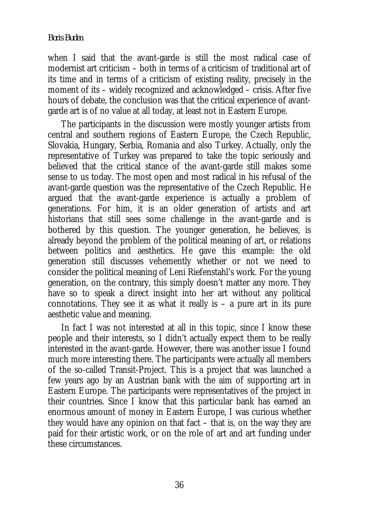when I said that the avant-garde is still the most radical case of modernist art criticism – both in terms of a criticism of traditional art of its time and in terms of a criticism of existing reality, precisely in the moment of its – widely recognized and acknowledged – crisis. After five hours of debate, the conclusion was that the critical experience of avantgarde art is of no value at all today, at least not in Eastern Europe.

The participants in the discussion were mostly younger artists from central and southern regions of Eastern Europe, the Czech Republic, Slovakia, Hungary, Serbia, Romania and also Turkey. Actually, only the representative of Turkey was prepared to take the topic seriously and believed that the critical stance of the avant-garde still makes some sense to us today. The most open and most radical in his refusal of the avant-garde question was the representative of the Czech Republic. He argued that the avant-garde experience is actually a problem of generations. For him, it is an older generation of artists and art historians that still sees some challenge in the avant-garde and is bothered by this question. The younger generation, he believes, is already beyond the problem of the political meaning of art, or relations between politics and aesthetics. He gave this example: the old generation still discusses vehemently whether or not we need to consider the political meaning of Leni Riefenstahl's work. For the young generation, on the contrary, this simply doesn't matter any more. They have so to speak a direct insight into her art without any political connotations. They see it as what it really is – a pure art in its pure aesthetic value and meaning.

In fact I was not interested at all in this topic, since I know these people and their interests, so I didn't actually expect them to be really interested in the avant-garde. However, there was another issue I found much more interesting there. The participants were actually all members of the so-called Transit-Project. This is a project that was launched a few years ago by an Austrian bank with the aim of supporting art in Eastern Europe. The participants were representatives of the project in their countries. Since I know that this particular bank has earned an enormous amount of money in Eastern Europe, I was curious whether they would have any opinion on that fact – that is, on the way they are paid for their artistic work, or on the role of art and art funding under these circumstances.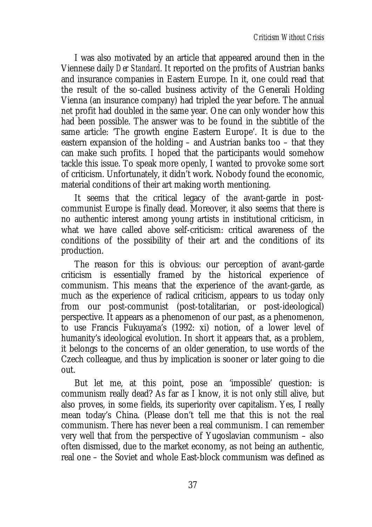I was also motivated by an article that appeared around then in the Viennese daily *Der Standard*. It reported on the profits of Austrian banks and insurance companies in Eastern Europe. In it, one could read that the result of the so-called business activity of the Generali Holding Vienna (an insurance company) had tripled the year before. The annual net profit had doubled in the same year. One can only wonder how this had been possible. The answer was to be found in the subtitle of the same article: 'The growth engine Eastern Europe'. It is due to the eastern expansion of the holding – and Austrian banks too – that they can make such profits. I hoped that the participants would somehow tackle this issue. To speak more openly, I wanted to provoke some sort of criticism. Unfortunately, it didn't work. Nobody found the economic, material conditions of their art making worth mentioning.

It seems that the critical legacy of the avant-garde in postcommunist Europe is finally dead. Moreover, it also seems that there is no authentic interest among young artists in institutional criticism, in what we have called above self-criticism: critical awareness of the conditions of the possibility of their art and the conditions of its production.

The reason for this is obvious: our perception of avant-garde criticism is essentially framed by the historical experience of communism. This means that the experience of the avant-garde, as much as the experience of radical criticism, appears to us today only from our post-communist (post-totalitarian, or post-ideological) perspective. It appears as a phenomenon of our past, as a phenomenon, to use Francis Fukuyama's (1992: xi) notion, of a lower level of humanity's ideological evolution. In short it appears that, as a problem, it belongs to the concerns of an older generation, to use words of the Czech colleague, and thus by implication is sooner or later going to die out.

But let me, at this point, pose an 'impossible' question: is communism really dead? As far as I know, it is not only still alive, but also proves, in some fields, its superiority over capitalism. Yes, I really mean today's China. (Please don't tell me that this is not the real communism. There has never been a real communism. I can remember very well that from the perspective of Yugoslavian communism – also often dismissed, due to the market economy, as not being an authentic, real one – the Soviet and whole East-block communism was defined as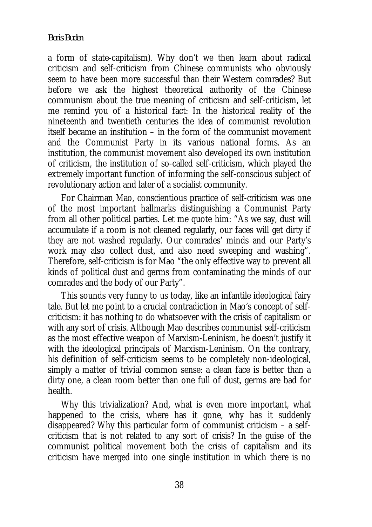a form of state-capitalism). Why don't we then learn about radical criticism and self-criticism from Chinese communists who obviously seem to have been more successful than their Western comrades? But before we ask the highest theoretical authority of the Chinese communism about the true meaning of criticism and self-criticism, let me remind you of a historical fact: In the historical reality of the nineteenth and twentieth centuries the idea of communist revolution itself became an institution – in the form of the communist movement and the Communist Party in its various national forms. As an institution, the communist movement also developed its own institution of criticism, the institution of so-called self-criticism, which played the extremely important function of informing the self-conscious subject of revolutionary action and later of a socialist community.

For Chairman Mao, conscientious practice of self-criticism was one of the most important hallmarks distinguishing a Communist Party from all other political parties. Let me quote him: "As we say, dust will accumulate if a room is not cleaned regularly, our faces will get dirty if they are not washed regularly. Our comrades' minds and our Party's work may also collect dust, and also need sweeping and washing". Therefore, self-criticism is for Mao "the only effective way to prevent all kinds of political dust and germs from contaminating the minds of our comrades and the body of our Party".

This sounds very funny to us today, like an infantile ideological fairy tale. But let me point to a crucial contradiction in Mao's concept of selfcriticism: it has nothing to do whatsoever with the crisis of capitalism or with any sort of crisis. Although Mao describes communist self-criticism as the most effective weapon of Marxism-Leninism, he doesn't justify it with the ideological principals of Marxism-Leninism. On the contrary, his definition of self-criticism seems to be completely non-ideological, simply a matter of trivial common sense: a clean face is better than a dirty one, a clean room better than one full of dust, germs are bad for health.

Why this trivialization? And, what is even more important, what happened to the crisis, where has it gone, why has it suddenly disappeared? Why this particular form of communist criticism – a selfcriticism that is not related to any sort of crisis? In the guise of the communist political movement both the crisis of capitalism and its criticism have merged into one single institution in which there is no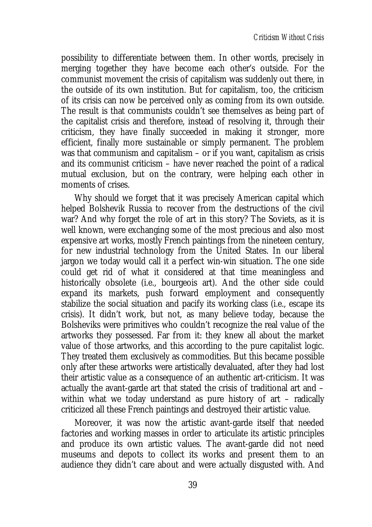possibility to differentiate between them. In other words, precisely in merging together they have become each other's outside. For the communist movement the crisis of capitalism was suddenly out there, in the outside of its own institution. But for capitalism, too, the criticism of its crisis can now be perceived only as coming from its own outside. The result is that communists couldn't see themselves as being part of the capitalist crisis and therefore, instead of resolving it, through their criticism, they have finally succeeded in making it stronger, more efficient, finally more sustainable or simply permanent. The problem was that communism and capitalism – or if you want, capitalism as crisis and its communist criticism – have never reached the point of a radical mutual exclusion, but on the contrary, were helping each other in moments of crises.

Why should we forget that it was precisely American capital which helped Bolshevik Russia to recover from the destructions of the civil war? And why forget the role of art in this story? The Soviets, as it is well known, were exchanging some of the most precious and also most expensive art works, mostly French paintings from the nineteen century, for new industrial technology from the United States. In our liberal jargon we today would call it a perfect win-win situation. The one side could get rid of what it considered at that time meaningless and historically obsolete (i.e., bourgeois art). And the other side could expand its markets, push forward employment and consequently stabilize the social situation and pacify its working class (i.e., escape its crisis). It didn't work, but not, as many believe today, because the Bolsheviks were primitives who couldn't recognize the real value of the artworks they possessed. Far from it: they knew all about the market value of those artworks, and this according to the pure capitalist logic. They treated them exclusively as commodities. But this became possible only after these artworks were artistically devaluated, after they had lost their artistic value as a consequence of an authentic art-criticism. It was actually the avant-garde art that stated the crisis of traditional art and – within what we today understand as pure history of art – radically criticized all these French paintings and destroyed their artistic value.

Moreover, it was now the artistic avant-garde itself that needed factories and working masses in order to articulate its artistic principles and produce its own artistic values. The avant-garde did not need museums and depots to collect its works and present them to an audience they didn't care about and were actually disgusted with. And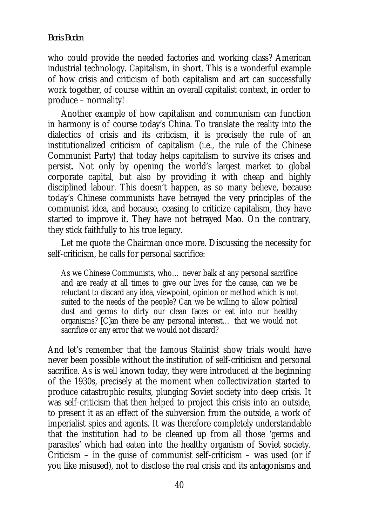#### *Boris Buden*

who could provide the needed factories and working class? American industrial technology. Capitalism, in short. This is a wonderful example of how crisis and criticism of both capitalism and art can successfully work together, of course within an overall capitalist context, in order to produce – normality!

Another example of how capitalism and communism can function in harmony is of course today's China. To translate the reality into the dialectics of crisis and its criticism, it is precisely the rule of an institutionalized criticism of capitalism (i.e., the rule of the Chinese Communist Party) that today helps capitalism to survive its crises and persist. Not only by opening the world's largest market to global corporate capital, but also by providing it with cheap and highly disciplined labour. This doesn't happen, as so many believe, because today's Chinese communists have betrayed the very principles of the communist idea, and because, ceasing to criticize capitalism, they have started to improve it. They have not betrayed Mao. On the contrary, they stick faithfully to his true legacy.

Let me quote the Chairman once more. Discussing the necessity for self-criticism, he calls for personal sacrifice:

As we Chinese Communists, who… never balk at any personal sacrifice and are ready at all times to give our lives for the cause, can we be reluctant to discard any idea, viewpoint, opinion or method which is not suited to the needs of the people? Can we be willing to allow political dust and germs to dirty our clean faces or eat into our healthy organisms? [C]an there be any personal interest… that we would not sacrifice or any error that we would not discard?

And let's remember that the famous Stalinist show trials would have never been possible without the institution of self-criticism and personal sacrifice. As is well known today, they were introduced at the beginning of the 1930s, precisely at the moment when collectivization started to produce catastrophic results, plunging Soviet society into deep crisis. It was self-criticism that then helped to project this crisis into an outside, to present it as an effect of the subversion from the outside, a work of imperialist spies and agents. It was therefore completely understandable that the institution had to be cleaned up from all those 'germs and parasites' which had eaten into the healthy organism of Soviet society. Criticism – in the guise of communist self-criticism – was used (or if you like misused), not to disclose the real crisis and its antagonisms and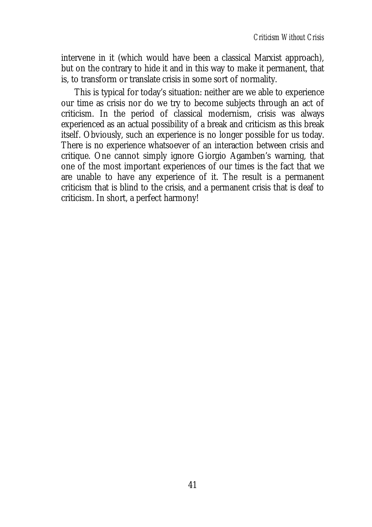intervene in it (which would have been a classical Marxist approach), but on the contrary to hide it and in this way to make it permanent, that is, to transform or translate crisis in some sort of normality.

This is typical for today's situation: neither are we able to experience our time as crisis nor do we try to become subjects through an act of criticism. In the period of classical modernism, crisis was always experienced as an actual possibility of a break and criticism as this break itself. Obviously, such an experience is no longer possible for us today. There is no experience whatsoever of an interaction between crisis and critique. One cannot simply ignore Giorgio Agamben's warning, that one of the most important experiences of our times is the fact that we are unable to have any experience of it. The result is a permanent criticism that is blind to the crisis, and a permanent crisis that is deaf to criticism. In short, a perfect harmony!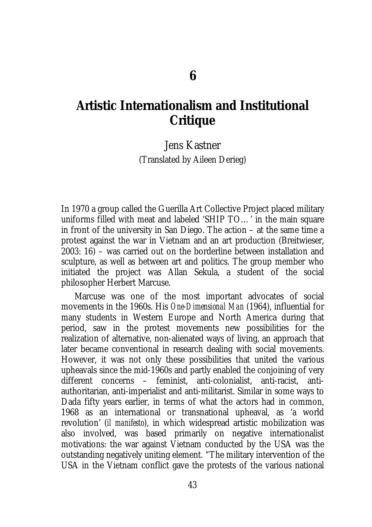# **Artistic Internationalism and Institutional Critique**

Jens Kastner (Translated by Aileen Derieg)

In 1970 a group called the Guerilla Art Collective Project placed military uniforms filled with meat and labeled 'SHIP TO…' in the main square in front of the university in San Diego. The action – at the same time a protest against the war in Vietnam and an art production (Breitwieser, 2003: 16) – was carried out on the borderline between installation and sculpture, as well as between art and politics. The group member who initiated the project was Allan Sekula, a student of the social philosopher Herbert Marcuse.

Marcuse was one of the most important advocates of social movements in the 1960s. His *One-Dimensional Man* (1964), influential for many students in Western Europe and North America during that period, saw in the protest movements new possibilities for the realization of alternative, non-alienated ways of living, an approach that later became conventional in research dealing with social movements. However, it was not only these possibilities that united the various upheavals since the mid-1960s and partly enabled the conjoining of very different concerns – feminist, anti-colonialist, anti-racist, antiauthoritarian, anti-imperialist and anti-militarist. Similar in some ways to Dada fifty years earlier, in terms of what the actors had in common, 1968 as an international or transnational upheaval, as 'a world revolution' (*il manifesto*), in which widespread artistic mobilization was also involved, was based primarily on negative internationalist motivations: the war against Vietnam conducted by the USA was the outstanding negatively uniting element. "The military intervention of the USA in the Vietnam conflict gave the protests of the various national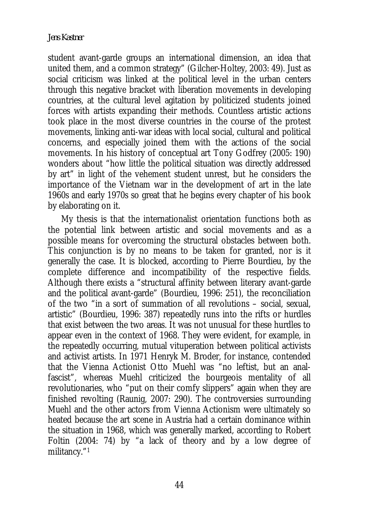#### *Jens Kastner*

student avant-garde groups an international dimension, an idea that united them, and a common strategy" (Gilcher-Holtey, 2003: 49). Just as social criticism was linked at the political level in the urban centers through this negative bracket with liberation movements in developing countries, at the cultural level agitation by politicized students joined forces with artists expanding their methods. Countless artistic actions took place in the most diverse countries in the course of the protest movements, linking anti-war ideas with local social, cultural and political concerns, and especially joined them with the actions of the social movements. In his history of conceptual art Tony Godfrey (2005: 190) wonders about "how little the political situation was directly addressed by art" in light of the vehement student unrest, but he considers the importance of the Vietnam war in the development of art in the late 1960s and early 1970s so great that he begins every chapter of his book by elaborating on it.

My thesis is that the internationalist orientation functions both as the potential link between artistic and social movements and as a possible means for overcoming the structural obstacles between both. This conjunction is by no means to be taken for granted, nor is it generally the case. It is blocked, according to Pierre Bourdieu, by the complete difference and incompatibility of the respective fields. Although there exists a "structural affinity between literary avant-garde and the political avant-garde" (Bourdieu, 1996: 251), the reconciliation of the two "in a sort of summation of all revolutions – social, sexual, artistic" (Bourdieu, 1996: 387) repeatedly runs into the rifts or hurdles that exist between the two areas. It was not unusual for these hurdles to appear even in the context of 1968. They were evident, for example, in the repeatedly occurring, mutual vituperation between political activists and activist artists. In 1971 Henryk M. Broder, for instance, contended that the Vienna Actionist Otto Muehl was "no leftist, but an analfascist", whereas Muehl criticized the bourgeois mentality of all revolutionaries, who "put on their comfy slippers" again when they are finished revolting (Raunig, 2007: 290). The controversies surrounding Muehl and the other actors from Vienna Actionism were ultimately so heated because the art scene in Austria had a certain dominance within the situation in 1968, which was generally marked, according to Robert Foltin (2004: 74) by "a lack of theory and by a low degree of militancy."1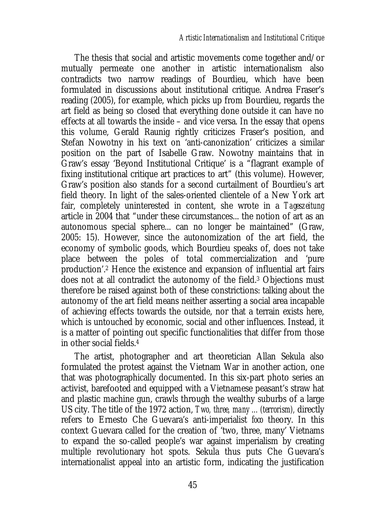The thesis that social and artistic movements come together and/or mutually permeate one another in artistic internationalism also contradicts two narrow readings of Bourdieu, which have been formulated in discussions about institutional critique. Andrea Fraser's reading (2005), for example, which picks up from Bourdieu, regards the art field as being so closed that everything done outside it can have no effects at all towards the inside – and vice versa. In the essay that opens this volume, Gerald Raunig rightly criticizes Fraser's position, and Stefan Nowotny in his text on 'anti-canonization' criticizes a similar position on the part of Isabelle Graw. Nowotny maintains that in Graw's essay 'Beyond Institutional Critique' is a "flagrant example of fixing institutional critique art practices to art" (this volume). However, Graw's position also stands for a second curtailment of Bourdieu's art field theory. In light of the sales-oriented clientele of a New York art fair, completely uninterested in content, she wrote in a *Tageszeitung* article in 2004 that "under these circumstances... the notion of art as an autonomous special sphere... can no longer be maintained" (Graw, 2005: 15). However, since the autonomization of the art field, the economy of symbolic goods, which Bourdieu speaks of, does not take place between the poles of total commercialization and 'pure production'.2 Hence the existence and expansion of influential art fairs does not at all contradict the autonomy of the field.3 Objections must therefore be raised against both of these constrictions: talking about the autonomy of the art field means neither asserting a social area incapable of achieving effects towards the outside, nor that a terrain exists here, which is untouched by economic, social and other influences. Instead, it is a matter of pointing out specific functionalities that differ from those in other social fields.4

The artist, photographer and art theoretician Allan Sekula also formulated the protest against the Vietnam War in another action, one that was photographically documented. In this six-part photo series an activist, barefooted and equipped with a Vietnamese peasant's straw hat and plastic machine gun, crawls through the wealthy suburbs of a large US city. The title of the 1972 action, *Two, three, many ... (terrorism),* directly refers to Ernesto Che Guevara's anti-imperialist *foco* theory. In this context Guevara called for the creation of 'two, three, many' Vietnams to expand the so-called people's war against imperialism by creating multiple revolutionary hot spots. Sekula thus puts Che Guevara's internationalist appeal into an artistic form, indicating the justification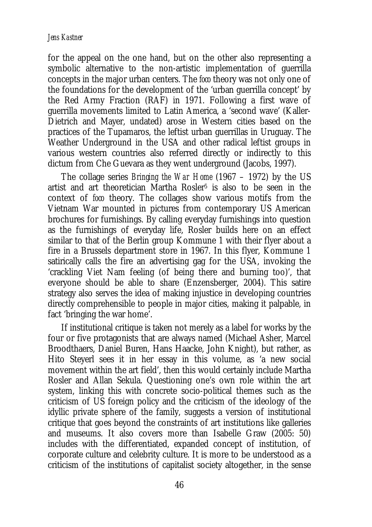### *Jens Kastner*

for the appeal on the one hand, but on the other also representing a symbolic alternative to the non-artistic implementation of guerrilla concepts in the major urban centers. The *foco* theory was not only one of the foundations for the development of the 'urban guerrilla concept' by the Red Army Fraction (RAF) in 1971. Following a first wave of guerrilla movements limited to Latin America, a 'second wave' (Kaller-Dietrich and Mayer, undated) arose in Western cities based on the practices of the Tupamaros, the leftist urban guerrillas in Uruguay. The Weather Underground in the USA and other radical leftist groups in various western countries also referred directly or indirectly to this dictum from Che Guevara as they went underground (Jacobs, 1997).

The collage series *Bringing the War Home* (1967 – 1972) by the US artist and art theoretician Martha Rosler<sup>5</sup> is also to be seen in the context of *foco* theory. The collages show various motifs from the Vietnam War mounted in pictures from contemporary US American brochures for furnishings. By calling everyday furnishings into question as the furnishings of everyday life, Rosler builds here on an effect similar to that of the Berlin group Kommune 1 with their flyer about a fire in a Brussels department store in 1967. In this flyer, Kommune 1 satirically calls the fire an advertising gag for the USA, invoking the 'crackling Viet Nam feeling (of being there and burning too)', that everyone should be able to share (Enzensberger, 2004). This satire strategy also serves the idea of making injustice in developing countries directly comprehensible to people in major cities, making it palpable, in fact 'bringing the war home'.

If institutional critique is taken not merely as a label for works by the four or five protagonists that are always named (Michael Asher, Marcel Broodthaers, Daniel Buren, Hans Haacke, John Knight), but rather, as Hito Steyerl sees it in her essay in this volume, as 'a new social movement within the art field', then this would certainly include Martha Rosler and Allan Sekula. Questioning one's own role within the art system, linking this with concrete socio-political themes such as the criticism of US foreign policy and the criticism of the ideology of the idyllic private sphere of the family, suggests a version of institutional critique that goes beyond the constraints of art institutions like galleries and museums. It also covers more than Isabelle Graw (2005: 50) includes with the differentiated, expanded concept of institution, of corporate culture and celebrity culture. It is more to be understood as a criticism of the institutions of capitalist society altogether, in the sense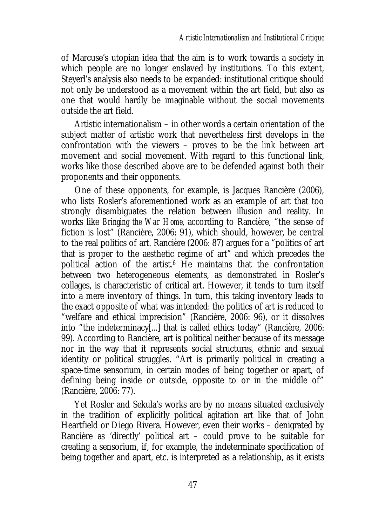of Marcuse's utopian idea that the aim is to work towards a society in which people are no longer enslaved by institutions. To this extent, Steyerl's analysis also needs to be expanded: institutional critique should not only be understood as a movement within the art field, but also as one that would hardly be imaginable without the social movements outside the art field.

Artistic internationalism – in other words a certain orientation of the subject matter of artistic work that nevertheless first develops in the confrontation with the viewers – proves to be the link between art movement and social movement. With regard to this functional link, works like those described above are to be defended against both their proponents and their opponents.

One of these opponents, for example, is Jacques Rancière (2006), who lists Rosler's aforementioned work as an example of art that too strongly disambiguates the relation between illusion and reality. In works like *Bringing the War Home*, according to Rancière, "the sense of fiction is lost" (Rancière, 2006: 91), which should, however, be central to the real politics of art. Rancière (2006: 87) argues for a "politics of art that is proper to the aesthetic regime of art" and which precedes the political action of the artist.6 He maintains that the confrontation between two heterogeneous elements, as demonstrated in Rosler's collages, is characteristic of critical art. However, it tends to turn itself into a mere inventory of things. In turn, this taking inventory leads to the exact opposite of what was intended: the politics of art is reduced to "welfare and ethical imprecision" (Rancière, 2006: 96), or it dissolves into "the indeterminacy[...] that is called ethics today" (Rancière, 2006: 99). According to Rancière, art is political neither because of its message nor in the way that it represents social structures, ethnic and sexual identity or political struggles. "Art is primarily political in creating a space-time sensorium, in certain modes of being together or apart, of defining being inside or outside, opposite to or in the middle of" (Rancière, 2006: 77).

Yet Rosler and Sekula's works are by no means situated exclusively in the tradition of explicitly political agitation art like that of John Heartfield or Diego Rivera. However, even their works – denigrated by Rancière as 'directly' political art – could prove to be suitable for creating a sensorium, if, for example, the indeterminate specification of being together and apart, etc. is interpreted as a relationship, as it exists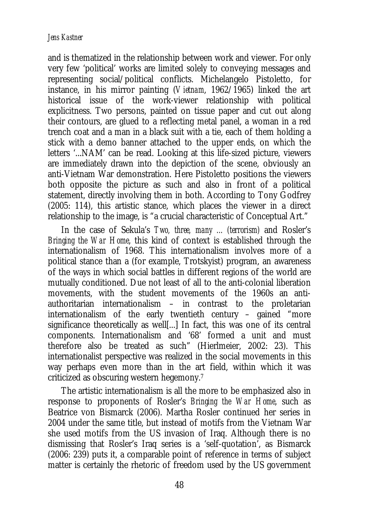and is thematized in the relationship between work and viewer. For only very few 'political' works are limited solely to conveying messages and representing social/political conflicts. Michelangelo Pistoletto, for instance, in his mirror painting (*Vietnam*, 1962/1965) linked the art historical issue of the work-viewer relationship with political explicitness. Two persons, painted on tissue paper and cut out along their contours, are glued to a reflecting metal panel, a woman in a red trench coat and a man in a black suit with a tie, each of them holding a stick with a demo banner attached to the upper ends, on which the letters '...NAM' can be read. Looking at this life-sized picture, viewers are immediately drawn into the depiction of the scene, obviously an anti-Vietnam War demonstration. Here Pistoletto positions the viewers both opposite the picture as such and also in front of a political statement, directly involving them in both. According to Tony Godfrey (2005: 114), this artistic stance, which places the viewer in a direct relationship to the image, is "a crucial characteristic of Conceptual Art."

In the case of Sekula's *Two, three, many ... (terrorism)* and Rosler's *Bringing the War Home*, this kind of context is established through the internationalism of 1968. This internationalism involves more of a political stance than a (for example, Trotskyist) program, an awareness of the ways in which social battles in different regions of the world are mutually conditioned. Due not least of all to the anti-colonial liberation movements, with the student movements of the 1960s an antiauthoritarian internationalism – in contrast to the proletarian internationalism of the early twentieth century – gained "more significance theoretically as well[...] In fact, this was one of its central components. Internationalism and '68' formed a unit and must therefore also be treated as such" (Hierlmeier, 2002: 23). This internationalist perspective was realized in the social movements in this way perhaps even more than in the art field, within which it was criticized as obscuring western hegemony.7

The artistic internationalism is all the more to be emphasized also in response to proponents of Rosler's *Bringing the War Home*, such as Beatrice von Bismarck (2006). Martha Rosler continued her series in 2004 under the same title, but instead of motifs from the Vietnam War she used motifs from the US invasion of Iraq. Although there is no dismissing that Rosler's Iraq series is a 'self-quotation', as Bismarck (2006: 239) puts it, a comparable point of reference in terms of subject matter is certainly the rhetoric of freedom used by the US government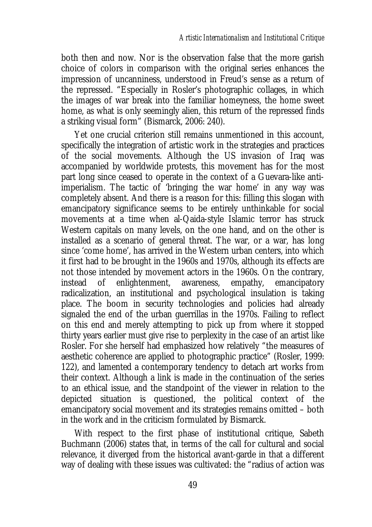both then and now. Nor is the observation false that the more garish choice of colors in comparison with the original series enhances the impression of uncanniness, understood in Freud's sense as a return of the repressed. "Especially in Rosler's photographic collages, in which the images of war break into the familiar homeyness, the home sweet home, as what is only seemingly alien, this return of the repressed finds a striking visual form" (Bismarck, 2006: 240).

Yet one crucial criterion still remains unmentioned in this account, specifically the integration of artistic work in the strategies and practices of the social movements. Although the US invasion of Iraq was accompanied by worldwide protests, this movement has for the most part long since ceased to operate in the context of a Guevara-like antiimperialism. The tactic of 'bringing the war home' in any way was completely absent. And there is a reason for this: filling this slogan with emancipatory significance seems to be entirely unthinkable for social movements at a time when al-Qaida-style Islamic terror has struck Western capitals on many levels, on the one hand, and on the other is installed as a scenario of general threat. The war, or a war, has long since 'come home', has arrived in the Western urban centers, into which it first had to be brought in the 1960s and 1970s, although its effects are not those intended by movement actors in the 1960s. On the contrary, instead of enlightenment, awareness, empathy, emancipatory radicalization, an institutional and psychological insulation is taking place. The boom in security technologies and policies had already signaled the end of the urban guerrillas in the 1970s. Failing to reflect on this end and merely attempting to pick up from where it stopped thirty years earlier must give rise to perplexity in the case of an artist like Rosler. For she herself had emphasized how relatively "the measures of aesthetic coherence are applied to photographic practice" (Rosler, 1999: 122), and lamented a contemporary tendency to detach art works from their context. Although a link is made in the continuation of the series to an ethical issue, and the standpoint of the viewer in relation to the depicted situation is questioned, the political context of the emancipatory social movement and its strategies remains omitted – both in the work and in the criticism formulated by Bismarck.

With respect to the first phase of institutional critique, Sabeth Buchmann (2006) states that, in terms of the call for cultural and social relevance, it diverged from the historical avant-garde in that a different way of dealing with these issues was cultivated: the "radius of action was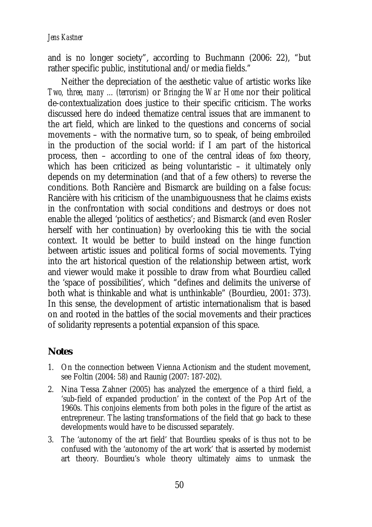and is no longer society", according to Buchmann (2006: 22), "but rather specific public, institutional and/or media fields."

Neither the depreciation of the aesthetic value of artistic works like *Two, three, many ... (terrorism)* or *Bringing the War Home* nor their political de-contextualization does justice to their specific criticism. The works discussed here do indeed thematize central issues that are immanent to the art field, which are linked to the questions and concerns of social movements – with the normative turn, so to speak, of being embroiled in the production of the social world: if I am part of the historical process, then – according to one of the central ideas of *foco* theory, which has been criticized as being voluntaristic – it ultimately only depends on my determination (and that of a few others) to reverse the conditions. Both Rancière and Bismarck are building on a false focus: Rancière with his criticism of the unambiguousness that he claims exists in the confrontation with social conditions and destroys or does not enable the alleged 'politics of aesthetics'; and Bismarck (and even Rosler herself with her continuation) by overlooking this tie with the social context. It would be better to build instead on the hinge function between artistic issues and political forms of social movements. Tying into the art historical question of the relationship between artist, work and viewer would make it possible to draw from what Bourdieu called the 'space of possibilities', which "defines and delimits the universe of both what is thinkable and what is unthinkable" (Bourdieu, 2001: 373). In this sense, the development of artistic internationalism that is based on and rooted in the battles of the social movements and their practices of solidarity represents a potential expansion of this space.

### **Notes**

- 1. On the connection between Vienna Actionism and the student movement, see Foltin (2004: 58) and Raunig (2007: 187-202).
- 2. Nina Tessa Zahner (2005) has analyzed the emergence of a third field, a 'sub-field of expanded production' in the context of the Pop Art of the 1960s. This conjoins elements from both poles in the figure of the artist as entrepreneur. The lasting transformations of the field that go back to these developments would have to be discussed separately.
- 3. The 'autonomy of the art field' that Bourdieu speaks of is thus not to be confused with the 'autonomy of the art work' that is asserted by modernist art theory. Bourdieu's whole theory ultimately aims to unmask the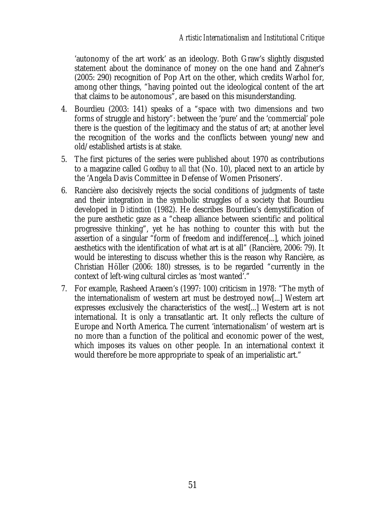'autonomy of the art work' as an ideology. Both Graw's slightly disgusted statement about the dominance of money on the one hand and Zahner's (2005: 290) recognition of Pop Art on the other, which credits Warhol for, among other things, "having pointed out the ideological content of the art that claims to be autonomous", are based on this misunderstanding.

- 4. Bourdieu (2003: 141) speaks of a "space with two dimensions and two forms of struggle and history": between the 'pure' and the 'commercial' pole there is the question of the legitimacy and the status of art; at another level the recognition of the works and the conflicts between young/new and old/established artists is at stake.
- 5. The first pictures of the series were published about 1970 as contributions to a magazine called *Goodbuy to all that* (No. 10), placed next to an article by the 'Angela Davis Committee in Defense of Women Prisoners'.
- 6. Rancière also decisively rejects the social conditions of judgments of taste and their integration in the symbolic struggles of a society that Bourdieu developed in *Distinction* (1982). He describes Bourdieu's demystification of the pure aesthetic gaze as a "cheap alliance between scientific and political progressive thinking", yet he has nothing to counter this with but the assertion of a singular "form of freedom and indifference[...], which joined aesthetics with the identification of what art is at all" (Rancière, 2006: 79). It would be interesting to discuss whether this is the reason why Rancière, as Christian Höller (2006: 180) stresses, is to be regarded "currently in the context of left-wing cultural circles as 'most wanted'."
- 7. For example, Rasheed Araeen's (1997: 100) criticism in 1978: "The myth of the internationalism of western art must be destroyed now[...] Western art expresses exclusively the characteristics of the west[...] Western art is not international. It is only a transatlantic art. It only reflects the culture of Europe and North America. The current 'internationalism' of western art is no more than a function of the political and economic power of the west, which imposes its values on other people. In an international context it would therefore be more appropriate to speak of an imperialistic art."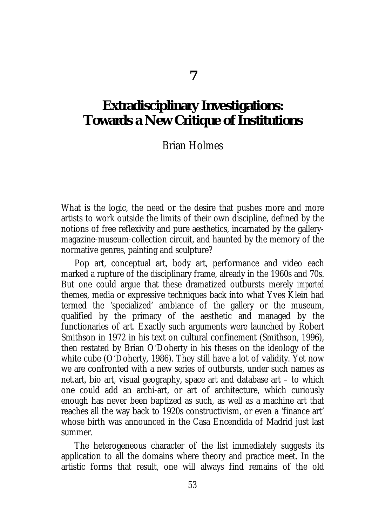# **Extradisciplinary Investigations: Towards a New Critique of Institutions**

Brian Holmes

What is the logic, the need or the desire that pushes more and more artists to work outside the limits of their own discipline, defined by the notions of free reflexivity and pure aesthetics, incarnated by the gallerymagazine-museum-collection circuit, and haunted by the memory of the normative genres, painting and sculpture?

Pop art, conceptual art, body art, performance and video each marked a rupture of the disciplinary frame, already in the 1960s and 70s. But one could argue that these dramatized outbursts merely *imported* themes, media or expressive techniques back into what Yves Klein had termed the 'specialized' ambiance of the gallery or the museum, qualified by the primacy of the aesthetic and managed by the functionaries of art. Exactly such arguments were launched by Robert Smithson in 1972 in his text on cultural confinement (Smithson, 1996), then restated by Brian O'Doherty in his theses on the ideology of the white cube (O'Doherty, 1986). They still have a lot of validity. Yet now we are confronted with a new series of outbursts, under such names as net.art, bio art, visual geography, space art and database art – to which one could add an archi-art, or art of architecture, which curiously enough has never been baptized as such, as well as a machine art that reaches all the way back to 1920s constructivism, or even a 'finance art' whose birth was announced in the Casa Encendida of Madrid just last summer.

The heterogeneous character of the list immediately suggests its application to all the domains where theory and practice meet. In the artistic forms that result, one will always find remains of the old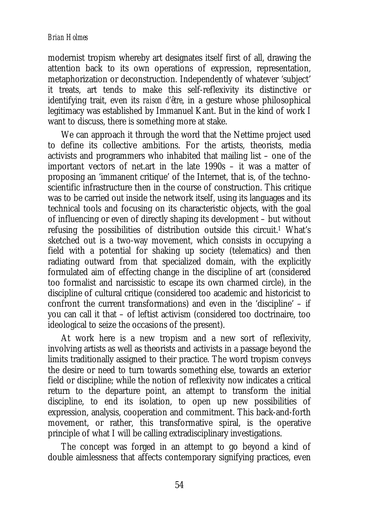modernist tropism whereby art designates itself first of all, drawing the attention back to its own operations of expression, representation, metaphorization or deconstruction. Independently of whatever 'subject' it treats, art tends to make this self-reflexivity its distinctive or identifying trait, even its *raison d'être*, in a gesture whose philosophical legitimacy was established by Immanuel Kant. But in the kind of work I want to discuss, there is something more at stake.

We can approach it through the word that the Nettime project used to define its collective ambitions. For the artists, theorists, media activists and programmers who inhabited that mailing list – one of the important vectors of net.art in the late 1990s – it was a matter of proposing an 'immanent critique' of the Internet, that is, of the technoscientific infrastructure then in the course of construction. This critique was to be carried out inside the network itself, using its languages and its technical tools and focusing on its characteristic objects, with the goal of influencing or even of directly shaping its development – but without refusing the possibilities of distribution outside this circuit.1 What's sketched out is a two-way movement, which consists in occupying a field with a potential for shaking up society (telematics) and then radiating outward from that specialized domain, with the explicitly formulated aim of effecting change in the discipline of art (considered too formalist and narcissistic to escape its own charmed circle), in the discipline of cultural critique (considered too academic and historicist to confront the current transformations) and even in the 'discipline' – if you can call it that – of leftist activism (considered too doctrinaire, too ideological to seize the occasions of the present).

At work here is a new tropism and a new sort of reflexivity, involving artists as well as theorists and activists in a passage beyond the limits traditionally assigned to their practice. The word tropism conveys the desire or need to turn towards something else, towards an exterior field or discipline; while the notion of reflexivity now indicates a critical return to the departure point, an attempt to transform the initial discipline, to end its isolation, to open up new possibilities of expression, analysis, cooperation and commitment. This back-and-forth movement, or rather, this transformative spiral, is the operative principle of what I will be calling extradisciplinary investigations.

The concept was forged in an attempt to go beyond a kind of double aimlessness that affects contemporary signifying practices, even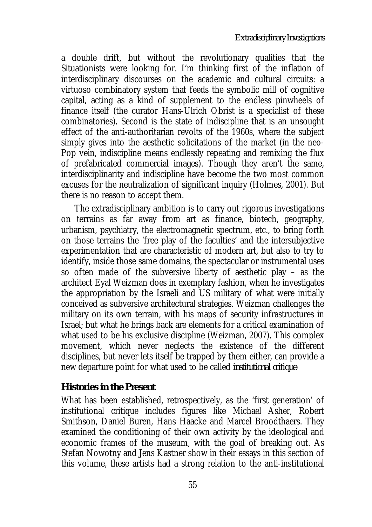a double drift, but without the revolutionary qualities that the Situationists were looking for. I'm thinking first of the inflation of interdisciplinary discourses on the academic and cultural circuits: a virtuoso combinatory system that feeds the symbolic mill of cognitive capital, acting as a kind of supplement to the endless pinwheels of finance itself (the curator Hans-Ulrich Obrist is a specialist of these combinatories). Second is the state of indiscipline that is an unsought effect of the anti-authoritarian revolts of the 1960s, where the subject simply gives into the aesthetic solicitations of the market (in the neo-Pop vein, indiscipline means endlessly repeating and remixing the flux of prefabricated commercial images). Though they aren't the same, interdisciplinarity and indiscipline have become the two most common excuses for the neutralization of significant inquiry (Holmes, 2001). But there is no reason to accept them.

The extradisciplinary ambition is to carry out rigorous investigations on terrains as far away from art as finance, biotech, geography, urbanism, psychiatry, the electromagnetic spectrum, etc., to bring forth on those terrains the 'free play of the faculties' and the intersubjective experimentation that are characteristic of modern art, but also to try to identify, inside those same domains, the spectacular or instrumental uses so often made of the subversive liberty of aesthetic play – as the architect Eyal Weizman does in exemplary fashion, when he investigates the appropriation by the Israeli and US military of what were initially conceived as subversive architectural strategies. Weizman challenges the military on its own terrain, with his maps of security infrastructures in Israel; but what he brings back are elements for a critical examination of what used to be his exclusive discipline (Weizman, 2007). This complex movement, which never neglects the existence of the different disciplines, but never lets itself be trapped by them either, can provide a new departure point for what used to be called *institutional critique*.

### **Histories in the Present**

What has been established, retrospectively, as the 'first generation' of institutional critique includes figures like Michael Asher, Robert Smithson, Daniel Buren, Hans Haacke and Marcel Broodthaers. They examined the conditioning of their own activity by the ideological and economic frames of the museum, with the goal of breaking out. As Stefan Nowotny and Jens Kastner show in their essays in this section of this volume, these artists had a strong relation to the anti-institutional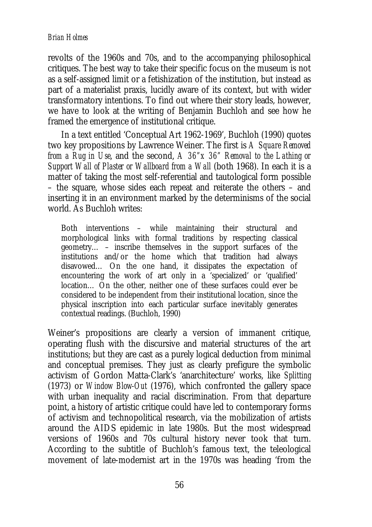#### *Brian Holmes*

revolts of the 1960s and 70s, and to the accompanying philosophical critiques. The best way to take their specific focus on the museum is not as a self-assigned limit or a fetishization of the institution, but instead as part of a materialist praxis, lucidly aware of its context, but with wider transformatory intentions. To find out where their story leads, however, we have to look at the writing of Benjamin Buchloh and see how he framed the emergence of institutional critique.

In a text entitled 'Conceptual Art 1962-1969', Buchloh (1990) quotes two key propositions by Lawrence Weiner. The first is *A Square Removed from a Rug in Use*, and the second, *A 36"x 36" Removal to the Lathing or Support Wall of Plaster or Wallboard from a Wall* (both 1968). In each it is a matter of taking the most self-referential and tautological form possible – the square, whose sides each repeat and reiterate the others – and inserting it in an environment marked by the determinisms of the social world. As Buchloh writes:

Both interventions – while maintaining their structural and morphological links with formal traditions by respecting classical geometry… – inscribe themselves in the support surfaces of the institutions and/or the home which that tradition had always disavowed… On the one hand, it dissipates the expectation of encountering the work of art only in a 'specialized' or 'qualified' location… On the other, neither one of these surfaces could ever be considered to be independent from their institutional location, since the physical inscription into each particular surface inevitably generates contextual readings. (Buchloh, 1990)

Weiner's propositions are clearly a version of immanent critique, operating flush with the discursive and material structures of the art institutions; but they are cast as a purely logical deduction from minimal and conceptual premises. They just as clearly prefigure the symbolic activism of Gordon Matta-Clark's 'anarchitecture' works, like *Splitting* (1973) or *Window Blow-Out* (1976), which confronted the gallery space with urban inequality and racial discrimination. From that departure point, a history of artistic critique could have led to contemporary forms of activism and technopolitical research, via the mobilization of artists around the AIDS epidemic in late 1980s. But the most widespread versions of 1960s and 70s cultural history never took that turn. According to the subtitle of Buchloh's famous text, the teleological movement of late-modernist art in the 1970s was heading 'from the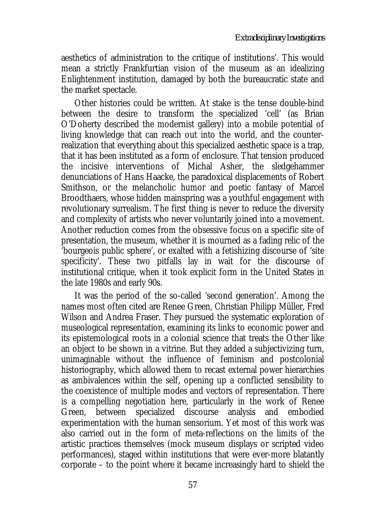aesthetics of administration to the critique of institutions'. This would mean a strictly Frankfurtian vision of the museum as an idealizing Enlightenment institution, damaged by both the bureaucratic state and the market spectacle.

Other histories could be written. At stake is the tense double-bind between the desire to transform the specialized 'cell' (as Brian O'Doherty described the modernist gallery) into a mobile potential of living knowledge that can reach out into the world, and the counterrealization that everything about this specialized aesthetic space is a trap, that it has been instituted as a form of enclosure. That tension produced the incisive interventions of Michal Asher, the sledgehammer denunciations of Hans Haacke, the paradoxical displacements of Robert Smithson, or the melancholic humor and poetic fantasy of Marcel Broodthaers, whose hidden mainspring was a youthful engagement with revolutionary surrealism. The first thing is never to reduce the diversity and complexity of artists who never voluntarily joined into a movement. Another reduction comes from the obsessive focus on a specific site of presentation, the museum, whether it is mourned as a fading relic of the 'bourgeois public sphere', or exalted with a fetishizing discourse of 'site specificity'. These two pitfalls lay in wait for the discourse of institutional critique, when it took explicit form in the United States in the late 1980s and early 90s.

It was the period of the so-called 'second generation'. Among the names most often cited are Renee Green, Christian Philipp Müller, Fred Wilson and Andrea Fraser. They pursued the systematic exploration of museological representation, examining its links to economic power and its epistemological roots in a colonial science that treats the Other like an object to be shown in a vitrine. But they added a subjectivizing turn, unimaginable without the influence of feminism and postcolonial historiography, which allowed them to recast external power hierarchies as ambivalences within the self, opening up a conflicted sensibility to the coexistence of multiple modes and vectors of representation. There is a compelling negotiation here, particularly in the work of Renee Green, between specialized discourse analysis and embodied experimentation with the human sensorium. Yet most of this work was also carried out in the form of meta-reflections on the limits of the artistic practices themselves (mock museum displays or scripted video performances), staged within institutions that were ever-more blatantly corporate – to the point where it became increasingly hard to shield the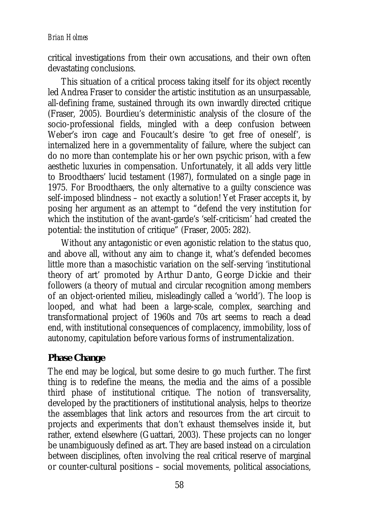#### *Brian Holmes*

critical investigations from their own accusations, and their own often devastating conclusions.

This situation of a critical process taking itself for its object recently led Andrea Fraser to consider the artistic institution as an unsurpassable, all-defining frame, sustained through its own inwardly directed critique (Fraser, 2005). Bourdieu's deterministic analysis of the closure of the socio-professional fields, mingled with a deep confusion between Weber's iron cage and Foucault's desire 'to get free of oneself', is internalized here in a governmentality of failure, where the subject can do no more than contemplate his or her own psychic prison, with a few aesthetic luxuries in compensation. Unfortunately, it all adds very little to Broodthaers' lucid testament (1987), formulated on a single page in 1975. For Broodthaers, the only alternative to a guilty conscience was self-imposed blindness – not exactly a solution! Yet Fraser accepts it, by posing her argument as an attempt to "defend the very institution for which the institution of the avant-garde's 'self-criticism' had created the potential: the institution of critique" (Fraser, 2005: 282).

Without any antagonistic or even agonistic relation to the status quo, and above all, without any aim to change it, what's defended becomes little more than a masochistic variation on the self-serving 'institutional theory of art' promoted by Arthur Danto, George Dickie and their followers (a theory of mutual and circular recognition among members of an object-oriented milieu, misleadingly called a 'world'). The loop is looped, and what had been a large-scale, complex, searching and transformational project of 1960s and 70s art seems to reach a dead end, with institutional consequences of complacency, immobility, loss of autonomy, capitulation before various forms of instrumentalization.

### **Phase Change**

The end may be logical, but some desire to go much further. The first thing is to redefine the means, the media and the aims of a possible third phase of institutional critique. The notion of transversality, developed by the practitioners of institutional analysis, helps to theorize the assemblages that link actors and resources from the art circuit to projects and experiments that don't exhaust themselves inside it, but rather, extend elsewhere (Guattari, 2003). These projects can no longer be unambiguously defined as art. They are based instead on a circulation between disciplines, often involving the real critical reserve of marginal or counter-cultural positions – social movements, political associations,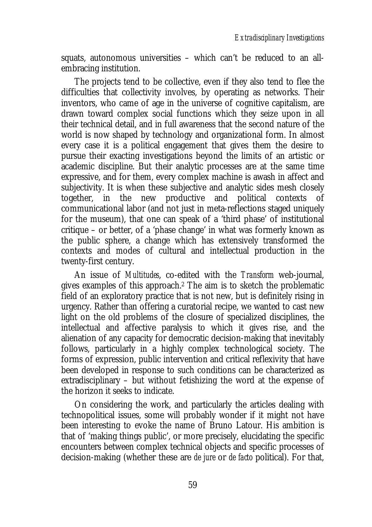squats, autonomous universities – which can't be reduced to an allembracing institution.

The projects tend to be collective, even if they also tend to flee the difficulties that collectivity involves, by operating as networks. Their inventors, who came of age in the universe of cognitive capitalism, are drawn toward complex social functions which they seize upon in all their technical detail, and in full awareness that the second nature of the world is now shaped by technology and organizational form. In almost every case it is a political engagement that gives them the desire to pursue their exacting investigations beyond the limits of an artistic or academic discipline. But their analytic processes are at the same time expressive, and for them, every complex machine is awash in affect and subjectivity. It is when these subjective and analytic sides mesh closely together, in the new productive and political contexts of communicational labor (and not just in meta-reflections staged uniquely for the museum), that one can speak of a 'third phase' of institutional critique – or better, of a 'phase change' in what was formerly known as the public sphere, a change which has extensively transformed the contexts and modes of cultural and intellectual production in the twenty-first century.

An issue of *Multitudes*, co-edited with the *Transform* web-journal, gives examples of this approach.2 The aim is to sketch the problematic field of an exploratory practice that is not new, but is definitely rising in urgency. Rather than offering a curatorial recipe, we wanted to cast new light on the old problems of the closure of specialized disciplines, the intellectual and affective paralysis to which it gives rise, and the alienation of any capacity for democratic decision-making that inevitably follows, particularly in a highly complex technological society. The forms of expression, public intervention and critical reflexivity that have been developed in response to such conditions can be characterized as extradisciplinary – but without fetishizing the word at the expense of the horizon it seeks to indicate.

On considering the work, and particularly the articles dealing with technopolitical issues, some will probably wonder if it might not have been interesting to evoke the name of Bruno Latour. His ambition is that of 'making things public', or more precisely, elucidating the specific encounters between complex technical objects and specific processes of decision-making (whether these are *de jure* or *de facto* political). For that,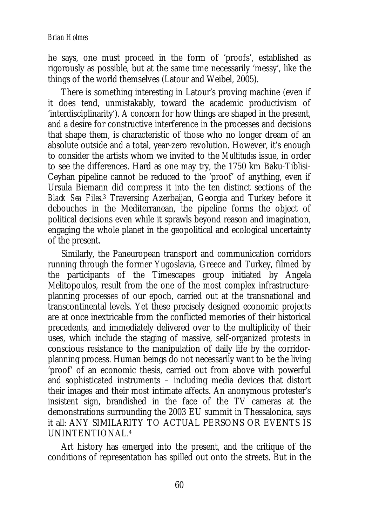he says, one must proceed in the form of 'proofs', established as rigorously as possible, but at the same time necessarily 'messy', like the things of the world themselves (Latour and Weibel, 2005).

There is something interesting in Latour's proving machine (even if it does tend, unmistakably, toward the academic productivism of 'interdisciplinarity'). A concern for how things are shaped in the present, and a desire for constructive interference in the processes and decisions that shape them, is characteristic of those who no longer dream of an absolute outside and a total, year-zero revolution. However, it's enough to consider the artists whom we invited to the *Multitudes* issue, in order to see the differences. Hard as one may try, the 1750 km Baku-Tiblisi-Ceyhan pipeline cannot be reduced to the 'proof' of anything, even if Ursula Biemann did compress it into the ten distinct sections of the Black Sea Files.<sup>3</sup> Traversing Azerbaijan, Georgia and Turkey before it debouches in the Mediterranean, the pipeline forms the object of political decisions even while it sprawls beyond reason and imagination, engaging the whole planet in the geopolitical and ecological uncertainty of the present.

Similarly, the Paneuropean transport and communication corridors running through the former Yugoslavia, Greece and Turkey, filmed by the participants of the Timescapes group initiated by Angela Melitopoulos, result from the one of the most complex infrastructureplanning processes of our epoch, carried out at the transnational and transcontinental levels. Yet these precisely designed economic projects are at once inextricable from the conflicted memories of their historical precedents, and immediately delivered over to the multiplicity of their uses, which include the staging of massive, self-organized protests in conscious resistance to the manipulation of daily life by the corridorplanning process. Human beings do not necessarily want to be the living 'proof' of an economic thesis, carried out from above with powerful and sophisticated instruments – including media devices that distort their images and their most intimate affects. An anonymous protester's insistent sign, brandished in the face of the TV cameras at the demonstrations surrounding the 2003 EU summit in Thessalonica, says it all: ANY SIMILARITY TO ACTUAL PERSONS OR EVENTS IS UNINTENTIONAL.4

Art history has emerged into the present, and the critique of the conditions of representation has spilled out onto the streets. But in the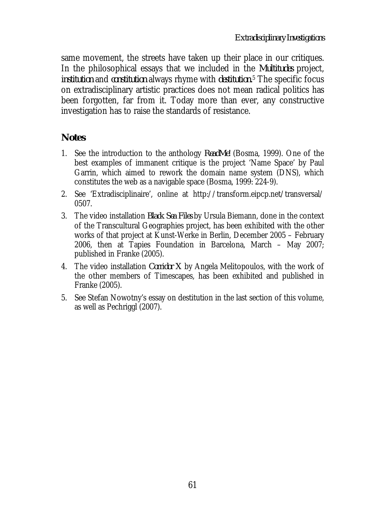same movement, the streets have taken up their place in our critiques. In the philosophical essays that we included in the *Multitudes* project, *institution* and *constitution* always rhyme with *destitution.*5 The specific focus on extradisciplinary artistic practices does not mean radical politics has been forgotten, far from it. Today more than ever, any constructive investigation has to raise the standards of resistance.

### **Notes**

- 1. See the introduction to the anthology *ReadMe!* (Bosma, 1999). One of the best examples of immanent critique is the project 'Name Space' by Paul Garrin, which aimed to rework the domain name system (DNS), which constitutes the web as a navigable space (Bosma, 1999: 224-9).
- 2. See 'Extradisciplinaire', online at http://transform.eipcp.net/transversal/ 0507.
- 3. The video installation *Black Sea Files* by Ursula Biemann, done in the context of the Transcultural Geographies project, has been exhibited with the other works of that project at Kunst-Werke in Berlin, December 2005 – February 2006, then at Tapies Foundation in Barcelona, March  $-$  May 2007; published in Franke (2005).
- 4. The video installation *Corridor X* by Angela Melitopoulos, with the work of the other members of Timescapes, has been exhibited and published in Franke (2005).
- 5. See Stefan Nowotny's essay on destitution in the last section of this volume, as well as Pechriggl (2007).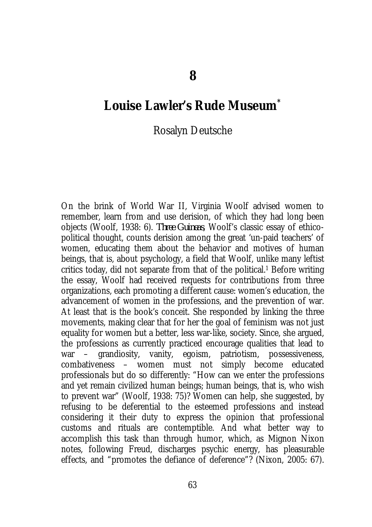## **Louise Lawler's Rude Museum\***

### Rosalyn Deutsche

On the brink of World War II, Virginia Woolf advised women to remember, learn from and use derision, of which they had long been objects (Woolf, 1938: 6). *Three Guineas*, Woolf's classic essay of ethicopolitical thought, counts derision among the great 'un-paid teachers' of women, educating them about the behavior and motives of human beings, that is, about psychology, a field that Woolf, unlike many leftist critics today, did not separate from that of the political.1 Before writing the essay, Woolf had received requests for contributions from three organizations, each promoting a different cause: women's education, the advancement of women in the professions, and the prevention of war. At least that is the book's conceit. She responded by linking the three movements, making clear that for her the goal of feminism was not just equality for women but a better, less war-like, society. Since, she argued, the professions as currently practiced encourage qualities that lead to war – grandiosity, vanity, egoism, patriotism, possessiveness, combativeness – women must not simply become educated professionals but do so differently: "How can we enter the professions and yet remain civilized human beings; human beings, that is, who wish to prevent war" (Woolf, 1938: 75)? Women can help, she suggested, by refusing to be deferential to the esteemed professions and instead considering it their duty to express the opinion that professional customs and rituals are contemptible. And what better way to accomplish this task than through humor, which, as Mignon Nixon notes, following Freud, discharges psychic energy, has pleasurable effects, and "promotes the defiance of deference"? (Nixon, 2005: 67).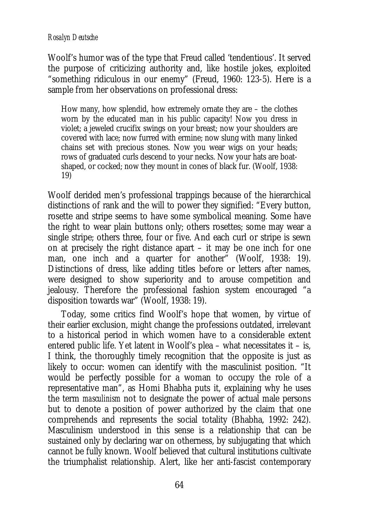#### *Rosalyn Deutsche*

Woolf's humor was of the type that Freud called 'tendentious'. It served the purpose of criticizing authority and, like hostile jokes, exploited "something ridiculous in our enemy" (Freud, 1960: 123-5). Here is a sample from her observations on professional dress:

How many, how splendid, how extremely ornate they are – the clothes worn by the educated man in his public capacity! Now you dress in violet; a jeweled crucifix swings on your breast; now your shoulders are covered with lace; now furred with ermine; now slung with many linked chains set with precious stones. Now you wear wigs on your heads; rows of graduated curls descend to your necks. Now your hats are boatshaped, or cocked; now they mount in cones of black fur. (Woolf, 1938: 19)

Woolf derided men's professional trappings because of the hierarchical distinctions of rank and the will to power they signified: "Every button, rosette and stripe seems to have some symbolical meaning. Some have the right to wear plain buttons only; others rosettes; some may wear a single stripe; others three, four or five. And each curl or stripe is sewn on at precisely the right distance apart – it may be one inch for one man, one inch and a quarter for another" (Woolf, 1938: 19). Distinctions of dress, like adding titles before or letters after names, were designed to show superiority and to arouse competition and jealousy. Therefore the professional fashion system encouraged "a disposition towards war" (Woolf, 1938: 19).

Today, some critics find Woolf's hope that women, by virtue of their earlier exclusion, might change the professions outdated, irrelevant to a historical period in which women have to a considerable extent entered public life. Yet latent in Woolf's plea – what necessitates it – is, I think, the thoroughly timely recognition that the opposite is just as likely to occur: women can identify with the masculinist position. "It would be perfectly possible for a woman to occupy the role of a representative man", as Homi Bhabha puts it, explaining why he uses the term *masculinism* not to designate the power of actual male persons but to denote a position of power authorized by the claim that one comprehends and represents the social totality (Bhabha, 1992: 242). Masculinism understood in this sense is a relationship that can be sustained only by declaring war on otherness, by subjugating that which cannot be fully known. Woolf believed that cultural institutions cultivate the triumphalist relationship. Alert, like her anti-fascist contemporary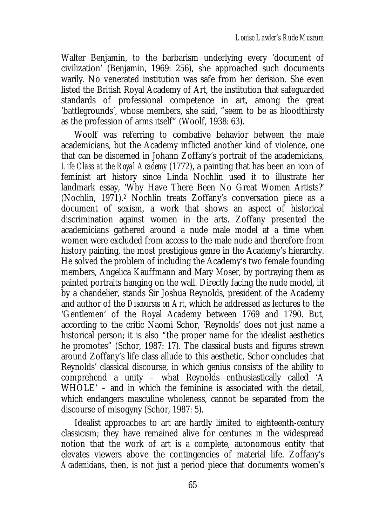Walter Benjamin, to the barbarism underlying every 'document of civilization' (Benjamin, 1969: 256), she approached such documents warily. No venerated institution was safe from her derision. She even listed the British Royal Academy of Art, the institution that safeguarded standards of professional competence in art, among the great 'battlegrounds', whose members, she said, "seem to be as bloodthirsty as the profession of arms itself" (Woolf, 1938: 63).

Woolf was referring to combative behavior between the male academicians, but the Academy inflicted another kind of violence, one that can be discerned in Johann Zoffany's portrait of the academicians, *Life Class at the Royal Academy* (1772), a painting that has been an icon of feminist art history since Linda Nochlin used it to illustrate her landmark essay, 'Why Have There Been No Great Women Artists?' (Nochlin, 1971).2 Nochlin treats Zoffany's conversation piece as a document of sexism, a work that shows an aspect of historical discrimination against women in the arts. Zoffany presented the academicians gathered around a nude male model at a time when women were excluded from access to the male nude and therefore from history painting, the most prestigious genre in the Academy's hierarchy. He solved the problem of including the Academy's two female founding members, Angelica Kauffmann and Mary Moser, by portraying them as painted portraits hanging on the wall. Directly facing the nude model, lit by a chandelier, stands Sir Joshua Reynolds, president of the Academy and author of the *Discourses on Art*, which he addressed as lectures to the 'Gentlemen' of the Royal Academy between 1769 and 1790. But, according to the critic Naomi Schor, 'Reynolds' does not just name a historical person; it is also "the proper name for the idealist aesthetics he promotes" (Schor, 1987: 17). The classical busts and figures strewn around Zoffany's life class allude to this aesthetic. Schor concludes that Reynolds' classical discourse, in which genius consists of the ability to comprehend a unity – what Reynolds enthusiastically called 'A WHOLE' – and in which the feminine is associated with the detail, which endangers masculine wholeness, cannot be separated from the discourse of misogyny (Schor, 1987: 5).

Idealist approaches to art are hardly limited to eighteenth-century classicism; they have remained alive for centuries in the widespread notion that the work of art is a complete, autonomous entity that elevates viewers above the contingencies of material life. Zoffany's *Academicians*, then, is not just a period piece that documents women's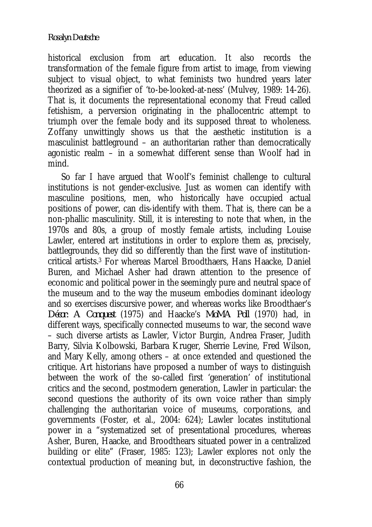#### *Rosalyn Deutsche*

historical exclusion from art education. It also records the transformation of the female figure from artist to image, from viewing subject to visual object, to what feminists two hundred years later theorized as a signifier of 'to-be-looked-at-ness' (Mulvey, 1989: 14-26). That is, it documents the representational economy that Freud called fetishism, a perversion originating in the phallocentric attempt to triumph over the female body and its supposed threat to wholeness. Zoffany unwittingly shows us that the aesthetic institution is a masculinist battleground – an authoritarian rather than democratically agonistic realm – in a somewhat different sense than Woolf had in mind.

So far I have argued that Woolf's feminist challenge to cultural institutions is not gender-exclusive. Just as women can identify with masculine positions, men, who historically have occupied actual positions of power, can dis-identify with them. That is, there can be a non-phallic masculinity. Still, it is interesting to note that when, in the 1970s and 80s, a group of mostly female artists, including Louise Lawler, entered art institutions in order to explore them as, precisely, battlegrounds, they did so differently than the first wave of institutioncritical artists.3 For whereas Marcel Broodthaers, Hans Haacke, Daniel Buren, and Michael Asher had drawn attention to the presence of economic and political power in the seemingly pure and neutral space of the museum and to the way the museum embodies dominant ideology and so exercises discursive power, and whereas works like Broodthaer's *Décor: A Conquest* (1975) and Haacke's *MoMA Poll* (1970) had, in different ways, specifically connected museums to war, the second wave – such diverse artists as Lawler, Victor Burgin, Andrea Fraser, Judith Barry, Silvia Kolbowski, Barbara Kruger, Sherrie Levine, Fred Wilson, and Mary Kelly, among others – at once extended and questioned the critique. Art historians have proposed a number of ways to distinguish between the work of the so-called first 'generation' of institutional critics and the second, postmodern generation, Lawler in particular: the second questions the authority of its own voice rather than simply challenging the authoritarian voice of museums, corporations, and governments (Foster, et al., 2004: 624); Lawler locates institutional power in a "systematized set of presentational procedures, whereas Asher, Buren, Haacke, and Broodthears situated power in a centralized building or elite" (Fraser, 1985: 123); Lawler explores not only the contextual production of meaning but, in deconstructive fashion, the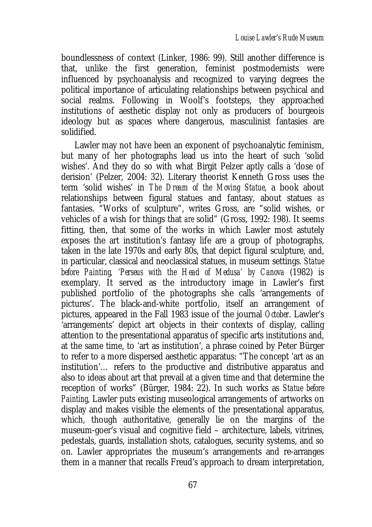boundlessness of context (Linker, 1986: 99). Still another difference is that, unlike the first generation, feminist postmodernists were influenced by psychoanalysis and recognized to varying degrees the political importance of articulating relationships between psychical and social realms. Following in Woolf's footsteps, they approached institutions of aesthetic display not only as producers of bourgeois ideology but as spaces where dangerous, masculinist fantasies are solidified.

Lawler may not have been an exponent of psychoanalytic feminism, but many of her photographs lead us into the heart of such 'solid wishes'. And they do so with what Birgit Pelzer aptly calls a 'dose of derision' (Pelzer, 2004: 32). Literary theorist Kenneth Gross uses the term 'solid wishes' in *The Dream of the Moving Statue*, a book about relationships between figural statues and fantasy, about statues *as* fantasies. "Works of sculpture", writes Gross, are "solid wishes, or vehicles of a wish for things that *are* solid" (Gross, 1992: 198). It seems fitting, then, that some of the works in which Lawler most astutely exposes the art institution's fantasy life are a group of photographs, taken in the late 1970s and early 80s, that depict figural sculpture, and, in particular, classical and neoclassical statues, in museum settings*. Statue before Painting, 'Perseus with the Head of Medusa' by Canova* (1982) is exemplary. It served as the introductory image in Lawler's first published portfolio of the photographs she calls 'arrangements of pictures'. The black-and-white portfolio, itself an arrangement of pictures, appeared in the Fall 1983 issue of the journal *October*. Lawler's 'arrangements' depict art objects in their contexts of display, calling attention to the presentational apparatus of specific arts institutions and, at the same time, to 'art as institution', a phrase coined by Peter Bürger to refer to a more dispersed aesthetic apparatus: "The concept 'art as an institution'… refers to the productive and distributive apparatus and also to ideas about art that prevail at a given time and that determine the reception of works" (Bürger, 1984: 22). In such works as *Statue before Painting*, Lawler puts existing museological arrangements of artworks on display and makes visible the elements of the presentational apparatus, which, though authoritative, generally lie on the margins of the museum-goer's visual and cognitive field – architecture, labels, vitrines, pedestals, guards, installation shots, catalogues, security systems, and so on. Lawler appropriates the museum's arrangements and re-arranges them in a manner that recalls Freud's approach to dream interpretation,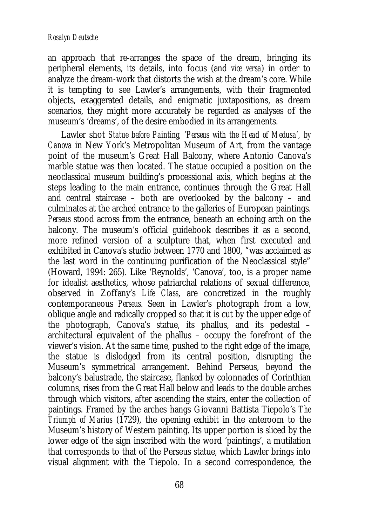an approach that re-arranges the space of the dream, bringing its peripheral elements, its details, into focus (and *vice versa*) in order to analyze the dream-work that distorts the wish at the dream's core. While it is tempting to see Lawler's arrangements, with their fragmented objects, exaggerated details, and enigmatic juxtapositions, as dream scenarios, they might more accurately be regarded as analyses of the museum's 'dreams', of the desire embodied in its arrangements.

Lawler shot *Statue before Painting, 'Perseus with the Head of Medusa', by Canova* in New York's Metropolitan Museum of Art, from the vantage point of the museum's Great Hall Balcony, where Antonio Canova's marble statue was then located. The statue occupied a position on the neoclassical museum building's processional axis, which begins at the steps leading to the main entrance, continues through the Great Hall and central staircase – both are overlooked by the balcony – and culminates at the arched entrance to the galleries of European paintings. *Perseus* stood across from the entrance, beneath an echoing arch on the balcony. The museum's official guidebook describes it as a second, more refined version of a sculpture that, when first executed and exhibited in Canova's studio between 1770 and 1800, "was acclaimed as the last word in the continuing purification of the Neoclassical style" (Howard, 1994: 265). Like 'Reynolds', 'Canova', too, is a proper name for idealist aesthetics, whose patriarchal relations of sexual difference, observed in Zoffany's *Life Class*, are concretized in the roughly contemporaneous *Perseus*. Seen in Lawler's photograph from a low, oblique angle and radically cropped so that it is cut by the upper edge of the photograph, Canova's statue, its phallus, and its pedestal – architectural equivalent of the phallus – occupy the forefront of the viewer's vision. At the same time, pushed to the right edge of the image, the statue is dislodged from its central position, disrupting the Museum's symmetrical arrangement. Behind Perseus, beyond the balcony's balustrade, the staircase, flanked by colonnades of Corinthian columns, rises from the Great Hall below and leads to the double arches through which visitors, after ascending the stairs, enter the collection of paintings. Framed by the arches hangs Giovanni Battista Tiepolo's *The Triumph of Marius* (1729), the opening exhibit in the anteroom to the Museum's history of Western painting. Its upper portion is sliced by the lower edge of the sign inscribed with the word 'paintings'*,* a mutilation that corresponds to that of the Perseus statue, which Lawler brings into visual alignment with the Tiepolo. In a second correspondence, the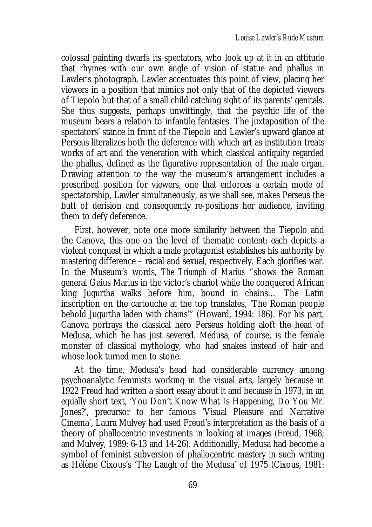colossal painting dwarfs its spectators, who look up at it in an attitude that rhymes with our own angle of vision of statue and phallus in Lawler's photograph. Lawler accentuates this point of view, placing her viewers in a position that mimics not only that of the depicted viewers of Tiepolo but that of a small child catching sight of its parents' genitals. She thus suggests, perhaps unwittingly, that the psychic life of the museum bears a relation to infantile fantasies. The juxtaposition of the spectators' stance in front of the Tiepolo and Lawler's upward glance at Perseus literalizes both the deference with which art as institution treats works of art and the veneration with which classical antiquity regarded the phallus, defined as the figurative representation of the male organ. Drawing attention to the way the museum's arrangement includes a prescribed position for viewers, one that enforces a certain mode of spectatorship, Lawler simultaneously, as we shall see, makes Perseus the butt of derision and consequently re-positions her audience, inviting them to defy deference.

First, however, note one more similarity between the Tiepolo and the Canova, this one on the level of thematic content: each depicts a violent conquest in which a male protagonist establishes his authority by mastering difference – racial and sexual, respectively. Each glorifies war. In the Museum's words, *The Triumph of Marius* "shows the Roman general Gaius Marius in the victor's chariot while the conquered African king Jugurtha walks before him, bound in chains… The Latin inscription on the cartouche at the top translates, 'The Roman people behold Jugurtha laden with chains'" (Howard, 1994: 186). For his part, Canova portrays the classical hero Perseus holding aloft the head of Medusa, which he has just severed. Medusa, of course, is the female monster of classical mythology, who had snakes instead of hair and whose look turned men to stone.

At the time, Medusa's head had considerable currency among psychoanalytic feminists working in the visual arts, largely because in 1922 Freud had written a short essay about it and because in 1973, in an equally short text, 'You Don't Know What Is Happening, Do You Mr. Jones?', precursor to her famous 'Visual Pleasure and Narrative Cinema', Laura Mulvey had used Freud's interpretation as the basis of a theory of phallocentric investments in looking at images (Freud, 1968; and Mulvey, 1989: 6-13 and 14-26). Additionally, Medusa had become a symbol of feminist subversion of phallocentric mastery in such writing as Hélène Cixous's 'The Laugh of the Medusa' of 1975 (Cixous, 1981: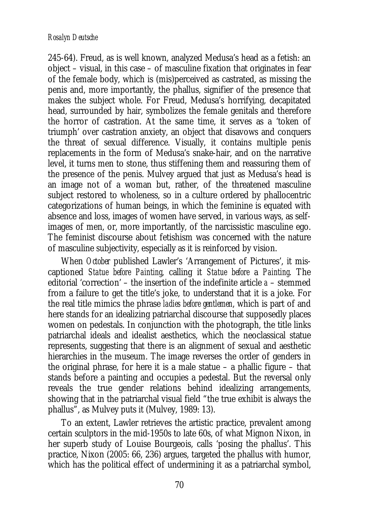245-64). Freud, as is well known, analyzed Medusa's head as a fetish: an object – visual, in this case – of masculine fixation that originates in fear of the female body, which is (mis)perceived as castrated, as missing the penis and, more importantly, the phallus, signifier of the presence that makes the subject whole. For Freud, Medusa's horrifying, decapitated head, surrounded by hair, symbolizes the female genitals and therefore the horror of castration. At the same time, it serves as a 'token of triumph' over castration anxiety, an object that disavows and conquers the threat of sexual difference. Visually, it contains multiple penis replacements in the form of Medusa's snake-hair, and on the narrative level, it turns men to stone, thus stiffening them and reassuring them of the presence of the penis. Mulvey argued that just as Medusa's head is an image not of a woman but, rather, of the threatened masculine subject restored to wholeness, so in a culture ordered by phallocentric categorizations of human beings, in which the feminine is equated with absence and loss, images of women have served, in various ways, as selfimages of men, or, more importantly, of the narcissistic masculine ego. The feminist discourse about fetishism was concerned with the nature of masculine subjectivity, especially as it is reinforced by vision.

When *October* published Lawler's 'Arrangement of Pictures', it miscaptioned *Statue before Painting*, calling it *Statue before* a *Painting*. The editorial 'correction' – the insertion of the indefinite article *a* – stemmed from a failure to get the title's joke, to understand that it is a joke. For the real title mimics the phrase *ladies before gentlemen*, which is part of and here stands for an idealizing patriarchal discourse that supposedly places women on pedestals. In conjunction with the photograph, the title links patriarchal ideals and idealist aesthetics, which the neoclassical statue represents, suggesting that there is an alignment of sexual and aesthetic hierarchies in the museum. The image reverses the order of genders in the original phrase, for here it is a male statue – a phallic figure – that stands before a painting and occupies a pedestal. But the reversal only reveals the true gender relations behind idealizing arrangements, showing that in the patriarchal visual field "the true exhibit is always the phallus", as Mulvey puts it (Mulvey, 1989: 13).

To an extent, Lawler retrieves the artistic practice, prevalent among certain sculptors in the mid-1950s to late 60s, of what Mignon Nixon, in her superb study of Louise Bourgeois, calls 'posing the phallus'. This practice, Nixon (2005: 66, 236) argues, targeted the phallus with humor, which has the political effect of undermining it as a patriarchal symbol,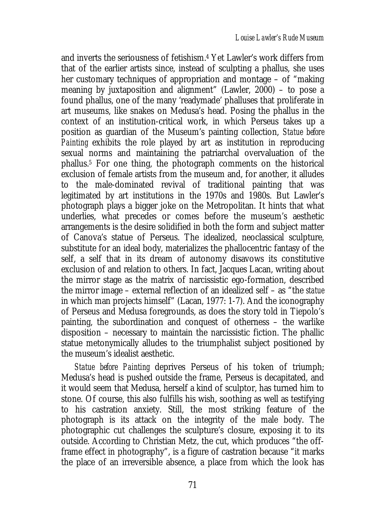and inverts the seriousness of fetishism.4 Yet Lawler's work differs from that of the earlier artists since, instead of sculpting a phallus, she uses her customary techniques of appropriation and montage – of "making meaning by juxtaposition and alignment" (Lawler, 2000) – to pose a found phallus, one of the many 'readymade' phalluses that proliferate in art museums, like snakes on Medusa's head. Posing the phallus in the context of an institution-critical work, in which Perseus takes up a position as guardian of the Museum's painting collection, *Statue before Painting* exhibits the role played by art as institution in reproducing sexual norms and maintaining the patriarchal overvaluation of the phallus.5 For one thing, the photograph comments on the historical exclusion of female artists from the museum and, for another, it alludes to the male-dominated revival of traditional painting that was legitimated by art institutions in the 1970s and 1980s. But Lawler's photograph plays a bigger joke on the Metropolitan. It hints that what underlies, what precedes or comes before the museum's aesthetic arrangements is the desire solidified in both the form and subject matter of Canova's statue of Perseus. The idealized, neoclassical sculpture, substitute for an ideal body, materializes the phallocentric fantasy of the self, a self that in its dream of autonomy disavows its constitutive exclusion of and relation to others. In fact, Jacques Lacan, writing about the mirror stage as the matrix of narcissistic ego-formation, described the mirror image – external reflection of an idealized self – as "the *statue* in which man projects himself" (Lacan, 1977: 1-7). And the iconography of Perseus and Medusa foregrounds, as does the story told in Tiepolo's painting, the subordination and conquest of otherness – the warlike disposition – necessary to maintain the narcissistic fiction. The phallic statue metonymically alludes to the triumphalist subject positioned by the museum's idealist aesthetic.

*Statue before Painting* deprives Perseus of his token of triumph; Medusa's head is pushed outside the frame, Perseus is decapitated, and it would seem that Medusa, herself a kind of sculptor, has turned him to stone. Of course, this also fulfills his wish, soothing as well as testifying to his castration anxiety. Still, the most striking feature of the photograph is its attack on the integrity of the male body. The photographic cut challenges the sculpture's closure, exposing it to its outside. According to Christian Metz, the cut, which produces "the offframe effect in photography", is a figure of castration because "it marks the place of an irreversible absence, a place from which the look has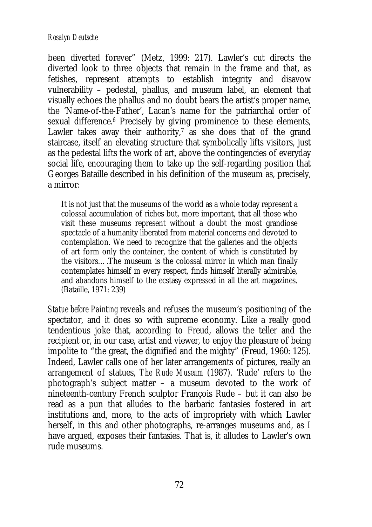#### *Rosalyn Deutsche*

been diverted forever" (Metz, 1999: 217). Lawler's cut directs the diverted look to three objects that remain in the frame and that, as fetishes, represent attempts to establish integrity and disavow vulnerability – pedestal, phallus, and museum label, an element that visually echoes the phallus and no doubt bears the artist's proper name, the 'Name-of-the-Father', Lacan's name for the patriarchal order of sexual difference.<sup>6</sup> Precisely by giving prominence to these elements, Lawler takes away their authority,<sup>7</sup> as she does that of the grand staircase, itself an elevating structure that symbolically lifts visitors, just as the pedestal lifts the work of art, above the contingencies of everyday social life, encouraging them to take up the self-regarding position that Georges Bataille described in his definition of the museum as, precisely, a mirror:

It is not just that the museums of the world as a whole today represent a colossal accumulation of riches but, more important, that all those who visit these museums represent without a doubt the most grandiose spectacle of a humanity liberated from material concerns and devoted to contemplation. We need to recognize that the galleries and the objects of art form only the container, the content of which is constituted by the visitors….The museum is the colossal mirror in which man finally contemplates himself in every respect, finds himself literally admirable, and abandons himself to the ecstasy expressed in all the art magazines. (Bataille, 1971: 239)

*Statue before Painting* reveals and refuses the museum's positioning of the spectator, and it does so with supreme economy. Like a really good tendentious joke that, according to Freud, allows the teller and the recipient or, in our case, artist and viewer, to enjoy the pleasure of being impolite to "the great, the dignified and the mighty" (Freud, 1960: 125). Indeed, Lawler calls one of her later arrangements of pictures, really an arrangement of statues, *The Rude Museum* (1987). 'Rude' refers to the photograph's subject matter – a museum devoted to the work of nineteenth-century French sculptor François Rude – but it can also be read as a pun that alludes to the barbaric fantasies fostered in art institutions and, more, to the acts of impropriety with which Lawler herself, in this and other photographs, re-arranges museums and, as I have argued, exposes their fantasies. That is, it alludes to Lawler's own rude museums.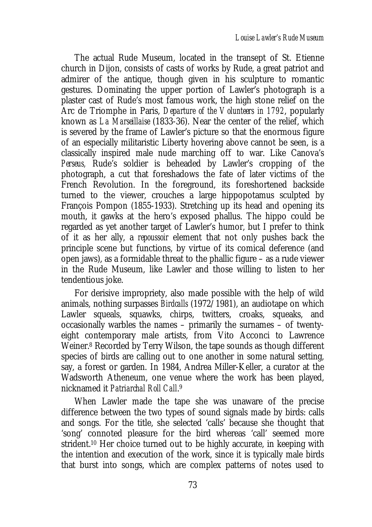The actual Rude Museum, located in the transept of St. Etienne church in Dijon, consists of casts of works by Rude, a great patriot and admirer of the antique, though given in his sculpture to romantic gestures. Dominating the upper portion of Lawler's photograph is a plaster cast of Rude's most famous work, the high stone relief on the Arc de Triomphe in Paris, *Departure of the Volunteers in 1792*, popularly known as *La Marseillaise* (1833-36). Near the center of the relief, which is severed by the frame of Lawler's picture so that the enormous figure of an especially militaristic Liberty hovering above cannot be seen, is a classically inspired male nude marching off to war. Like Canova's *Perseus,* Rude's soldier is beheaded by Lawler's cropping of the photograph, a cut that foreshadows the fate of later victims of the French Revolution. In the foreground, its foreshortened backside turned to the viewer, crouches a large hippopotamus sculpted by François Pompon (1855-1933). Stretching up its head and opening its mouth, it gawks at the hero's exposed phallus. The hippo could be regarded as yet another target of Lawler's humor, but I prefer to think of it as her ally, a *repoussoir* element that not only pushes back the principle scene but functions, by virtue of its comical deference (and open jaws), as a formidable threat to the phallic figure – as a rude viewer in the Rude Museum, like Lawler and those willing to listen to her tendentious joke.

For derisive impropriety, also made possible with the help of wild animals, nothing surpasses *Birdcalls* (1972/1981), an audiotape on which Lawler squeals, squawks, chirps, twitters, croaks, squeaks, and occasionally warbles the names – primarily the surnames – of twentyeight contemporary male artists, from Vito Acconci to Lawrence Weiner.8 Recorded by Terry Wilson, the tape sounds as though different species of birds are calling out to one another in some natural setting, say, a forest or garden. In 1984, Andrea Miller-Keller, a curator at the Wadsworth Atheneum, one venue where the work has been played, nicknamed it *Patriarchal Roll Call*. 9

When Lawler made the tape she was unaware of the precise difference between the two types of sound signals made by birds: calls and songs. For the title, she selected 'calls' because she thought that 'song' connoted pleasure for the bird whereas 'call' seemed more strident.<sup>10</sup> Her choice turned out to be highly accurate, in keeping with the intention and execution of the work, since it is typically male birds that burst into songs, which are complex patterns of notes used to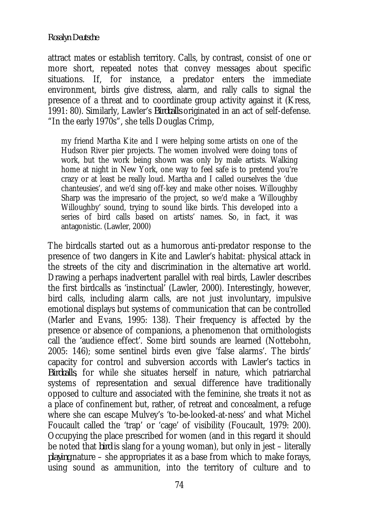#### *Rosalyn Deutsche*

attract mates or establish territory. Calls, by contrast, consist of one or more short, repeated notes that convey messages about specific situations. If, for instance, a predator enters the immediate environment, birds give distress, alarm, and rally calls to signal the presence of a threat and to coordinate group activity against it (Kress, 1991: 80). Similarly, Lawler's *Birdcalls* originated in an act of self-defense. "In the early 1970s", she tells Douglas Crimp,

my friend Martha Kite and I were helping some artists on one of the Hudson River pier projects. The women involved were doing tons of work, but the work being shown was only by male artists. Walking home at night in New York, one way to feel safe is to pretend you're crazy or at least be really loud. Martha and I called ourselves the 'due chanteusies', and we'd sing off-key and make other noises. Willoughby Sharp was the impresario of the project, so we'd make a 'Willoughby Willoughby' sound, trying to sound like birds. This developed into a series of bird calls based on artists' names. So, in fact, it was antagonistic. (Lawler, 2000)

The birdcalls started out as a humorous anti-predator response to the presence of two dangers in Kite and Lawler's habitat: physical attack in the streets of the city and discrimination in the alternative art world. Drawing a perhaps inadvertent parallel with real birds, Lawler describes the first birdcalls as 'instinctual' (Lawler, 2000). Interestingly, however, bird calls, including alarm calls, are not just involuntary, impulsive emotional displays but systems of communication that can be controlled (Marler and Evans, 1995: 138). Their frequency is affected by the presence or absence of companions, a phenomenon that ornithologists call the 'audience effect'. Some bird sounds are learned (Nottebohn, 2005: 146); some sentinel birds even give 'false alarms'. The birds' capacity for control and subversion accords with Lawler's tactics in *Birdcalls*, for while she situates herself in nature, which patriarchal systems of representation and sexual difference have traditionally opposed to culture and associated with the feminine, she treats it not as a place of confinement but, rather, of retreat and concealment, a refuge where she can escape Mulvey's 'to-be-looked-at-ness' and what Michel Foucault called the 'trap' or 'cage' of visibility (Foucault, 1979: 200). Occupying the place prescribed for women (and in this regard it should be noted that *bird* is slang for a young woman), but only in jest – literally *playing* nature – she appropriates it as a base from which to make forays, using sound as ammunition, into the territory of culture and to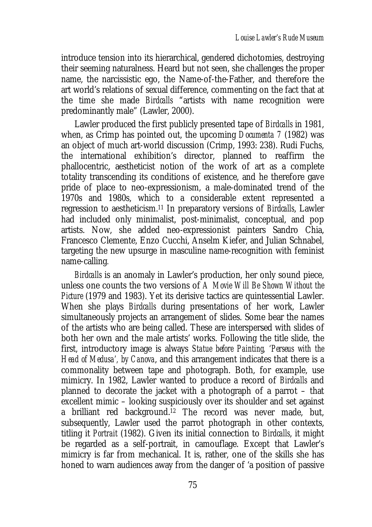introduce tension into its hierarchical, gendered dichotomies, destroying their seeming naturalness. Heard but not seen, she challenges the proper name, the narcissistic ego, the Name-of-the-Father, and therefore the art world's relations of sexual difference, commenting on the fact that at the time she made *Birdcalls* "artists with name recognition were predominantly male" (Lawler, 2000).

Lawler produced the first publicly presented tape of *Birdcalls* in 1981, when, as Crimp has pointed out, the upcoming *Documenta 7* (1982) was an object of much art-world discussion (Crimp, 1993: 238). Rudi Fuchs, the international exhibition's director, planned to reaffirm the phallocentric, aestheticist notion of the work of art as a complete totality transcending its conditions of existence, and he therefore gave pride of place to neo-expressionism, a male-dominated trend of the 1970s and 1980s, which to a considerable extent represented a regression to aestheticism.11 In preparatory versions of *Birdcalls*, Lawler had included only minimalist, post-minimalist, conceptual, and pop artists. Now, she added neo-expressionist painters Sandro Chia, Francesco Clemente, Enzo Cucchi, Anselm Kiefer, and Julian Schnabel, targeting the new upsurge in masculine name-recognition with feminist name-calling*.*

*Birdcalls* is an anomaly in Lawler's production, her only sound piece, unless one counts the two versions of *A Movie Will Be Shown Without the Picture* (1979 and 1983). Yet its derisive tactics are quintessential Lawler. When she plays *Birdcalls* during presentations of her work, Lawler simultaneously projects an arrangement of slides. Some bear the names of the artists who are being called. These are interspersed with slides of both her own and the male artists' works. Following the title slide, the first, introductory image is always *Statue before Painting, 'Perseus with the Head of Medusa', by Canova*, and this arrangement indicates that there is a commonality between tape and photograph. Both, for example, use mimicry. In 1982, Lawler wanted to produce a record of *Birdcalls* and planned to decorate the jacket with a photograph of a parrot – that excellent mimic – looking suspiciously over its shoulder and set against a brilliant red background.<sup>12</sup> The record was never made, but, subsequently, Lawler used the parrot photograph in other contexts, titling it *Portrait* (1982). Given its initial connection to *Birdcalls*, it might be regarded as a self-portrait, in camouflage. Except that Lawler's mimicry is far from mechanical. It is, rather, one of the skills she has honed to warn audiences away from the danger of 'a position of passive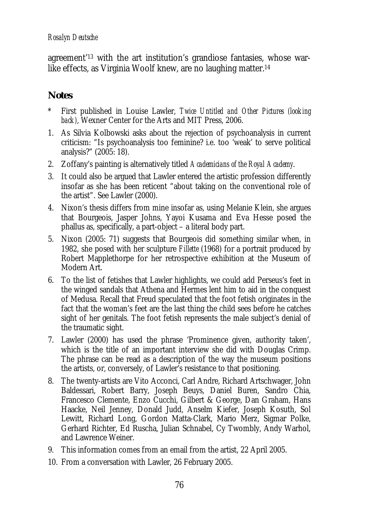agreement'13 with the art institution's grandiose fantasies, whose warlike effects, as Virginia Woolf knew, are no laughing matter.14

### **Notes**

- \* First published in Louise Lawler, *Twice Untitled and Other Pictures (looking back)*, Wexner Center for the Arts and MIT Press, 2006.
- 1. As Silvia Kolbowski asks about the rejection of psychoanalysis in current criticism: "Is psychoanalysis too feminine? i.e. too 'weak' to serve political analysis?" (2005: 18).
- 2. Zoffany's painting is alternatively titled *Academicians of the Royal Academy*.
- 3. It could also be argued that Lawler entered the artistic profession differently insofar as she has been reticent "about taking on the conventional role of the artist". See Lawler (2000).
- 4. Nixon's thesis differs from mine insofar as, using Melanie Klein, she argues that Bourgeois, Jasper Johns, Yayoi Kusama and Eva Hesse posed the phallus as, specifically, a part-object – a literal body part.
- 5. Nixon (2005: 71) suggests that Bourgeois did something similar when, in 1982, she posed with her sculpture *Fillette* (1968) for a portrait produced by Robert Mapplethorpe for her retrospective exhibition at the Museum of Modern Art.
- 6. To the list of fetishes that Lawler highlights, we could add Perseus's feet in the winged sandals that Athena and Hermes lent him to aid in the conquest of Medusa. Recall that Freud speculated that the foot fetish originates in the fact that the woman's feet are the last thing the child sees before he catches sight of her genitals. The foot fetish represents the male subject's denial of the traumatic sight.
- 7. Lawler (2000) has used the phrase 'Prominence given, authority taken', which is the title of an important interview she did with Douglas Crimp. The phrase can be read as a description of the way the museum positions the artists, or, conversely, of Lawler's resistance to that positioning.
- 8. The twenty-artists are Vito Acconci, Carl Andre, Richard Artschwager, John Baldessari, Robert Barry, Joseph Beuys, Daniel Buren, Sandro Chia, Francesco Clemente, Enzo Cucchi, Gilbert & George, Dan Graham, Hans Haacke, Neil Jenney, Donald Judd, Anselm Kiefer, Joseph Kosuth, Sol Lewitt, Richard Long, Gordon Matta-Clark, Mario Merz, Sigmar Polke, Gerhard Richter, Ed Ruscha, Julian Schnabel, Cy Twombly, Andy Warhol, and Lawrence Weiner.
- 9. This information comes from an email from the artist, 22 April 2005.
- 10. From a conversation with Lawler, 26 February 2005.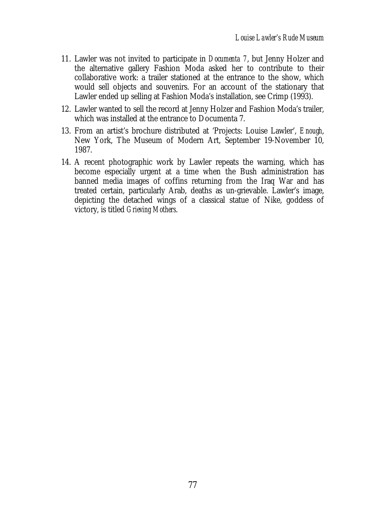- 11. Lawler was not invited to participate in *Documenta 7*, but Jenny Holzer and the alternative gallery Fashion Moda asked her to contribute to their collaborative work: a trailer stationed at the entrance to the show, which would sell objects and souvenirs. For an account of the stationary that Lawler ended up selling at Fashion Moda's installation, see Crimp (1993).
- 12. Lawler wanted to sell the record at Jenny Holzer and Fashion Moda's trailer, which was installed at the entrance to Documenta 7.
- 13. From an artist's brochure distributed at 'Projects: Louise Lawler', *Enough*, New York, The Museum of Modern Art, September 19-November 10, 1987.
- 14. A recent photographic work by Lawler repeats the warning, which has become especially urgent at a time when the Bush administration has banned media images of coffins returning from the Iraq War and has treated certain, particularly Arab, deaths as un-grievable. Lawler's image, depicting the detached wings of a classical statue of Nike, goddess of victory, is titled *Grieving Mothers*.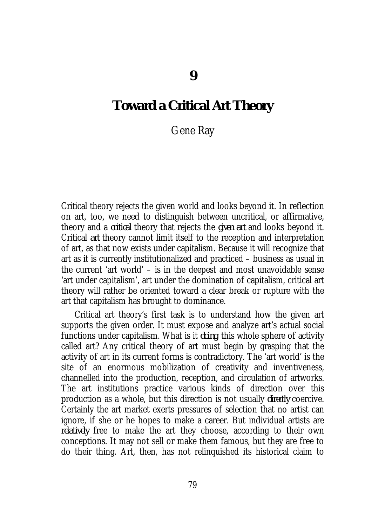## **Toward a Critical Art Theory**

### Gene Ray

Critical theory rejects the given world and looks beyond it. In reflection on art, too, we need to distinguish between uncritical, or affirmative, theory and a *critical* theory that rejects the *given art* and looks beyond it. Critical *art* theory cannot limit itself to the reception and interpretation of art, as that now exists under capitalism. Because it will recognize that art as it is currently institutionalized and practiced – business as usual in the current 'art world' – is in the deepest and most unavoidable sense 'art under capitalism', art under the domination of capitalism, critical art theory will rather be oriented toward a clear break or rupture with the art that capitalism has brought to dominance.

Critical art theory's first task is to understand how the given art supports the given order. It must expose and analyze art's actual social functions under capitalism. What is it *doing*, this whole sphere of activity called art? Any critical theory of art must begin by grasping that the activity of art in its current forms is contradictory. The 'art world' is the site of an enormous mobilization of creativity and inventiveness, channelled into the production, reception, and circulation of artworks. The art institutions practice various kinds of direction over this production as a whole, but this direction is not usually *directly* coercive. Certainly the art market exerts pressures of selection that no artist can ignore, if she or he hopes to make a career. But individual artists are *relatively* free to make the art they choose, according to their own conceptions. It may not sell or make them famous, but they are free to do their thing. Art, then, has not relinquished its historical claim to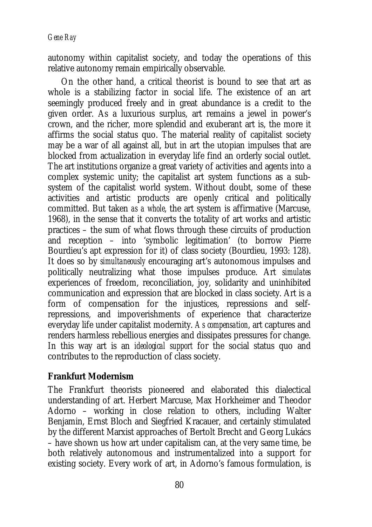autonomy within capitalist society, and today the operations of this relative autonomy remain empirically observable.

On the other hand, a critical theorist is bound to see that art as whole is a stabilizing factor in social life. The existence of an art seemingly produced freely and in great abundance is a credit to the given order. As a luxurious surplus, art remains a jewel in power's crown, and the richer, more splendid and exuberant art is, the more it affirms the social status quo. The material reality of capitalist society may be a war of all against all, but in art the utopian impulses that are blocked from actualization in everyday life find an orderly social outlet. The art institutions organize a great variety of activities and agents into a complex systemic unity; the capitalist art system functions as a subsystem of the capitalist world system. Without doubt, some of these activities and artistic products are openly critical and politically committed. But taken *as a whole*, the art system is affirmative (Marcuse, 1968), in the sense that it converts the totality of art works and artistic practices – the sum of what flows through these circuits of production and reception – into 'symbolic legitimation' (to borrow Pierre Bourdieu's apt expression for it) of class society (Bourdieu, 1993: 128). It does so by *simultaneously* encouraging art's autonomous impulses and politically neutralizing what those impulses produce. Art *simulates* experiences of freedom, reconciliation, joy, solidarity and uninhibited communication and expression that are blocked in class society. Art is a form of compensation for the injustices, repressions and selfrepressions, and impoverishments of experience that characterize everyday life under capitalist modernity. *As compensation*, art captures and renders harmless rebellious energies and dissipates pressures for change. In this way art is an *ideological support* for the social status quo and contributes to the reproduction of class society.

### **Frankfurt Modernism**

The Frankfurt theorists pioneered and elaborated this dialectical understanding of art. Herbert Marcuse, Max Horkheimer and Theodor Adorno – working in close relation to others, including Walter Benjamin, Ernst Bloch and Siegfried Kracauer, and certainly stimulated by the different Marxist approaches of Bertolt Brecht and Georg Lukács – have shown us how art under capitalism can, at the very same time, be both relatively autonomous and instrumentalized into a support for existing society. Every work of art, in Adorno's famous formulation, is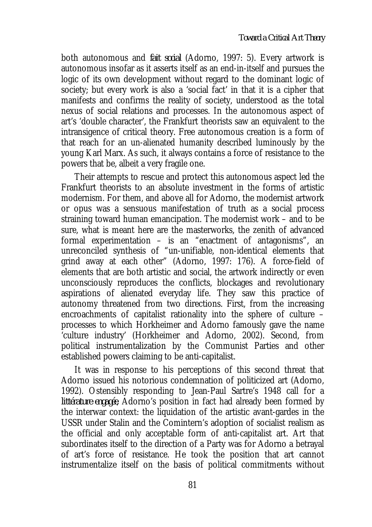both autonomous and *fait social* (Adorno, 1997: 5). Every artwork is autonomous insofar as it asserts itself as an end-in-itself and pursues the logic of its own development without regard to the dominant logic of society; but every work is also a 'social fact' in that it is a cipher that manifests and confirms the reality of society, understood as the total nexus of social relations and processes. In the autonomous aspect of art's 'double character', the Frankfurt theorists saw an equivalent to the intransigence of critical theory. Free autonomous creation is a form of that reach for an un-alienated humanity described luminously by the young Karl Marx. As such, it always contains a force of resistance to the powers that be, albeit a very fragile one.

Their attempts to rescue and protect this autonomous aspect led the Frankfurt theorists to an absolute investment in the forms of artistic modernism. For them, and above all for Adorno, the modernist artwork or opus was a sensuous manifestation of truth as a social process straining toward human emancipation. The modernist work – and to be sure, what is meant here are the masterworks, the zenith of advanced formal experimentation – is an "enactment of antagonisms", an unreconciled synthesis of "un-unifiable, non-identical elements that grind away at each other" (Adorno, 1997: 176). A force-field of elements that are both artistic and social, the artwork indirectly or even unconsciously reproduces the conflicts, blockages and revolutionary aspirations of alienated everyday life. They saw this practice of autonomy threatened from two directions. First, from the increasing encroachments of capitalist rationality into the sphere of culture – processes to which Horkheimer and Adorno famously gave the name 'culture industry' (Horkheimer and Adorno, 2002). Second, from political instrumentalization by the Communist Parties and other established powers claiming to be anti-capitalist.

It was in response to his perceptions of this second threat that Adorno issued his notorious condemnation of politicized art (Adorno, 1992). Ostensibly responding to Jean-Paul Sartre's 1948 call for a *littérature engagée*, Adorno's position in fact had already been formed by the interwar context: the liquidation of the artistic avant-gardes in the USSR under Stalin and the Comintern's adoption of socialist realism as the official and only acceptable form of anti-capitalist art. Art that subordinates itself to the direction of a Party was for Adorno a betrayal of art's force of resistance. He took the position that art cannot instrumentalize itself on the basis of political commitments without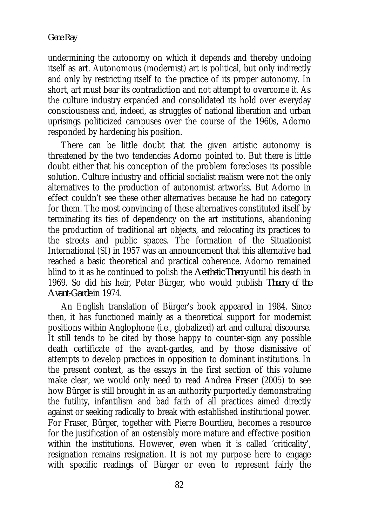undermining the autonomy on which it depends and thereby undoing itself as art. Autonomous (modernist) art is political, but only indirectly and only by restricting itself to the practice of its proper autonomy. In short, art must bear its contradiction and not attempt to overcome it. As the culture industry expanded and consolidated its hold over everyday consciousness and, indeed, as struggles of national liberation and urban uprisings politicized campuses over the course of the 1960s, Adorno responded by hardening his position.

There can be little doubt that the given artistic autonomy is threatened by the two tendencies Adorno pointed to. But there is little doubt either that his conception of the problem forecloses its possible solution. Culture industry and official socialist realism were not the only alternatives to the production of autonomist artworks. But Adorno in effect couldn't see these other alternatives because he had no category for them. The most convincing of these alternatives constituted itself by terminating its ties of dependency on the art institutions, abandoning the production of traditional art objects, and relocating its practices to the streets and public spaces. The formation of the Situationist International (SI) in 1957 was an announcement that this alternative had reached a basic theoretical and practical coherence. Adorno remained blind to it as he continued to polish the *Aesthetic Theory* until his death in 1969. So did his heir, Peter Bürger, who would publish *Theory of the Avant-Garde* in 1974.

An English translation of Bürger's book appeared in 1984. Since then, it has functioned mainly as a theoretical support for modernist positions within Anglophone (i.e., globalized) art and cultural discourse. It still tends to be cited by those happy to counter-sign any possible death certificate of the avant-gardes, and by those dismissive of attempts to develop practices in opposition to dominant institutions. In the present context, as the essays in the first section of this volume make clear, we would only need to read Andrea Fraser (2005) to see how Bürger is still brought in as an authority purportedly demonstrating the futility, infantilism and bad faith of all practices aimed directly against or seeking radically to break with established institutional power. For Fraser, Bürger, together with Pierre Bourdieu, becomes a resource for the justification of an ostensibly more mature and effective position within the institutions. However, even when it is called 'criticality', resignation remains resignation. It is not my purpose here to engage with specific readings of Bürger or even to represent fairly the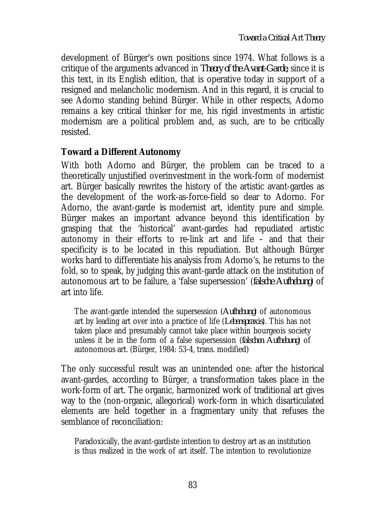development of Bürger's own positions since 1974. What follows is a critique of the arguments advanced in *Theory of the Avant-Garde,* since it is this text, in its English edition, that is operative today in support of a resigned and melancholic modernism. And in this regard, it is crucial to see Adorno standing behind Bürger. While in other respects, Adorno remains a key critical thinker for me, his rigid investments in artistic modernism are a political problem and, as such, are to be critically resisted.

### **Toward a Different Autonomy**

With both Adorno and Bürger, the problem can be traced to a theoretically unjustified overinvestment in the work-form of modernist art. Bürger basically rewrites the history of the artistic avant-gardes as the development of the work-as-force-field so dear to Adorno. For Adorno, the avant-garde *is* modernist art, identity pure and simple. Bürger makes an important advance beyond this identification by grasping that the 'historical' avant-gardes had repudiated artistic autonomy in their efforts to re-link art and life – and that their specificity is to be located in this repudiation. But although Bürger works hard to differentiate his analysis from Adorno's, he returns to the fold, so to speak, by judging this avant-garde attack on the institution of autonomous art to be failure, a 'false supersession' (*falsche Aufhebung*) of art into life.

The avant-garde intended the supersession (*Aufhebung*) of autonomous art by leading art over into a practice of life (*Lebenspraxis*). This has not taken place and presumably cannot take place within bourgeois society unless it be in the form of a false supersession (*falschen Aufhebung*) of autonomous art. (Bürger, 1984: 53-4, trans. modified)

The only successful result was an unintended one: after the historical avant-gardes, according to Bürger, a transformation takes place in the work-form of art. The organic, harmonized work of traditional art gives way to the (non-organic, allegorical) work-form in which disarticulated elements are held together in a fragmentary unity that refuses the semblance of reconciliation:

Paradoxically, the avant-gardiste intention to destroy art as an institution is thus realized in the work of art itself. The intention to revolutionize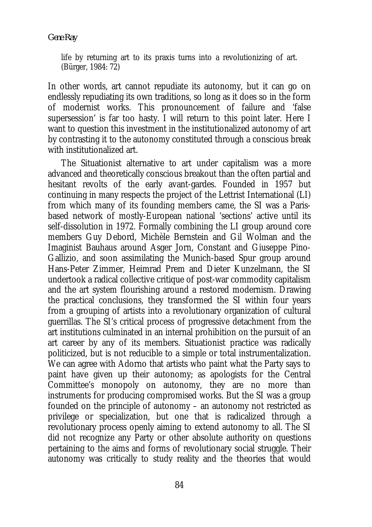life by returning art to its praxis turns into a revolutionizing of art. (Bürger, 1984: 72)

In other words, art cannot repudiate its autonomy, but it can go on endlessly repudiating its own traditions, so long as it does so in the form of modernist works. This pronouncement of failure and 'false supersession' is far too hasty. I will return to this point later. Here I want to question this investment in the institutionalized autonomy of art by contrasting it to the autonomy constituted through a conscious break with institutionalized art.

The Situationist alternative to art under capitalism was a more advanced and theoretically conscious breakout than the often partial and hesitant revolts of the early avant-gardes. Founded in 1957 but continuing in many respects the project of the Lettrist International (LI) from which many of its founding members came, the SI was a Parisbased network of mostly-European national 'sections' active until its self-dissolution in 1972. Formally combining the LI group around core members Guy Debord, Michèle Bernstein and Gil Wolman and the Imaginist Bauhaus around Asger Jorn, Constant and Giuseppe Pino-Gallizio, and soon assimilating the Munich-based Spur group around Hans-Peter Zimmer, Heimrad Prem and Dieter Kunzelmann, the SI undertook a radical collective critique of post-war commodity capitalism and the art system flourishing around a restored modernism. Drawing the practical conclusions, they transformed the SI within four years from a grouping of artists into a revolutionary organization of cultural guerrillas. The SI's critical process of progressive detachment from the art institutions culminated in an internal prohibition on the pursuit of an art career by any of its members. Situationist practice was radically politicized, but is not reducible to a simple or total instrumentalization. We can agree with Adorno that artists who paint what the Party says to paint have given up their autonomy; as apologists for the Central Committee's monopoly on autonomy, they are no more than instruments for producing compromised works. But the SI was a group founded on the principle of autonomy – an autonomy not restricted as privilege or specialization, but one that is radicalized through a revolutionary process openly aiming to extend autonomy to all. The SI did not recognize any Party or other absolute authority on questions pertaining to the aims and forms of revolutionary social struggle. Their autonomy was critically to study reality and the theories that would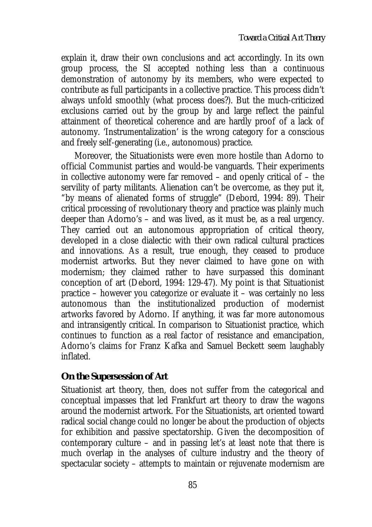explain it, draw their own conclusions and act accordingly. In its own group process, the SI accepted nothing less than a continuous demonstration of autonomy by its members, who were expected to contribute as full participants in a collective practice. This process didn't always unfold smoothly (what process does?). But the much-criticized exclusions carried out by the group by and large reflect the painful attainment of theoretical coherence and are hardly proof of a lack of autonomy. 'Instrumentalization' is the wrong category for a conscious and freely self-generating (i.e., autonomous) practice.

Moreover, the Situationists were even more hostile than Adorno to official Communist parties and would-be vanguards. Their experiments in collective autonomy were far removed – and openly critical of – the servility of party militants. Alienation can't be overcome, as they put it, "by means of alienated forms of struggle" (Debord, 1994: 89). Their critical processing of revolutionary theory and practice was plainly much deeper than Adorno's – and was lived, as it must be, as a real urgency. They carried out an autonomous appropriation of critical theory, developed in a close dialectic with their own radical cultural practices and innovations. As a result, true enough, they ceased to produce modernist artworks. But they never claimed to have gone on with modernism; they claimed rather to have surpassed this dominant conception of art (Debord, 1994: 129-47). My point is that Situationist practice – however you categorize or evaluate it – was certainly no less autonomous than the institutionalized production of modernist artworks favored by Adorno. If anything, it was far more autonomous and intransigently critical. In comparison to Situationist practice, which continues to function as a real factor of resistance and emancipation, Adorno's claims for Franz Kafka and Samuel Beckett seem laughably inflated.

### **On the Supersession of Art**

Situationist art theory, then, does not suffer from the categorical and conceptual impasses that led Frankfurt art theory to draw the wagons around the modernist artwork. For the Situationists, art oriented toward radical social change could no longer be about the production of objects for exhibition and passive spectatorship. Given the decomposition of contemporary culture – and in passing let's at least note that there is much overlap in the analyses of culture industry and the theory of spectacular society – attempts to maintain or rejuvenate modernism are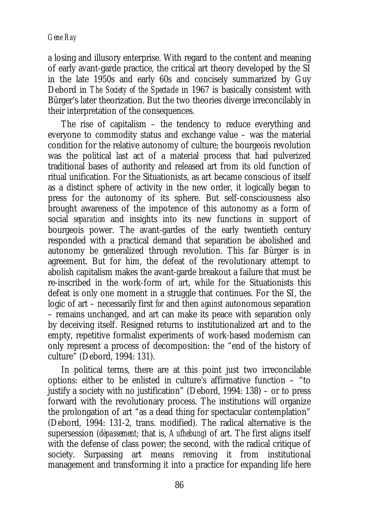a losing and illusory enterprise. With regard to the content and meaning of early avant-garde practice, the critical art theory developed by the SI in the late 1950s and early 60s and concisely summarized by Guy Debord in *The Society of the Spectacle* in 1967 is basically consistent with Bürger's later theorization. But the two theories diverge irreconcilably in their interpretation of the consequences.

The rise of capitalism – the tendency to reduce everything and everyone to commodity status and exchange value – was the material condition for the relative autonomy of culture; the bourgeois revolution was the political last act of a material process that had pulverized traditional bases of authority and released art from its old function of ritual unification. For the Situationists, as art became conscious of itself as a distinct sphere of activity in the new order, it logically began to press for the autonomy of its sphere. But self-consciousness also brought awareness of the impotence of this autonomy as a form of social *separation* and insights into its new functions in support of bourgeois power. The avant-gardes of the early twentieth century responded with a practical demand that separation be abolished and autonomy be generalized through revolution. This far Bürger is in agreement. But for him, the defeat of the revolutionary attempt to abolish capitalism makes the avant-garde breakout a failure that must be re-inscribed in the work-form of art, while for the Situationists this defeat is only one moment in a struggle that continues. For the SI, the logic of art – necessarily first *for* and then *against* autonomous separation – remains unchanged, and art can make its peace with separation only by deceiving itself. Resigned returns to institutionalized art and to the empty, repetitive formalist experiments of work-based modernism can only represent a process of decomposition: the "end of the history of culture" (Debord, 1994: 131).

In political terms, there are at this point just two irreconcilable options: either to be enlisted in culture's affirmative function – "to justify a society with no justification" (Debord, 1994: 138) – or to press forward with the revolutionary process. The institutions will organize the prolongation of art "as a dead thing for spectacular contemplation" (Debord, 1994: 131-2, trans. modified). The radical alternative is the supersession (*dépassement*; that is, *Aufhebung*) of art. The first aligns itself with the defense of class power; the second, with the radical critique of society. Surpassing art means removing it from institutional management and transforming it into a practice for expanding life here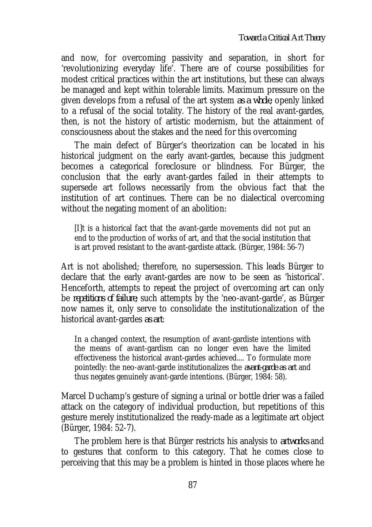and now, for overcoming passivity and separation, in short for 'revolutionizing everyday life'. There are of course possibilities for modest critical practices within the art institutions, but these can always be managed and kept within tolerable limits. Maximum pressure on the given develops from a refusal of the art system *as a whole*, openly linked to a refusal of the social totality. The history of the real avant-gardes, then, is not the history of artistic modernism, but the attainment of consciousness about the stakes and the need for this overcoming

The main defect of Bürger's theorization can be located in his historical judgment on the early avant-gardes, because this judgment becomes a categorical foreclosure or blindness. For Bürger, the conclusion that the early avant-gardes failed in their attempts to supersede art follows necessarily from the obvious fact that the institution of art continues. There can be no dialectical overcoming without the negating moment of an abolition:

[I]t is a historical fact that the avant-garde movements did not put an end to the production of works of art, and that the social institution that is art proved resistant to the avant-gardiste attack. (Bürger, 1984: 56-7)

Art is not abolished; therefore, no supersession. This leads Bürger to declare that the early avant-gardes are now to be seen as 'historical'. Henceforth, attempts to repeat the project of overcoming art can only be *repetitions of failure*; such attempts by the 'neo-avant-garde', as Bürger now names it, only serve to consolidate the institutionalization of the historical avant-gardes *as art*:

In a changed context, the resumption of avant-gardiste intentions with the means of avant-gardism can no longer even have the limited effectiveness the historical avant-gardes achieved.... To formulate more pointedly: the neo-avant-garde institutionalizes the *avant-garde as art* and thus negates genuinely avant-garde intentions. (Bürger, 1984: 58).

Marcel Duchamp's gesture of signing a urinal or bottle drier was a failed attack on the category of individual production, but repetitions of this gesture merely institutionalized the ready-made as a legitimate art object (Bürger, 1984: 52-7).

The problem here is that Bürger restricts his analysis to *artworks* and to gestures that conform to this category. That he comes close to perceiving that this may be a problem is hinted in those places where he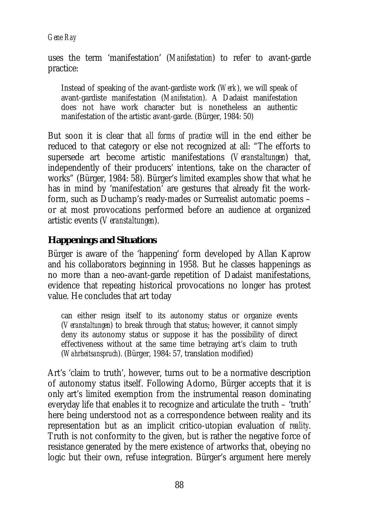uses the term 'manifestation' (*Manifestation*) to refer to avant-garde practice:

Instead of speaking of the avant-gardiste work (*Werk*), we will speak of avant-gardiste manifestation (*Manifestation*). A Dadaist manifestation does not have work character but is nonetheless an authentic manifestation of the artistic avant-garde. (Bürger, 1984: 50)

But soon it is clear that *all forms of practice* will in the end either be reduced to that category or else not recognized at all: "The efforts to supersede art become artistic manifestations (*Veranstaltungen*) that, independently of their producers' intentions, take on the character of works" (Bürger, 1984: 58). Bürger's limited examples show that what he has in mind by 'manifestation' are gestures that already fit the workform, such as Duchamp's ready-mades or Surrealist automatic poems – or at most provocations performed before an audience at organized artistic events (*Veranstaltungen*).

## **Happenings and Situations**

Bürger is aware of the 'happening' form developed by Allan Kaprow and his collaborators beginning in 1958. But he classes happenings as no more than a neo-avant-garde repetition of Dadaist manifestations, evidence that repeating historical provocations no longer has protest value. He concludes that art today

can either resign itself to its autonomy status or organize events (*Veranstaltungen*) to break through that status; however, it cannot simply deny its autonomy status or suppose it has the possibility of direct effectiveness without at the same time betraying art's claim to truth (*Wahrheitsanspruch*). (Bürger, 1984: 57, translation modified)

Art's 'claim to truth', however, turns out to be a normative description of autonomy status itself. Following Adorno, Bürger accepts that it is only art's limited exemption from the instrumental reason dominating everyday life that enables it to recognize and articulate the truth – 'truth' here being understood not as a correspondence between reality and its representation but as an implicit critico-utopian evaluation *of reality*. Truth is not conformity to the given, but is rather the negative force of resistance generated by the mere existence of artworks that, obeying no logic but their own, refuse integration. Bürger's argument here merely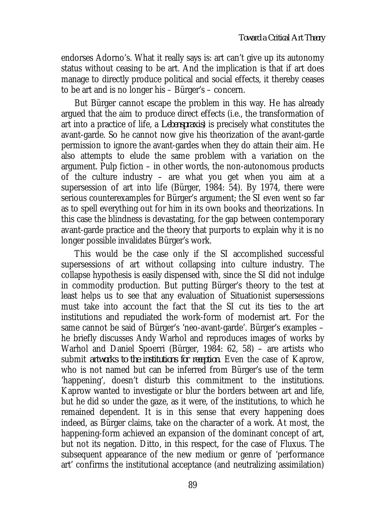endorses Adorno's. What it really says is: art can't give up its autonomy status without ceasing to be art. And the implication is that if art does manage to directly produce political and social effects, it thereby ceases to be art and is no longer his – Bürger's – concern.

But Bürger cannot escape the problem in this way. He has already argued that the aim to produce direct effects (i.e., the transformation of art into a practice of life, a *Lebenspraxis*) is precisely what constitutes the avant-garde. So he cannot now give his theorization of the avant-garde permission to ignore the avant-gardes when they do attain their aim. He also attempts to elude the same problem with a variation on the argument. Pulp fiction – in other words, the non-autonomous products of the culture industry – are what you get when you aim at a supersession of art into life (Bürger, 1984: 54). By 1974, there were serious counterexamples for Bürger's argument; the SI even went so far as to spell everything out for him in its own books and theorizations. In this case the blindness is devastating, for the gap between contemporary avant-garde practice and the theory that purports to explain why it is no longer possible invalidates Bürger's work.

This would be the case only if the SI accomplished successful supersessions of art without collapsing into culture industry. The collapse hypothesis is easily dispensed with, since the SI did not indulge in commodity production. But putting Bürger's theory to the test at least helps us to see that any evaluation of Situationist supersessions must take into account the fact that the SI cut its ties to the art institutions and repudiated the work-form of modernist art. For the same cannot be said of Bürger's 'neo-avant-garde'. Bürger's examples – he briefly discusses Andy Warhol and reproduces images of works by Warhol and Daniel Spoerri (Bürger, 1984: 62, 58) – are artists who submit *artworks to the institutions for reception*. Even the case of Kaprow, who is not named but can be inferred from Bürger's use of the term 'happening', doesn't disturb this commitment to the institutions. Kaprow wanted to investigate or blur the borders between art and life, but he did so under the gaze, as it were, of the institutions, to which he remained dependent. It is in this sense that every happening does indeed, as Bürger claims, take on the character of a work. At most, the happening-form achieved an expansion of the dominant concept of art, but not its negation. Ditto, in this respect, for the case of Fluxus. The subsequent appearance of the new medium or genre of 'performance art' confirms the institutional acceptance (and neutralizing assimilation)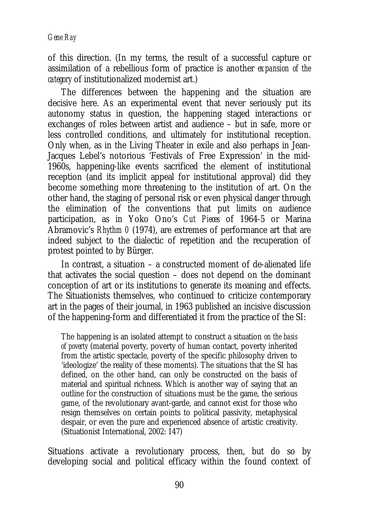of this direction. (In my terms, the result of a successful capture or assimilation of a rebellious form of practice is another *expansion of the category* of institutionalized modernist art.)

The differences between the happening and the situation are decisive here. As an experimental event that never seriously put its autonomy status in question, the happening staged interactions or exchanges of roles between artist and audience – but in safe, more or less controlled conditions, and ultimately for institutional reception. Only when, as in the Living Theater in exile and also perhaps in Jean-Jacques Lebel's notorious 'Festivals of Free Expression' in the mid-1960s, happening-like events sacrificed the element of institutional reception (and its implicit appeal for institutional approval) did they become something more threatening to the institution of art. On the other hand, the staging of personal risk or even physical danger through the elimination of the conventions that put limits on audience participation, as in Yoko Ono's *Cut Pieces* of 1964-5 or Marina Abramovic's *Rhythm 0* (1974), are extremes of performance art that are indeed subject to the dialectic of repetition and the recuperation of protest pointed to by Bürger.

In contrast, a situation – a constructed moment of de-alienated life that activates the social question – does not depend on the dominant conception of art or its institutions to generate its meaning and effects. The Situationists themselves, who continued to criticize contemporary art in the pages of their journal, in 1963 published an incisive discussion of the happening-form and differentiated it from the practice of the SI:

The happening is an isolated attempt to construct a situation *on the basis of poverty* (material poverty, poverty of human contact, poverty inherited from the artistic spectacle, poverty of the specific philosophy driven to 'ideologize' the reality of these moments). The situations that the SI has defined, on the other hand, can only be constructed on the basis of material and spiritual richness. Which is another way of saying that an outline for the construction of situations must be the game, the serious game, of the revolutionary avant-garde, and cannot exist for those who resign themselves on certain points to political passivity, metaphysical despair, or even the pure and experienced absence of artistic creativity. (Situationist International, 2002: 147)

Situations activate a revolutionary process, then, but do so by developing social and political efficacy within the found context of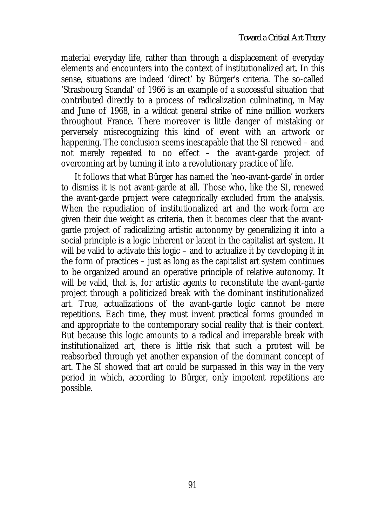material everyday life, rather than through a displacement of everyday elements and encounters into the context of institutionalized art. In this sense, situations are indeed 'direct' by Bürger's criteria. The so-called 'Strasbourg Scandal' of 1966 is an example of a successful situation that contributed directly to a process of radicalization culminating, in May and June of 1968, in a wildcat general strike of nine million workers throughout France. There moreover is little danger of mistaking or perversely misrecognizing this kind of event with an artwork or happening. The conclusion seems inescapable that the SI renewed – and not merely repeated to no effect – the avant-garde project of overcoming art by turning it into a revolutionary practice of life.

It follows that what Bürger has named the 'neo-avant-garde' in order to dismiss it is not avant-garde at all. Those who, like the SI, renewed the avant-garde project were categorically excluded from the analysis. When the repudiation of institutionalized art and the work-form are given their due weight as criteria, then it becomes clear that the avantgarde project of radicalizing artistic autonomy by generalizing it into a social principle is a logic inherent or latent in the capitalist art system. It will be valid to activate this logic – and to actualize it by developing it in the form of practices – just as long as the capitalist art system continues to be organized around an operative principle of relative autonomy. It will be valid, that is, for artistic agents to reconstitute the avant-garde project through a politicized break with the dominant institutionalized art. True, actualizations of the avant-garde logic cannot be mere repetitions. Each time, they must invent practical forms grounded in and appropriate to the contemporary social reality that is their context. But because this logic amounts to a radical and irreparable break with institutionalized art, there is little risk that such a protest will be reabsorbed through yet another expansion of the dominant concept of art. The SI showed that art could be surpassed in this way in the very period in which, according to Bürger, only impotent repetitions are possible.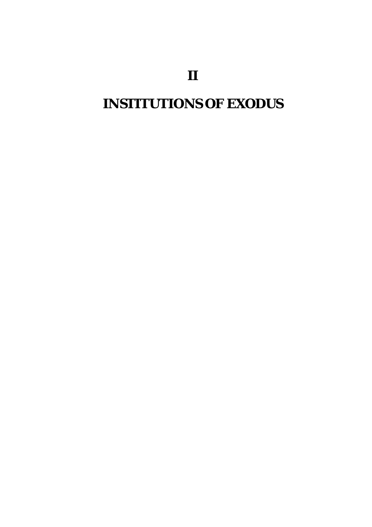**II** 

# **INSTITUTIONS OF EXODUS**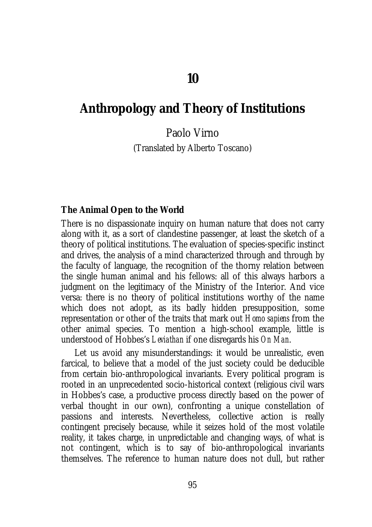## **Anthropology and Theory of Institutions**

Paolo Virno (Translated by Alberto Toscano)

#### **The Animal Open to the World**

There is no dispassionate inquiry on human nature that does not carry along with it, as a sort of clandestine passenger, at least the sketch of a theory of political institutions. The evaluation of species-specific instinct and drives, the analysis of a mind characterized through and through by the faculty of language, the recognition of the thorny relation between the single human animal and his fellows: all of this always harbors a judgment on the legitimacy of the Ministry of the Interior. And vice versa: there is no theory of political institutions worthy of the name which does not adopt, as its badly hidden presupposition, some representation or other of the traits that mark out *Homo sapiens* from the other animal species. To mention a high-school example, little is understood of Hobbes's *Leviathan* if one disregards his *On Man*.

Let us avoid any misunderstandings: it would be unrealistic, even farcical, to believe that a model of the just society could be deducible from certain bio-anthropological invariants. Every political program is rooted in an unprecedented socio-historical context (religious civil wars in Hobbes's case, a productive process directly based on the power of verbal thought in our own), confronting a unique constellation of passions and interests. Nevertheless, collective action is really contingent precisely because, while it seizes hold of the most volatile reality, it takes charge, in unpredictable and changing ways, of what is not contingent, which is to say of bio-anthropological invariants themselves. The reference to human nature does not dull, but rather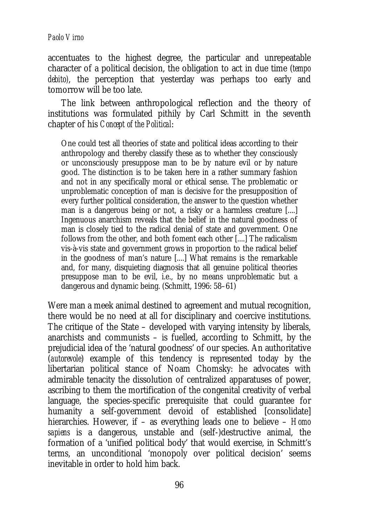accentuates to the highest degree, the particular and unrepeatable character of a political decision, the obligation to act in due time (*tempo debito)*, the perception that yesterday was perhaps too early and tomorrow will be too late.

The link between anthropological reflection and the theory of institutions was formulated pithily by Carl Schmitt in the seventh chapter of his *Concept of the Political*:

One could test all theories of state and political ideas according to their anthropology and thereby classify these as to whether they consciously or unconsciously presuppose man to be by nature evil or by nature good. The distinction is to be taken here in a rather summary fashion and not in any specifically moral or ethical sense. The problematic or unproblematic conception of man is decisive for the presupposition of every further political consideration, the answer to the question whether man is a dangerous being or not, a risky or a harmless creature [....] Ingenuous anarchism reveals that the belief in the natural goodness of man is closely tied to the radical denial of state and government. One follows from the other, and both foment each other [....] The radicalism vis-à-vis state and government grows in proportion to the radical belief in the goodness of man's nature [....] What remains is the remarkable and, for many, disquieting diagnosis that all genuine political theories presuppose man to be evil, i.e., by no means unproblematic but a dangerous and dynamic being. (Schmitt, 1996: 58–61)

Were man a meek animal destined to agreement and mutual recognition, there would be no need at all for disciplinary and coercive institutions. The critique of the State – developed with varying intensity by liberals, anarchists and communists – is fuelled, according to Schmitt, by the prejudicial idea of the 'natural goodness' of our species. An authoritative (*autorevole*) example of this tendency is represented today by the libertarian political stance of Noam Chomsky: he advocates with admirable tenacity the dissolution of centralized apparatuses of power, ascribing to them the mortification of the congenital creativity of verbal language, the species-specific prerequisite that could guarantee for humanity a self-government devoid of established [consolidate] hierarchies. However, if – as everything leads one to believe – *Homo sapiens* is a dangerous, unstable and (self-)destructive animal, the formation of a 'unified political body' that would exercise, in Schmitt's terms, an unconditional 'monopoly over political decision' seems inevitable in order to hold him back.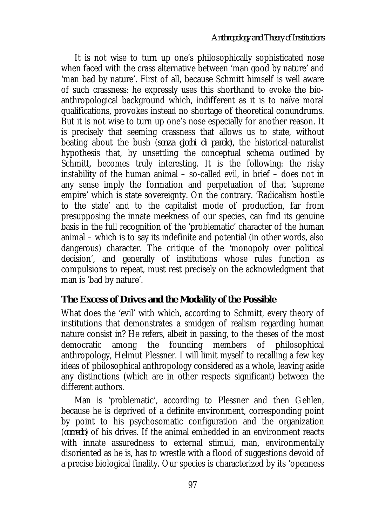It is not wise to turn up one's philosophically sophisticated nose when faced with the crass alternative between 'man good by nature' and 'man bad by nature'. First of all, because Schmitt himself is well aware of such crassness: he expressly uses this shorthand to evoke the bioanthropological background which, indifferent as it is to naïve moral qualifications, provokes instead no shortage of theoretical conundrums. But it is not wise to turn up one's nose especially for another reason. It is precisely that seeming crassness that allows us to state, without beating about the bush (*senza giochi di parole*), the historical-naturalist hypothesis that, by unsettling the conceptual schema outlined by Schmitt, becomes truly interesting. It is the following: the risky instability of the human animal – so-called evil, in brief – does not in any sense imply the formation and perpetuation of that 'supreme empire' which is state sovereignty. On the contrary. 'Radicalism hostile to the state' and to the capitalist mode of production, far from presupposing the innate meekness of our species, can find its genuine basis in the full recognition of the 'problematic' character of the human animal – which is to say its indefinite and potential (in other words, also dangerous) character. The critique of the 'monopoly over political decision', and generally of institutions whose rules function as compulsions to repeat, must rest precisely on the acknowledgment that man is 'bad by nature'.

### **The Excess of Drives and the Modality of the Possible**

What does the 'evil' with which, according to Schmitt, every theory of institutions that demonstrates a smidgen of realism regarding human nature consist in? He refers, albeit in passing, to the theses of the most democratic among the founding members of philosophical anthropology, Helmut Plessner. I will limit myself to recalling a few key ideas of philosophical anthropology considered as a whole, leaving aside any distinctions (which are in other respects significant) between the different authors.

Man is 'problematic', according to Plessner and then Gehlen, because he is deprived of a definite environment, corresponding point by point to his psychosomatic configuration and the organization (*corredo*) of his drives. If the animal embedded in an environment reacts with innate assuredness to external stimuli, man, environmentally disoriented as he is, has to wrestle with a flood of suggestions devoid of a precise biological finality. Our species is characterized by its 'openness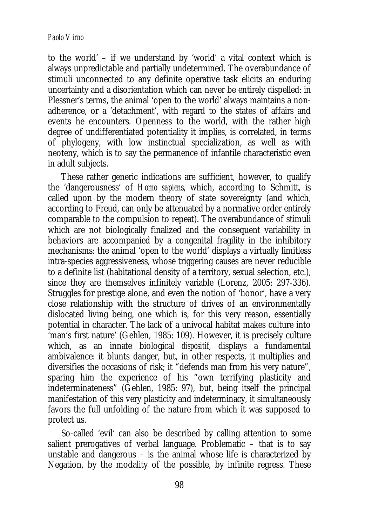to the world' – if we understand by 'world' a vital context which is always unpredictable and partially undetermined. The overabundance of stimuli unconnected to any definite operative task elicits an enduring uncertainty and a disorientation which can never be entirely dispelled: in Plessner's terms, the animal 'open to the world' always maintains a nonadherence, or a 'detachment', with regard to the states of affairs and events he encounters. Openness to the world, with the rather high degree of undifferentiated potentiality it implies, is correlated, in terms of phylogeny, with low instinctual specialization, as well as with neoteny, which is to say the permanence of infantile characteristic even in adult subjects.

These rather generic indications are sufficient, however, to qualify the 'dangerousness' of *Homo sapiens,* which, according to Schmitt, is called upon by the modern theory of state sovereignty (and which, according to Freud, can only be attenuated by a normative order entirely comparable to the compulsion to repeat). The overabundance of stimuli which are not biologically finalized and the consequent variability in behaviors are accompanied by a congenital fragility in the inhibitory mechanisms: the animal 'open to the world' displays a virtually limitless intra-species aggressiveness, whose triggering causes are never reducible to a definite list (habitational density of a territory, sexual selection, etc.), since they are themselves infinitely variable (Lorenz, 2005: 297-336). Struggles for prestige alone, and even the notion of 'honor', have a very close relationship with the structure of drives of an environmentally dislocated living being, one which is, for this very reason, essentially potential in character. The lack of a univocal habitat makes culture into 'man's first nature' (Gehlen, 1985: 109). However, it is precisely culture which, as an innate biological *dispositif*, displays a fundamental ambivalence: it blunts danger, but, in other respects, it multiplies and diversifies the occasions of risk; it "defends man from his very nature", sparing him the experience of his "own terrifying plasticity and indeterminateness" (Gehlen, 1985: 97), but, being itself the principal manifestation of this very plasticity and indeterminacy, it simultaneously favors the full unfolding of the nature from which it was supposed to protect us.

So-called 'evil' can also be described by calling attention to some salient prerogatives of verbal language. Problematic – that is to say unstable and dangerous – is the animal whose life is characterized by Negation, by the modality of the possible, by infinite regress. These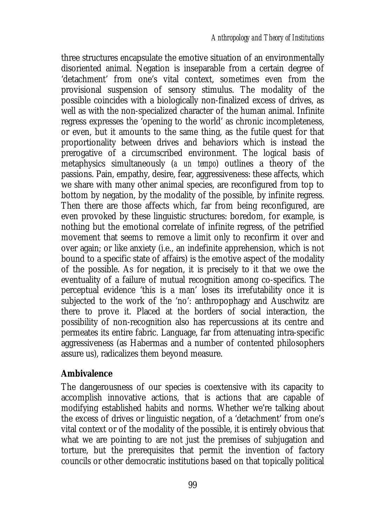three structures encapsulate the emotive situation of an environmentally disoriented animal. Negation is inseparable from a certain degree of 'detachment' from one's vital context, sometimes even from the provisional suspension of sensory stimulus. The modality of the possible coincides with a biologically non-finalized excess of drives, as well as with the non-specialized character of the human animal. Infinite regress expresses the 'opening to the world' as chronic incompleteness, or even, but it amounts to the same thing, as the futile quest for that proportionality between drives and behaviors which is instead the prerogative of a circumscribed environment. The logical basis of metaphysics simultaneously (*a un tempo*) outlines a theory of the passions. Pain, empathy, desire, fear, aggressiveness: these affects, which we share with many other animal species, are reconfigured from top to bottom by negation, by the modality of the possible, by infinite regress. Then there are those affects which, far from being reconfigured, are even provoked by these linguistic structures: boredom, for example, is nothing but the emotional correlate of infinite regress, of the petrified movement that seems to remove a limit only to reconfirm it over and over again; or like anxiety (i.e., an indefinite apprehension, which is not bound to a specific state of affairs) is the emotive aspect of the modality of the possible. As for negation, it is precisely to it that we owe the eventuality of a failure of mutual recognition among co-specifics. The perceptual evidence 'this is a man' loses its irrefutability once it is subjected to the work of the 'no': anthropophagy and Auschwitz are there to prove it. Placed at the borders of social interaction, the possibility of non-recognition also has repercussions at its centre and permeates its entire fabric. Language, far from attenuating intra-specific aggressiveness (as Habermas and a number of contented philosophers assure us), radicalizes them beyond measure.

### **Ambivalence**

The dangerousness of our species is coextensive with its capacity to accomplish innovative actions, that is actions that are capable of modifying established habits and norms. Whether we're talking about the excess of drives or linguistic negation, of a 'detachment' from one's vital context or of the modality of the possible, it is entirely obvious that what we are pointing to are not just the premises of subjugation and torture, but the prerequisites that permit the invention of factory councils or other democratic institutions based on that topically political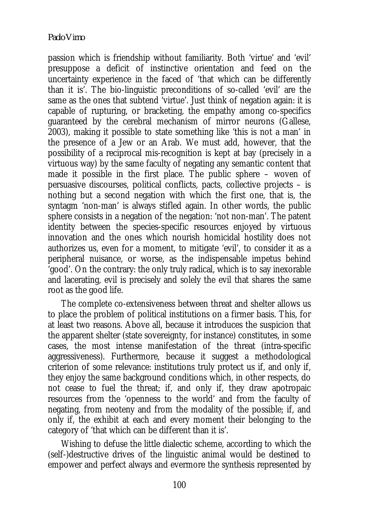passion which is friendship without familiarity. Both 'virtue' and 'evil' presuppose a deficit of instinctive orientation and feed on the uncertainty experience in the faced of 'that which can be differently than it is'. The bio-linguistic preconditions of so-called 'evil' are the same as the ones that subtend 'virtue'. Just think of negation again: it is capable of rupturing, or bracketing, the empathy among co-specifics guaranteed by the cerebral mechanism of mirror neurons (Gallese, 2003), making it possible to state something like 'this is not a man' in the presence of a Jew or an Arab. We must add, however, that the possibility of a reciprocal mis-recognition is kept at bay (precisely in a virtuous way) by the same faculty of negating any semantic content that made it possible in the first place. The public sphere – woven of persuasive discourses, political conflicts, pacts, collective projects – is nothing but a second negation with which the first one, that is, the syntagm 'non-man' is always stifled again. In other words, the public sphere consists in a negation of the negation: 'not non-man'. The patent identity between the species-specific resources enjoyed by virtuous innovation and the ones which nourish homicidal hostility does not authorizes us, even for a moment, to mitigate 'evil', to consider it as a peripheral nuisance, or worse, as the indispensable impetus behind 'good'. On the contrary: the only truly radical, which is to say inexorable and lacerating, evil is precisely and solely the evil that shares the same root as the good life.

The complete co-extensiveness between threat and shelter allows us to place the problem of political institutions on a firmer basis. This, for at least two reasons. Above all, because it introduces the suspicion that the apparent shelter (state sovereignty, for instance) constitutes, in some cases, the most intense manifestation of the threat (intra-specific aggressiveness). Furthermore, because it suggest a methodological criterion of some relevance: institutions truly protect us if, and only if, they enjoy the same background conditions which, in other respects, do not cease to fuel the threat; if, and only if, they draw apotropaic resources from the 'openness to the world' and from the faculty of negating, from neoteny and from the modality of the possible; if, and only if, the exhibit at each and every moment their belonging to the category of 'that which can be different than it is'.

Wishing to defuse the little dialectic scheme, according to which the (self-)destructive drives of the linguistic animal would be destined to empower and perfect always and evermore the synthesis represented by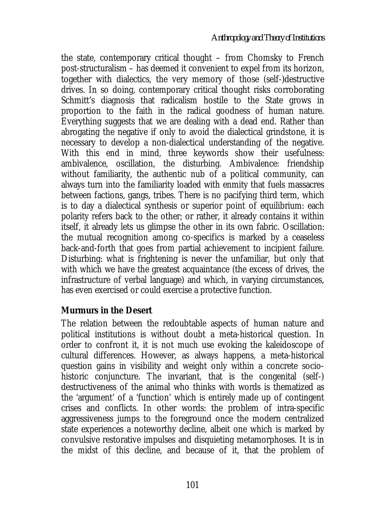the state, contemporary critical thought – from Chomsky to French post-structuralism – has deemed it convenient to expel from its horizon, together with dialectics, the very memory of those (self-)destructive drives. In so doing, contemporary critical thought risks corroborating Schmitt's diagnosis that radicalism hostile to the State grows in proportion to the faith in the radical goodness of human nature. Everything suggests that we are dealing with a dead end. Rather than abrogating the negative if only to avoid the dialectical grindstone, it is necessary to develop a non-dialectical understanding of the negative. With this end in mind, three keywords show their usefulness: ambivalence, oscillation, the disturbing. Ambivalence: friendship without familiarity, the authentic nub of a political community, can always turn into the familiarity loaded with enmity that fuels massacres between factions, gangs, tribes. There is no pacifying third term, which is to day a dialectical synthesis or superior point of equilibrium: each polarity refers back to the other; or rather, it already contains it within itself, it already lets us glimpse the other in its own fabric. Oscillation: the mutual recognition among co-specifics is marked by a ceaseless back-and-forth that goes from partial achievement to incipient failure. Disturbing: what is frightening is never the unfamiliar, but only that with which we have the greatest acquaintance (the excess of drives, the infrastructure of verbal language) and which, in varying circumstances, has even exercised or could exercise a protective function.

### **Murmurs in the Desert**

The relation between the redoubtable aspects of human nature and political institutions is without doubt a meta-historical question. In order to confront it, it is not much use evoking the kaleidoscope of cultural differences. However, as always happens, a meta-historical question gains in visibility and weight only within a concrete sociohistoric conjuncture. The invariant, that is the congenital (self-) destructiveness of the animal who thinks with words is thematized as the 'argument' of a 'function' which is entirely made up of contingent crises and conflicts. In other words: the problem of intra-specific aggressiveness jumps to the foreground once the modern centralized state experiences a noteworthy decline, albeit one which is marked by convulsive restorative impulses and disquieting metamorphoses. It is in the midst of this decline, and because of it, that the problem of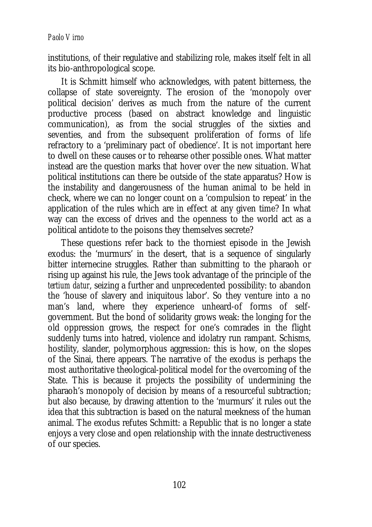institutions, of their regulative and stabilizing role, makes itself felt in all its bio-anthropological scope.

It is Schmitt himself who acknowledges, with patent bitterness, the collapse of state sovereignty. The erosion of the 'monopoly over political decision' derives as much from the nature of the current productive process (based on abstract knowledge and linguistic communication), as from the social struggles of the sixties and seventies, and from the subsequent proliferation of forms of life refractory to a 'preliminary pact of obedience'. It is not important here to dwell on these causes or to rehearse other possible ones. What matter instead are the question marks that hover over the new situation. What political institutions can there be outside of the state apparatus? How is the instability and dangerousness of the human animal to be held in check, where we can no longer count on a 'compulsion to repeat' in the application of the rules which are in effect at any given time? In what way can the excess of drives and the openness to the world act as a political antidote to the poisons they themselves secrete?

These questions refer back to the thorniest episode in the Jewish exodus: the 'murmurs' in the desert, that is a sequence of singularly bitter internecine struggles. Rather than submitting to the pharaoh or rising up against his rule, the Jews took advantage of the principle of the *tertium datur*, seizing a further and unprecedented possibility: to abandon the 'house of slavery and iniquitous labor'. So they venture into a no man's land, where they experience unheard-of forms of selfgovernment. But the bond of solidarity grows weak: the longing for the old oppression grows, the respect for one's comrades in the flight suddenly turns into hatred, violence and idolatry run rampant. Schisms, hostility, slander, polymorphous aggression: this is how, on the slopes of the Sinai, there appears. The narrative of the exodus is perhaps the most authoritative theological-political model for the overcoming of the State. This is because it projects the possibility of undermining the pharaoh's monopoly of decision by means of a resourceful subtraction; but also because, by drawing attention to the 'murmurs' it rules out the idea that this subtraction is based on the natural meekness of the human animal. The exodus refutes Schmitt: a Republic that is no longer a state enjoys a very close and open relationship with the innate destructiveness of our species.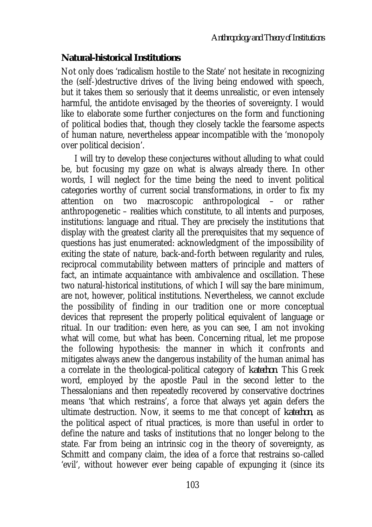### **Natural-historical Institutions**

Not only does 'radicalism hostile to the State' not hesitate in recognizing the (self-)destructive drives of the living being endowed with speech, but it takes them so seriously that it deems unrealistic, or even intensely harmful, the antidote envisaged by the theories of sovereignty. I would like to elaborate some further conjectures on the form and functioning of political bodies that, though they closely tackle the fearsome aspects of human nature, nevertheless appear incompatible with the 'monopoly over political decision'.

I will try to develop these conjectures without alluding to what could be, but focusing my gaze on what is always already there. In other words, I will neglect for the time being the need to invent political categories worthy of current social transformations, in order to fix my attention on two macroscopic anthropological – or rather anthropogenetic – realities which constitute, to all intents and purposes, institutions: language and ritual. They are precisely the institutions that display with the greatest clarity all the prerequisites that my sequence of questions has just enumerated: acknowledgment of the impossibility of exiting the state of nature, back-and-forth between regularity and rules, reciprocal commutability between matters of principle and matters of fact, an intimate acquaintance with ambivalence and oscillation. These two natural-historical institutions, of which I will say the bare minimum, are not, however, political institutions. Nevertheless, we cannot exclude the possibility of finding in our tradition one or more conceptual devices that represent the properly political equivalent of language or ritual. In our tradition: even here, as you can see, I am not invoking what will come, but what has been. Concerning ritual, let me propose the following hypothesis: the manner in which it confronts and mitigates always anew the dangerous instability of the human animal has a correlate in the theological-political category of *katechon*. This Greek word, employed by the apostle Paul in the second letter to the Thessalonians and then repeatedly recovered by conservative doctrines means 'that which restrains', a force that always yet again defers the ultimate destruction. Now, it seems to me that concept of *katechon*, as the political aspect of ritual practices, is more than useful in order to define the nature and tasks of institutions that no longer belong to the state. Far from being an intrinsic cog in the theory of sovereignty, as Schmitt and company claim, the idea of a force that restrains so-called 'evil', without however ever being capable of expunging it (since its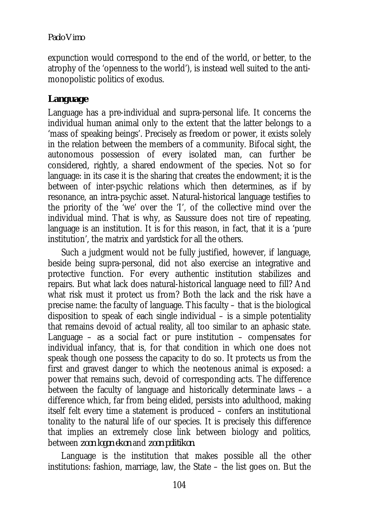expunction would correspond to the end of the world, or better, to the atrophy of the 'openness to the world'), is instead well suited to the antimonopolistic politics of exodus.

## **Language**

Language has a pre-individual and supra-personal life. It concerns the individual human animal only to the extent that the latter belongs to a 'mass of speaking beings'. Precisely as freedom or power, it exists solely in the relation between the members of a community. Bifocal sight, the autonomous possession of every isolated man, can further be considered, rightly, a shared endowment of the species. Not so for language: in its case it is the sharing that creates the endowment; it is the between of inter-psychic relations which then determines, as if by resonance, an intra-psychic asset. Natural-historical language testifies to the priority of the 'we' over the 'I', of the collective mind over the individual mind. That is why, as Saussure does not tire of repeating, language is an institution. It is for this reason, in fact, that it is a 'pure institution', the matrix and yardstick for all the others.

Such a judgment would not be fully justified, however, if language, beside being supra-personal, did not also exercise an integrative and protective function. For every authentic institution stabilizes and repairs. But what lack does natural-historical language need to fill? And what risk must it protect us from? Both the lack and the risk have a precise name: the faculty of language. This faculty – that is the biological disposition to speak of each single individual – is a simple potentiality that remains devoid of actual reality, all too similar to an aphasic state. Language – as a social fact or pure institution – compensates for individual infancy, that is, for that condition in which one does not speak though one possess the capacity to do so. It protects us from the first and gravest danger to which the neotenous animal is exposed: a power that remains such, devoid of corresponding acts. The difference between the faculty of language and historically determinate laws – a difference which, far from being elided, persists into adulthood, making itself felt every time a statement is produced – confers an institutional tonality to the natural life of our species. It is precisely this difference that implies an extremely close link between biology and politics, between *zoon logon ekon* and *zoon politikon*.

Language is the institution that makes possible all the other institutions: fashion, marriage, law, the State – the list goes on. But the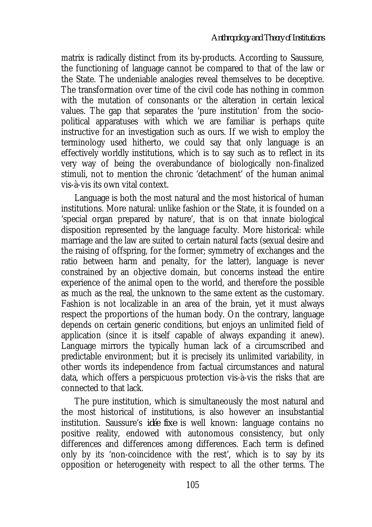matrix is radically distinct from its by-products. According to Saussure, the functioning of language cannot be compared to that of the law or the State. The undeniable analogies reveal themselves to be deceptive. The transformation over time of the civil code has nothing in common with the mutation of consonants or the alteration in certain lexical values. The gap that separates the 'pure institution' from the sociopolitical apparatuses with which we are familiar is perhaps quite instructive for an investigation such as ours. If we wish to employ the terminology used hitherto, we could say that only language is an effectively worldly institutions, which is to say such as to reflect in its very way of being the overabundance of biologically non-finalized stimuli, not to mention the chronic 'detachment' of the human animal vis-à-vis its own vital context.

Language is both the most natural and the most historical of human institutions. More natural: unlike fashion or the State, it is founded on a 'special organ prepared by nature', that is on that innate biological disposition represented by the language faculty. More historical: while marriage and the law are suited to certain natural facts (sexual desire and the raising of offspring, for the former; symmetry of exchanges and the ratio between harm and penalty, for the latter), language is never constrained by an objective domain, but concerns instead the entire experience of the animal open to the world, and therefore the possible as much as the real, the unknown to the same extent as the customary. Fashion is not localizable in an area of the brain, yet it must always respect the proportions of the human body. On the contrary, language depends on certain generic conditions, but enjoys an unlimited field of application (since it is itself capable of always expanding it anew). Language mirrors the typically human lack of a circumscribed and predictable environment; but it is precisely its unlimited variability, in other words its independence from factual circumstances and natural data, which offers a perspicuous protection vis-à-vis the risks that are connected to that lack.

The pure institution, which is simultaneously the most natural and the most historical of institutions, is also however an insubstantial institution. Saussure's *idée fixe* is well known: language contains no positive reality, endowed with autonomous consistency, but only differences and differences among differences. Each term is defined only by its 'non-coincidence with the rest', which is to say by its opposition or heterogeneity with respect to all the other terms. The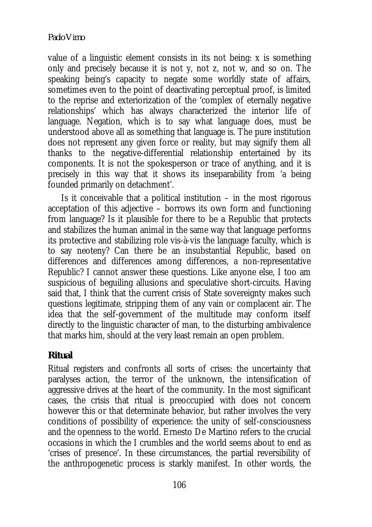value of a linguistic element consists in its not being: x is something only and precisely because it is not y, not z, not w, and so on. The speaking being's capacity to negate some worldly state of affairs, sometimes even to the point of deactivating perceptual proof, is limited to the reprise and exteriorization of the 'complex of eternally negative relationships' which has always characterized the interior life of language. Negation, which is to say what language does, must be understood above all as something that language is. The pure institution does not represent any given force or reality, but may signify them all thanks to the negative-differential relationship entertained by its components. It is not the spokesperson or trace of anything, and it is precisely in this way that it shows its inseparability from 'a being founded primarily on detachment'.

Is it conceivable that a political institution  $-$  in the most rigorous acceptation of this adjective – borrows its own form and functioning from language? Is it plausible for there to be a Republic that protects and stabilizes the human animal in the same way that language performs its protective and stabilizing role vis-à-vis the language faculty, which is to say neoteny? Can there be an insubstantial Republic, based on differences and differences among differences, a non-representative Republic? I cannot answer these questions. Like anyone else, I too am suspicious of beguiling allusions and speculative short-circuits. Having said that, I think that the current crisis of State sovereignty makes such questions legitimate, stripping them of any vain or complacent air. The idea that the self-government of the multitude may conform itself directly to the linguistic character of man, to the disturbing ambivalence that marks him, should at the very least remain an open problem.

## **Ritual**

Ritual registers and confronts all sorts of crises: the uncertainty that paralyses action, the terror of the unknown, the intensification of aggressive drives at the heart of the community. In the most significant cases, the crisis that ritual is preoccupied with does not concern however this or that determinate behavior, but rather involves the very conditions of possibility of experience: the unity of self-consciousness and the openness to the world. Ernesto De Martino refers to the crucial occasions in which the I crumbles and the world seems about to end as 'crises of presence'. In these circumstances, the partial reversibility of the anthropogenetic process is starkly manifest. In other words, the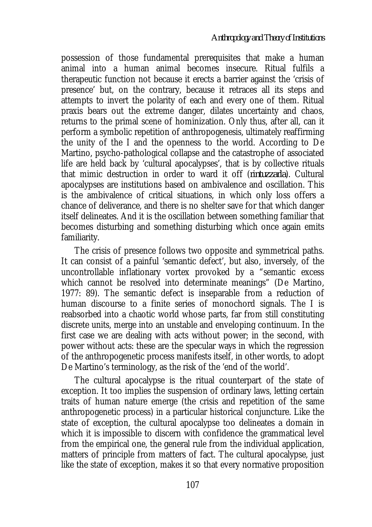possession of those fundamental prerequisites that make a human animal into a human animal becomes insecure. Ritual fulfils a therapeutic function not because it erects a barrier against the 'crisis of presence' but, on the contrary, because it retraces all its steps and attempts to invert the polarity of each and every one of them. Ritual praxis bears out the extreme danger, dilates uncertainty and chaos, returns to the primal scene of hominization. Only thus, after all, can it perform a symbolic repetition of anthropogenesis, ultimately reaffirming the unity of the I and the openness to the world. According to De Martino, psycho-pathological collapse and the catastrophe of associated life are held back by 'cultural apocalypses', that is by collective rituals that mimic destruction in order to ward it off (*rintuzzarla*). Cultural apocalypses are institutions based on ambivalence and oscillation. This is the ambivalence of critical situations, in which only loss offers a chance of deliverance, and there is no shelter save for that which danger itself delineates. And it is the oscillation between something familiar that becomes disturbing and something disturbing which once again emits familiarity.

The crisis of presence follows two opposite and symmetrical paths. It can consist of a painful 'semantic defect', but also, inversely, of the uncontrollable inflationary vortex provoked by a "semantic excess which cannot be resolved into determinate meanings" (De Martino, 1977: 89). The semantic defect is inseparable from a reduction of human discourse to a finite series of monochord signals. The I is reabsorbed into a chaotic world whose parts, far from still constituting discrete units, merge into an unstable and enveloping continuum. In the first case we are dealing with acts without power; in the second, with power without acts: these are the specular ways in which the regression of the anthropogenetic process manifests itself, in other words, to adopt De Martino's terminology, as the risk of the 'end of the world'.

The cultural apocalypse is the ritual counterpart of the state of exception. It too implies the suspension of ordinary laws, letting certain traits of human nature emerge (the crisis and repetition of the same anthropogenetic process) in a particular historical conjuncture. Like the state of exception, the cultural apocalypse too delineates a domain in which it is impossible to discern with confidence the grammatical level from the empirical one, the general rule from the individual application, matters of principle from matters of fact. The cultural apocalypse, just like the state of exception, makes it so that every normative proposition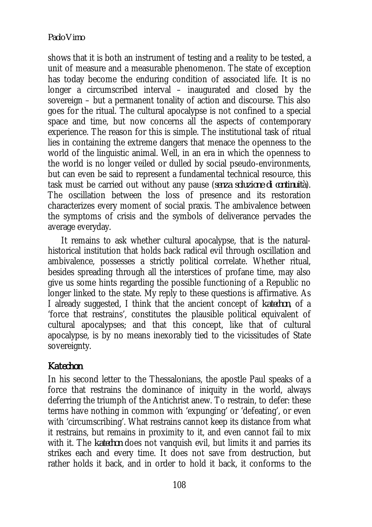shows that it is both an instrument of testing and a reality to be tested, a unit of measure and a measurable phenomenon. The state of exception has today become the enduring condition of associated life. It is no longer a circumscribed interval – inaugurated and closed by the sovereign – but a permanent tonality of action and discourse. This also goes for the ritual. The cultural apocalypse is not confined to a special space and time, but now concerns all the aspects of contemporary experience. The reason for this is simple. The institutional task of ritual lies in containing the extreme dangers that menace the openness to the world of the linguistic animal. Well, in an era in which the openness to the world is no longer veiled or dulled by social pseudo-environments, but can even be said to represent a fundamental technical resource, this task must be carried out without any pause (*senza soluzione di continuità*). The oscillation between the loss of presence and its restoration characterizes every moment of social praxis. The ambivalence between the symptoms of crisis and the symbols of deliverance pervades the average everyday.

It remains to ask whether cultural apocalypse, that is the naturalhistorical institution that holds back radical evil through oscillation and ambivalence, possesses a strictly political correlate. Whether ritual, besides spreading through all the interstices of profane time, may also give us some hints regarding the possible functioning of a Republic no longer linked to the state. My reply to these questions is affirmative. As I already suggested, I think that the ancient concept of *katechon*, of a 'force that restrains', constitutes the plausible political equivalent of cultural apocalypses; and that this concept, like that of cultural apocalypse, is by no means inexorably tied to the vicissitudes of State sovereignty.

## *Katechon*

In his second letter to the Thessalonians, the apostle Paul speaks of a force that restrains the dominance of iniquity in the world, always deferring the triumph of the Antichrist anew. To restrain, to defer: these terms have nothing in common with 'expunging' or 'defeating', or even with 'circumscribing'. What restrains cannot keep its distance from what it restrains, but remains in proximity to it, and even cannot fail to mix with it. The *katechon* does not vanquish evil, but limits it and parries its strikes each and every time. It does not save from destruction, but rather holds it back, and in order to hold it back, it conforms to the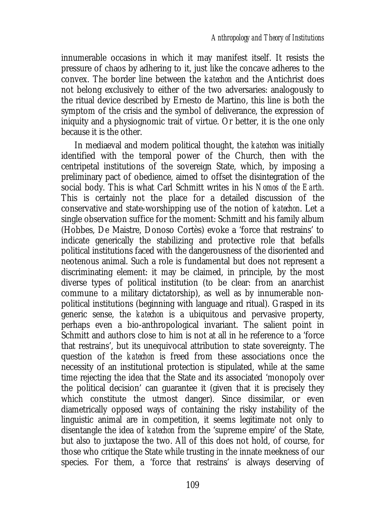innumerable occasions in which it may manifest itself. It resists the pressure of chaos by adhering to it, just like the concave adheres to the convex. The border line between the *katechon* and the Antichrist does not belong exclusively to either of the two adversaries: analogously to the ritual device described by Ernesto de Martino, this line is both the symptom of the crisis and the symbol of deliverance, the expression of iniquity and a physiognomic trait of virtue. Or better, it is the one only because it is the other.

In mediaeval and modern political thought, the *katechon* was initially identified with the temporal power of the Church, then with the centripetal institutions of the sovereign State, which, by imposing a preliminary pact of obedience, aimed to offset the disintegration of the social body. This is what Carl Schmitt writes in his *Nomos of the Earth*. This is certainly not the place for a detailed discussion of the conservative and state-worshipping use of the notion of *katechon*. Let a single observation suffice for the moment: Schmitt and his family album (Hobbes, De Maistre, Donoso Cortès) evoke a 'force that restrains' to indicate generically the stabilizing and protective role that befalls political institutions faced with the dangerousness of the disoriented and neotenous animal. Such a role is fundamental but does not represent a discriminating element: it may be claimed, in principle, by the most diverse types of political institution (to be clear: from an anarchist commune to a military dictatorship), as well as by innumerable nonpolitical institutions (beginning with language and ritual). Grasped in its generic sense, the *katechon* is a ubiquitous and pervasive property, perhaps even a bio-anthropological invariant. The salient point in Schmitt and authors close to him is not at all in he reference to a 'force that restrains', but its unequivocal attribution to state sovereignty. The question of the *katechon* is freed from these associations once the necessity of an institutional protection is stipulated, while at the same time rejecting the idea that the State and its associated 'monopoly over the political decision' can guarantee it (given that it is precisely they which constitute the utmost danger). Since dissimilar, or even diametrically opposed ways of containing the risky instability of the linguistic animal are in competition, it seems legitimate not only to disentangle the idea of *katechon* from the 'supreme empire' of the State, but also to juxtapose the two. All of this does not hold, of course, for those who critique the State while trusting in the innate meekness of our species. For them, a 'force that restrains' is always deserving of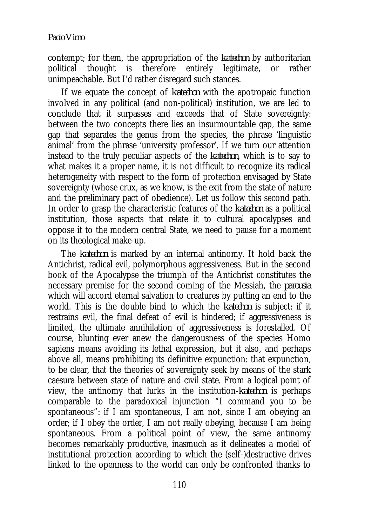contempt; for them, the appropriation of the *katechon* by authoritarian political thought is therefore entirely legitimate, or rather unimpeachable. But I'd rather disregard such stances.

If we equate the concept of *katechon* with the apotropaic function involved in any political (and non-political) institution, we are led to conclude that it surpasses and exceeds that of State sovereignty: between the two concepts there lies an insurmountable gap, the same gap that separates the genus from the species, the phrase 'linguistic animal' from the phrase 'university professor'. If we turn our attention instead to the truly peculiar aspects of the *katechon*, which is to say to what makes it a proper name, it is not difficult to recognize its radical heterogeneity with respect to the form of protection envisaged by State sovereignty (whose crux, as we know, is the exit from the state of nature and the preliminary pact of obedience). Let us follow this second path. In order to grasp the characteristic features of the *katechon* as a political institution, those aspects that relate it to cultural apocalypses and oppose it to the modern central State, we need to pause for a moment on its theological make-up.

The *katechon* is marked by an internal antinomy. It hold back the Antichrist, radical evil, polymorphous aggressiveness. But in the second book of the Apocalypse the triumph of the Antichrist constitutes the necessary premise for the second coming of the Messiah, the *parousia* which will accord eternal salvation to creatures by putting an end to the world. This is the double bind to which the *katechon* is subject: if it restrains evil, the final defeat of evil is hindered; if aggressiveness is limited, the ultimate annihilation of aggressiveness is forestalled. Of course, blunting ever anew the dangerousness of the species Homo sapiens means avoiding its lethal expression, but it also, and perhaps above all, means prohibiting its definitive expunction: that expunction, to be clear, that the theories of sovereignty seek by means of the stark caesura between state of nature and civil state. From a logical point of view, the antinomy that lurks in the institution-*katechon* is perhaps comparable to the paradoxical injunction "I command you to be spontaneous": if I am spontaneous, I am not, since I am obeying an order; if I obey the order, I am not really obeying, because I am being spontaneous. From a political point of view, the same antinomy becomes remarkably productive, inasmuch as it delineates a model of institutional protection according to which the (self-)destructive drives linked to the openness to the world can only be confronted thanks to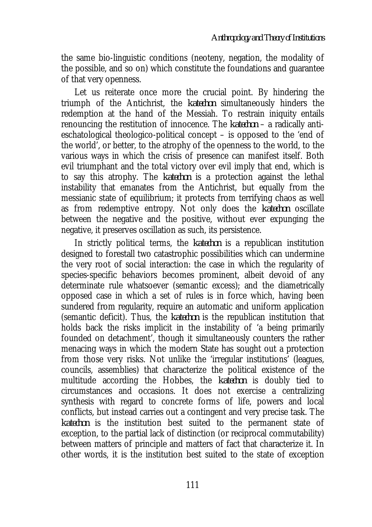the same bio-linguistic conditions (neoteny, negation, the modality of the possible, and so on) which constitute the foundations and guarantee of that very openness.

Let us reiterate once more the crucial point. By hindering the triumph of the Antichrist, the *katechon* simultaneously hinders the redemption at the hand of the Messiah. To restrain iniquity entails renouncing the restitution of innocence. The *katechon* – a radically antieschatological theologico-political concept – is opposed to the 'end of the world', or better, to the atrophy of the openness to the world, to the various ways in which the crisis of presence can manifest itself. Both evil triumphant and the total victory over evil imply that end, which is to say this atrophy. The *katechon* is a protection against the lethal instability that emanates from the Antichrist, but equally from the messianic state of equilibrium; it protects from terrifying chaos as well as from redemptive entropy. Not only does the *katechon* oscillate between the negative and the positive, without ever expunging the negative, it preserves oscillation as such, its persistence.

In strictly political terms, the *katechon* is a republican institution designed to forestall two catastrophic possibilities which can undermine the very root of social interaction: the case in which the regularity of species-specific behaviors becomes prominent, albeit devoid of any determinate rule whatsoever (semantic excess); and the diametrically opposed case in which a set of rules is in force which, having been sundered from regularity, require an automatic and uniform application (semantic deficit). Thus, the *katechon* is the republican institution that holds back the risks implicit in the instability of 'a being primarily founded on detachment', though it simultaneously counters the rather menacing ways in which the modern State has sought out a protection from those very risks. Not unlike the 'irregular institutions' (leagues, councils, assemblies) that characterize the political existence of the multitude according the Hobbes, the *katechon* is doubly tied to circumstances and occasions. It does not exercise a centralizing synthesis with regard to concrete forms of life, powers and local conflicts, but instead carries out a contingent and very precise task. The *katechon* is the institution best suited to the permanent state of exception, to the partial lack of distinction (or reciprocal commutability) between matters of principle and matters of fact that characterize it. In other words, it is the institution best suited to the state of exception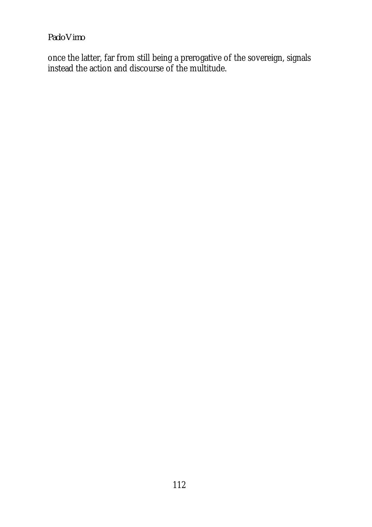*Paolo Virno* 

once the latter, far from still being a prerogative of the sovereign, signals instead the action and discourse of the multitude.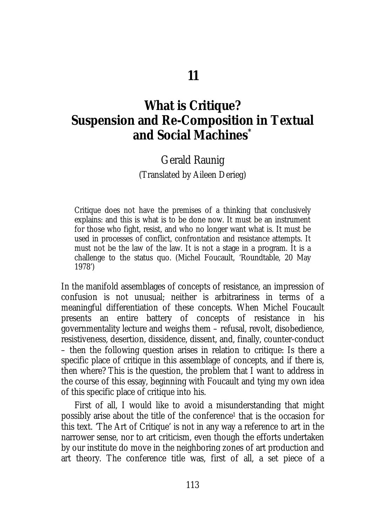## **What is Critique? Suspension and Re-Composition in Textual and Social Machines\***

Gerald Raunig (Translated by Aileen Derieg)

Critique does not have the premises of a thinking that conclusively explains: and this is what is to be done now. It must be an instrument for those who fight, resist, and who no longer want what is. It must be used in processes of conflict, confrontation and resistance attempts. It must not be the law of the law. It is not a stage in a program. It is a challenge to the status quo. (Michel Foucault, 'Roundtable, 20 May 1978')

In the manifold assemblages of concepts of resistance, an impression of confusion is not unusual; neither is arbitrariness in terms of a meaningful differentiation of these concepts. When Michel Foucault presents an entire battery of concepts of resistance in his governmentality lecture and weighs them – refusal, revolt, disobedience, resistiveness, desertion, dissidence, dissent, and, finally, counter-conduct – then the following question arises in relation to critique: Is there a specific place of critique in this assemblage of concepts, and if there is, then where? This is the question, the problem that I want to address in the course of this essay, beginning with Foucault and tying my own idea of this specific place of critique into his.

First of all, I would like to avoid a misunderstanding that might possibly arise about the title of the conference1 that is the occasion for this text. 'The Art of Critique' is not in any way a reference to art in the narrower sense, nor to art criticism, even though the efforts undertaken by our institute do move in the neighboring zones of art production and art theory. The conference title was, first of all, a set piece of a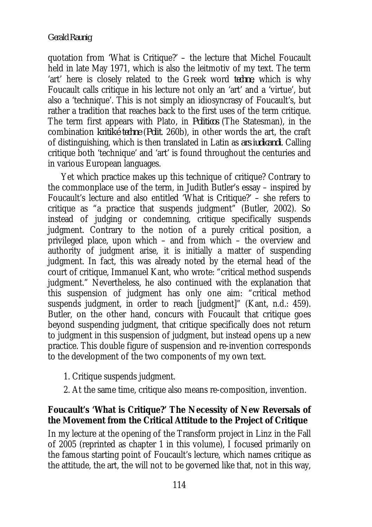#### *Gerald Raunig*

quotation from 'What is Critique?' – the lecture that Michel Foucault held in late May 1971, which is also the leitmotiv of my text. The term 'art' here is closely related to the Greek word *techne*, which is why Foucault calls critique in his lecture not only an 'art' and a 'virtue', but also a 'technique'. This is not simply an idiosyncrasy of Foucault's, but rather a tradition that reaches back to the first uses of the term critique. The term first appears with Plato, in *Politicos* (The Statesman), in the combination *kritiké techne* (*Polit*. 260b), in other words the art, the craft of distinguishing, which is then translated in Latin as *ars iudicandi*. Calling critique both 'technique' and 'art' is found throughout the centuries and in various European languages.

Yet which practice makes up this technique of critique? Contrary to the commonplace use of the term, in Judith Butler's essay – inspired by Foucault's lecture and also entitled 'What is Critique?' – she refers to critique as "a practice that suspends judgment" (Butler, 2002). So instead of judging or condemning, critique specifically suspends judgment. Contrary to the notion of a purely critical position, a privileged place, upon which – and from which – the overview and authority of judgment arise, it is initially a matter of suspending judgment. In fact, this was already noted by the eternal head of the court of critique, Immanuel Kant, who wrote: "critical method suspends judgment." Nevertheless, he also continued with the explanation that this suspension of judgment has only one aim: "critical method suspends judgment, in order to reach [judgment]" (Kant, n.d.: 459). Butler, on the other hand, concurs with Foucault that critique goes beyond suspending judgment, that critique specifically does not return to judgment in this suspension of judgment, but instead opens up a new practice. This double figure of suspension and re-invention corresponds to the development of the two components of my own text.

- 1. Critique suspends judgment.
- 2. At the same time, critique also means re-composition, invention.

### **Foucault's 'What is Critique?' The Necessity of New Reversals of the Movement from the Critical Attitude to the Project of Critique**

In my lecture at the opening of the Transform project in Linz in the Fall of 2005 (reprinted as chapter 1 in this volume), I focused primarily on the famous starting point of Foucault's lecture, which names critique as the attitude, the art, the will not to be governed like that, not in this way,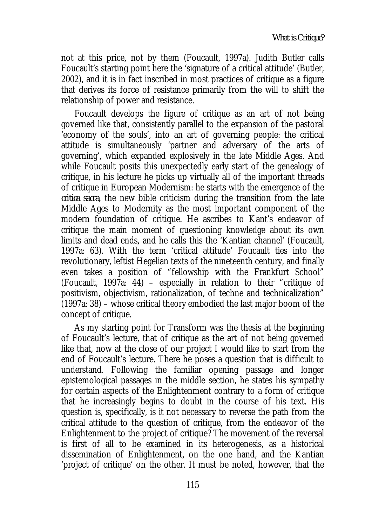*What is Critique?*

not at this price, not by them (Foucault, 1997a). Judith Butler calls Foucault's starting point here the 'signature of a critical attitude' (Butler, 2002), and it is in fact inscribed in most practices of critique as a figure that derives its force of resistance primarily from the will to shift the relationship of power and resistance.

Foucault develops the figure of critique as an art of not being governed like that, consistently parallel to the expansion of the pastoral 'economy of the souls', into an art of governing people: the critical attitude is simultaneously 'partner and adversary of the arts of governing', which expanded explosively in the late Middle Ages. And while Foucault posits this unexpectedly early start of the genealogy of critique, in his lecture he picks up virtually all of the important threads of critique in European Modernism: he starts with the emergence of the *critica sacra*, the new bible criticism during the transition from the late Middle Ages to Modernity as the most important component of the modern foundation of critique. He ascribes to Kant's endeavor of critique the main moment of questioning knowledge about its own limits and dead ends, and he calls this the 'Kantian channel' (Foucault, 1997a: 63). With the term 'critical attitude' Foucault ties into the revolutionary, leftist Hegelian texts of the nineteenth century, and finally even takes a position of "fellowship with the Frankfurt School" (Foucault, 1997a: 44) – especially in relation to their "critique of positivism, objectivism, rationalization, of techne and technicalization" (1997a: 38) – whose critical theory embodied the last major boom of the concept of critique.

As my starting point for Transform was the thesis at the beginning of Foucault's lecture, that of critique as the art of not being governed like that, now at the close of our project I would like to start from the end of Foucault's lecture. There he poses a question that is difficult to understand. Following the familiar opening passage and longer epistemological passages in the middle section, he states his sympathy for certain aspects of the Enlightenment contrary to a form of critique that he increasingly begins to doubt in the course of his text. His question is, specifically, is it not necessary to reverse the path from the critical attitude to the question of critique, from the endeavor of the Enlightenment to the project of critique? The movement of the reversal is first of all to be examined in its heterogenesis, as a historical dissemination of Enlightenment, on the one hand, and the Kantian 'project of critique' on the other. It must be noted, however, that the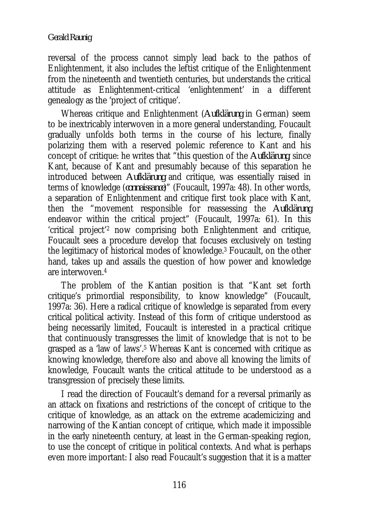#### *Gerald Raunig*

reversal of the process cannot simply lead back to the pathos of Enlightenment, it also includes the leftist critique of the Enlightenment from the nineteenth and twentieth centuries, but understands the critical attitude as Enlightenment-critical 'enlightenment' in a different genealogy as the 'project of critique'.

Whereas critique and Enlightenment (*Aufklärung* in German) seem to be inextricably interwoven in a more general understanding, Foucault gradually unfolds both terms in the course of his lecture, finally polarizing them with a reserved polemic reference to Kant and his concept of critique: he writes that "this question of the *Aufklärung*, since Kant, because of Kant and presumably because of this separation he introduced between *Aufklärung* and critique, was essentially raised in terms of knowledge (*connaissance*)" (Foucault, 1997a: 48). In other words, a separation of Enlightenment and critique first took place with Kant, then the "movement responsible for reassessing the *Aufklärung* endeavor within the critical project" (Foucault, 1997a: 61). In this 'critical project'2 now comprising both Enlightenment and critique, Foucault sees a procedure develop that focuses exclusively on testing the legitimacy of historical modes of knowledge.3 Foucault, on the other hand, takes up and assails the question of how power and knowledge are interwoven.4

The problem of the Kantian position is that "Kant set forth critique's primordial responsibility, to know knowledge" (Foucault, 1997a: 36). Here a radical critique of knowledge is separated from every critical political activity. Instead of this form of critique understood as being necessarily limited, Foucault is interested in a practical critique that continuously transgresses the limit of knowledge that is not to be grasped as a 'law of laws'.5 Whereas Kant is concerned with critique as knowing knowledge, therefore also and above all knowing the limits of knowledge, Foucault wants the critical attitude to be understood as a transgression of precisely these limits.

I read the direction of Foucault's demand for a reversal primarily as an attack on fixations and restrictions of the concept of critique to the critique of knowledge, as an attack on the extreme academicizing and narrowing of the Kantian concept of critique, which made it impossible in the early nineteenth century, at least in the German-speaking region, to use the concept of critique in political contexts. And what is perhaps even more important: I also read Foucault's suggestion that it is a matter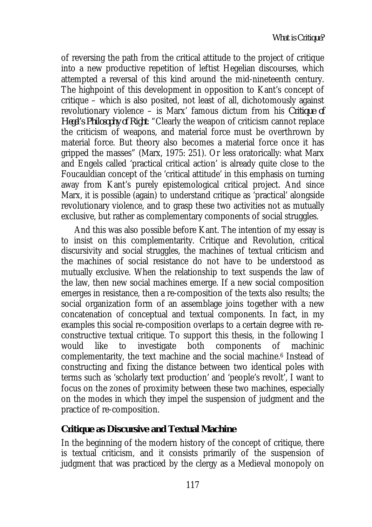of reversing the path from the critical attitude to the project of critique into a new productive repetition of leftist Hegelian discourses, which attempted a reversal of this kind around the mid-nineteenth century. The highpoint of this development in opposition to Kant's concept of critique – which is also posited, not least of all, dichotomously against revolutionary violence – is Marx' famous dictum from his *Critique of Hegel's Philosophy of Right*: "Clearly the weapon of criticism cannot replace the criticism of weapons, and material force must be overthrown by material force. But theory also becomes a material force once it has gripped the masses" (Marx, 1975: 251). Or less oratorically: what Marx and Engels called 'practical critical action' is already quite close to the Foucauldian concept of the 'critical attitude' in this emphasis on turning away from Kant's purely epistemological critical project. And since Marx, it is possible (again) to understand critique as 'practical' alongside revolutionary violence, and to grasp these two activities not as mutually exclusive, but rather as complementary components of social struggles.

And this was also possible before Kant. The intention of my essay is to insist on this complementarity. Critique and Revolution, critical discursivity and social struggles, the machines of textual criticism and the machines of social resistance do not have to be understood as mutually exclusive. When the relationship to text suspends the law of the law, then new social machines emerge. If a new social composition emerges in resistance, then a re-composition of the texts also results; the social organization form of an assemblage joins together with a new concatenation of conceptual and textual components. In fact, in my examples this social re-composition overlaps to a certain degree with reconstructive textual critique. To support this thesis, in the following I would like to investigate both components of machinic complementarity, the text machine and the social machine.6 Instead of constructing and fixing the distance between two identical poles with terms such as 'scholarly text production' and 'people's revolt', I want to focus on the zones of proximity between these two machines, especially on the modes in which they impel the suspension of judgment and the practice of re-composition.

### **Critique as Discursive and Textual Machine**

In the beginning of the modern history of the concept of critique, there is textual criticism, and it consists primarily of the suspension of judgment that was practiced by the clergy as a Medieval monopoly on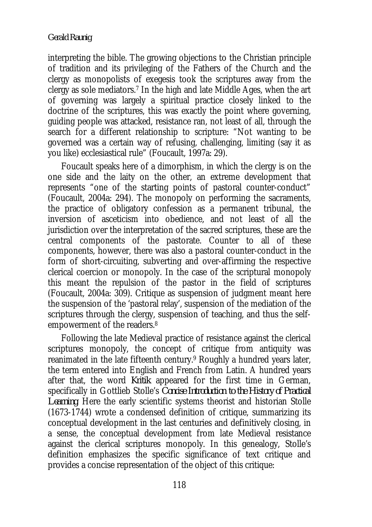#### *Gerald Raunig*

interpreting the bible. The growing objections to the Christian principle of tradition and its privileging of the Fathers of the Church and the clergy as monopolists of exegesis took the scriptures away from the clergy as sole mediators.7 In the high and late Middle Ages, when the art of governing was largely a spiritual practice closely linked to the doctrine of the scriptures, this was exactly the point where governing, guiding people was attacked, resistance ran, not least of all, through the search for a different relationship to scripture: "Not wanting to be governed was a certain way of refusing, challenging, limiting (say it as you like) ecclesiastical rule" (Foucault, 1997a: 29).

Foucault speaks here of a dimorphism, in which the clergy is on the one side and the laity on the other, an extreme development that represents "one of the starting points of pastoral counter-conduct" (Foucault, 2004a: 294). The monopoly on performing the sacraments, the practice of obligatory confession as a permanent tribunal, the inversion of asceticism into obedience, and not least of all the jurisdiction over the interpretation of the sacred scriptures, these are the central components of the pastorate. Counter to all of these components, however, there was also a pastoral counter-conduct in the form of short-circuiting, subverting and over-affirming the respective clerical coercion or monopoly. In the case of the scriptural monopoly this meant the repulsion of the pastor in the field of scriptures (Foucault, 2004a: 309). Critique as suspension of judgment meant here the suspension of the 'pastoral relay', suspension of the mediation of the scriptures through the clergy, suspension of teaching, and thus the selfempowerment of the readers.8

Following the late Medieval practice of resistance against the clerical scriptures monopoly, the concept of critique from antiquity was reanimated in the late fifteenth century.9 Roughly a hundred years later, the term entered into English and French from Latin. A hundred years after that, the word *Kritik* appeared for the first time in German, specifically in Gottlieb Stolle's *Concise Introduction to the History of Practical Learning*. Here the early scientific systems theorist and historian Stolle (1673-1744) wrote a condensed definition of critique, summarizing its conceptual development in the last centuries and definitively closing, in a sense, the conceptual development from late Medieval resistance against the clerical scriptures monopoly. In this genealogy, Stolle's definition emphasizes the specific significance of text critique and provides a concise representation of the object of this critique: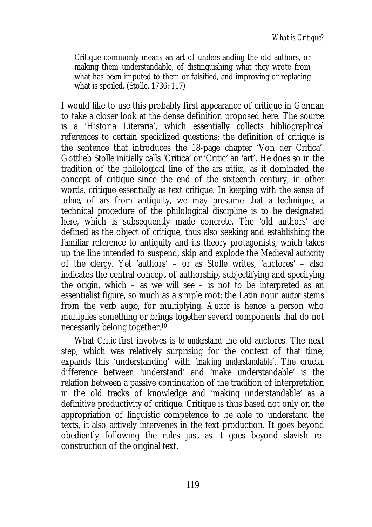Critique commonly means an art of understanding the old authors, or making them understandable, of distinguishing what they wrote from what has been imputed to them or falsified, and improving or replacing what is spoiled. (Stolle, 1736: 117)

I would like to use this probably first appearance of critique in German to take a closer look at the dense definition proposed here. The source is a 'Historia Literaria', which essentially collects bibliographical references to certain specialized questions; the definition of critique is the sentence that introduces the 18-page chapter 'Von der Critica'. Gottlieb Stolle initially calls 'Critica' or 'Critic' an 'art'. He does so in the tradition of the philological line of the *ars critica*, as it dominated the concept of critique since the end of the sixteenth century, in other words, critique essentially as text critique. In keeping with the sense of *techne*, of *ars* from antiquity, we may presume that a technique, a technical procedure of the philological discipline is to be designated here, which is subsequently made concrete. The 'old authors' are defined as the object of critique, thus also seeking and establishing the familiar reference to antiquity and its theory protagonists, which takes up the line intended to suspend, skip and explode the Medieval *authority* of the clergy. Yet 'authors' – or as Stolle writes, 'auctores' – also indicates the central concept of authorship, subjectifying and specifying the origin, which – as we will see – is not to be interpreted as an essentialist figure, so much as a simple root: the Latin noun *auctor* stems from the verb *augeo*, for multiplying. *Auctor* is hence a person who multiplies something or brings together several components that do not necessarily belong together.10

What *Critic* first involves is *to understand* the old auctores. The next step, which was relatively surprising for the context of that time, expands this 'understanding' with '*making understandable*'. The crucial difference between 'understand' and 'make understandable' is the relation between a passive continuation of the tradition of interpretation in the old tracks of knowledge and 'making understandable' as a definitive productivity of critique. Critique is thus based not only on the appropriation of linguistic competence to be able to understand the texts, it also actively intervenes in the text production. It goes beyond obediently following the rules just as it goes beyond slavish reconstruction of the original text.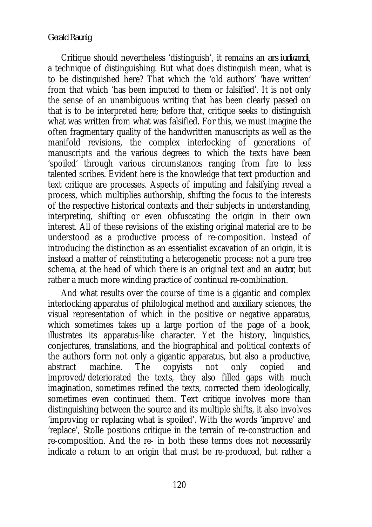#### *Gerald Raunig*

Critique should nevertheless 'distinguish', it remains an *ars iudicandi*, a technique of distinguishing. But what does distinguish mean, what is to be distinguished here? That which the 'old authors' 'have written' from that which 'has been imputed to them or falsified'. It is not only the sense of an unambiguous writing that has been clearly passed on that is to be interpreted here; before that, critique seeks to distinguish what was written from what was falsified. For this, we must imagine the often fragmentary quality of the handwritten manuscripts as well as the manifold revisions, the complex interlocking of generations of manuscripts and the various degrees to which the texts have been 'spoiled' through various circumstances ranging from fire to less talented scribes. Evident here is the knowledge that text production and text critique are processes. Aspects of imputing and falsifying reveal a process, which multiplies authorship, shifting the focus to the interests of the respective historical contexts and their subjects in understanding, interpreting, shifting or even obfuscating the origin in their own interest. All of these revisions of the existing original material are to be understood as a productive process of re-composition. Instead of introducing the distinction as an essentialist excavation of an origin, it is instead a matter of reinstituting a heterogenetic process: not a pure tree schema, at the head of which there is an original text and an *auctor*, but rather a much more winding practice of continual re-combination.

And what results over the course of time is a gigantic and complex interlocking apparatus of philological method and auxiliary sciences, the visual representation of which in the positive or negative apparatus, which sometimes takes up a large portion of the page of a book, illustrates its apparatus-like character. Yet the history, linguistics, conjectures, translations, and the biographical and political contexts of the authors form not only a gigantic apparatus, but also a productive, abstract machine. The copyists not only copied and improved/deteriorated the texts, they also filled gaps with much imagination, sometimes refined the texts, corrected them ideologically, sometimes even continued them. Text critique involves more than distinguishing between the source and its multiple shifts, it also involves 'improving or replacing what is spoiled'. With the words 'improve' and 'replace', Stolle positions critique in the terrain of re-construction and re-composition. And the re- in both these terms does not necessarily indicate a return to an origin that must be re-produced, but rather a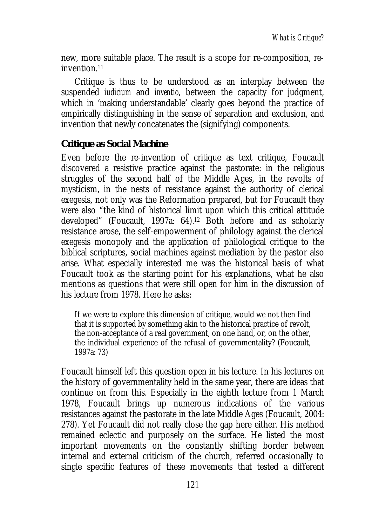new, more suitable place. The result is a scope for re-composition, reinvention.11

Critique is thus to be understood as an interplay between the suspended *iudicium* and *inventio*, between the capacity for judgment, which in 'making understandable' clearly goes beyond the practice of empirically distinguishing in the sense of separation and exclusion, and invention that newly concatenates the (signifying) components.

### **Critique as Social Machine**

Even before the re-invention of critique as text critique, Foucault discovered a resistive practice against the pastorate: in the religious struggles of the second half of the Middle Ages, in the revolts of mysticism, in the nests of resistance against the authority of clerical exegesis, not only was the Reformation prepared, but for Foucault they were also "the kind of historical limit upon which this critical attitude developed" (Foucault, 1997a: 64).12 Both before and as scholarly resistance arose, the self-empowerment of philology against the clerical exegesis monopoly and the application of philological critique to the biblical scriptures, social machines against mediation by the pastor also arise. What especially interested me was the historical basis of what Foucault took as the starting point for his explanations, what he also mentions as questions that were still open for him in the discussion of his lecture from 1978. Here he asks:

If we were to explore this dimension of critique, would we not then find that it is supported by something akin to the historical practice of revolt, the non-acceptance of a real government, on one hand, or, on the other, the individual experience of the refusal of governmentality? (Foucault, 1997a: 73)

Foucault himself left this question open in his lecture. In his lectures on the history of governmentality held in the same year, there are ideas that continue on from this. Especially in the eighth lecture from 1 March 1978, Foucault brings up numerous indications of the various resistances against the pastorate in the late Middle Ages (Foucault, 2004: 278). Yet Foucault did not really close the gap here either. His method remained eclectic and purposely on the surface. He listed the most important movements on the constantly shifting border between internal and external criticism of the church, referred occasionally to single specific features of these movements that tested a different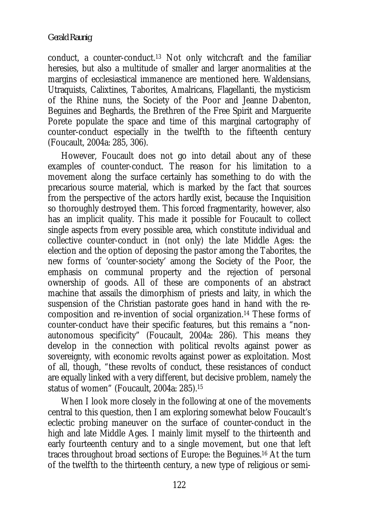#### *Gerald Raunig*

conduct, a counter-conduct.13 Not only witchcraft and the familiar heresies, but also a multitude of smaller and larger anormalities at the margins of ecclesiastical immanence are mentioned here. Waldensians, Utraquists, Calixtines, Taborites, Amalricans, Flagellanti, the mysticism of the Rhine nuns, the Society of the Poor and Jeanne Dabenton, Beguines and Beghards, the Brethren of the Free Spirit and Marguerite Porete populate the space and time of this marginal cartography of counter-conduct especially in the twelfth to the fifteenth century (Foucault, 2004a: 285, 306).

However, Foucault does not go into detail about any of these examples of counter-conduct. The reason for his limitation to a movement along the surface certainly has something to do with the precarious source material, which is marked by the fact that sources from the perspective of the actors hardly exist, because the Inquisition so thoroughly destroyed them. This forced fragmentarity, however, also has an implicit quality. This made it possible for Foucault to collect single aspects from every possible area, which constitute individual and collective counter-conduct in (not only) the late Middle Ages: the election and the option of deposing the pastor among the Taborites, the new forms of 'counter-society' among the Society of the Poor, the emphasis on communal property and the rejection of personal ownership of goods. All of these are components of an abstract machine that assails the dimorphism of priests and laity, in which the suspension of the Christian pastorate goes hand in hand with the recomposition and re-invention of social organization.14 These forms of counter-conduct have their specific features, but this remains a "nonautonomous specificity" (Foucault, 2004a: 286). This means they develop in the connection with political revolts against power as sovereignty, with economic revolts against power as exploitation. Most of all, though, "these revolts of conduct, these resistances of conduct are equally linked with a very different, but decisive problem, namely the status of women" (Foucault, 2004a: 285).15

When I look more closely in the following at one of the movements central to this question, then I am exploring somewhat below Foucault's eclectic probing maneuver on the surface of counter-conduct in the high and late Middle Ages. I mainly limit myself to the thirteenth and early fourteenth century and to a single movement, but one that left traces throughout broad sections of Europe: the Beguines.16 At the turn of the twelfth to the thirteenth century, a new type of religious or semi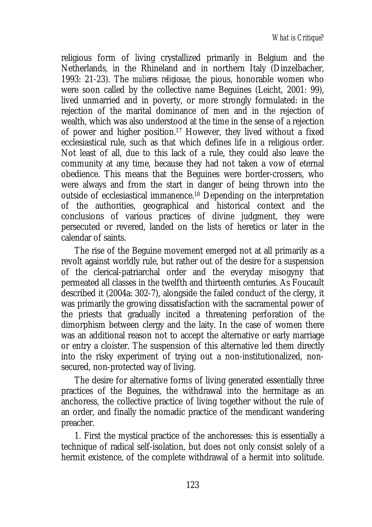religious form of living crystallized primarily in Belgium and the Netherlands, in the Rhineland and in northern Italy (Dinzelbacher, 1993: 21-23). The *mulieres religiosae*, the pious, honorable women who were soon called by the collective name Beguines (Leicht, 2001: 99), lived unmarried and in poverty, or more strongly formulated: in the rejection of the marital dominance of men and in the rejection of wealth, which was also understood at the time in the sense of a rejection of power and higher position.17 However, they lived without a fixed ecclesiastical rule, such as that which defines life in a religious order. Not least of all, due to this lack of a rule, they could also leave the community at any time, because they had not taken a vow of eternal obedience. This means that the Beguines were border-crossers, who were always and from the start in danger of being thrown into the outside of ecclesiastical immanence.18 Depending on the interpretation of the authorities, geographical and historical context and the conclusions of various practices of divine judgment, they were persecuted or revered, landed on the lists of heretics or later in the calendar of saints.

The rise of the Beguine movement emerged not at all primarily as a revolt against worldly rule, but rather out of the desire for a suspension of the clerical-patriarchal order and the everyday misogyny that permeated all classes in the twelfth and thirteenth centuries. As Foucault described it (2004a: 302-7), alongside the failed conduct of the clergy, it was primarily the growing dissatisfaction with the sacramental power of the priests that gradually incited a threatening perforation of the dimorphism between clergy and the laity. In the case of women there was an additional reason not to accept the alternative or early marriage or entry a cloister. The suspension of this alternative led them directly into the risky experiment of trying out a non-institutionalized, nonsecured, non-protected way of living.

The desire for alternative forms of living generated essentially three practices of the Beguines, the withdrawal into the hermitage as an anchoress, the collective practice of living together without the rule of an order, and finally the nomadic practice of the mendicant wandering preacher.

1. First the mystical practice of the anchoresses: this is essentially a technique of radical self-isolation, but does not only consist solely of a hermit existence, of the complete withdrawal of a hermit into solitude.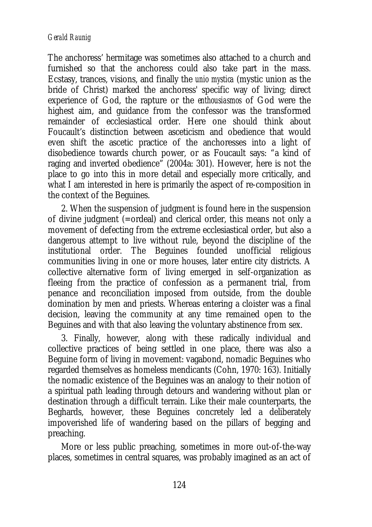#### *Gerald Raunig*

The anchoress' hermitage was sometimes also attached to a church and furnished so that the anchoress could also take part in the mass. Ecstasy, trances, visions, and finally the *unio mystica* (mystic union as the bride of Christ) marked the anchoress' specific way of living; direct experience of God, the rapture or the *enthousiasmos* of God were the highest aim, and guidance from the confessor was the transformed remainder of ecclesiastical order. Here one should think about Foucault's distinction between asceticism and obedience that would even shift the ascetic practice of the anchoresses into a light of disobedience towards church power, or as Foucault says: "a kind of raging and inverted obedience" (2004a: 301). However, here is not the place to go into this in more detail and especially more critically, and what I am interested in here is primarily the aspect of re-composition in the context of the Beguines.

2. When the suspension of judgment is found here in the suspension of divine judgment (=ordeal) and clerical order, this means not only a movement of defecting from the extreme ecclesiastical order, but also a dangerous attempt to live without rule, beyond the discipline of the institutional order. The Beguines founded unofficial religious communities living in one or more houses, later entire city districts. A collective alternative form of living emerged in self-organization as fleeing from the practice of confession as a permanent trial, from penance and reconciliation imposed from outside, from the double domination by men and priests. Whereas entering a cloister was a final decision, leaving the community at any time remained open to the Beguines and with that also leaving the voluntary abstinence from sex.

3. Finally, however, along with these radically individual and collective practices of being settled in one place, there was also a Beguine form of living in movement: vagabond, nomadic Beguines who regarded themselves as homeless mendicants (Cohn, 1970: 163). Initially the nomadic existence of the Beguines was an analogy to their notion of a spiritual path leading through detours and wandering without plan or destination through a difficult terrain. Like their male counterparts, the Beghards, however, these Beguines concretely led a deliberately impoverished life of wandering based on the pillars of begging and preaching.

More or less public preaching, sometimes in more out-of-the-way places, sometimes in central squares, was probably imagined as an act of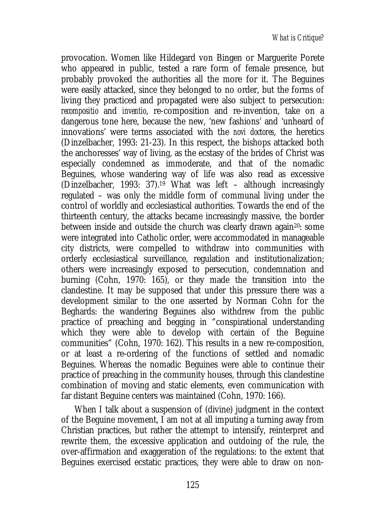provocation. Women like Hildegard von Bingen or Marguerite Porete who appeared in public, tested a rare form of female presence, but probably provoked the authorities all the more for it. The Beguines were easily attacked, since they belonged to no order, but the forms of living they practiced and propagated were also subject to persecution: *recompositio* and *inventio*, re-composition and re-invention, take on a dangerous tone here, because the new, 'new fashions' and 'unheard of innovations' were terms associated with the *novi doctores*, the heretics (Dinzelbacher, 1993: 21-23). In this respect, the bishops attacked both the anchoresses' way of living, as the ecstasy of the brides of Christ was especially condemned as immoderate, and that of the nomadic Beguines, whose wandering way of life was also read as excessive (Dinzelbacher, 1993: 37).<sup>19</sup> What was left – although increasingly regulated – was only the middle form of communal living under the control of worldly and ecclesiastical authorities. Towards the end of the thirteenth century, the attacks became increasingly massive, the border between inside and outside the church was clearly drawn again<sup>20</sup>: some were integrated into Catholic order, were accommodated in manageable city districts, were compelled to withdraw into communities with orderly ecclesiastical surveillance, regulation and institutionalization; others were increasingly exposed to persecution, condemnation and burning (Cohn, 1970: 165), or they made the transition into the clandestine. It may be supposed that under this pressure there was a development similar to the one asserted by Norman Cohn for the Beghards: the wandering Beguines also withdrew from the public practice of preaching and begging in "conspirational understanding which they were able to develop with certain of the Beguine communities" (Cohn, 1970: 162). This results in a new re-composition, or at least a re-ordering of the functions of settled and nomadic Beguines. Whereas the nomadic Beguines were able to continue their practice of preaching in the community houses, through this clandestine combination of moving and static elements, even communication with far distant Beguine centers was maintained (Cohn, 1970: 166).

When I talk about a suspension of (divine) judgment in the context of the Beguine movement, I am not at all imputing a turning away from Christian practices, but rather the attempt to intensify, reinterpret and rewrite them, the excessive application and outdoing of the rule, the over-affirmation and exaggeration of the regulations: to the extent that Beguines exercised ecstatic practices, they were able to draw on non-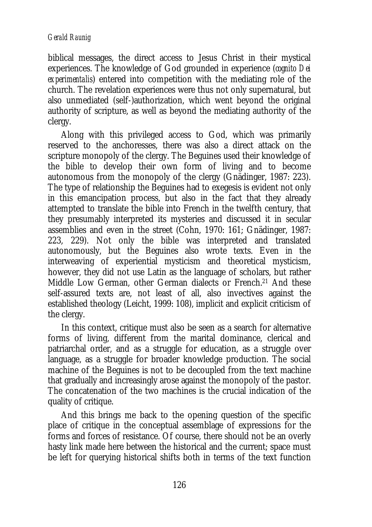#### *Gerald Raunig*

biblical messages, the direct access to Jesus Christ in their mystical experiences. The knowledge of God grounded in experience (*cognito Dei experimentalis*) entered into competition with the mediating role of the church. The revelation experiences were thus not only supernatural, but also unmediated (self-)authorization, which went beyond the original authority of scripture, as well as beyond the mediating authority of the clergy.

Along with this privileged access to God, which was primarily reserved to the anchoresses, there was also a direct attack on the scripture monopoly of the clergy. The Beguines used their knowledge of the bible to develop their own form of living and to become autonomous from the monopoly of the clergy (Gnädinger, 1987: 223). The type of relationship the Beguines had to exegesis is evident not only in this emancipation process, but also in the fact that they already attempted to translate the bible into French in the twelfth century, that they presumably interpreted its mysteries and discussed it in secular assemblies and even in the street (Cohn, 1970: 161; Gnädinger, 1987: 223, 229). Not only the bible was interpreted and translated autonomously, but the Beguines also wrote texts. Even in the interweaving of experiential mysticism and theoretical mysticism, however, they did not use Latin as the language of scholars, but rather Middle Low German, other German dialects or French.21 And these self-assured texts are, not least of all, also invectives against the established theology (Leicht, 1999: 108), implicit and explicit criticism of the clergy.

In this context, critique must also be seen as a search for alternative forms of living, different from the marital dominance, clerical and patriarchal order, and as a struggle for education, as a struggle over language, as a struggle for broader knowledge production. The social machine of the Beguines is not to be decoupled from the text machine that gradually and increasingly arose against the monopoly of the pastor. The concatenation of the two machines is the crucial indication of the quality of critique.

And this brings me back to the opening question of the specific place of critique in the conceptual assemblage of expressions for the forms and forces of resistance. Of course, there should not be an overly hasty link made here between the historical and the current; space must be left for querying historical shifts both in terms of the text function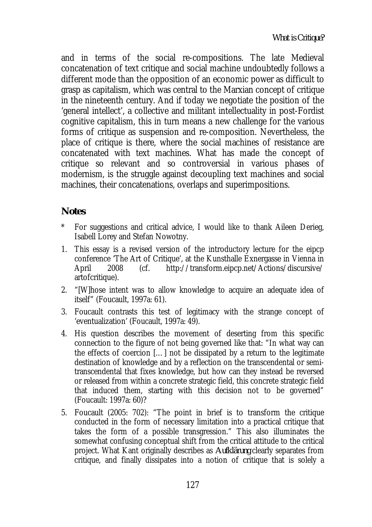and in terms of the social re-compositions. The late Medieval concatenation of text critique and social machine undoubtedly follows a different mode than the opposition of an economic power as difficult to grasp as capitalism, which was central to the Marxian concept of critique in the nineteenth century. And if today we negotiate the position of the 'general intellect', a collective and militant intellectuality in post-Fordist cognitive capitalism, this in turn means a new challenge for the various forms of critique as suspension and re-composition. Nevertheless, the place of critique is there, where the social machines of resistance are concatenated with text machines. What has made the concept of critique so relevant and so controversial in various phases of modernism, is the struggle against decoupling text machines and social machines, their concatenations, overlaps and superimpositions.

# **Notes**

- For suggestions and critical advice, I would like to thank Aileen Derieg, Isabell Lorey and Stefan Nowotny.
- 1. This essay is a revised version of the introductory lecture for the eipcp conference 'The Art of Critique', at the Kunsthalle Exnergasse in Vienna in April 2008 (cf. http://transform.eipcp.net/Actions/discursive/ artofcritique).
- 2. "[W]hose intent was to allow knowledge to acquire an adequate idea of itself" (Foucault, 1997a: 61).
- 3. Foucault contrasts this test of legitimacy with the strange concept of 'eventualization' (Foucault, 1997a: 49).
- 4. His question describes the movement of deserting from this specific connection to the figure of not being governed like that: "In what way can the effects of coercion […] not be dissipated by a return to the legitimate destination of knowledge and by a reflection on the transcendental or semitranscendental that fixes knowledge, but how can they instead be reversed or released from within a concrete strategic field, this concrete strategic field that induced them, starting with this decision not to be governed" (Foucault: 1997a: 60)?
- 5. Foucault (2005: 702): "The point in brief is to transform the critique conducted in the form of necessary limitation into a practical critique that takes the form of a possible transgression." This also illuminates the somewhat confusing conceptual shift from the critical attitude to the critical project. What Kant originally describes as *Aufklärung* clearly separates from critique, and finally dissipates into a notion of critique that is solely a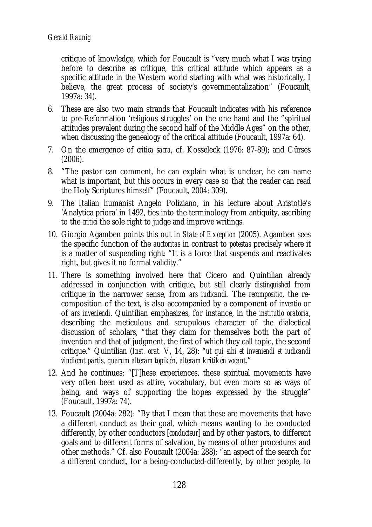critique of knowledge, which for Foucault is "very much what I was trying before to describe as critique, this critical attitude which appears as a specific attitude in the Western world starting with what was historically, I believe, the great process of society's governmentalization" (Foucault, 1997a: 34).

- 6. These are also two main strands that Foucault indicates with his reference to pre-Reformation 'religious struggles' on the one hand and the "spiritual attitudes prevalent during the second half of the Middle Ages" on the other, when discussing the genealogy of the critical attitude (Foucault, 1997a: 64).
- 7. On the emergence of *critica sacra*, cf. Kosseleck (1976: 87-89); and Gürses (2006).
- 8. "The pastor can comment, he can explain what is unclear, he can name what is important, but this occurs in every case so that the reader can read the Holy Scriptures himself" (Foucault, 2004: 309).
- 9. The Italian humanist Angelo Poliziano, in his lecture about Aristotle's 'Analytica priora' in 1492, ties into the terminology from antiquity, ascribing to the *critici* the sole right to judge and improve writings.
- 10. Giorgio Agamben points this out in *State of Exception* (2005). Agamben sees the specific function of the *auctoritas* in contrast to *potestas* precisely where it is a matter of suspending right: "It is a force that suspends and reactivates right, but gives it no formal validity."
- 11. There is something involved here that Cicero and Quintilian already addressed in conjunction with critique, but still clearly *distinguished* from critique in the narrower sense, from *ars iudicandi*. The *recompositio*, the recomposition of the text, is also accompanied by a component of *inventio* or of *ars inveniendi*. Quintilian emphasizes, for instance, in the *institutio oratoria*, describing the meticulous and scrupulous character of the dialectical discussion of scholars, "that they claim for themselves both the part of invention and that of judgment, the first of which they call topic, the second critique." Quintilian (*Inst. orat.* V, 14, 28): "*ut qui sibi et inveniendi et iudicandi vindicent partis, quarum alteram topikén, alteram kritikén vocant*."
- 12. And he continues: "[T]hese experiences, these spiritual movements have very often been used as attire, vocabulary, but even more so as ways of being, and ways of supporting the hopes expressed by the struggle" (Foucault, 1997a: 74).
- 13. Foucault (2004a: 282): "By that I mean that these are movements that have a different conduct as their goal, which means wanting to be conducted differently, by other conductors [*conducteur*] and by other pastors, to different goals and to different forms of salvation, by means of other procedures and other methods." Cf. also Foucault (2004a: 288): "an aspect of the search for a different conduct, for a being-conducted-differently, by other people, to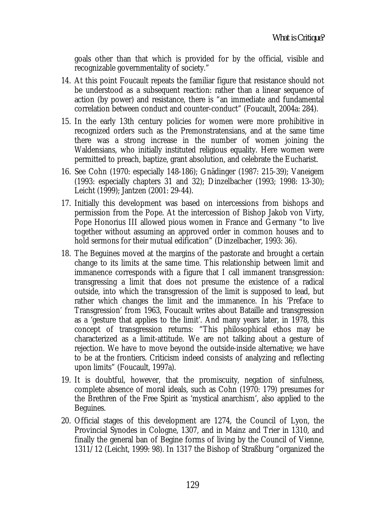goals other than that which is provided for by the official, visible and recognizable governmentality of society."

- 14. At this point Foucault repeats the familiar figure that resistance should not be understood as a subsequent reaction: rather than a linear sequence of action (by power) and resistance, there is "an immediate and fundamental correlation between conduct and counter-conduct" (Foucault, 2004a: 284).
- 15. In the early 13th century policies for women were more prohibitive in recognized orders such as the Premonstratensians, and at the same time there was a strong increase in the number of women joining the Waldensians, who initially instituted religious equality. Here women were permitted to preach, baptize, grant absolution, and celebrate the Eucharist.
- 16. See Cohn (1970: especially 148-186); Gnädinger (1987: 215-39); Vaneigem (1993: especially chapters 31 and 32); Dinzelbacher (1993; 1998: 13-30); Leicht (1999); Jantzen (2001: 29-44).
- 17. Initially this development was based on intercessions from bishops and permission from the Pope. At the intercession of Bishop Jakob von Virty, Pope Honorius III allowed pious women in France and Germany "to live together without assuming an approved order in common houses and to hold sermons for their mutual edification" (Dinzelbacher, 1993: 36).
- 18. The Beguines moved at the margins of the pastorate and brought a certain change to its limits at the same time. This relationship between limit and immanence corresponds with a figure that I call immanent transgression: transgressing a limit that does not presume the existence of a radical outside, into which the transgression of the limit is supposed to lead, but rather which changes the limit and the immanence. In his 'Preface to Transgression' from 1963, Foucault writes about Bataille and transgression as a 'gesture that applies to the limit'. And many years later, in 1978, this concept of transgression returns: "This philosophical ethos may be characterized as a limit-attitude. We are not talking about a gesture of rejection. We have to move beyond the outside-inside alternative; we have to be at the frontiers. Criticism indeed consists of analyzing and reflecting upon limits" (Foucault, 1997a).
- 19. It is doubtful, however, that the promiscuity, negation of sinfulness, complete absence of moral ideals, such as Cohn (1970: 179) presumes for the Brethren of the Free Spirit as 'mystical anarchism', also applied to the Beguines.
- 20. Official stages of this development are 1274, the Council of Lyon, the Provincial Synodes in Cologne, 1307, and in Mainz and Trier in 1310, and finally the general ban of Begine forms of living by the Council of Vienne, 1311/12 (Leicht, 1999: 98). In 1317 the Bishop of Straßburg "organized the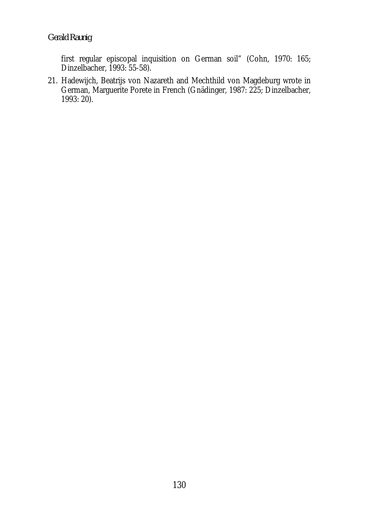first regular episcopal inquisition on German soil" (Cohn, 1970: 165; Dinzelbacher, 1993: 55-58).

21. Hadewijch, Beatrijs von Nazareth and Mechthild von Magdeburg wrote in German, Marguerite Porete in French (Gnädinger, 1987: 225; Dinzelbacher, 1993: 20).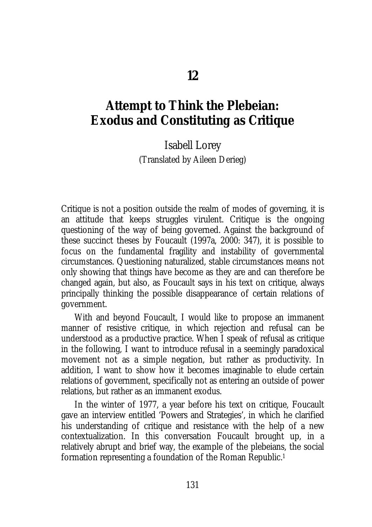# **Attempt to Think the Plebeian: Exodus and Constituting as Critique**

Isabell Lorey (Translated by Aileen Derieg)

Critique is not a position outside the realm of modes of governing, it is an attitude that keeps struggles virulent. Critique is the ongoing questioning of the way of being governed. Against the background of these succinct theses by Foucault (1997a, 2000: 347), it is possible to focus on the fundamental fragility and instability of governmental circumstances. Questioning naturalized, stable circumstances means not only showing that things have become as they are and can therefore be changed again, but also, as Foucault says in his text on critique, always principally thinking the possible disappearance of certain relations of government.

With and beyond Foucault, I would like to propose an immanent manner of resistive critique, in which rejection and refusal can be understood as a productive practice. When I speak of refusal as critique in the following, I want to introduce refusal in a seemingly paradoxical movement not as a simple negation, but rather as productivity. In addition, I want to show how it becomes imaginable to elude certain relations of government, specifically not as entering an outside of power relations, but rather as an immanent exodus.

In the winter of 1977, a year before his text on critique, Foucault gave an interview entitled 'Powers and Strategies', in which he clarified his understanding of critique and resistance with the help of a new contextualization. In this conversation Foucault brought up, in a relatively abrupt and brief way, the example of the plebeians, the social formation representing a foundation of the Roman Republic.1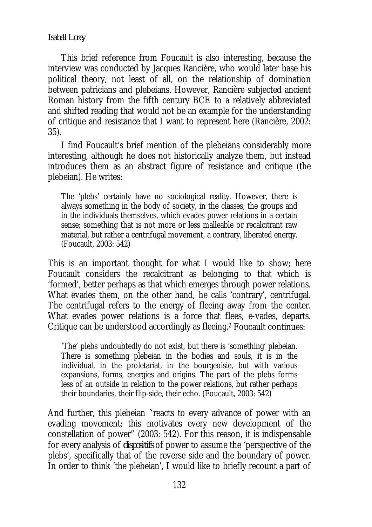*Isabell Lorey* 

This brief reference from Foucault is also interesting, because the interview was conducted by Jacques Rancière, who would later base his political theory, not least of all, on the relationship of domination between patricians and plebeians. However, Rancière subjected ancient Roman history from the fifth century BCE to a relatively abbreviated and shifted reading that would not be an example for the understanding of critique and resistance that I want to represent here (Rancière, 2002: 35).

I find Foucault's brief mention of the plebeians considerably more interesting, although he does not historically analyze them, but instead introduces them as an abstract figure of resistance and critique (the plebeian). He writes:

The 'plebs' certainly have no sociological reality. However, there is always something in the body of society, in the classes, the groups and in the individuals themselves, which evades power relations in a certain sense; something that is not more or less malleable or recalcitrant raw material, but rather a centrifugal movement, a contrary, liberated energy. (Foucault, 2003: 542)

This is an important thought for what I would like to show; here Foucault considers the recalcitrant as belonging to that which is 'formed', better perhaps as that which emerges through power relations. What evades them, on the other hand, he calls 'contrary', centrifugal. The centrifugal refers to the energy of fleeing away from the center. What evades power relations is a force that flees, e-vades, departs. Critique can be understood accordingly as fleeing.2 Foucault continues:

'The' plebs undoubtedly do not exist, but there is 'something' plebeian. There is something plebeian in the bodies and souls, it is in the individual, in the proletariat, in the bourgeoisie, but with various expansions, forms, energies and origins. The part of the plebs forms less of an outside in relation to the power relations, but rather perhaps their boundaries, their flip-side, their echo. (Foucault, 2003: 542)

And further, this plebeian "reacts to every advance of power with an evading movement; this motivates every new development of the constellation of power" (2003: 542). For this reason, it is indispensable for every analysis of *dispositifs* of power to assume the 'perspective of the plebs', specifically that of the reverse side and the boundary of power. In order to think 'the plebeian', I would like to briefly recount a part of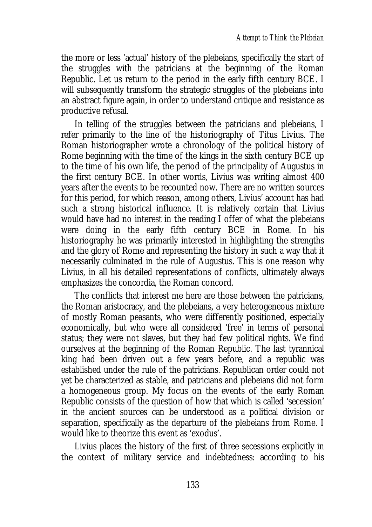the more or less 'actual' history of the plebeians, specifically the start of the struggles with the patricians at the beginning of the Roman Republic. Let us return to the period in the early fifth century BCE. I will subsequently transform the strategic struggles of the plebeians into an abstract figure again, in order to understand critique and resistance as productive refusal.

In telling of the struggles between the patricians and plebeians, I refer primarily to the line of the historiography of Titus Livius. The Roman historiographer wrote a chronology of the political history of Rome beginning with the time of the kings in the sixth century BCE up to the time of his own life, the period of the principality of Augustus in the first century BCE. In other words, Livius was writing almost 400 years after the events to be recounted now. There are no written sources for this period, for which reason, among others, Livius' account has had such a strong historical influence. It is relatively certain that Livius would have had no interest in the reading I offer of what the plebeians were doing in the early fifth century BCE in Rome. In his historiography he was primarily interested in highlighting the strengths and the glory of Rome and representing the history in such a way that it necessarily culminated in the rule of Augustus. This is one reason why Livius, in all his detailed representations of conflicts, ultimately always emphasizes the concordia, the Roman concord.

The conflicts that interest me here are those between the patricians, the Roman aristocracy, and the plebeians, a very heterogeneous mixture of mostly Roman peasants, who were differently positioned, especially economically, but who were all considered 'free' in terms of personal status; they were not slaves, but they had few political rights. We find ourselves at the beginning of the Roman Republic. The last tyrannical king had been driven out a few years before, and a republic was established under the rule of the patricians. Republican order could not yet be characterized as stable, and patricians and plebeians did not form a homogeneous group. My focus on the events of the early Roman Republic consists of the question of how that which is called 'secession' in the ancient sources can be understood as a political division or separation, specifically as the departure of the plebeians from Rome. I would like to theorize this event as 'exodus'.

Livius places the history of the first of three secessions explicitly in the context of military service and indebtedness: according to his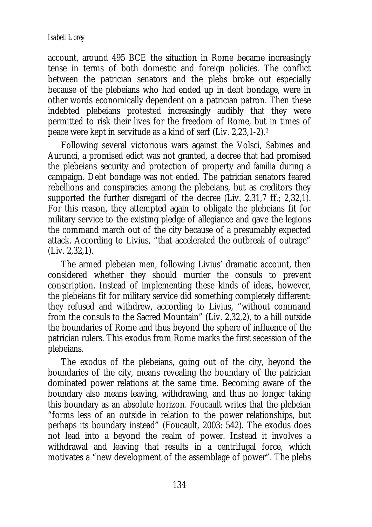account, around 495 BCE the situation in Rome became increasingly tense in terms of both domestic and foreign policies. The conflict between the patrician senators and the plebs broke out especially because of the plebeians who had ended up in debt bondage, were in other words economically dependent on a patrician patron. Then these indebted plebeians protested increasingly audibly that they were permitted to risk their lives for the freedom of Rome, but in times of peace were kept in servitude as a kind of serf (Liv. 2,23,1-2).3

Following several victorious wars against the Volsci, Sabines and Aurunci, a promised edict was not granted, a decree that had promised the plebeians security and protection of property and *familia* during a campaign. Debt bondage was not ended. The patrician senators feared rebellions and conspiracies among the plebeians, but as creditors they supported the further disregard of the decree (Liv. 2,31,7 ff.; 2,32,1). For this reason, they attempted again to obligate the plebeians fit for military service to the existing pledge of allegiance and gave the legions the command march out of the city because of a presumably expected attack. According to Livius, "that accelerated the outbreak of outrage" (Liv. 2,32,1).

The armed plebeian men, following Livius' dramatic account, then considered whether they should murder the consuls to prevent conscription. Instead of implementing these kinds of ideas, however, the plebeians fit for military service did something completely different: they refused and withdrew, according to Livius, "without command from the consuls to the Sacred Mountain" (Liv. 2,32,2), to a hill outside the boundaries of Rome and thus beyond the sphere of influence of the patrician rulers. This exodus from Rome marks the first secession of the plebeians.

The exodus of the plebeians, going out of the city, beyond the boundaries of the city, means revealing the boundary of the patrician dominated power relations at the same time. Becoming aware of the boundary also means leaving, withdrawing, and thus no longer taking this boundary as an absolute horizon. Foucault writes that the plebeian "forms less of an outside in relation to the power relationships, but perhaps its boundary instead" (Foucault, 2003: 542). The exodus does not lead into a beyond the realm of power. Instead it involves a withdrawal and leaving that results in a centrifugal force, which motivates a "new development of the assemblage of power". The plebs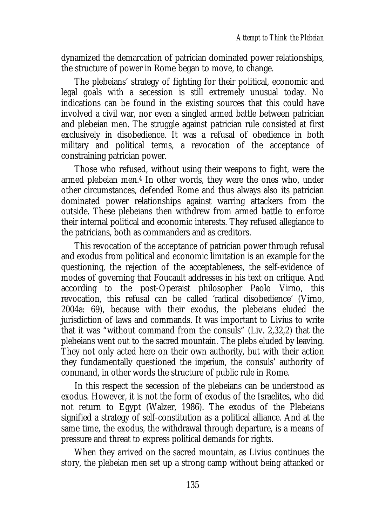dynamized the demarcation of patrician dominated power relationships, the structure of power in Rome began to move, to change.

The plebeians' strategy of fighting for their political, economic and legal goals with a secession is still extremely unusual today. No indications can be found in the existing sources that this could have involved a civil war, nor even a singled armed battle between patrician and plebeian men. The struggle against patrician rule consisted at first exclusively in disobedience. It was a refusal of obedience in both military and political terms, a revocation of the acceptance of constraining patrician power.

Those who refused, without using their weapons to fight, were the armed plebeian men.4 In other words, they were the ones who, under other circumstances, defended Rome and thus always also its patrician dominated power relationships against warring attackers from the outside. These plebeians then withdrew from armed battle to enforce their internal political and economic interests. They refused allegiance to the patricians, both as commanders and as creditors.

This revocation of the acceptance of patrician power through refusal and exodus from political and economic limitation is an example for the questioning, the rejection of the acceptableness, the self-evidence of modes of governing that Foucault addresses in his text on critique. And according to the post-Operaist philosopher Paolo Virno, this revocation, this refusal can be called 'radical disobedience' (Virno, 2004a: 69), because with their exodus, the plebeians eluded the jurisdiction of laws and commands. It was important to Livius to write that it was "without command from the consuls" (Liv. 2,32,2) that the plebeians went out to the sacred mountain. The plebs eluded by leaving. They not only acted here on their own authority, but with their action they fundamentally questioned the *imperium*, the consuls' authority of command, in other words the structure of public rule in Rome.

In this respect the secession of the plebeians can be understood as exodus. However, it is not the form of exodus of the Israelites, who did not return to Egypt (Walzer, 1986). The exodus of the Plebeians signified a strategy of self-constitution as a political alliance. And at the same time, the exodus, the withdrawal through departure, is a means of pressure and threat to express political demands for rights.

When they arrived on the sacred mountain, as Livius continues the story, the plebeian men set up a strong camp without being attacked or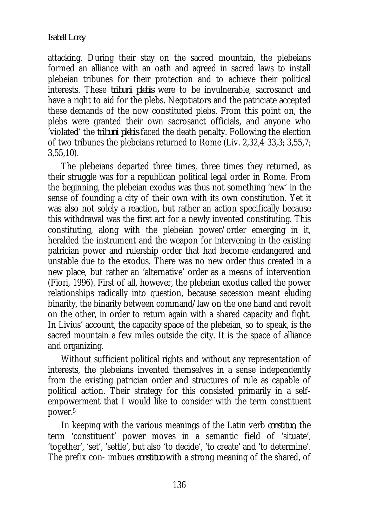#### *Isabell Lorey*

attacking. During their stay on the sacred mountain, the plebeians formed an alliance with an oath and agreed in sacred laws to install plebeian tribunes for their protection and to achieve their political interests. These *tribuni plebis* were to be invulnerable, sacrosanct and have a right to aid for the plebs. Negotiators and the patriciate accepted these demands of the now constituted plebs. From this point on, the plebs were granted their own sacrosanct officials, and anyone who 'violated' the *tribuni plebis* faced the death penalty. Following the election of two tribunes the plebeians returned to Rome (Liv. 2,32,4-33,3; 3,55,7; 3,55,10).

The plebeians departed three times, three times they returned, as their struggle was for a republican political legal order in Rome. From the beginning, the plebeian exodus was thus not something 'new' in the sense of founding a city of their own with its own constitution. Yet it was also not solely a reaction, but rather an action specifically because this withdrawal was the first act for a newly invented constituting. This constituting, along with the plebeian power/order emerging in it, heralded the instrument and the weapon for intervening in the existing patrician power and rulership order that had become endangered and unstable due to the exodus. There was no new order thus created in a new place, but rather an 'alternative' order as a means of intervention (Fiori, 1996). First of all, however, the plebeian exodus called the power relationships radically into question, because secession meant eluding binarity, the binarity between command/law on the one hand and revolt on the other, in order to return again with a shared capacity and fight. In Livius' account, the capacity space of the plebeian, so to speak, is the sacred mountain a few miles outside the city. It is the space of alliance and organizing.

Without sufficient political rights and without any representation of interests, the plebeians invented themselves in a sense independently from the existing patrician order and structures of rule as capable of political action. Their strategy for this consisted primarily in a selfempowerment that I would like to consider with the term constituent power.5

In keeping with the various meanings of the Latin verb *constituo*, the term 'constituent' power moves in a semantic field of 'situate', 'together', 'set', 'settle', but also 'to decide', 'to create' and 'to determine'. The prefix con- imbues *constituo* with a strong meaning of the shared, of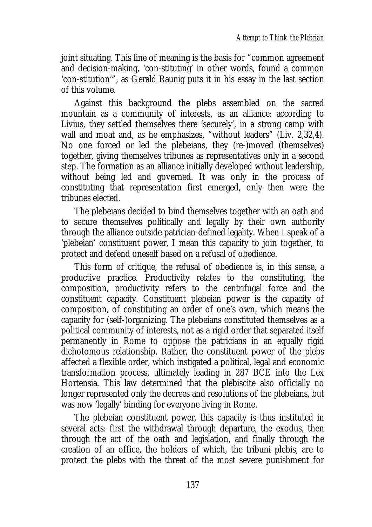joint situating. This line of meaning is the basis for "common agreement and decision-making, 'con-stituting' in other words, found a common 'con-stitution'", as Gerald Raunig puts it in his essay in the last section of this volume.

Against this background the plebs assembled on the sacred mountain as a community of interests, as an alliance: according to Livius, they settled themselves there 'securely', in a strong camp with wall and moat and, as he emphasizes, "without leaders" (Liv. 2,32,4). No one forced or led the plebeians, they (re-)moved (themselves) together, giving themselves tribunes as representatives only in a second step. The formation as an alliance initially developed without leadership, without being led and governed. It was only in the process of constituting that representation first emerged, only then were the tribunes elected.

The plebeians decided to bind themselves together with an oath and to secure themselves politically and legally by their own authority through the alliance outside patrician-defined legality. When I speak of a 'plebeian' constituent power, I mean this capacity to join together, to protect and defend oneself based on a refusal of obedience.

This form of critique, the refusal of obedience is, in this sense, a productive practice. Productivity relates to the constituting, the composition, productivity refers to the centrifugal force and the constituent capacity. Constituent plebeian power is the capacity of composition, of constituting an order of one's own, which means the capacity for (self-)organizing. The plebeians constituted themselves as a political community of interests, not as a rigid order that separated itself permanently in Rome to oppose the patricians in an equally rigid dichotomous relationship. Rather, the constituent power of the plebs affected a flexible order, which instigated a political, legal and economic transformation process, ultimately leading in 287 BCE into the Lex Hortensia. This law determined that the plebiscite also officially no longer represented only the decrees and resolutions of the plebeians, but was now 'legally' binding for everyone living in Rome.

The plebeian constituent power, this capacity is thus instituted in several acts: first the withdrawal through departure, the exodus, then through the act of the oath and legislation, and finally through the creation of an office, the holders of which, the tribuni plebis, are to protect the plebs with the threat of the most severe punishment for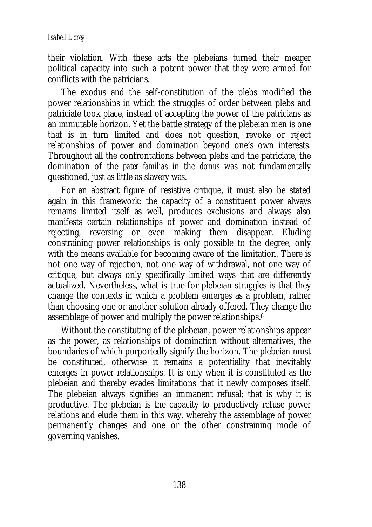their violation. With these acts the plebeians turned their meager political capacity into such a potent power that they were armed for conflicts with the patricians.

The exodus and the self-constitution of the plebs modified the power relationships in which the struggles of order between plebs and patriciate took place, instead of accepting the power of the patricians as an immutable horizon. Yet the battle strategy of the plebeian men is one that is in turn limited and does not question, revoke or reject relationships of power and domination beyond one's own interests. Throughout all the confrontations between plebs and the patriciate, the domination of the *pater familias* in the *domus* was not fundamentally questioned, just as little as slavery was.

For an abstract figure of resistive critique, it must also be stated again in this framework: the capacity of a constituent power always remains limited itself as well, produces exclusions and always also manifests certain relationships of power and domination instead of rejecting, reversing or even making them disappear. Eluding constraining power relationships is only possible to the degree, only with the means available for becoming aware of the limitation. There is not one way of rejection, not one way of withdrawal, not one way of critique, but always only specifically limited ways that are differently actualized. Nevertheless, what is true for plebeian struggles is that they change the contexts in which a problem emerges as a problem, rather than choosing one or another solution already offered. They change the assemblage of power and multiply the power relationships.6

Without the constituting of the plebeian, power relationships appear as the power, as relationships of domination without alternatives, the boundaries of which purportedly signify the horizon. The plebeian must be constituted, otherwise it remains a potentiality that inevitably emerges in power relationships. It is only when it is constituted as the plebeian and thereby evades limitations that it newly composes itself. The plebeian always signifies an immanent refusal; that is why it is productive. The plebeian is the capacity to productively refuse power relations and elude them in this way, whereby the assemblage of power permanently changes and one or the other constraining mode of governing vanishes.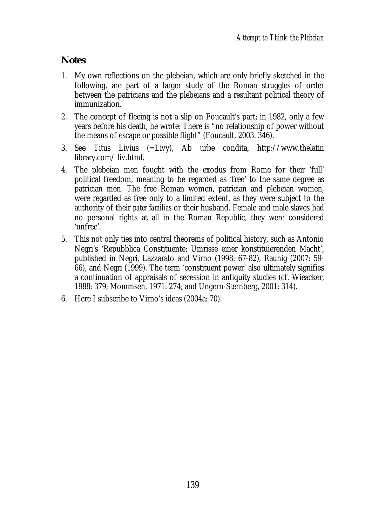# **Notes**

- 1. My own reflections on the plebeian, which are only briefly sketched in the following, are part of a larger study of the Roman struggles of order between the patricians and the plebeians and a resultant political theory of immunization.
- 2. The concept of fleeing is not a slip on Foucault's part; in 1982, only a few years before his death, he wrote: There is "no relationship of power without the means of escape or possible flight" (Foucault, 2003: 346).
- 3. See Titus Livius (=Livy), Ab urbe condita, http://www.thelatin library.com/ liv.html.
- 4. The plebeian men fought with the exodus from Rome for their 'full' political freedom, meaning to be regarded as 'free' to the same degree as patrician men. The free Roman women, patrician and plebeian women, were regarded as free only to a limited extent, as they were subject to the authority of their *pater familias* or their husband. Female and male slaves had no personal rights at all in the Roman Republic, they were considered 'unfree'.
- 5. This not only ties into central theorems of political history, such as Antonio Negri's 'Repubblica Constituente: Umrisse einer konstituierenden Macht', published in Negri, Lazzarato and Virno (1998: 67-82), Raunig (2007: 59- 66), and Negri (1999). The term 'constituent power' also ultimately signifies a continuation of appraisals of secession in antiquity studies (cf. Wieacker, 1988: 379; Mommsen, 1971: 274; and Ungern-Sternberg, 2001: 314).
- 6. Here I subscribe to Virno's ideas (2004a: 70).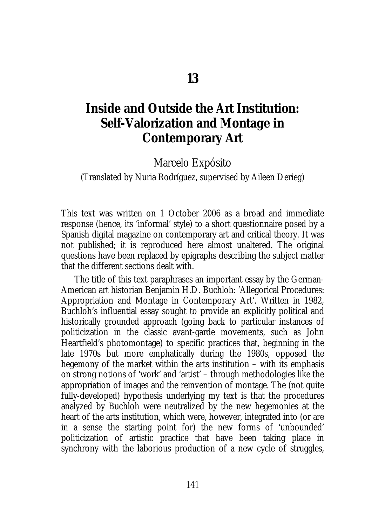# **Inside and Outside the Art Institution: Self-Valorization and Montage in Contemporary Art**

Marcelo Expósito

(Translated by Nuria Rodríguez, supervised by Aileen Derieg)

This text was written on 1 October 2006 as a broad and immediate response (hence, its 'informal' style) to a short questionnaire posed by a Spanish digital magazine on contemporary art and critical theory. It was not published; it is reproduced here almost unaltered. The original questions have been replaced by epigraphs describing the subject matter that the different sections dealt with.

The title of this text paraphrases an important essay by the German-American art historian Benjamin H.D. Buchloh: 'Allegorical Procedures: Appropriation and Montage in Contemporary Art'. Written in 1982, Buchloh's influential essay sought to provide an explicitly political and historically grounded approach (going back to particular instances of politicization in the classic avant-garde movements, such as John Heartfield's photomontage) to specific practices that, beginning in the late 1970s but more emphatically during the 1980s, opposed the hegemony of the market within the arts institution – with its emphasis on strong notions of 'work' and 'artist' – through methodologies like the appropriation of images and the reinvention of montage. The (not quite fully-developed) hypothesis underlying my text is that the procedures analyzed by Buchloh were neutralized by the new hegemonies at the heart of the arts institution, which were, however, integrated into (or are in a sense the starting point for) the new forms of 'unbounded' politicization of artistic practice that have been taking place in synchrony with the laborious production of a new cycle of struggles,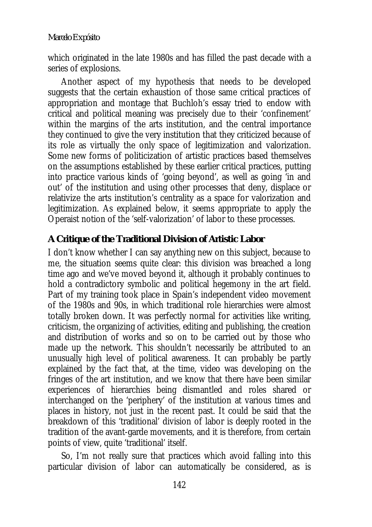#### *Marcelo Expósito*

which originated in the late 1980s and has filled the past decade with a series of explosions.

Another aspect of my hypothesis that needs to be developed suggests that the certain exhaustion of those same critical practices of appropriation and montage that Buchloh's essay tried to endow with critical and political meaning was precisely due to their 'confinement' within the margins of the arts institution, and the central importance they continued to give the very institution that they criticized because of its role as virtually the only space of legitimization and valorization. Some new forms of politicization of artistic practices based themselves on the assumptions established by these earlier critical practices, putting into practice various kinds of 'going beyond', as well as going 'in and out' of the institution and using other processes that deny, displace or relativize the arts institution's centrality as a space for valorization and legitimization. As explained below, it seems appropriate to apply the Operaist notion of the 'self-valorization' of labor to these processes.

# **A Critique of the Traditional Division of Artistic Labor**

I don't know whether I can say anything new on this subject, because to me, the situation seems quite clear: this division was breached a long time ago and we've moved beyond it, although it probably continues to hold a contradictory symbolic and political hegemony in the art field. Part of my training took place in Spain's independent video movement of the 1980s and 90s, in which traditional role hierarchies were almost totally broken down. It was perfectly normal for activities like writing, criticism, the organizing of activities, editing and publishing, the creation and distribution of works and so on to be carried out by those who made up the network. This shouldn't necessarily be attributed to an unusually high level of political awareness. It can probably be partly explained by the fact that, at the time, video was developing on the fringes of the art institution, and we know that there have been similar experiences of hierarchies being dismantled and roles shared or interchanged on the 'periphery' of the institution at various times and places in history, not just in the recent past. It could be said that the breakdown of this 'traditional' division of labor is deeply rooted in the tradition of the avant-garde movements, and it is therefore, from certain points of view, quite 'traditional' itself.

So, I'm not really sure that practices which avoid falling into this particular division of labor can automatically be considered, as is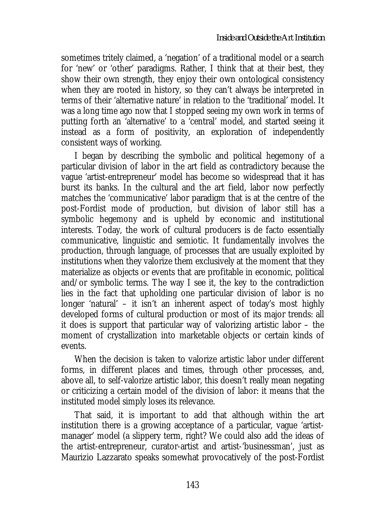sometimes tritely claimed, a 'negation' of a traditional model or a search for 'new' or 'other' paradigms. Rather, I think that at their best, they show their own strength, they enjoy their own ontological consistency when they are rooted in history, so they can't always be interpreted in terms of their 'alternative nature' in relation to the 'traditional' model. It was a long time ago now that I stopped seeing my own work in terms of putting forth an 'alternative' to a 'central' model, and started seeing it instead as a form of positivity, an exploration of independently consistent ways of working.

I began by describing the symbolic and political hegemony of a particular division of labor in the art field as contradictory because the vague 'artist-entrepreneur' model has become so widespread that it has burst its banks. In the cultural and the art field, labor now perfectly matches the 'communicative' labor paradigm that is at the centre of the post-Fordist mode of production, but division of labor still has a symbolic hegemony and is upheld by economic and institutional interests. Today, the work of cultural producers is de facto essentially communicative, linguistic and semiotic. It fundamentally involves the production, through language, of processes that are usually exploited by institutions when they valorize them exclusively at the moment that they materialize as objects or events that are profitable in economic, political and/or symbolic terms. The way I see it, the key to the contradiction lies in the fact that upholding one particular division of labor is no longer 'natural' – it isn't an inherent aspect of today's most highly developed forms of cultural production or most of its major trends: all it does is support that particular way of valorizing artistic labor – the moment of crystallization into marketable objects or certain kinds of events.

When the decision is taken to valorize artistic labor under different forms, in different places and times, through other processes, and, above all, to self-valorize artistic labor, this doesn't really mean negating or criticizing a certain model of the division of labor: it means that the instituted model simply loses its relevance.

That said, it is important to add that although within the art institution there is a growing acceptance of a particular, vague 'artistmanager' model (a slippery term, right? We could also add the ideas of the artist-entrepreneur, curator-artist and artist-'businessman', just as Maurizio Lazzarato speaks somewhat provocatively of the post-Fordist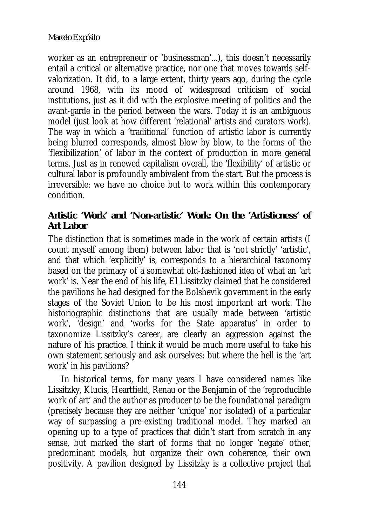#### *Marcelo Expósito*

worker as an entrepreneur or 'businessman'...), this doesn't necessarily entail a critical or alternative practice, nor one that moves towards selfvalorization. It did, to a large extent, thirty years ago, during the cycle around 1968, with its mood of widespread criticism of social institutions, just as it did with the explosive meeting of politics and the avant-garde in the period between the wars. Today it is an ambiguous model (just look at how different 'relational' artists and curators work). The way in which a 'traditional' function of artistic labor is currently being blurred corresponds, almost blow by blow, to the forms of the 'flexibilization' of labor in the context of production in more general terms. Just as in renewed capitalism overall, the 'flexibility' of artistic or cultural labor is profoundly ambivalent from the start. But the process is irreversible: we have no choice but to work within this contemporary condition.

### **Artistic 'Work' and 'Non-artistic' Work: On the 'Artisticness' of Art Labor**

The distinction that is sometimes made in the work of certain artists (I count myself among them) between labor that is 'not strictly' 'artistic', and that which 'explicitly' is, corresponds to a hierarchical taxonomy based on the primacy of a somewhat old-fashioned idea of what an 'art work' is. Near the end of his life, El Lissitzky claimed that he considered the pavilions he had designed for the Bolshevik government in the early stages of the Soviet Union to be his most important art work. The historiographic distinctions that are usually made between 'artistic work', 'design' and 'works for the State apparatus' in order to taxonomize Lissitzky's career, are clearly an aggression against the nature of his practice. I think it would be much more useful to take his own statement seriously and ask ourselves: but where the hell is the 'art work' in his pavilions?

In historical terms, for many years I have considered names like Lissitzky, Klucis, Heartfield, Renau or the Benjamin of the 'reproducible work of art' and the author as producer to be the foundational paradigm (precisely because they are neither 'unique' nor isolated) of a particular way of surpassing a pre-existing traditional model. They marked an opening up to a type of practices that didn't start from scratch in any sense, but marked the start of forms that no longer 'negate' other, predominant models, but organize their own coherence, their own positivity. A pavilion designed by Lissitzky is a collective project that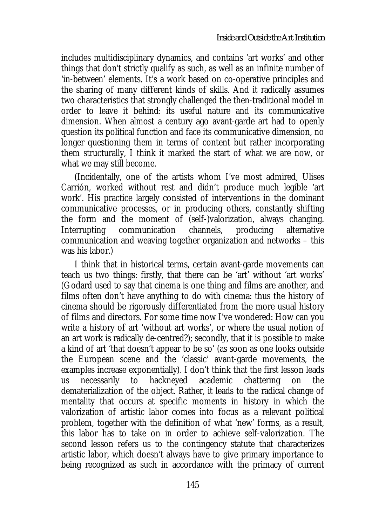includes multidisciplinary dynamics, and contains 'art works' and other things that don't strictly qualify as such, as well as an infinite number of 'in-between' elements. It's a work based on co-operative principles and the sharing of many different kinds of skills. And it radically assumes two characteristics that strongly challenged the then-traditional model in order to leave it behind: its useful nature and its communicative dimension. When almost a century ago avant-garde art had to openly question its political function and face its communicative dimension, no longer questioning them in terms of content but rather incorporating them structurally, I think it marked the start of what we are now, or what we may still become.

(Incidentally, one of the artists whom I've most admired, Ulises Carrión, worked without rest and didn't produce much legible 'art work'. His practice largely consisted of interventions in the dominant communicative processes, or in producing others, constantly shifting the form and the moment of (self-)valorization, always changing. Interrupting communication channels, producing alternative communication and weaving together organization and networks – this was his labor.)

I think that in historical terms, certain avant-garde movements can teach us two things: firstly, that there can be 'art' without 'art works' (Godard used to say that cinema is one thing and films are another, and films often don't have anything to do with cinema: thus the history of cinema should be rigorously differentiated from the more usual history of films and directors. For some time now I've wondered: How can you write a history of art 'without art works', or where the usual notion of an art work is radically de-centred?); secondly, that it is possible to make a kind of art 'that doesn't appear to be so' (as soon as one looks outside the European scene and the 'classic' avant-garde movements, the examples increase exponentially). I don't think that the first lesson leads us necessarily to hackneyed academic chattering on the dematerialization of the object. Rather, it leads to the radical change of mentality that occurs at specific moments in history in which the valorization of artistic labor comes into focus as a relevant political problem, together with the definition of what 'new' forms, as a result, this labor has to take on in order to achieve self-valorization. The second lesson refers us to the contingency statute that characterizes artistic labor, which doesn't always have to give primary importance to being recognized as such in accordance with the primacy of current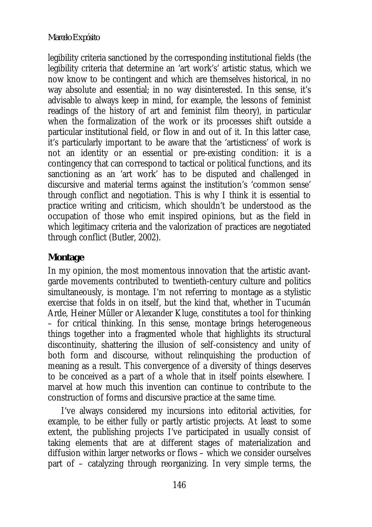#### *Marcelo Expósito*

legibility criteria sanctioned by the corresponding institutional fields (the legibility criteria that determine an 'art work's' artistic status, which we now know to be contingent and which are themselves historical, in no way absolute and essential; in no way disinterested. In this sense, it's advisable to always keep in mind, for example, the lessons of feminist readings of the history of art and feminist film theory), in particular when the formalization of the work or its processes shift outside a particular institutional field, or flow in and out of it. In this latter case, it's particularly important to be aware that the 'artisticness' of work is not an identity or an essential or pre-existing condition: it is a contingency that can correspond to tactical or political functions, and its sanctioning as an 'art work' has to be disputed and challenged in discursive and material terms against the institution's 'common sense' through conflict and negotiation. This is why I think it is essential to practice writing and criticism, which shouldn't be understood as the occupation of those who emit inspired opinions, but as the field in which legitimacy criteria and the valorization of practices are negotiated through conflict (Butler, 2002).

# **Montage**

In my opinion, the most momentous innovation that the artistic avantgarde movements contributed to twentieth-century culture and politics simultaneously, is montage. I'm not referring to montage as a stylistic exercise that folds in on itself, but the kind that, whether in Tucumán Arde, Heiner Müller or Alexander Kluge, constitutes a tool for thinking – for critical thinking. In this sense, montage brings heterogeneous things together into a fragmented whole that highlights its structural discontinuity, shattering the illusion of self-consistency and unity of both form and discourse, without relinquishing the production of meaning as a result. This convergence of a diversity of things deserves to be conceived as a part of a whole that in itself points elsewhere. I marvel at how much this invention can continue to contribute to the construction of forms and discursive practice at the same time.

I've always considered my incursions into editorial activities, for example, to be either fully or partly artistic projects. At least to some extent, the publishing projects I've participated in usually consist of taking elements that are at different stages of materialization and diffusion within larger networks or flows – which we consider ourselves part of – catalyzing through reorganizing. In very simple terms, the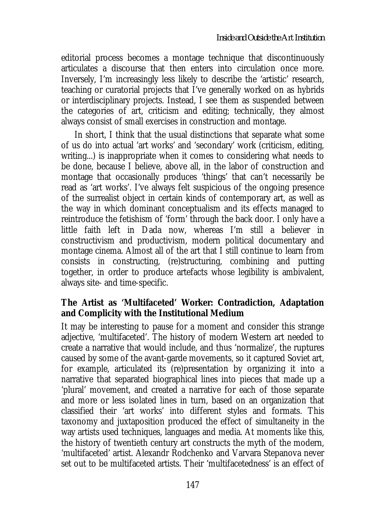editorial process becomes a montage technique that discontinuously articulates a discourse that then enters into circulation once more. Inversely, I'm increasingly less likely to describe the 'artistic' research, teaching or curatorial projects that I've generally worked on as hybrids or interdisciplinary projects. Instead, I see them as suspended between the categories of art, criticism and editing; technically, they almost always consist of small exercises in construction and montage.

In short, I think that the usual distinctions that separate what some of us do into actual 'art works' and 'secondary' work (criticism, editing, writing...) is inappropriate when it comes to considering what needs to be done, because I believe, above all, in the labor of construction and montage that occasionally produces 'things' that can't necessarily be read as 'art works'. I've always felt suspicious of the ongoing presence of the surrealist object in certain kinds of contemporary art, as well as the way in which dominant conceptualism and its effects managed to reintroduce the fetishism of 'form' through the back door. I only have a little faith left in Dada now, whereas I'm still a believer in constructivism and productivism, modern political documentary and montage cinema. Almost all of the art that I still continue to learn from consists in constructing, (re)structuring, combining and putting together, in order to produce artefacts whose legibility is ambivalent, always site- and time-specific.

# **The Artist as 'Multifaceted' Worker: Contradiction, Adaptation and Complicity with the Institutional Medium**

It may be interesting to pause for a moment and consider this strange adjective, 'multifaceted'. The history of modern Western art needed to create a narrative that would include, and thus 'normalize', the ruptures caused by some of the avant-garde movements, so it captured Soviet art, for example, articulated its (re)presentation by organizing it into a narrative that separated biographical lines into pieces that made up a 'plural' movement, and created a narrative for each of those separate and more or less isolated lines in turn, based on an organization that classified their 'art works' into different styles and formats. This taxonomy and juxtaposition produced the effect of simultaneity in the way artists used techniques, languages and media. At moments like this, the history of twentieth century art constructs the myth of the modern, 'multifaceted' artist. Alexandr Rodchenko and Varvara Stepanova never set out to be multifaceted artists. Their 'multifacetedness' is an effect of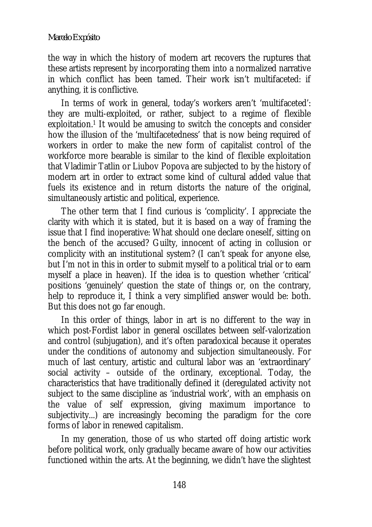the way in which the history of modern art recovers the ruptures that these artists represent by incorporating them into a normalized narrative in which conflict has been tamed. Their work isn't multifaceted: if anything, it is conflictive.

In terms of work in general, today's workers aren't 'multifaceted': they are multi-exploited, or rather, subject to a regime of flexible exploitation.<sup>1</sup> It would be amusing to switch the concepts and consider how the illusion of the 'multifacetedness' that is now being required of workers in order to make the new form of capitalist control of the workforce more bearable is similar to the kind of flexible exploitation that Vladimir Tatlin or Liubov Popova are subjected to by the history of modern art in order to extract some kind of cultural added value that fuels its existence and in return distorts the nature of the original, simultaneously artistic and political, experience.

The other term that I find curious is 'complicity'. I appreciate the clarity with which it is stated, but it is based on a way of framing the issue that I find inoperative: What should one declare oneself, sitting on the bench of the accused? Guilty, innocent of acting in collusion or complicity with an institutional system? (I can't speak for anyone else, but I'm not in this in order to submit myself to a political trial or to earn myself a place in heaven). If the idea is to question whether 'critical' positions 'genuinely' question the state of things or, on the contrary, help to reproduce it, I think a very simplified answer would be: both. But this does not go far enough.

In this order of things, labor in art is no different to the way in which post-Fordist labor in general oscillates between self-valorization and control (subjugation), and it's often paradoxical because it operates under the conditions of autonomy and subjection simultaneously. For much of last century, artistic and cultural labor was an 'extraordinary' social activity – outside of the ordinary, exceptional. Today, the characteristics that have traditionally defined it (deregulated activity not subject to the same discipline as 'industrial work', with an emphasis on the value of self expression, giving maximum importance to subjectivity...) are increasingly becoming the paradigm for the core forms of labor in renewed capitalism.

In my generation, those of us who started off doing artistic work before political work, only gradually became aware of how our activities functioned within the arts. At the beginning, we didn't have the slightest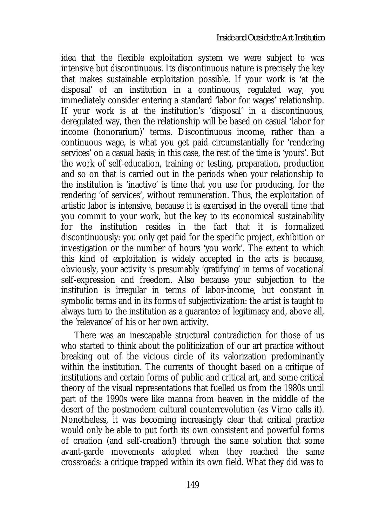idea that the flexible exploitation system we were subject to was intensive but discontinuous. Its discontinuous nature is precisely the key that makes sustainable exploitation possible. If your work is 'at the disposal' of an institution in a continuous, regulated way, you immediately consider entering a standard 'labor for wages' relationship. If your work is at the institution's 'disposal' in a discontinuous, deregulated way, then the relationship will be based on casual 'labor for income (honorarium)' terms. Discontinuous income, rather than a continuous wage, is what you get paid circumstantially for 'rendering services' on a casual basis; in this case, the rest of the time is 'yours'. But the work of self-education, training or testing, preparation, production and so on that is carried out in the periods when your relationship to the institution is 'inactive' is time that you use for producing, for the rendering 'of services', without remuneration. Thus, the exploitation of artistic labor is intensive, because it is exercised in the overall time that you commit to your work, but the key to its economical sustainability for the institution resides in the fact that it is formalized discontinuously: you only get paid for the specific project, exhibition or investigation or the number of hours 'you work'. The extent to which this kind of exploitation is widely accepted in the arts is because, obviously, your activity is presumably 'gratifying' in terms of vocational self-expression and freedom. Also because your subjection to the institution is irregular in terms of labor-income, but constant in symbolic terms and in its forms of subjectivization: the artist is taught to always turn to the institution as a guarantee of legitimacy and, above all, the 'relevance' of his or her own activity.

There was an inescapable structural contradiction for those of us who started to think about the politicization of our art practice without breaking out of the vicious circle of its valorization predominantly within the institution. The currents of thought based on a critique of institutions and certain forms of public and critical art, and some critical theory of the visual representations that fuelled us from the 1980s until part of the 1990s were like manna from heaven in the middle of the desert of the postmodern cultural counterrevolution (as Virno calls it). Nonetheless, it was becoming increasingly clear that critical practice would only be able to put forth its own consistent and powerful forms of creation (and self-creation!) through the same solution that some avant-garde movements adopted when they reached the same crossroads: a critique trapped within its own field. What they did was to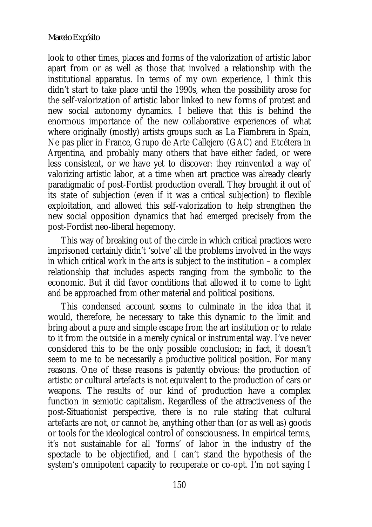#### *Marcelo Expósito*

look to other times, places and forms of the valorization of artistic labor apart from or as well as those that involved a relationship with the institutional apparatus. In terms of my own experience, I think this didn't start to take place until the 1990s, when the possibility arose for the self-valorization of artistic labor linked to new forms of protest and new social autonomy dynamics. I believe that this is behind the enormous importance of the new collaborative experiences of what where originally (mostly) artists groups such as La Fiambrera in Spain, Ne pas plier in France, Grupo de Arte Callejero (GAC) and Etcétera in Argentina, and probably many others that have either faded, or were less consistent, or we have yet to discover: they reinvented a way of valorizing artistic labor, at a time when art practice was already clearly paradigmatic of post-Fordist production overall. They brought it out of its state of subjection (even if it was a critical subjection) to flexible exploitation, and allowed this self-valorization to help strengthen the new social opposition dynamics that had emerged precisely from the post-Fordist neo-liberal hegemony.

This way of breaking out of the circle in which critical practices were imprisoned certainly didn't 'solve' all the problems involved in the ways in which critical work in the arts is subject to the institution – a complex relationship that includes aspects ranging from the symbolic to the economic. But it did favor conditions that allowed it to come to light and be approached from other material and political positions.

This condensed account seems to culminate in the idea that it would, therefore, be necessary to take this dynamic to the limit and bring about a pure and simple escape from the art institution or to relate to it from the outside in a merely cynical or instrumental way. I've never considered this to be the only possible conclusion; in fact, it doesn't seem to me to be necessarily a productive political position. For many reasons. One of these reasons is patently obvious: the production of artistic or cultural artefacts is not equivalent to the production of cars or weapons. The results of our kind of production have a complex function in semiotic capitalism. Regardless of the attractiveness of the post-Situationist perspective, there is no rule stating that cultural artefacts are not, or cannot be, anything other than (or as well as) goods or tools for the ideological control of consciousness. In empirical terms, it's not sustainable for all 'forms' of labor in the industry of the spectacle to be objectified, and I can't stand the hypothesis of the system's omnipotent capacity to recuperate or co-opt. I'm not saying I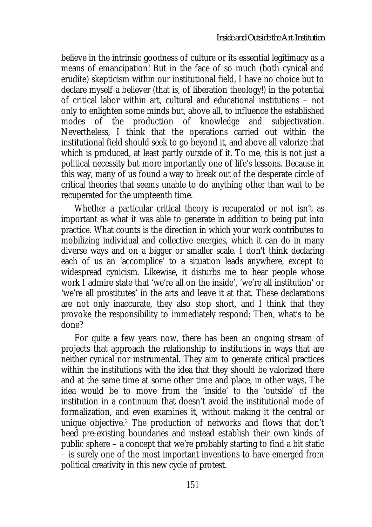believe in the intrinsic goodness of culture or its essential legitimacy as a means of emancipation! But in the face of so much (both cynical and erudite) skepticism within our institutional field, I have no choice but to declare myself a believer (that is, of liberation theology!) in the potential of critical labor within art, cultural and educational institutions – not only to enlighten some minds but, above all, to influence the established modes of the production of knowledge and subjectivation. Nevertheless, I think that the operations carried out within the institutional field should seek to go beyond it, and above all valorize that which is produced, at least partly outside of it. To me, this is not just a political necessity but more importantly one of life's lessons. Because in this way, many of us found a way to break out of the desperate circle of critical theories that seems unable to do anything other than wait to be recuperated for the umpteenth time.

Whether a particular critical theory is recuperated or not isn't as important as what it was able to generate in addition to being put into practice. What counts is the direction in which your work contributes to mobilizing individual and collective energies, which it can do in many diverse ways and on a bigger or smaller scale. I don't think declaring each of us an 'accomplice' to a situation leads anywhere, except to widespread cynicism. Likewise, it disturbs me to hear people whose work I admire state that 'we're all on the inside', 'we're all institution' or 'we're all prostitutes' in the arts and leave it at that. These declarations are not only inaccurate, they also stop short, and I think that they provoke the responsibility to immediately respond: Then, what's to be done?

For quite a few years now, there has been an ongoing stream of projects that approach the relationship to institutions in ways that are neither cynical nor instrumental. They aim to generate critical practices within the institutions with the idea that they should be valorized there and at the same time at some other time and place, in other ways. The idea would be to move from the 'inside' to the 'outside' of the institution in a continuum that doesn't avoid the institutional mode of formalization, and even examines it, without making it the central or unique objective.2 The production of networks and flows that don't heed pre-existing boundaries and instead establish their own kinds of public sphere – a concept that we're probably starting to find a bit static – is surely one of the most important inventions to have emerged from political creativity in this new cycle of protest.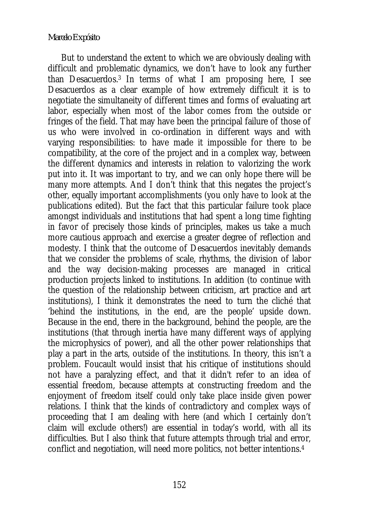#### *Marcelo Expósito*

But to understand the extent to which we are obviously dealing with difficult and problematic dynamics, we don't have to look any further than Desacuerdos.3 In terms of what I am proposing here, I see Desacuerdos as a clear example of how extremely difficult it is to negotiate the simultaneity of different times and forms of evaluating art labor, especially when most of the labor comes from the outside or fringes of the field. That may have been the principal failure of those of us who were involved in co-ordination in different ways and with varying responsibilities: to have made it impossible for there to be compatibility, at the core of the project and in a complex way, between the different dynamics and interests in relation to valorizing the work put into it. It was important to try, and we can only hope there will be many more attempts. And I don't think that this negates the project's other, equally important accomplishments (you only have to look at the publications edited). But the fact that this particular failure took place amongst individuals and institutions that had spent a long time fighting in favor of precisely those kinds of principles, makes us take a much more cautious approach and exercise a greater degree of reflection and modesty. I think that the outcome of Desacuerdos inevitably demands that we consider the problems of scale, rhythms, the division of labor and the way decision-making processes are managed in critical production projects linked to institutions. In addition (to continue with the question of the relationship between criticism, art practice and art institutions), I think it demonstrates the need to turn the cliché that 'behind the institutions, in the end, are the people' upside down. Because in the end, there in the background, behind the people, are the institutions (that through inertia have many different ways of applying the microphysics of power), and all the other power relationships that play a part in the arts, outside of the institutions. In theory, this isn't a problem. Foucault would insist that his critique of institutions should not have a paralyzing effect, and that it didn't refer to an idea of essential freedom, because attempts at constructing freedom and the enjoyment of freedom itself could only take place inside given power relations. I think that the kinds of contradictory and complex ways of proceeding that I am dealing with here (and which I certainly don't claim will exclude others!) are essential in today's world, with all its difficulties. But I also think that future attempts through trial and error, conflict and negotiation, will need more politics, not better intentions.4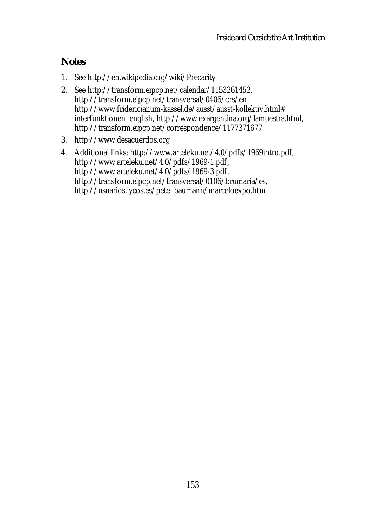# **Notes**

- 1. See http://en.wikipedia.org/wiki/Precarity
- 2. See http://transform.eipcp.net/calendar/1153261452, http://transform.eipcp.net/transversal/0406/crs/en, http://www.fridericianum-kassel.de/ausst/ausst-kollektiv.html# interfunktionen\_english, http://www.exargentina.org/lamuestra.html, http://transform.eipcp.net/correspondence/1177371677
- 3. http://www.desacuerdos.org
- 4. Additional links: http://www.arteleku.net/4.0/pdfs/1969intro.pdf, http://www.arteleku.net/4.0/pdfs/1969-1.pdf, http://www.arteleku.net/4.0/pdfs/1969-3.pdf, http://transform.eipcp.net/transversal/0106/brumaria/es, http://usuarios.lycos.es/pete\_baumann/marceloexpo.htm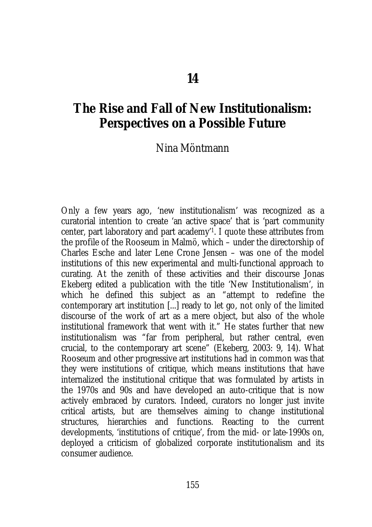# **The Rise and Fall of New Institutionalism: Perspectives on a Possible Future**

Nina Möntmann

Only a few years ago, 'new institutionalism' was recognized as a curatorial intention to create 'an active space' that is 'part community center, part laboratory and part academy'1. I quote these attributes from the profile of the Rooseum in Malmö, which – under the directorship of Charles Esche and later Lene Crone Jensen – was one of the model institutions of this new experimental and multi-functional approach to curating. At the zenith of these activities and their discourse Jonas Ekeberg edited a publication with the title 'New Institutionalism', in which he defined this subject as an "attempt to redefine the contemporary art institution [...] ready to let go, not only of the limited discourse of the work of art as a mere object, but also of the whole institutional framework that went with it." He states further that new institutionalism was "far from peripheral, but rather central, even crucial, to the contemporary art scene" (Ekeberg, 2003: 9, 14). What Rooseum and other progressive art institutions had in common was that they were institutions of critique, which means institutions that have internalized the institutional critique that was formulated by artists in the 1970s and 90s and have developed an auto-critique that is now actively embraced by curators. Indeed, curators no longer just invite critical artists, but are themselves aiming to change institutional structures, hierarchies and functions. Reacting to the current developments, 'institutions of critique', from the mid- or late-1990s on, deployed a criticism of globalized corporate institutionalism and its consumer audience.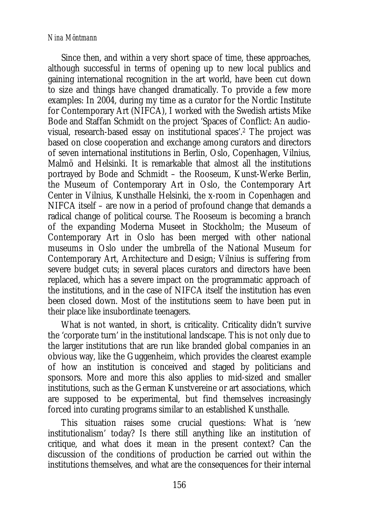#### *Nina Möntmann*

Since then, and within a very short space of time, these approaches, although successful in terms of opening up to new local publics and gaining international recognition in the art world, have been cut down to size and things have changed dramatically. To provide a few more examples: In 2004, during my time as a curator for the Nordic Institute for Contemporary Art (NIFCA), I worked with the Swedish artists Mike Bode and Staffan Schmidt on the project 'Spaces of Conflict: An audiovisual, research-based essay on institutional spaces'.2 The project was based on close cooperation and exchange among curators and directors of seven international institutions in Berlin, Oslo, Copenhagen, Vilnius, Malmö and Helsinki. It is remarkable that almost all the institutions portrayed by Bode and Schmidt – the Rooseum, Kunst-Werke Berlin, the Museum of Contemporary Art in Oslo, the Contemporary Art Center in Vilnius, Kunsthalle Helsinki, the x-room in Copenhagen and NIFCA itself – are now in a period of profound change that demands a radical change of political course. The Rooseum is becoming a branch of the expanding Moderna Museet in Stockholm; the Museum of Contemporary Art in Oslo has been merged with other national museums in Oslo under the umbrella of the National Museum for Contemporary Art, Architecture and Design; Vilnius is suffering from severe budget cuts; in several places curators and directors have been replaced, which has a severe impact on the programmatic approach of the institutions, and in the case of NIFCA itself the institution has even been closed down. Most of the institutions seem to have been put in their place like insubordinate teenagers.

What is not wanted, in short, is criticality. Criticality didn't survive the 'corporate turn' in the institutional landscape. This is not only due to the larger institutions that are run like branded global companies in an obvious way, like the Guggenheim, which provides the clearest example of how an institution is conceived and staged by politicians and sponsors. More and more this also applies to mid-sized and smaller institutions, such as the German Kunstvereine or art associations, which are supposed to be experimental, but find themselves increasingly forced into curating programs similar to an established Kunsthalle.

This situation raises some crucial questions: What is 'new institutionalism' today? Is there still anything like an institution of critique, and what does it mean in the present context? Can the discussion of the conditions of production be carried out within the institutions themselves, and what are the consequences for their internal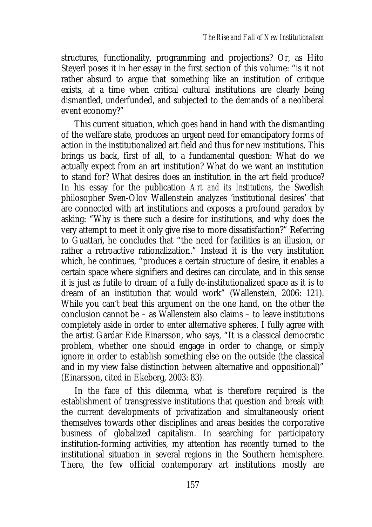structures, functionality, programming and projections? Or, as Hito Steyerl poses it in her essay in the first section of this volume: "is it not rather absurd to argue that something like an institution of critique exists, at a time when critical cultural institutions are clearly being dismantled, underfunded, and subjected to the demands of a neoliberal event economy?"

This current situation, which goes hand in hand with the dismantling of the welfare state, produces an urgent need for emancipatory forms of action in the institutionalized art field and thus for new institutions. This brings us back, first of all, to a fundamental question: What do we actually expect from an art institution? What do we want an institution to stand for? What desires does an institution in the art field produce? In his essay for the publication *Art and its Institutions*, the Swedish philosopher Sven-Olov Wallenstein analyzes 'institutional desires' that are connected with art institutions and exposes a profound paradox by asking: "Why is there such a desire for institutions, and why does the very attempt to meet it only give rise to more dissatisfaction?" Referring to Guattari, he concludes that "the need for facilities is an illusion, or rather a retroactive rationalization." Instead it is the very institution which, he continues, "produces a certain structure of desire, it enables a certain space where signifiers and desires can circulate, and in this sense it is just as futile to dream of a fully de-institutionalized space as it is to dream of an institution that would work" (Wallenstein, 2006: 121). While you can't beat this argument on the one hand, on the other the conclusion cannot be – as Wallenstein also claims – to leave institutions completely aside in order to enter alternative spheres. I fully agree with the artist Gardar Eide Einarsson, who says, "It is a classical democratic problem, whether one should engage in order to change, or simply ignore in order to establish something else on the outside (the classical and in my view false distinction between alternative and oppositional)" (Einarsson, cited in Ekeberg, 2003: 83).

In the face of this dilemma, what is therefore required is the establishment of transgressive institutions that question and break with the current developments of privatization and simultaneously orient themselves towards other disciplines and areas besides the corporative business of globalized capitalism. In searching for participatory institution-forming activities, my attention has recently turned to the institutional situation in several regions in the Southern hemisphere. There, the few official contemporary art institutions mostly are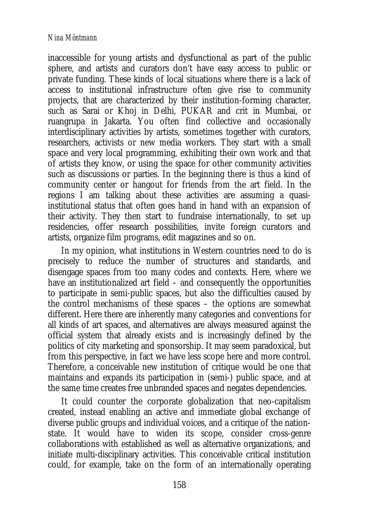#### *Nina Möntmann*

inaccessible for young artists and dysfunctional as part of the public sphere, and artists and curators don't have easy access to public or private funding. These kinds of local situations where there is a lack of access to institutional infrastructure often give rise to community projects, that are characterized by their institution-forming character, such as Sarai or Khoj in Delhi, PUKAR and crit in Mumbai, or ruangrupa in Jakarta. You often find collective and occasionally interdisciplinary activities by artists, sometimes together with curators, researchers, activists or new media workers. They start with a small space and very local programming, exhibiting their own work and that of artists they know, or using the space for other community activities such as discussions or parties. In the beginning there is thus a kind of community center or hangout for friends from the art field. In the regions I am talking about these activities are assuming a quasiinstitutional status that often goes hand in hand with an expansion of their activity. They then start to fundraise internationally, to set up residencies, offer research possibilities, invite foreign curators and artists, organize film programs, edit magazines and so on.

In my opinion, what institutions in Western countries need to do is precisely to reduce the number of structures and standards, and disengage spaces from too many codes and contexts. Here, where we have an institutionalized art field – and consequently the opportunities to participate in semi-public spaces, but also the difficulties caused by the control mechanisms of these spaces – the options are somewhat different. Here there are inherently many categories and conventions for all kinds of art spaces, and alternatives are always measured against the official system that already exists and is increasingly defined by the politics of city marketing and sponsorship. It may seem paradoxical, but from this perspective, in fact we have less scope here and more control. Therefore, a conceivable new institution of critique would be one that maintains and expands its participation in (semi-) public space, and at the same time creates free unbranded spaces and negates dependencies.

It could counter the corporate globalization that neo-capitalism created, instead enabling an active and immediate global exchange of diverse public groups and individual voices, and a critique of the nationstate. It would have to widen its scope, consider cross-genre collaborations with established as well as alternative organizations, and initiate multi-disciplinary activities. This conceivable critical institution could, for example, take on the form of an internationally operating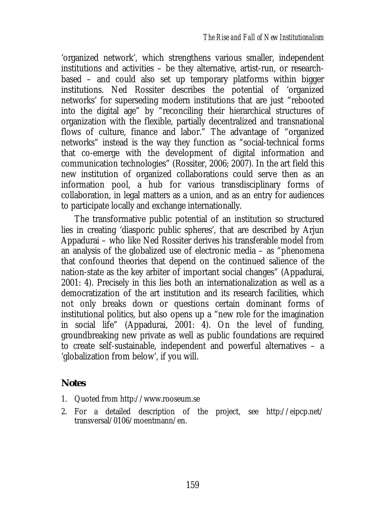'organized network', which strengthens various smaller, independent institutions and activities – be they alternative, artist-run, or researchbased – and could also set up temporary platforms within bigger institutions. Ned Rossiter describes the potential of 'organized networks' for superseding modern institutions that are just "rebooted into the digital age" by "reconciling their hierarchical structures of organization with the flexible, partially decentralized and transnational flows of culture, finance and labor." The advantage of "organized networks" instead is the way they function as "social-technical forms that co-emerge with the development of digital information and communication technologies" (Rossiter, 2006; 2007). In the art field this new institution of organized collaborations could serve then as an information pool, a hub for various transdisciplinary forms of collaboration, in legal matters as a union, and as an entry for audiences to participate locally and exchange internationally.

The transformative public potential of an institution so structured lies in creating 'diasporic public spheres', that are described by Arjun Appadurai – who like Ned Rossiter derives his transferable model from an analysis of the globalized use of electronic media – as "phenomena that confound theories that depend on the continued salience of the nation-state as the key arbiter of important social changes" (Appadurai, 2001: 4). Precisely in this lies both an internationalization as well as a democratization of the art institution and its research facilities, which not only breaks down or questions certain dominant forms of institutional politics, but also opens up a "new role for the imagination in social life" (Appadurai, 2001: 4). On the level of funding, groundbreaking new private as well as public foundations are required to create self-sustainable, independent and powerful alternatives – a 'globalization from below', if you will.

# **Notes**

- 1. Quoted from http://www.rooseum.se
- 2. For a detailed description of the project, see http://eipcp.net/ transversal/0106/moentmann/en.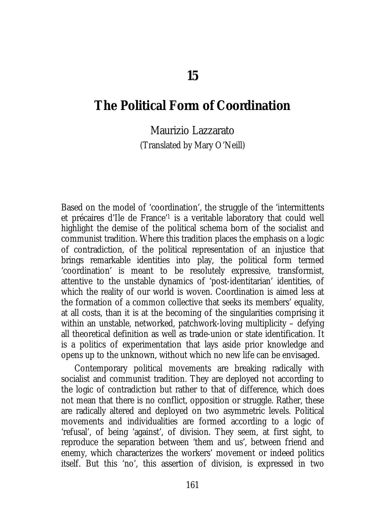## **The Political Form of Coordination**

Maurizio Lazzarato

(Translated by Mary O'Neill)

Based on the model of 'coordination', the struggle of the 'intermittents et précaires d'Ile de France'1 is a veritable laboratory that could well highlight the demise of the political schema born of the socialist and communist tradition. Where this tradition places the emphasis on a logic of contradiction, of the political representation of an injustice that brings remarkable identities into play, the political form termed 'coordination' is meant to be resolutely expressive, transformist, attentive to the unstable dynamics of 'post-identitarian' identities, of which the reality of our world is woven. Coordination is aimed less at the formation of a common collective that seeks its members' equality, at all costs, than it is at the becoming of the singularities comprising it within an unstable, networked, patchwork-loving multiplicity – defying all theoretical definition as well as trade-union or state identification. It is a politics of experimentation that lays aside prior knowledge and opens up to the unknown, without which no new life can be envisaged.

Contemporary political movements are breaking radically with socialist and communist tradition. They are deployed not according to the logic of contradiction but rather to that of difference, which does not mean that there is no conflict, opposition or struggle. Rather, these are radically altered and deployed on two asymmetric levels. Political movements and individualities are formed according to a logic of 'refusal', of being 'against', of division. They seem, at first sight, to reproduce the separation between 'them and us', between friend and enemy, which characterizes the workers' movement or indeed politics itself. But this 'no', this assertion of division, is expressed in two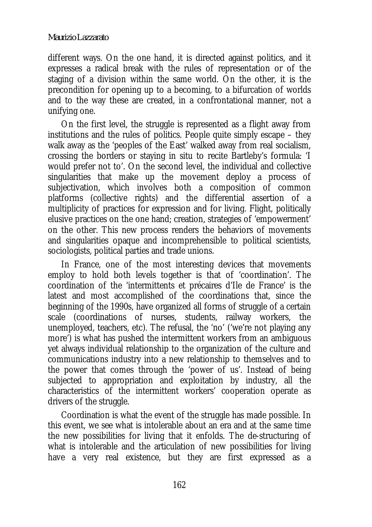different ways. On the one hand, it is directed against politics, and it expresses a radical break with the rules of representation or of the staging of a division within the same world. On the other, it is the precondition for opening up to a becoming, to a bifurcation of worlds and to the way these are created, in a confrontational manner, not a unifying one.

On the first level, the struggle is represented as a flight away from institutions and the rules of politics. People quite simply escape – they walk away as the 'peoples of the East' walked away from real socialism, crossing the borders or staying in situ to recite Bartleby's formula: 'I would prefer not to'. On the second level, the individual and collective singularities that make up the movement deploy a process of subjectivation, which involves both a composition of common platforms (collective rights) and the differential assertion of a multiplicity of practices for expression and for living. Flight, politically elusive practices on the one hand; creation, strategies of 'empowerment' on the other. This new process renders the behaviors of movements and singularities opaque and incomprehensible to political scientists, sociologists, political parties and trade unions.

In France, one of the most interesting devices that movements employ to hold both levels together is that of 'coordination'. The coordination of the 'intermittents et précaires d'Ile de France' is the latest and most accomplished of the coordinations that, since the beginning of the 1990s, have organized all forms of struggle of a certain scale (coordinations of nurses, students, railway workers, the unemployed, teachers, etc). The refusal, the 'no' ('we're not playing any more') is what has pushed the intermittent workers from an ambiguous yet always individual relationship to the organization of the culture and communications industry into a new relationship to themselves and to the power that comes through the 'power of us'. Instead of being subjected to appropriation and exploitation by industry, all the characteristics of the intermittent workers' cooperation operate as drivers of the struggle.

Coordination is what the event of the struggle has made possible. In this event, we see what is intolerable about an era and at the same time the new possibilities for living that it enfolds. The de-structuring of what is intolerable and the articulation of new possibilities for living have a very real existence, but they are first expressed as a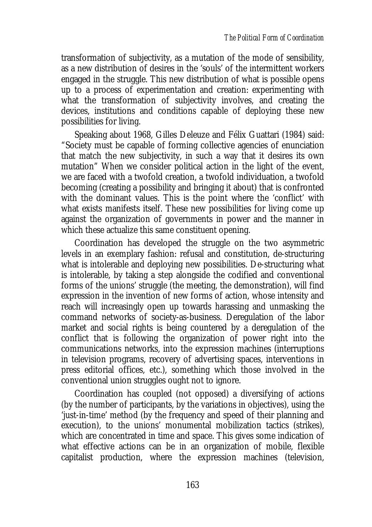transformation of subjectivity, as a mutation of the mode of sensibility, as a new distribution of desires in the 'souls' of the intermittent workers engaged in the struggle. This new distribution of what is possible opens up to a process of experimentation and creation: experimenting with what the transformation of subjectivity involves, and creating the devices, institutions and conditions capable of deploying these new possibilities for living.

Speaking about 1968, Gilles Deleuze and Félix Guattari (1984) said: "Society must be capable of forming collective agencies of enunciation that match the new subjectivity, in such a way that it desires its own mutation" When we consider political action in the light of the event, we are faced with a twofold creation, a twofold individuation, a twofold becoming (creating a possibility and bringing it about) that is confronted with the dominant values. This is the point where the 'conflict' with what exists manifests itself. These new possibilities for living come up against the organization of governments in power and the manner in which these actualize this same constituent opening.

Coordination has developed the struggle on the two asymmetric levels in an exemplary fashion: refusal and constitution, de-structuring what is intolerable and deploying new possibilities. De-structuring what is intolerable, by taking a step alongside the codified and conventional forms of the unions' struggle (the meeting, the demonstration), will find expression in the invention of new forms of action, whose intensity and reach will increasingly open up towards harassing and unmasking the command networks of society-as-business. Deregulation of the labor market and social rights is being countered by a deregulation of the conflict that is following the organization of power right into the communications networks, into the expression machines (interruptions in television programs, recovery of advertising spaces, interventions in press editorial offices, etc.), something which those involved in the conventional union struggles ought not to ignore.

Coordination has coupled (not opposed) a diversifying of actions (by the number of participants, by the variations in objectives), using the 'just-in-time' method (by the frequency and speed of their planning and execution), to the unions' monumental mobilization tactics (strikes), which are concentrated in time and space. This gives some indication of what effective actions can be in an organization of mobile, flexible capitalist production, where the expression machines (television,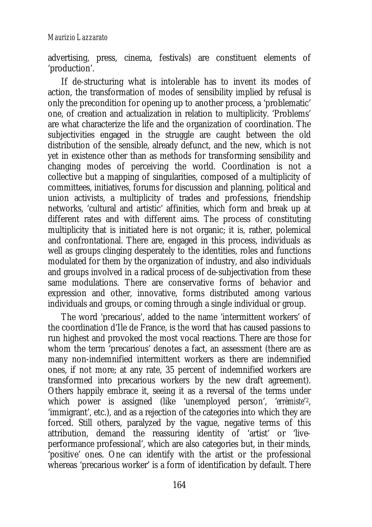advertising, press, cinema, festivals) are constituent elements of 'production'.

If de-structuring what is intolerable has to invent its modes of action, the transformation of modes of sensibility implied by refusal is only the precondition for opening up to another process, a 'problematic' one, of creation and actualization in relation to multiplicity. 'Problems' are what characterize the life and the organization of coordination. The subjectivities engaged in the struggle are caught between the old distribution of the sensible, already defunct, and the new, which is not yet in existence other than as methods for transforming sensibility and changing modes of perceiving the world. Coordination is not a collective but a mapping of singularities, composed of a multiplicity of committees, initiatives, forums for discussion and planning, political and union activists, a multiplicity of trades and professions, friendship networks, 'cultural and artistic' affinities, which form and break up at different rates and with different aims. The process of constituting multiplicity that is initiated here is not organic; it is, rather, polemical and confrontational. There are, engaged in this process, individuals as well as groups clinging desperately to the identities, roles and functions modulated for them by the organization of industry, and also individuals and groups involved in a radical process of de-subjectivation from these same modulations. There are conservative forms of behavior and expression and other, innovative, forms distributed among various individuals and groups, or coming through a single individual or group.

The word 'precarious', added to the name 'intermittent workers' of the coordination d'Ile de France, is the word that has caused passions to run highest and provoked the most vocal reactions. There are those for whom the term 'precarious' denotes a fact, an assessment (there are as many non-indemnified intermittent workers as there are indemnified ones, if not more; at any rate, 35 percent of indemnified workers are transformed into precarious workers by the new draft agreement). Others happily embrace it, seeing it as a reversal of the terms under which power is assigned (like 'unemployed person', '*errèmiste*' 2, 'immigrant', etc.), and as a rejection of the categories into which they are forced. Still others, paralyzed by the vague, negative terms of this attribution, demand the reassuring identity of 'artist' or 'liveperformance professional', which are also categories but, in their minds, 'positive' ones. One can identify with the artist or the professional whereas 'precarious worker' is a form of identification by default. There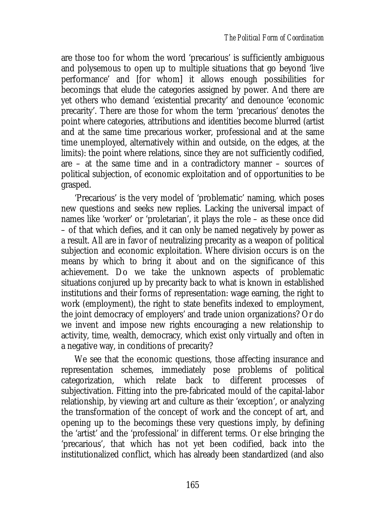are those too for whom the word 'precarious' is sufficiently ambiguous and polysemous to open up to multiple situations that go beyond 'live performance' and [for whom] it allows enough possibilities for becomings that elude the categories assigned by power. And there are yet others who demand 'existential precarity' and denounce 'economic precarity'. There are those for whom the term 'precarious' denotes the point where categories, attributions and identities become blurred (artist and at the same time precarious worker, professional and at the same time unemployed, alternatively within and outside, on the edges, at the limits): the point where relations, since they are not sufficiently codified, are – at the same time and in a contradictory manner – sources of political subjection, of economic exploitation and of opportunities to be grasped.

'Precarious' is the very model of 'problematic' naming, which poses new questions and seeks new replies. Lacking the universal impact of names like 'worker' or 'proletarian', it plays the role – as these once did – of that which defies, and it can only be named negatively by power as a result. All are in favor of neutralizing precarity as a weapon of political subjection and economic exploitation. Where division occurs is on the means by which to bring it about and on the significance of this achievement. Do we take the unknown aspects of problematic situations conjured up by precarity back to what is known in established institutions and their forms of representation: wage earning, the right to work (employment), the right to state benefits indexed to employment, the joint democracy of employers' and trade union organizations? Or do we invent and impose new rights encouraging a new relationship to activity, time, wealth, democracy, which exist only virtually and often in a negative way, in conditions of precarity?

We see that the economic questions, those affecting insurance and representation schemes, immediately pose problems of political categorization, which relate back to different processes of subjectivation. Fitting into the pre-fabricated mould of the capital-labor relationship, by viewing art and culture as their 'exception', or analyzing the transformation of the concept of work and the concept of art, and opening up to the becomings these very questions imply, by defining the 'artist' and the 'professional' in different terms. Or else bringing the 'precarious', that which has not yet been codified, back into the institutionalized conflict, which has already been standardized (and also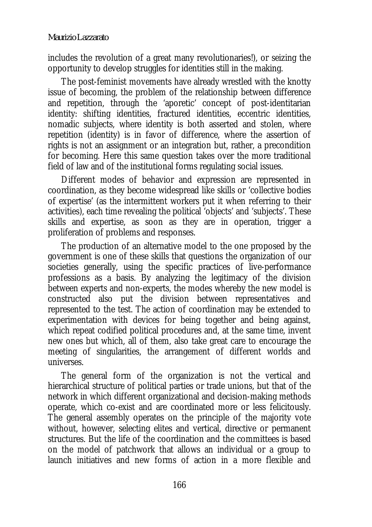includes the revolution of a great many revolutionaries!), or seizing the opportunity to develop struggles for identities still in the making.

The post-feminist movements have already wrestled with the knotty issue of becoming, the problem of the relationship between difference and repetition, through the 'aporetic' concept of post-identitarian identity: shifting identities, fractured identities, eccentric identities, nomadic subjects, where identity is both asserted and stolen, where repetition (identity) is in favor of difference, where the assertion of rights is not an assignment or an integration but, rather, a precondition for becoming. Here this same question takes over the more traditional field of law and of the institutional forms regulating social issues.

Different modes of behavior and expression are represented in coordination, as they become widespread like skills or 'collective bodies of expertise' (as the intermittent workers put it when referring to their activities), each time revealing the political 'objects' and 'subjects'. These skills and expertise, as soon as they are in operation, trigger a proliferation of problems and responses.

The production of an alternative model to the one proposed by the government is one of these skills that questions the organization of our societies generally, using the specific practices of live-performance professions as a basis. By analyzing the legitimacy of the division between experts and non-experts, the modes whereby the new model is constructed also put the division between representatives and represented to the test. The action of coordination may be extended to experimentation with devices for being together and being against, which repeat codified political procedures and, at the same time, invent new ones but which, all of them, also take great care to encourage the meeting of singularities, the arrangement of different worlds and universes.

The general form of the organization is not the vertical and hierarchical structure of political parties or trade unions, but that of the network in which different organizational and decision-making methods operate, which co-exist and are coordinated more or less felicitously. The general assembly operates on the principle of the majority vote without, however, selecting elites and vertical, directive or permanent structures. But the life of the coordination and the committees is based on the model of patchwork that allows an individual or a group to launch initiatives and new forms of action in a more flexible and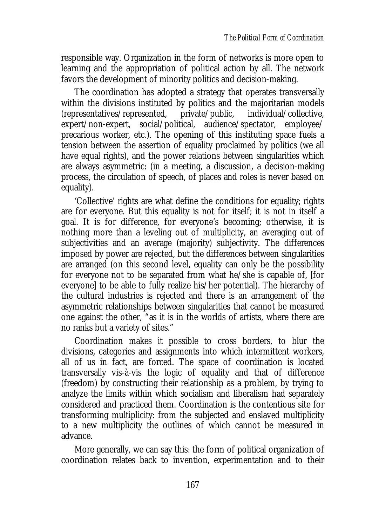responsible way. Organization in the form of networks is more open to learning and the appropriation of political action by all. The network favors the development of minority politics and decision-making.

The coordination has adopted a strategy that operates transversally within the divisions instituted by politics and the majoritarian models (representatives/represented, private/public, individual/collective, expert/non-expert, social/political, audience/spectator, employee/ precarious worker, etc.). The opening of this instituting space fuels a tension between the assertion of equality proclaimed by politics (we all have equal rights), and the power relations between singularities which are always asymmetric: (in a meeting, a discussion, a decision-making process, the circulation of speech, of places and roles is never based on equality).

'Collective' rights are what define the conditions for equality; rights are for everyone. But this equality is not for itself; it is not in itself a goal. It is for difference, for everyone's becoming; otherwise, it is nothing more than a leveling out of multiplicity, an averaging out of subjectivities and an average (majority) subjectivity. The differences imposed by power are rejected, but the differences between singularities are arranged (on this second level, equality can only be the possibility for everyone not to be separated from what he/she is capable of, [for everyone] to be able to fully realize his/her potential). The hierarchy of the cultural industries is rejected and there is an arrangement of the asymmetric relationships between singularities that cannot be measured one against the other, "as it is in the worlds of artists, where there are no ranks but a variety of sites."

Coordination makes it possible to cross borders, to blur the divisions, categories and assignments into which intermittent workers, all of us in fact, are forced. The space of coordination is located transversally vis-à-vis the logic of equality and that of difference (freedom) by constructing their relationship as a problem, by trying to analyze the limits within which socialism and liberalism had separately considered and practiced them. Coordination is the contentious site for transforming multiplicity: from the subjected and enslaved multiplicity to a new multiplicity the outlines of which cannot be measured in advance.

More generally, we can say this: the form of political organization of coordination relates back to invention, experimentation and to their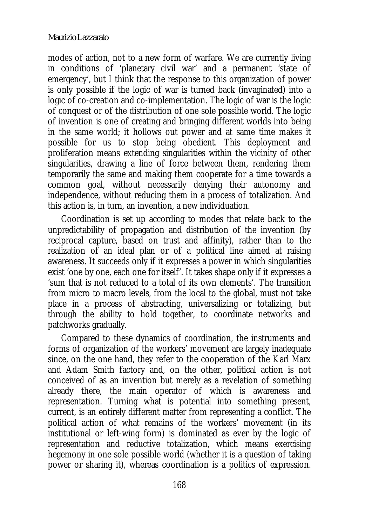#### *Maurizio Lazzarato*

modes of action, not to a new form of warfare. We are currently living in conditions of 'planetary civil war' and a permanent 'state of emergency', but I think that the response to this organization of power is only possible if the logic of war is turned back (invaginated) into a logic of co-creation and co-implementation. The logic of war is the logic of conquest or of the distribution of one sole possible world. The logic of invention is one of creating and bringing different worlds into being in the same world; it hollows out power and at same time makes it possible for us to stop being obedient. This deployment and proliferation means extending singularities within the vicinity of other singularities, drawing a line of force between them, rendering them temporarily the same and making them cooperate for a time towards a common goal, without necessarily denying their autonomy and independence, without reducing them in a process of totalization. And this action is, in turn, an invention, a new individuation.

Coordination is set up according to modes that relate back to the unpredictability of propagation and distribution of the invention (by reciprocal capture, based on trust and affinity), rather than to the realization of an ideal plan or of a political line aimed at raising awareness. It succeeds only if it expresses a power in which singularities exist 'one by one, each one for itself'. It takes shape only if it expresses a 'sum that is not reduced to a total of its own elements'. The transition from micro to macro levels, from the local to the global, must not take place in a process of abstracting, universalizing or totalizing, but through the ability to hold together, to coordinate networks and patchworks gradually.

Compared to these dynamics of coordination, the instruments and forms of organization of the workers' movement are largely inadequate since, on the one hand, they refer to the cooperation of the Karl Marx and Adam Smith factory and, on the other, political action is not conceived of as an invention but merely as a revelation of something already there, the main operator of which is awareness and representation. Turning what is potential into something present, current, is an entirely different matter from representing a conflict. The political action of what remains of the workers' movement (in its institutional or left-wing form) is dominated as ever by the logic of representation and reductive totalization, which means exercising hegemony in one sole possible world (whether it is a question of taking power or sharing it), whereas coordination is a politics of expression.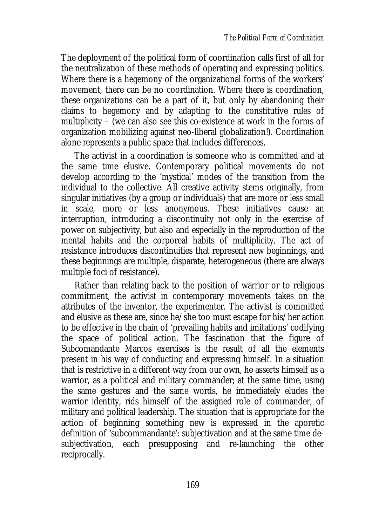The deployment of the political form of coordination calls first of all for the neutralization of these methods of operating and expressing politics. Where there is a hegemony of the organizational forms of the workers' movement, there can be no coordination. Where there is coordination, these organizations can be a part of it, but only by abandoning their claims to hegemony and by adapting to the constitutive rules of multiplicity – (we can also see this co-existence at work in the forms of organization mobilizing against neo-liberal globalization!). Coordination alone represents a public space that includes differences.

The activist in a coordination is someone who is committed and at the same time elusive. Contemporary political movements do not develop according to the 'mystical' modes of the transition from the individual to the collective. All creative activity stems originally, from singular initiatives (by a group or individuals) that are more or less small in scale, more or less anonymous. These initiatives cause an interruption, introducing a discontinuity not only in the exercise of power on subjectivity, but also and especially in the reproduction of the mental habits and the corporeal habits of multiplicity. The act of resistance introduces discontinuities that represent new beginnings, and these beginnings are multiple, disparate, heterogeneous (there are always multiple foci of resistance).

Rather than relating back to the position of warrior or to religious commitment, the activist in contemporary movements takes on the attributes of the inventor, the experimenter. The activist is committed and elusive as these are, since he/she too must escape for his/her action to be effective in the chain of 'prevailing habits and imitations' codifying the space of political action. The fascination that the figure of Subcomandante Marcos exercises is the result of all the elements present in his way of conducting and expressing himself. In a situation that is restrictive in a different way from our own, he asserts himself as a warrior, as a political and military commander; at the same time, using the same gestures and the same words, he immediately eludes the warrior identity, rids himself of the assigned role of commander, of military and political leadership. The situation that is appropriate for the action of beginning something new is expressed in the aporetic definition of 'subcommandante': subjectivation and at the same time desubjectivation, each presupposing and re-launching the other reciprocally.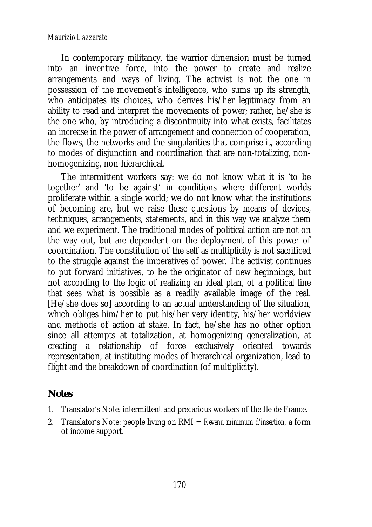#### *Maurizio Lazzarato*

In contemporary militancy, the warrior dimension must be turned into an inventive force, into the power to create and realize arrangements and ways of living. The activist is not the one in possession of the movement's intelligence, who sums up its strength, who anticipates its choices, who derives his/her legitimacy from an ability to read and interpret the movements of power; rather, he/she is the one who, by introducing a discontinuity into what exists, facilitates an increase in the power of arrangement and connection of cooperation, the flows, the networks and the singularities that comprise it, according to modes of disjunction and coordination that are non-totalizing, nonhomogenizing, non-hierarchical.

The intermittent workers say: we do not know what it is 'to be together' and 'to be against' in conditions where different worlds proliferate within a single world; we do not know what the institutions of becoming are, but we raise these questions by means of devices, techniques, arrangements, statements, and in this way we analyze them and we experiment. The traditional modes of political action are not on the way out, but are dependent on the deployment of this power of coordination. The constitution of the self as multiplicity is not sacrificed to the struggle against the imperatives of power. The activist continues to put forward initiatives, to be the originator of new beginnings, but not according to the logic of realizing an ideal plan, of a political line that sees what is possible as a readily available image of the real. [He/she does so] according to an actual understanding of the situation, which obliges him/her to put his/her very identity, his/her worldview and methods of action at stake. In fact, he/she has no other option since all attempts at totalization, at homogenizing generalization, at creating a relationship of force exclusively oriented towards representation, at instituting modes of hierarchical organization, lead to flight and the breakdown of coordination (of multiplicity).

#### **Notes**

- 1. Translator's Note: intermittent and precarious workers of the Ile de France.
- 2. Translator's Note: people living on RMI = *Revenu minimum d'insertion,* a form of income support.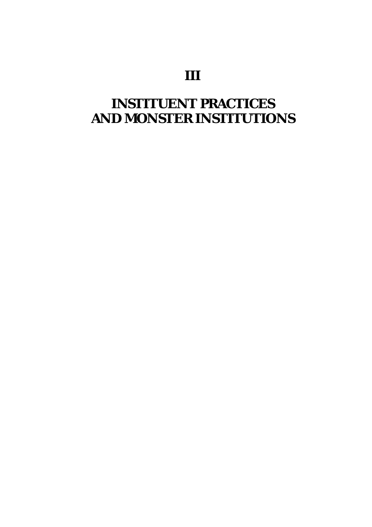# **INSTITUENT PRACTICES AND MONSTER INSTITUTIONS**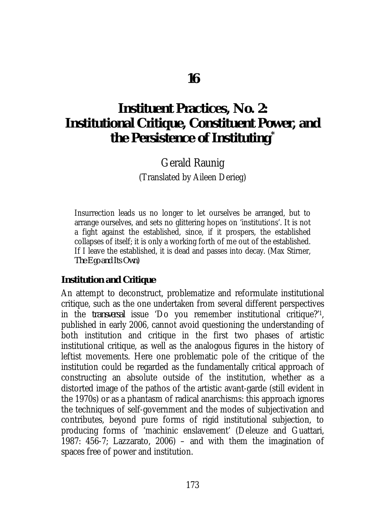## **Instituent Practices, No. 2: Institutional Critique, Constituent Power, and the Persistence of Instituting\***

Gerald Raunig (Translated by Aileen Derieg)

Insurrection leads us no longer to let ourselves be arranged, but to arrange ourselves, and sets no glittering hopes on 'institutions'. It is not a fight against the established, since, if it prospers, the established collapses of itself; it is only a working forth of me out of the established. If I leave the established, it is dead and passes into decay. (Max Stirner, *The Ego and Its Own)*

#### **Institution and Critique**

An attempt to deconstruct, problematize and reformulate institutional critique, such as the one undertaken from several different perspectives in the *transversal* issue 'Do you remember institutional critique?'1, published in early 2006, cannot avoid questioning the understanding of both institution and critique in the first two phases of artistic institutional critique, as well as the analogous figures in the history of leftist movements. Here one problematic pole of the critique of the institution could be regarded as the fundamentally critical approach of constructing an absolute outside of the institution, whether as a distorted image of the pathos of the artistic avant-garde (still evident in the 1970s) or as a phantasm of radical anarchisms: this approach ignores the techniques of self-government and the modes of subjectivation and contributes, beyond pure forms of rigid institutional subjection, to producing forms of 'machinic enslavement' (Deleuze and Guattari, 1987: 456-7; Lazzarato, 2006) – and with them the imagination of spaces free of power and institution.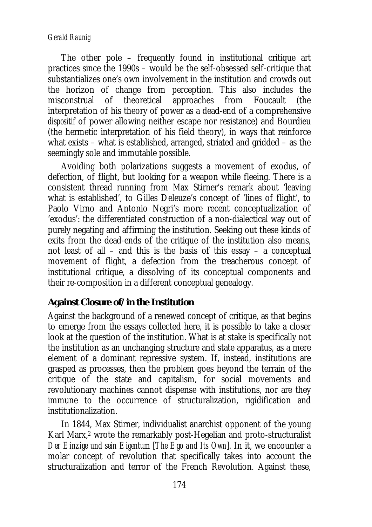#### *Gerald Raunig*

The other pole – frequently found in institutional critique art practices since the 1990s – would be the self-obsessed self-critique that substantializes one's own involvement in the institution and crowds out the horizon of change from perception. This also includes the misconstrual of theoretical approaches from Foucault (the interpretation of his theory of power as a dead-end of a comprehensive *dispositif* of power allowing neither escape nor resistance) and Bourdieu (the hermetic interpretation of his field theory), in ways that reinforce what exists – what is established, arranged, striated and gridded – as the seemingly sole and immutable possible.

Avoiding both polarizations suggests a movement of exodus, of defection, of flight, but looking for a weapon while fleeing. There is a consistent thread running from Max Stirner's remark about 'leaving what is established', to Gilles Deleuze's concept of 'lines of flight', to Paolo Virno and Antonio Negri's more recent conceptualization of 'exodus': the differentiated construction of a non-dialectical way out of purely negating and affirming the institution. Seeking out these kinds of exits from the dead-ends of the critique of the institution also means, not least of all – and this is the basis of this essay – a conceptual movement of flight, a defection from the treacherous concept of institutional critique, a dissolving of its conceptual components and their re-composition in a different conceptual genealogy.

#### **Against Closure of/in the Institution**

Against the background of a renewed concept of critique, as that begins to emerge from the essays collected here, it is possible to take a closer look at the question of the institution. What is at stake is specifically not the institution as an unchanging structure and state apparatus, as a mere element of a dominant repressive system. If, instead, institutions are grasped as processes, then the problem goes beyond the terrain of the critique of the state and capitalism, for social movements and revolutionary machines cannot dispense with institutions, nor are they immune to the occurrence of structuralization, rigidification and institutionalization.

In 1844, Max Stirner, individualist anarchist opponent of the young Karl Marx,2 wrote the remarkably post-Hegelian and proto-structuralist *Der Einzige und sein Eigentum* [*The Ego and Its Own*]. In it, we encounter a molar concept of revolution that specifically takes into account the structuralization and terror of the French Revolution. Against these,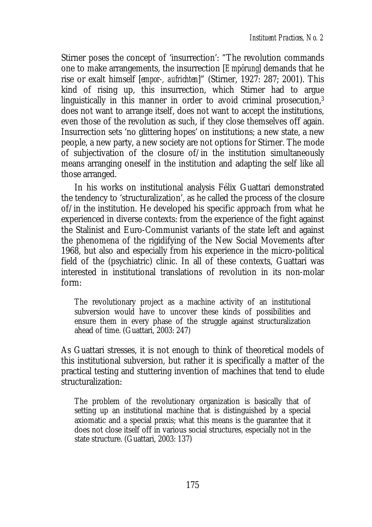Stirner poses the concept of 'insurrection': "The revolution commands one to make arrangements, the insurrection [*Empörung*] demands that he rise or exalt himself [*empor-, aufrichten*]" (Stirner, 1927: 287; 2001). This kind of rising up, this insurrection, which Stirner had to argue linguistically in this manner in order to avoid criminal prosecution,3 does not want to arrange itself, does not want to accept the institutions, even those of the revolution as such, if they close themselves off again. Insurrection sets 'no glittering hopes' on institutions; a new state, a new people, a new party, a new society are not options for Stirner. The mode of subjectivation of the closure of/in the institution simultaneously means arranging oneself in the institution and adapting the self like all those arranged.

In his works on institutional analysis Félix Guattari demonstrated the tendency to 'structuralization', as he called the process of the closure of/in the institution. He developed his specific approach from what he experienced in diverse contexts: from the experience of the fight against the Stalinist and Euro-Communist variants of the state left and against the phenomena of the rigidifying of the New Social Movements after 1968, but also and especially from his experience in the micro-political field of the (psychiatric) clinic. In all of these contexts, Guattari was interested in institutional translations of revolution in its non-molar form:

The revolutionary project as a machine activity of an institutional subversion would have to uncover these kinds of possibilities and ensure them in every phase of the struggle against structuralization ahead of time. (Guattari, 2003: 247)

As Guattari stresses, it is not enough to think of theoretical models of this institutional subversion, but rather it is specifically a matter of the practical testing and stuttering invention of machines that tend to elude structuralization:

The problem of the revolutionary organization is basically that of setting up an institutional machine that is distinguished by a special axiomatic and a special praxis; what this means is the guarantee that it does not close itself off in various social structures, especially not in the state structure. (Guattari, 2003: 137)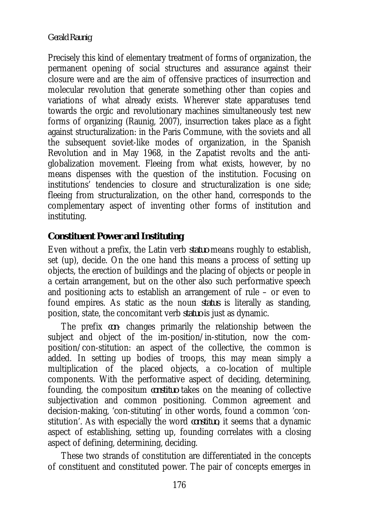#### *Gerald Raunig*

Precisely this kind of elementary treatment of forms of organization, the permanent opening of social structures and assurance against their closure were and are the aim of offensive practices of insurrection and molecular revolution that generate something other than copies and variations of what already exists. Wherever state apparatuses tend towards the orgic and revolutionary machines simultaneously test new forms of organizing (Raunig, 2007), insurrection takes place as a fight against structuralization: in the Paris Commune, with the soviets and all the subsequent soviet-like modes of organization, in the Spanish Revolution and in May 1968, in the Zapatist revolts and the antiglobalization movement. Fleeing from what exists, however, by no means dispenses with the question of the institution. Focusing on institutions' tendencies to closure and structuralization is one side; fleeing from structuralization, on the other hand, corresponds to the complementary aspect of inventing other forms of institution and instituting.

## **Constituent Power and Instituting**

Even without a prefix, the Latin verb *statuo* means roughly to establish, set (up), decide. On the one hand this means a process of setting up objects, the erection of buildings and the placing of objects or people in a certain arrangement, but on the other also such performative speech and positioning acts to establish an arrangement of rule – or even to found empires. As static as the noun *status* is literally as standing, position, state, the concomitant verb *statuo* is just as dynamic.

The prefix *con*- changes primarily the relationship between the subject and object of the im-position/in-stitution, now the composition/con-stitution: an aspect of the collective, the common is added. In setting up bodies of troops, this may mean simply a multiplication of the placed objects, a co-location of multiple components. With the performative aspect of deciding, determining, founding, the compositum *constituo* takes on the meaning of collective subjectivation and common positioning. Common agreement and decision-making, 'con-stituting' in other words, found a common 'constitution'. As with especially the word *constituo*, it seems that a dynamic aspect of establishing, setting up, founding correlates with a closing aspect of defining, determining, deciding.

These two strands of constitution are differentiated in the concepts of constituent and constituted power. The pair of concepts emerges in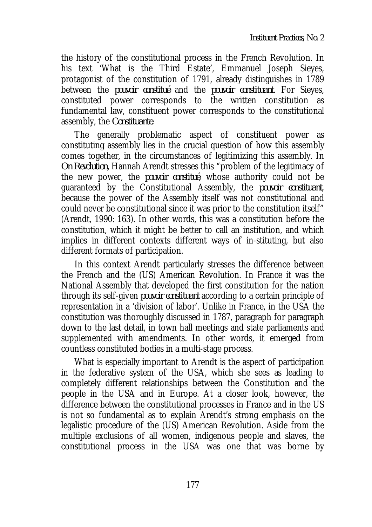the history of the constitutional process in the French Revolution. In his text 'What is the Third Estate', Emmanuel Joseph Sieyes, protagonist of the constitution of 1791, already distinguishes in 1789 between the *pouvoir constitué* and the *pouvoir constituant*. For Sieyes, constituted power corresponds to the written constitution as fundamental law, constituent power corresponds to the constitutional assembly, the *Constituante*.

The generally problematic aspect of constituent power as constituting assembly lies in the crucial question of how this assembly comes together, in the circumstances of legitimizing this assembly. In *On Revolution,* Hannah Arendt stresses this "problem of the legitimacy of the new power, the *pouvoir constitué*, whose authority could not be guaranteed by the Constitutional Assembly, the *pouvoir constituant*, because the power of the Assembly itself was not constitutional and could never be constitutional since it was prior to the constitution itself" (Arendt, 1990: 163). In other words, this was a constitution before the constitution, which it might be better to call an institution, and which implies in different contexts different ways of in-stituting, but also different formats of participation.

In this context Arendt particularly stresses the difference between the French and the (US) American Revolution. In France it was the National Assembly that developed the first constitution for the nation through its self-given *pouvoir constituant* according to a certain principle of representation in a 'division of labor'. Unlike in France, in the USA the constitution was thoroughly discussed in 1787, paragraph for paragraph down to the last detail, in town hall meetings and state parliaments and supplemented with amendments. In other words, it emerged from countless constituted bodies in a multi-stage process.

What is especially important to Arendt is the aspect of participation in the federative system of the USA, which she sees as leading to completely different relationships between the Constitution and the people in the USA and in Europe. At a closer look, however, the difference between the constitutional processes in France and in the US is not so fundamental as to explain Arendt's strong emphasis on the legalistic procedure of the (US) American Revolution. Aside from the multiple exclusions of all women, indigenous people and slaves, the constitutional process in the USA was one that was borne by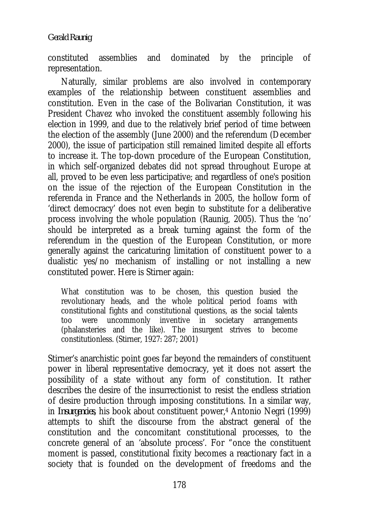#### *Gerald Raunig*

constituted assemblies and dominated by the principle of representation.

Naturally, similar problems are also involved in contemporary examples of the relationship between constituent assemblies and constitution. Even in the case of the Bolivarian Constitution, it was President Chavez who invoked the constituent assembly following his election in 1999, and due to the relatively brief period of time between the election of the assembly (June 2000) and the referendum (December 2000), the issue of participation still remained limited despite all efforts to increase it. The top-down procedure of the European Constitution, in which self-organized debates did not spread throughout Europe at all, proved to be even less participative; and regardless of one's position on the issue of the rejection of the European Constitution in the referenda in France and the Netherlands in 2005, the hollow form of 'direct democracy' does not even begin to substitute for a deliberative process involving the whole population (Raunig, 2005). Thus the 'no' should be interpreted as a break turning against the form of the referendum in the question of the European Constitution, or more generally against the caricaturing limitation of constituent power to a dualistic yes/no mechanism of installing or not installing a new constituted power. Here is Stirner again:

What constitution was to be chosen, this question busied the revolutionary heads, and the whole political period foams with constitutional fights and constitutional questions, as the social talents too were uncommonly inventive in societary arrangements (phalansteries and the like). The insurgent strives to become constitutionless. (Stirner, 1927: 287; 2001)

Stirner's anarchistic point goes far beyond the remainders of constituent power in liberal representative democracy, yet it does not assert the possibility of a state without any form of constitution. It rather describes the desire of the insurrectionist to resist the endless striation of desire production through imposing constitutions. In a similar way, in *Insurgencies*, his book about constituent power,4 Antonio Negri (1999) attempts to shift the discourse from the abstract general of the constitution and the concomitant constitutional processes, to the concrete general of an 'absolute process'. For "once the constituent moment is passed, constitutional fixity becomes a reactionary fact in a society that is founded on the development of freedoms and the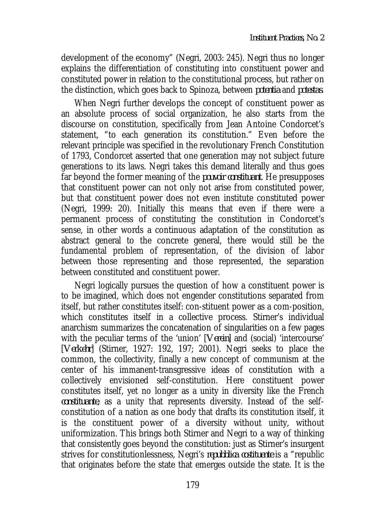development of the economy" (Negri, 2003: 245). Negri thus no longer explains the differentiation of constituting into constituent power and constituted power in relation to the constitutional process, but rather on the distinction, which goes back to Spinoza, between *potentia* and *potestas*.

When Negri further develops the concept of constituent power as an absolute process of social organization, he also starts from the discourse on constitution, specifically from Jean Antoine Condorcet's statement, "to each generation its constitution." Even before the relevant principle was specified in the revolutionary French Constitution of 1793, Condorcet asserted that one generation may not subject future generations to its laws. Negri takes this demand literally and thus goes far beyond the former meaning of the *pouvoir constituant*. He presupposes that constituent power can not only not arise from constituted power, but that constituent power does not even institute constituted power (Negri, 1999: 20). Initially this means that even if there were a permanent process of constituting the constitution in Condorcet's sense, in other words a continuous adaptation of the constitution as abstract general to the concrete general, there would still be the fundamental problem of representation, of the division of labor between those representing and those represented, the separation between constituted and constituent power.

Negri logically pursues the question of how a constituent power is to be imagined, which does not engender constitutions separated from itself, but rather constitutes itself: con-stituent power as a com-position, which constitutes itself in a collective process. Stirner's individual anarchism summarizes the concatenation of singularities on a few pages with the peculiar terms of the 'union' [*Verein*] and (social) 'intercourse' [*Verkehr*] (Stirner, 1927: 192, 197; 2001). Negri seeks to place the common, the collectivity, finally a new concept of communism at the center of his immanent-transgressive ideas of constitution with a collectively envisioned self-constitution. Here constituent power constitutes itself, yet no longer as a unity in diversity like the French *constituante*, as a unity that represents diversity. Instead of the selfconstitution of a nation as one body that drafts its constitution itself, it is the constituent power of a diversity without unity, without uniformization. This brings both Stirner and Negri to a way of thinking that consistently goes beyond the constitution: just as Stirner's insurgent strives for constitutionlessness, Negri's *repubblica costituente* is a "republic that originates before the state that emerges outside the state. It is the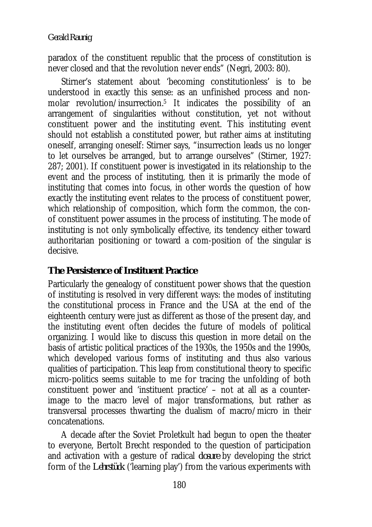paradox of the constituent republic that the process of constitution is never closed and that the revolution never ends" (Negri, 2003: 80).

Stirner's statement about 'becoming constitutionless' is to be understood in exactly this sense: as an unfinished process and nonmolar revolution/insurrection.5 It indicates the possibility of an arrangement of singularities without constitution, yet not without constituent power and the instituting event. This instituting event should not establish a constituted power, but rather aims at instituting oneself, arranging oneself: Stirner says, "insurrection leads us no longer to let ourselves be arranged, but to arrange ourselves" (Stirner, 1927: 287; 2001). If constituent power is investigated in its relationship to the event and the process of instituting, then it is primarily the mode of instituting that comes into focus, in other words the question of how exactly the instituting event relates to the process of constituent power, which relationship of composition, which form the common, the conof constituent power assumes in the process of instituting. The mode of instituting is not only symbolically effective, its tendency either toward authoritarian positioning or toward a com-position of the singular is decisive.

### **The Persistence of Instituent Practice**

Particularly the genealogy of constituent power shows that the question of instituting is resolved in very different ways: the modes of instituting the constitutional process in France and the USA at the end of the eighteenth century were just as different as those of the present day, and the instituting event often decides the future of models of political organizing. I would like to discuss this question in more detail on the basis of artistic political practices of the 1930s, the 1950s and the 1990s, which developed various forms of instituting and thus also various qualities of participation. This leap from constitutional theory to specific micro-politics seems suitable to me for tracing the unfolding of both constituent power and 'instituent practice' – not at all as a counterimage to the macro level of major transformations, but rather as transversal processes thwarting the dualism of macro/micro in their concatenations.

A decade after the Soviet Proletkult had begun to open the theater to everyone, Bertolt Brecht responded to the question of participation and activation with a gesture of radical *closure* by developing the strict form of the *Lehrstück* ('learning play') from the various experiments with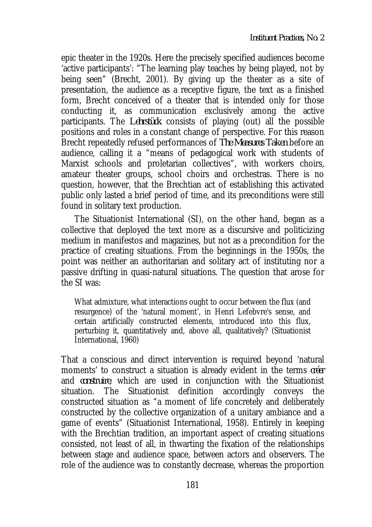epic theater in the 1920s. Here the precisely specified audiences become 'active participants': "The learning play teaches by being played, not by being seen" (Brecht, 2001). By giving up the theater as a site of presentation, the audience as a receptive figure, the text as a finished form, Brecht conceived of a theater that is intended only for those conducting it, as communication exclusively among the active participants. The *Lehrstück* consists of playing (out) all the possible positions and roles in a constant change of perspective. For this reason Brecht repeatedly refused performances of *The Measures Taken* before an audience, calling it a "means of pedagogical work with students of Marxist schools and proletarian collectives", with workers choirs, amateur theater groups, school choirs and orchestras. There is no question, however, that the Brechtian act of establishing this activated public only lasted a brief period of time, and its preconditions were still found in solitary text production.

The Situationist International (SI), on the other hand, began as a collective that deployed the text more as a discursive and politicizing medium in manifestos and magazines, but not as a precondition for the practice of creating situations. From the beginnings in the 1950s, the point was neither an authoritarian and solitary act of instituting nor a passive drifting in quasi-natural situations. The question that arose for the SI was:

What admixture, what interactions ought to occur between the flux (and resurgence) of the 'natural moment', in Henri Lefebvre's sense, and certain artificially constructed elements, introduced into this flux, perturbing it, quantitatively and, above all, qualitatively? (Situationist International, 1960)

That a conscious and direct intervention is required beyond 'natural moments' to construct a situation is already evident in the terms *créer* and *construire*, which are used in conjunction with the Situationist situation. The Situationist definition accordingly conveys the constructed situation as "a moment of life concretely and deliberately constructed by the collective organization of a unitary ambiance and a game of events" (Situationist International, 1958). Entirely in keeping with the Brechtian tradition, an important aspect of creating situations consisted, not least of all, in thwarting the fixation of the relationships between stage and audience space, between actors and observers. The role of the audience was to constantly decrease, whereas the proportion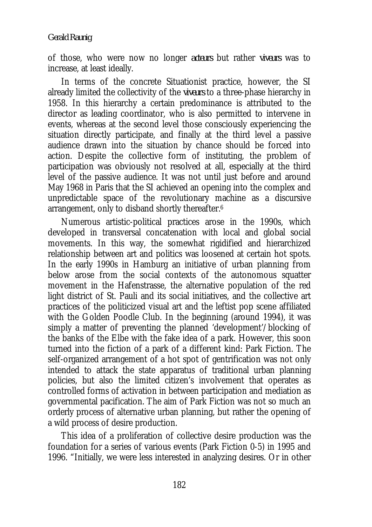#### *Gerald Raunig*

of those, who were now no longer *acteurs* but rather *viveurs* was to increase, at least ideally.

In terms of the concrete Situationist practice, however, the SI already limited the collectivity of the *viveurs* to a three-phase hierarchy in 1958. In this hierarchy a certain predominance is attributed to the director as leading coordinator, who is also permitted to intervene in events, whereas at the second level those consciously experiencing the situation directly participate, and finally at the third level a passive audience drawn into the situation by chance should be forced into action. Despite the collective form of instituting, the problem of participation was obviously not resolved at all, especially at the third level of the passive audience. It was not until just before and around May 1968 in Paris that the SI achieved an opening into the complex and unpredictable space of the revolutionary machine as a discursive arrangement, only to disband shortly thereafter.6

Numerous artistic-political practices arose in the 1990s, which developed in transversal concatenation with local and global social movements. In this way, the somewhat rigidified and hierarchized relationship between art and politics was loosened at certain hot spots. In the early 1990s in Hamburg an initiative of urban planning from below arose from the social contexts of the autonomous squatter movement in the Hafenstrasse, the alternative population of the red light district of St. Pauli and its social initiatives, and the collective art practices of the politicized visual art and the leftist pop scene affiliated with the Golden Poodle Club. In the beginning (around 1994), it was simply a matter of preventing the planned 'development'/blocking of the banks of the Elbe with the fake idea of a park. However, this soon turned into the fiction of a park of a different kind: Park Fiction. The self-organized arrangement of a hot spot of gentrification was not only intended to attack the state apparatus of traditional urban planning policies, but also the limited citizen's involvement that operates as controlled forms of activation in between participation and mediation as governmental pacification. The aim of Park Fiction was not so much an orderly process of alternative urban planning, but rather the opening of a wild process of desire production.

This idea of a proliferation of collective desire production was the foundation for a series of various events (Park Fiction 0-5) in 1995 and 1996. "Initially, we were less interested in analyzing desires. Or in other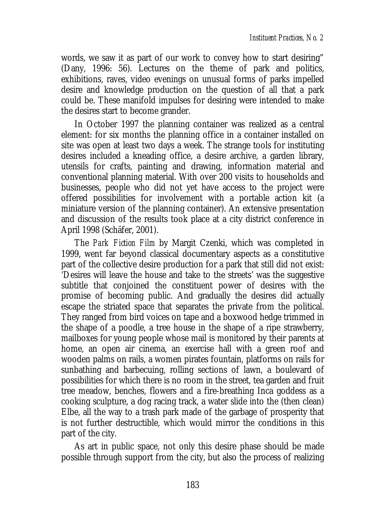words, we saw it as part of our work to convey how to start desiring" (Dany, 1996: 56). Lectures on the theme of park and politics, exhibitions, raves, video evenings on unusual forms of parks impelled desire and knowledge production on the question of all that a park could be. These manifold impulses for desiring were intended to make the desires start to become grander.

In October 1997 the planning container was realized as a central element: for six months the planning office in a container installed on site was open at least two days a week. The strange tools for instituting desires included a kneading office, a desire archive, a garden library, utensils for crafts, painting and drawing, information material and conventional planning material. With over 200 visits to households and businesses, people who did not yet have access to the project were offered possibilities for involvement with a portable action kit (a miniature version of the planning container). An extensive presentation and discussion of the results took place at a city district conference in April 1998 (Schäfer, 2001).

The *Park Fiction Film* by Margit Czenki, which was completed in 1999, went far beyond classical documentary aspects as a constitutive part of the collective desire production for a park that still did not exist: 'Desires will leave the house and take to the streets' was the suggestive subtitle that conjoined the constituent power of desires with the promise of becoming public. And gradually the desires did actually escape the striated space that separates the private from the political. They ranged from bird voices on tape and a boxwood hedge trimmed in the shape of a poodle, a tree house in the shape of a ripe strawberry, mailboxes for young people whose mail is monitored by their parents at home, an open air cinema, an exercise hall with a green roof and wooden palms on rails, a women pirates fountain, platforms on rails for sunbathing and barbecuing, rolling sections of lawn, a boulevard of possibilities for which there is no room in the street, tea garden and fruit tree meadow, benches, flowers and a fire-breathing Inca goddess as a cooking sculpture, a dog racing track, a water slide into the (then clean) Elbe, all the way to a trash park made of the garbage of prosperity that is not further destructible, which would mirror the conditions in this part of the city.

As art in public space, not only this desire phase should be made possible through support from the city, but also the process of realizing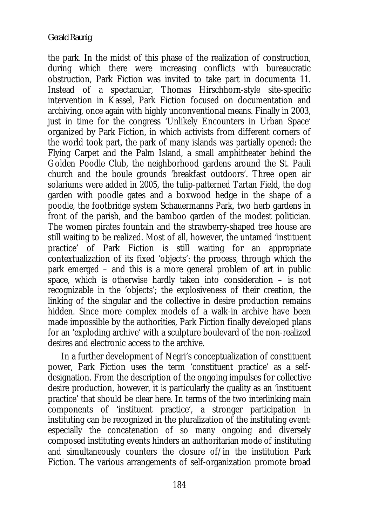#### *Gerald Raunig*

the park. In the midst of this phase of the realization of construction, during which there were increasing conflicts with bureaucratic obstruction, Park Fiction was invited to take part in documenta 11. Instead of a spectacular, Thomas Hirschhorn-style site-specific intervention in Kassel, Park Fiction focused on documentation and archiving, once again with highly unconventional means. Finally in 2003, just in time for the congress 'Unlikely Encounters in Urban Space' organized by Park Fiction, in which activists from different corners of the world took part, the park of many islands was partially opened: the Flying Carpet and the Palm Island, a small amphitheater behind the Golden Poodle Club, the neighborhood gardens around the St. Pauli church and the boule grounds 'breakfast outdoors'. Three open air solariums were added in 2005, the tulip-patterned Tartan Field, the dog garden with poodle gates and a boxwood hedge in the shape of a poodle, the footbridge system Schauermanns Park, two herb gardens in front of the parish, and the bamboo garden of the modest politician. The women pirates fountain and the strawberry-shaped tree house are still waiting to be realized. Most of all, however, the untamed 'instituent practice' of Park Fiction is still waiting for an appropriate contextualization of its fixed 'objects': the process, through which the park emerged – and this is a more general problem of art in public space, which is otherwise hardly taken into consideration – is not recognizable in the 'objects'; the explosiveness of their creation, the linking of the singular and the collective in desire production remains hidden. Since more complex models of a walk-in archive have been made impossible by the authorities, Park Fiction finally developed plans for an 'exploding archive' with a sculpture boulevard of the non-realized desires and electronic access to the archive.

In a further development of Negri's conceptualization of constituent power, Park Fiction uses the term 'constituent practice' as a selfdesignation. From the description of the ongoing impulses for collective desire production, however, it is particularly the quality as an 'instituent practice' that should be clear here. In terms of the two interlinking main components of 'instituent practice', a stronger participation in instituting can be recognized in the pluralization of the instituting event: especially the concatenation of so many ongoing and diversely composed instituting events hinders an authoritarian mode of instituting and simultaneously counters the closure of/in the institution Park Fiction. The various arrangements of self-organization promote broad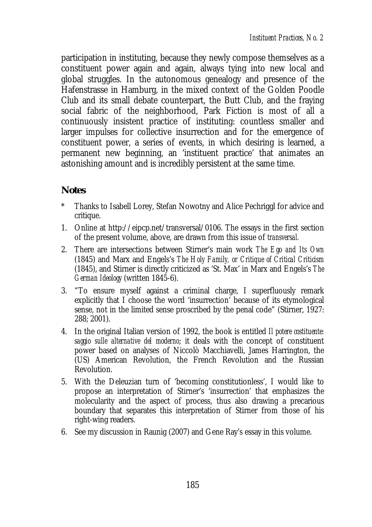participation in instituting, because they newly compose themselves as a constituent power again and again, always tying into new local and global struggles. In the autonomous genealogy and presence of the Hafenstrasse in Hamburg, in the mixed context of the Golden Poodle Club and its small debate counterpart, the Butt Club, and the fraying social fabric of the neighborhood, Park Fiction is most of all a continuously insistent practice of instituting: countless smaller and larger impulses for collective insurrection and for the emergence of constituent power, a series of events, in which desiring is learned, a permanent new beginning, an 'instituent practice' that animates an astonishing amount and is incredibly persistent at the same time.

## **Notes**

- Thanks to Isabell Lorey, Stefan Nowotny and Alice Pechriggl for advice and critique.
- 1. Online at http://eipcp.net/transversal/0106. The essays in the first section of the present volume, above, are drawn from this issue of *transversal.*
- 2. There are intersections between Stirner's main work *The Ego and Its Own*  (1845) and Marx and Engels's *The Holy Family, or Critique of Critical Criticism*  (1845), and Stirner is directly criticized as 'St. Max' in Marx and Engels's *The German Ideology* (written 1845-6).
- 3. "To ensure myself against a criminal charge, I superfluously remark explicitly that I choose the word 'insurrection' because of its etymological sense, not in the limited sense proscribed by the penal code" (Stirner, 1927: 288; 2001).
- 4. In the original Italian version of 1992, the book is entitled *Il potere costituente: saggio sulle alternative del moderno*; it deals with the concept of constituent power based on analyses of Niccolò Macchiavelli, James Harrington, the (US) American Revolution, the French Revolution and the Russian Revolution.
- 5. With the Deleuzian turn of 'becoming constitutionless', I would like to propose an interpretation of Stirner's 'insurrection' that emphasizes the molecularity and the aspect of process, thus also drawing a precarious boundary that separates this interpretation of Stirner from those of his right-wing readers.
- 6. See my discussion in Raunig (2007) and Gene Ray's essay in this volume.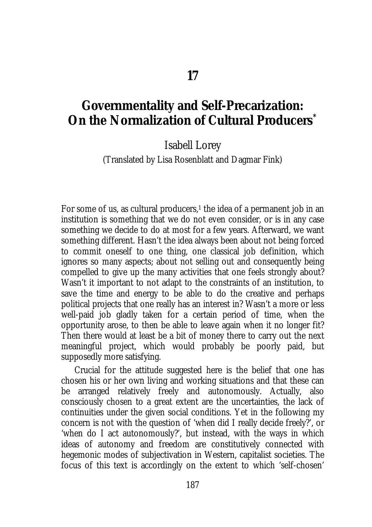## **Governmentality and Self-Precarization: On the Normalization of Cultural Producers\***

Isabell Lorey

(Translated by Lisa Rosenblatt and Dagmar Fink)

For some of us, as cultural producers, $1$  the idea of a permanent job in an institution is something that we do not even consider, or is in any case something we decide to do at most for a few years. Afterward, we want something different. Hasn't the idea always been about not being forced to commit oneself to one thing, one classical job definition, which ignores so many aspects; about not selling out and consequently being compelled to give up the many activities that one feels strongly about? Wasn't it important to not adapt to the constraints of an institution, to save the time and energy to be able to do the creative and perhaps political projects that one really has an interest in? Wasn't a more or less well-paid job gladly taken for a certain period of time, when the opportunity arose, to then be able to leave again when it no longer fit? Then there would at least be a bit of money there to carry out the next meaningful project, which would probably be poorly paid, but supposedly more satisfying.

Crucial for the attitude suggested here is the belief that one has chosen his or her own living and working situations and that these can be arranged relatively freely and autonomously. Actually, also consciously chosen to a great extent are the uncertainties, the lack of continuities under the given social conditions. Yet in the following my concern is not with the question of 'when did I really decide freely?', or 'when do I act autonomously?', but instead, with the ways in which ideas of autonomy and freedom are constitutively connected with hegemonic modes of subjectivation in Western, capitalist societies. The focus of this text is accordingly on the extent to which 'self-chosen'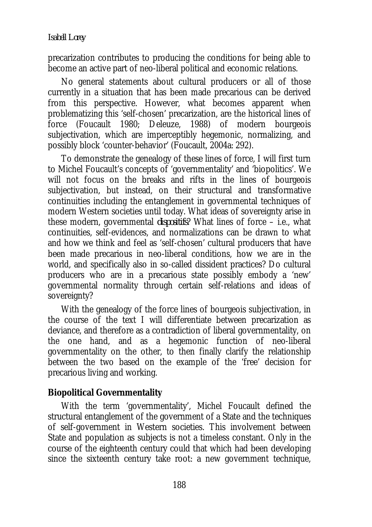precarization contributes to producing the conditions for being able to become an active part of neo-liberal political and economic relations.

No general statements about cultural producers or all of those currently in a situation that has been made precarious can be derived from this perspective. However, what becomes apparent when problematizing this 'self-chosen' precarization, are the historical lines of force (Foucault 1980; Deleuze, 1988) of modern bourgeois subjectivation, which are imperceptibly hegemonic, normalizing, and possibly block 'counter-behavior' (Foucault, 2004a: 292).

To demonstrate the genealogy of these lines of force, I will first turn to Michel Foucault's concepts of 'governmentality' and 'biopolitics'. We will not focus on the breaks and rifts in the lines of bourgeois subjectivation, but instead, on their structural and transformative continuities including the entanglement in governmental techniques of modern Western societies until today. What ideas of sovereignty arise in these modern, governmental *dispositifs*? What lines of force – i.e., what continuities, self-evidences, and normalizations can be drawn to what and how we think and feel as 'self-chosen' cultural producers that have been made precarious in neo-liberal conditions, how we are in the world, and specifically also in so-called dissident practices? Do cultural producers who are in a precarious state possibly embody a 'new' governmental normality through certain self-relations and ideas of sovereignty?

With the genealogy of the force lines of bourgeois subjectivation, in the course of the text I will differentiate between precarization as deviance, and therefore as a contradiction of liberal governmentality, on the one hand, and as a hegemonic function of neo-liberal governmentality on the other, to then finally clarify the relationship between the two based on the example of the 'free' decision for precarious living and working.

### **Biopolitical Governmentality**

With the term 'governmentality', Michel Foucault defined the structural entanglement of the government of a State and the techniques of self-government in Western societies. This involvement between State and population as subjects is not a timeless constant. Only in the course of the eighteenth century could that which had been developing since the sixteenth century take root: a new government technique,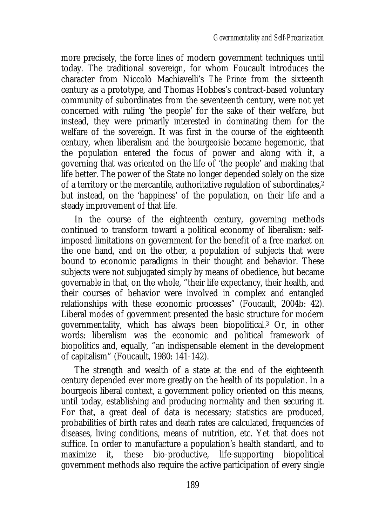more precisely, the force lines of modern government techniques until today. The traditional sovereign, for whom Foucault introduces the character from Niccolò Machiavelli's *The Prince* from the sixteenth century as a prototype, and Thomas Hobbes's contract-based voluntary community of subordinates from the seventeenth century, were not yet concerned with ruling 'the people' for the sake of their welfare, but instead, they were primarily interested in dominating them for the welfare of the sovereign. It was first in the course of the eighteenth century, when liberalism and the bourgeoisie became hegemonic, that the population entered the focus of power and along with it, a governing that was oriented on the life of 'the people' and making that life better. The power of the State no longer depended solely on the size of a territory or the mercantile, authoritative regulation of subordinates,2 but instead, on the 'happiness' of the population, on their life and a steady improvement of that life.

In the course of the eighteenth century, governing methods continued to transform toward a political economy of liberalism: selfimposed limitations on government for the benefit of a free market on the one hand, and on the other, a population of subjects that were bound to economic paradigms in their thought and behavior. These subjects were not subjugated simply by means of obedience, but became governable in that, on the whole, "their life expectancy, their health, and their courses of behavior were involved in complex and entangled relationships with these economic processes" (Foucault, 2004b: 42). Liberal modes of government presented the basic structure for modern governmentality, which has always been biopolitical.3 Or, in other words: liberalism was the economic and political framework of biopolitics and, equally, "an indispensable element in the development of capitalism" (Foucault, 1980: 141-142).

The strength and wealth of a state at the end of the eighteenth century depended ever more greatly on the health of its population. In a bourgeois liberal context, a government policy oriented on this means, until today, establishing and producing normality and then securing it. For that, a great deal of data is necessary; statistics are produced, probabilities of birth rates and death rates are calculated, frequencies of diseases, living conditions, means of nutrition, etc. Yet that does not suffice. In order to manufacture a population's health standard, and to maximize it, these bio-productive, life-supporting biopolitical government methods also require the active participation of every single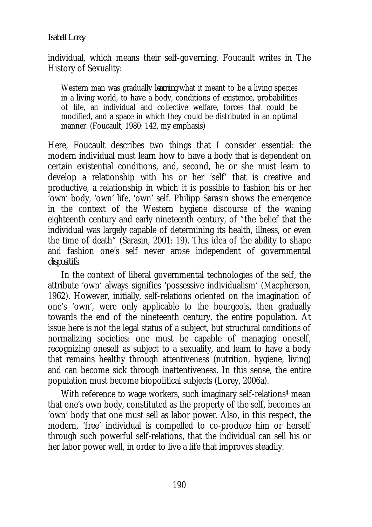individual, which means their self-governing. Foucault writes in The History of Sexuality:

Western man was gradually *learning* what it meant to be a living species in a living world, to have a body, conditions of existence, probabilities of life, an individual and collective welfare, forces that could be modified, and a space in which they could be distributed in an optimal manner. (Foucault, 1980: 142, my emphasis)

Here, Foucault describes two things that I consider essential: the modern individual must learn how to have a body that is dependent on certain existential conditions, and, second, he or she must learn to develop a relationship with his or her 'self' that is creative and productive, a relationship in which it is possible to fashion his or her 'own' body, 'own' life, 'own' self. Philipp Sarasin shows the emergence in the context of the Western hygiene discourse of the waning eighteenth century and early nineteenth century, of "the belief that the individual was largely capable of determining its health, illness, or even the time of death" (Sarasin, 2001: 19). This idea of the ability to shape and fashion one's self never arose independent of governmental *dispositifs*.

In the context of liberal governmental technologies of the self, the attribute 'own' always signifies 'possessive individualism' (Macpherson, 1962). However, initially, self-relations oriented on the imagination of one's 'own', were only applicable to the bourgeois, then gradually towards the end of the nineteenth century, the entire population. At issue here is not the legal status of a subject, but structural conditions of normalizing societies: one must be capable of managing oneself, recognizing oneself as subject to a sexuality, and learn to have a body that remains healthy through attentiveness (nutrition, hygiene, living) and can become sick through inattentiveness. In this sense, the entire population must become biopolitical subjects (Lorey, 2006a).

With reference to wage workers, such imaginary self-relations<sup>4</sup> mean that one's own body, constituted as the property of the self, becomes an 'own' body that one must sell as labor power. Also, in this respect, the modern, 'free' individual is compelled to co-produce him or herself through such powerful self-relations, that the individual can sell his or her labor power well, in order to live a life that improves steadily.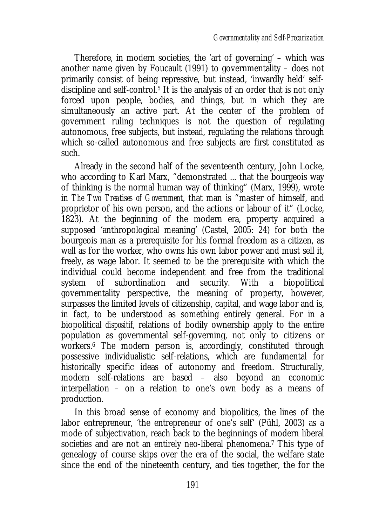Therefore, in modern societies, the 'art of governing' – which was another name given by Foucault (1991) to governmentality – does not primarily consist of being repressive, but instead, 'inwardly held' selfdiscipline and self-control.5 It is the analysis of an order that is not only forced upon people, bodies, and things, but in which they are simultaneously an active part. At the center of the problem of government ruling techniques is not the question of regulating autonomous, free subjects, but instead, regulating the relations through which so-called autonomous and free subjects are first constituted as such.

Already in the second half of the seventeenth century, John Locke, who according to Karl Marx, "demonstrated ... that the bourgeois way of thinking is the normal human way of thinking" (Marx, 1999), wrote in *The Two Treatises of Government*, that man is "master of himself, and proprietor of his own person, and the actions or labour of it" (Locke, 1823). At the beginning of the modern era, property acquired a supposed 'anthropological meaning' (Castel, 2005: 24) for both the bourgeois man as a prerequisite for his formal freedom as a citizen, as well as for the worker, who owns his own labor power and must sell it, freely, as wage labor. It seemed to be the prerequisite with which the individual could become independent and free from the traditional system of subordination and security. With a biopolitical governmentality perspective, the meaning of property, however, surpasses the limited levels of citizenship, capital, and wage labor and is, in fact, to be understood as something entirely general. For in a biopolitical *dispositif*, relations of bodily ownership apply to the entire population as governmental self-governing, not only to citizens or workers.6 The modern person is, accordingly, constituted through possessive individualistic self-relations, which are fundamental for historically specific ideas of autonomy and freedom. Structurally, modern self-relations are based – also beyond an economic interpellation – on a relation to one's own body as a means of production.

In this broad sense of economy and biopolitics, the lines of the labor entrepreneur, 'the entrepreneur of one's self' (Pühl, 2003) as a mode of subjectivation, reach back to the beginnings of modern liberal societies and are not an entirely neo-liberal phenomena.<sup>7</sup> This type of genealogy of course skips over the era of the social, the welfare state since the end of the nineteenth century, and ties together, the for the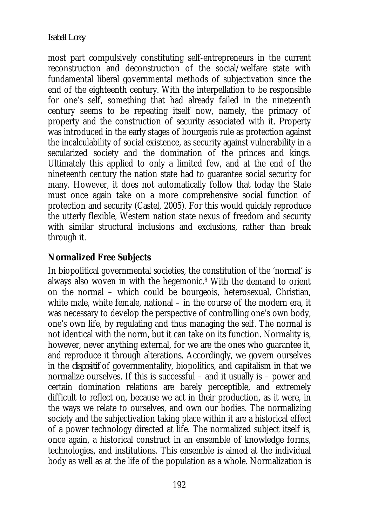#### *Isabell Lorey*

most part compulsively constituting self-entrepreneurs in the current reconstruction and deconstruction of the social/welfare state with fundamental liberal governmental methods of subjectivation since the end of the eighteenth century. With the interpellation to be responsible for one's self, something that had already failed in the nineteenth century seems to be repeating itself now, namely, the primacy of property and the construction of security associated with it. Property was introduced in the early stages of bourgeois rule as protection against the incalculability of social existence, as security against vulnerability in a secularized society and the domination of the princes and kings. Ultimately this applied to only a limited few, and at the end of the nineteenth century the nation state had to guarantee social security for many. However, it does not automatically follow that today the State must once again take on a more comprehensive social function of protection and security (Castel, 2005). For this would quickly reproduce the utterly flexible, Western nation state nexus of freedom and security with similar structural inclusions and exclusions, rather than break through it.

## **Normalized Free Subjects**

In biopolitical governmental societies, the constitution of the 'normal' is always also woven in with the hegemonic.8 With the demand to orient on the normal – which could be bourgeois, heterosexual, Christian, white male, white female, national – in the course of the modern era, it was necessary to develop the perspective of controlling one's own body, one's own life, by regulating and thus managing the self. The normal is not identical with the norm, but it can take on its function. Normality is, however, never anything external, for we are the ones who guarantee it, and reproduce it through alterations. Accordingly, we govern ourselves in the *dispositif* of governmentality, biopolitics, and capitalism in that we normalize ourselves. If this is successful – and it usually is – power and certain domination relations are barely perceptible, and extremely difficult to reflect on, because we act in their production, as it were, in the ways we relate to ourselves, and own our bodies. The normalizing society and the subjectivation taking place within it are a historical effect of a power technology directed at life. The normalized subject itself is, once again, a historical construct in an ensemble of knowledge forms, technologies, and institutions. This ensemble is aimed at the individual body as well as at the life of the population as a whole. Normalization is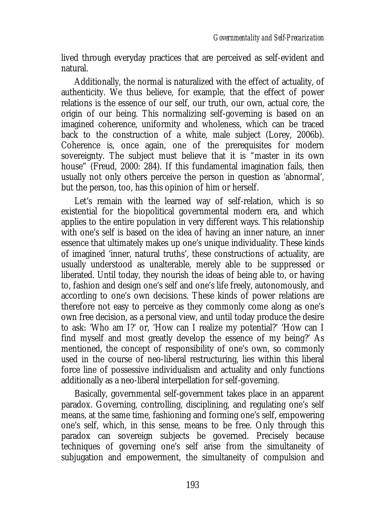lived through everyday practices that are perceived as self-evident and natural.

Additionally, the normal is naturalized with the effect of actuality, of authenticity. We thus believe, for example, that the effect of power relations is the essence of our self, our truth, our own, actual core, the origin of our being. This normalizing self-governing is based on an imagined coherence, uniformity and wholeness, which can be traced back to the construction of a white, male subject (Lorey, 2006b). Coherence is, once again, one of the prerequisites for modern sovereignty. The subject must believe that it is "master in its own house" (Freud, 2000: 284). If this fundamental imagination fails, then usually not only others perceive the person in question as 'abnormal', but the person, too, has this opinion of him or herself.

Let's remain with the learned way of self-relation, which is so existential for the biopolitical governmental modern era, and which applies to the entire population in very different ways. This relationship with one's self is based on the idea of having an inner nature, an inner essence that ultimately makes up one's unique individuality. These kinds of imagined 'inner, natural truths', these constructions of actuality, are usually understood as unalterable, merely able to be suppressed or liberated. Until today, they nourish the ideas of being able to, or having to, fashion and design one's self and one's life freely, autonomously, and according to one's own decisions. These kinds of power relations are therefore not easy to perceive as they commonly come along as one's own free decision, as a personal view, and until today produce the desire to ask: 'Who am I?' or, 'How can I realize my potential?' 'How can I find myself and most greatly develop the essence of my being?' As mentioned, the concept of responsibility of one's own, so commonly used in the course of neo-liberal restructuring, lies within this liberal force line of possessive individualism and actuality and only functions additionally as a neo-liberal interpellation for self-governing.

Basically, governmental self-government takes place in an apparent paradox. Governing, controlling, disciplining, and regulating one's self means, at the same time, fashioning and forming one's self, empowering one's self, which, in this sense, means to be free. Only through this paradox can sovereign subjects be governed. Precisely because techniques of governing one's self arise from the simultaneity of subjugation and empowerment, the simultaneity of compulsion and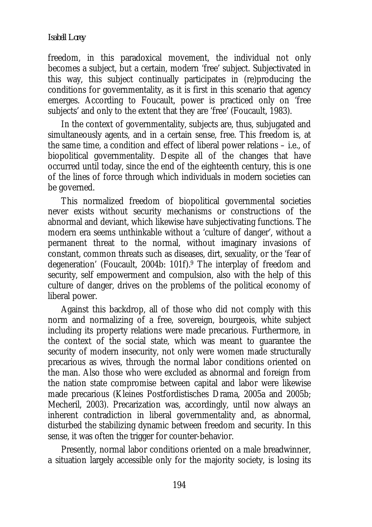freedom, in this paradoxical movement, the individual not only becomes a subject, but a certain, modern 'free' subject. Subjectivated in this way, this subject continually participates in (re)producing the conditions for governmentality, as it is first in this scenario that agency emerges. According to Foucault, power is practiced only on 'free subjects' and only to the extent that they are 'free' (Foucault, 1983).

In the context of governmentality, subjects are, thus, subjugated and simultaneously agents, and in a certain sense, free. This freedom is, at the same time, a condition and effect of liberal power relations – i.e., of biopolitical governmentality. Despite all of the changes that have occurred until today, since the end of the eighteenth century, this is one of the lines of force through which individuals in modern societies can be governed.

This normalized freedom of biopolitical governmental societies never exists without security mechanisms or constructions of the abnormal and deviant, which likewise have subjectivating functions. The modern era seems unthinkable without a 'culture of danger', without a permanent threat to the normal, without imaginary invasions of constant, common threats such as diseases, dirt, sexuality, or the 'fear of degeneration' (Foucault, 2004b: 101f).9 The interplay of freedom and security, self empowerment and compulsion, also with the help of this culture of danger, drives on the problems of the political economy of liberal power.

Against this backdrop, all of those who did not comply with this norm and normalizing of a free, sovereign, bourgeois, white subject including its property relations were made precarious. Furthermore, in the context of the social state, which was meant to guarantee the security of modern insecurity, not only were women made structurally precarious as wives, through the normal labor conditions oriented on the man. Also those who were excluded as abnormal and foreign from the nation state compromise between capital and labor were likewise made precarious (Kleines Postfordistisches Drama, 2005a and 2005b; Mecheril, 2003). Precarization was, accordingly, until now always an inherent contradiction in liberal governmentality and, as abnormal, disturbed the stabilizing dynamic between freedom and security. In this sense, it was often the trigger for counter-behavior.

Presently, normal labor conditions oriented on a male breadwinner, a situation largely accessible only for the majority society, is losing its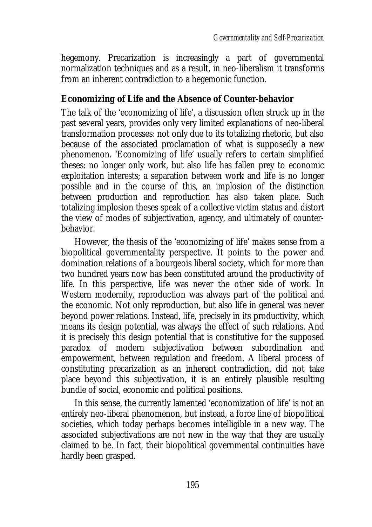hegemony. Precarization is increasingly a part of governmental normalization techniques and as a result, in neo-liberalism it transforms from an inherent contradiction to a hegemonic function.

## **Economizing of Life and the Absence of Counter-behavior**

The talk of the 'economizing of life', a discussion often struck up in the past several years, provides only very limited explanations of neo-liberal transformation processes: not only due to its totalizing rhetoric, but also because of the associated proclamation of what is supposedly a new phenomenon. 'Economizing of life' usually refers to certain simplified theses: no longer only work, but also life has fallen prey to economic exploitation interests; a separation between work and life is no longer possible and in the course of this, an implosion of the distinction between production and reproduction has also taken place. Such totalizing implosion theses speak of a collective victim status and distort the view of modes of subjectivation, agency, and ultimately of counterbehavior.

However, the thesis of the 'economizing of life' makes sense from a biopolitical governmentality perspective. It points to the power and domination relations of a bourgeois liberal society, which for more than two hundred years now has been constituted around the productivity of life. In this perspective, life was never the other side of work. In Western modernity, reproduction was always part of the political and the economic. Not only reproduction, but also life in general was never beyond power relations. Instead, life, precisely in its productivity, which means its design potential, was always the effect of such relations. And it is precisely this design potential that is constitutive for the supposed paradox of modern subjectivation between subordination and empowerment, between regulation and freedom. A liberal process of constituting precarization as an inherent contradiction, did not take place beyond this subjectivation, it is an entirely plausible resulting bundle of social, economic and political positions.

In this sense, the currently lamented 'economization of life' is not an entirely neo-liberal phenomenon, but instead, a force line of biopolitical societies, which today perhaps becomes intelligible in a new way. The associated subjectivations are not new in the way that they are usually claimed to be. In fact, their biopolitical governmental continuities have hardly been grasped.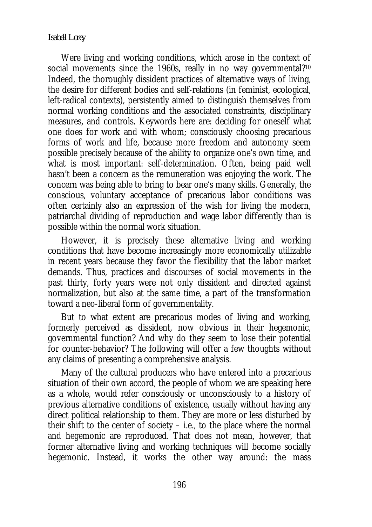#### *Isabell Lorey*

Were living and working conditions, which arose in the context of social movements since the 1960s, really in no way governmental?<sup>10</sup> Indeed, the thoroughly dissident practices of alternative ways of living, the desire for different bodies and self-relations (in feminist, ecological, left-radical contexts), persistently aimed to distinguish themselves from normal working conditions and the associated constraints, disciplinary measures, and controls. Keywords here are: deciding for oneself what one does for work and with whom; consciously choosing precarious forms of work and life, because more freedom and autonomy seem possible precisely because of the ability to organize one's own time, and what is most important: self-determination. Often, being paid well hasn't been a concern as the remuneration was enjoying the work. The concern was being able to bring to bear one's many skills. Generally, the conscious, voluntary acceptance of precarious labor conditions was often certainly also an expression of the wish for living the modern, patriarchal dividing of reproduction and wage labor differently than is possible within the normal work situation.

However, it is precisely these alternative living and working conditions that have become increasingly more economically utilizable in recent years because they favor the flexibility that the labor market demands. Thus, practices and discourses of social movements in the past thirty, forty years were not only dissident and directed against normalization, but also at the same time, a part of the transformation toward a neo-liberal form of governmentality.

But to what extent are precarious modes of living and working, formerly perceived as dissident, now obvious in their hegemonic, governmental function? And why do they seem to lose their potential for counter-behavior? The following will offer a few thoughts without any claims of presenting a comprehensive analysis.

Many of the cultural producers who have entered into a precarious situation of their own accord, the people of whom we are speaking here as a whole, would refer consciously or unconsciously to a history of previous alternative conditions of existence, usually without having any direct political relationship to them. They are more or less disturbed by their shift to the center of society – i.e., to the place where the normal and hegemonic are reproduced. That does not mean, however, that former alternative living and working techniques will become socially hegemonic. Instead, it works the other way around: the mass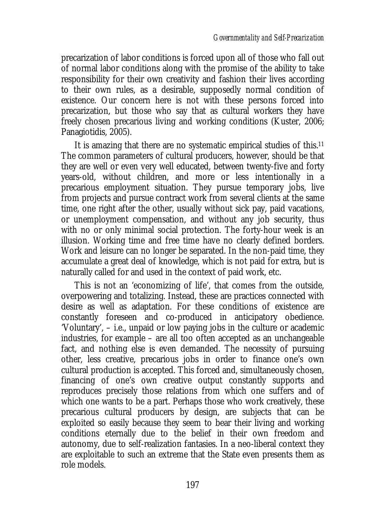precarization of labor conditions is forced upon all of those who fall out of normal labor conditions along with the promise of the ability to take responsibility for their own creativity and fashion their lives according to their own rules, as a desirable, supposedly normal condition of existence. Our concern here is not with these persons forced into precarization, but those who say that as cultural workers they have freely chosen precarious living and working conditions (Kuster, 2006; Panagiotidis, 2005).

It is amazing that there are no systematic empirical studies of this.11 The common parameters of cultural producers, however, should be that they are well or even very well educated, between twenty-five and forty years-old, without children, and more or less intentionally in a precarious employment situation. They pursue temporary jobs, live from projects and pursue contract work from several clients at the same time, one right after the other, usually without sick pay, paid vacations, or unemployment compensation, and without any job security, thus with no or only minimal social protection. The forty-hour week is an illusion. Working time and free time have no clearly defined borders. Work and leisure can no longer be separated. In the non-paid time, they accumulate a great deal of knowledge, which is not paid for extra, but is naturally called for and used in the context of paid work, etc.

This is not an 'economizing of life', that comes from the outside, overpowering and totalizing. Instead, these are practices connected with desire as well as adaptation. For these conditions of existence are constantly foreseen and co-produced in anticipatory obedience. 'Voluntary', – i.e., unpaid or low paying jobs in the culture or academic industries, for example – are all too often accepted as an unchangeable fact, and nothing else is even demanded. The necessity of pursuing other, less creative, precarious jobs in order to finance one's own cultural production is accepted. This forced and, simultaneously chosen, financing of one's own creative output constantly supports and reproduces precisely those relations from which one suffers and of which one wants to be a part. Perhaps those who work creatively, these precarious cultural producers by design, are subjects that can be exploited so easily because they seem to bear their living and working conditions eternally due to the belief in their own freedom and autonomy, due to self-realization fantasies. In a neo-liberal context they are exploitable to such an extreme that the State even presents them as role models.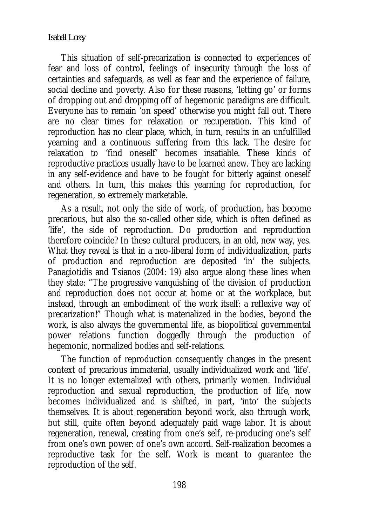This situation of self-precarization is connected to experiences of fear and loss of control, feelings of insecurity through the loss of certainties and safeguards, as well as fear and the experience of failure, social decline and poverty. Also for these reasons, 'letting go' or forms of dropping out and dropping off of hegemonic paradigms are difficult. Everyone has to remain 'on speed' otherwise you might fall out. There are no clear times for relaxation or recuperation. This kind of reproduction has no clear place, which, in turn, results in an unfulfilled yearning and a continuous suffering from this lack. The desire for relaxation to 'find oneself' becomes insatiable. These kinds of reproductive practices usually have to be learned anew. They are lacking in any self-evidence and have to be fought for bitterly against oneself and others. In turn, this makes this yearning for reproduction, for regeneration, so extremely marketable.

As a result, not only the side of work, of production, has become precarious, but also the so-called other side, which is often defined as 'life', the side of reproduction. Do production and reproduction therefore coincide? In these cultural producers, in an old, new way, yes. What they reveal is that in a neo-liberal form of individualization, parts of production and reproduction are deposited 'in' the subjects. Panagiotidis and Tsianos (2004: 19) also argue along these lines when they state: "The progressive vanquishing of the division of production and reproduction does not occur at home or at the workplace, but instead, through an embodiment of the work itself: a reflexive way of precarization!" Though what is materialized in the bodies, beyond the work, is also always the governmental life, as biopolitical governmental power relations function doggedly through the production of hegemonic, normalized bodies and self-relations.

The function of reproduction consequently changes in the present context of precarious immaterial, usually individualized work and 'life'. It is no longer externalized with others, primarily women. Individual reproduction and sexual reproduction, the production of life, now becomes individualized and is shifted, in part, 'into' the subjects themselves. It is about regeneration beyond work, also through work, but still, quite often beyond adequately paid wage labor. It is about regeneration, renewal, creating from one's self, re-producing one's self from one's own power: of one's own accord. Self-realization becomes a reproductive task for the self. Work is meant to guarantee the reproduction of the self.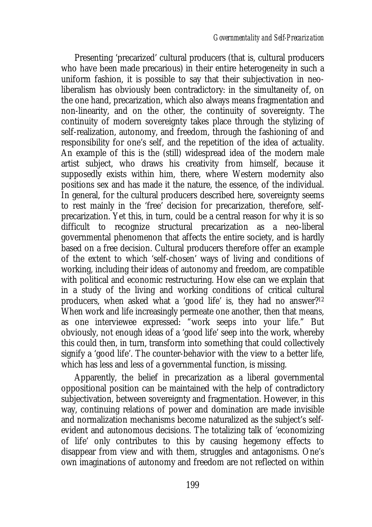Presenting 'precarized' cultural producers (that is, cultural producers who have been made precarious) in their entire heterogeneity in such a uniform fashion, it is possible to say that their subjectivation in neoliberalism has obviously been contradictory: in the simultaneity of, on the one hand, precarization, which also always means fragmentation and non-linearity, and on the other, the continuity of sovereignty. The continuity of modern sovereignty takes place through the stylizing of self-realization, autonomy, and freedom, through the fashioning of and responsibility for one's self, and the repetition of the idea of actuality. An example of this is the (still) widespread idea of the modern male artist subject, who draws his creativity from himself, because it supposedly exists within him, there, where Western modernity also positions sex and has made it the nature, the essence, of the individual. In general, for the cultural producers described here, sovereignty seems to rest mainly in the 'free' decision for precarization, therefore, selfprecarization. Yet this, in turn, could be a central reason for why it is so difficult to recognize structural precarization as a neo-liberal governmental phenomenon that affects the entire society, and is hardly based on a free decision. Cultural producers therefore offer an example of the extent to which 'self-chosen' ways of living and conditions of working, including their ideas of autonomy and freedom, are compatible with political and economic restructuring. How else can we explain that in a study of the living and working conditions of critical cultural producers, when asked what a 'good life' is, they had no answer?<sup>12</sup> When work and life increasingly permeate one another, then that means, as one interviewee expressed: "work seeps into your life." But obviously, not enough ideas of a 'good life' seep into the work, whereby this could then, in turn, transform into something that could collectively signify a 'good life'. The counter-behavior with the view to a better life, which has less and less of a governmental function, is missing.

Apparently, the belief in precarization as a liberal governmental oppositional position can be maintained with the help of contradictory subjectivation, between sovereignty and fragmentation. However, in this way, continuing relations of power and domination are made invisible and normalization mechanisms become naturalized as the subject's selfevident and autonomous decisions. The totalizing talk of 'economizing of life' only contributes to this by causing hegemony effects to disappear from view and with them, struggles and antagonisms. One's own imaginations of autonomy and freedom are not reflected on within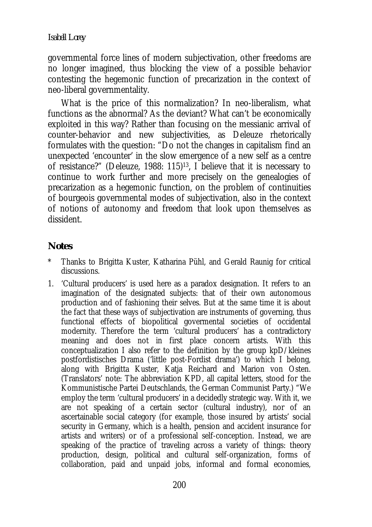#### *Isabell Lorey*

governmental force lines of modern subjectivation, other freedoms are no longer imagined, thus blocking the view of a possible behavior contesting the hegemonic function of precarization in the context of neo-liberal governmentality.

What is the price of this normalization? In neo-liberalism, what functions as the abnormal? As the deviant? What can't be economically exploited in this way? Rather than focusing on the messianic arrival of counter-behavior and new subjectivities, as Deleuze rhetorically formulates with the question: "Do not the changes in capitalism find an unexpected 'encounter' in the slow emergence of a new self as a centre of resistance?" (Deleuze, 1988: 115)13, I believe that it is necessary to continue to work further and more precisely on the genealogies of precarization as a hegemonic function, on the problem of continuities of bourgeois governmental modes of subjectivation, also in the context of notions of autonomy and freedom that look upon themselves as dissident.

## **Notes**

- Thanks to Brigitta Kuster, Katharina Pühl, and Gerald Raunig for critical discussions.
- 1. 'Cultural producers' is used here as a paradox designation. It refers to an imagination of the designated subjects: that of their own autonomous production and of fashioning their selves. But at the same time it is about the fact that these ways of subjectivation are instruments of governing, thus functional effects of biopolitical govermental societies of occidental modernity. Therefore the term 'cultural producers' has a contradictory meaning and does not in first place concern artists. With this conceptualization I also refer to the definition by the group kpD/kleines postfordistisches Drama ('little post-Fordist drama') to which I belong, along with Brigitta Kuster, Katja Reichard and Marion von Osten. (Translators' note: The abbreviation KPD, all capital letters, stood for the Kommunistische Partei Deutschlands, the German Communist Party.) "We employ the term 'cultural producers' in a decidedly strategic way. With it, we are not speaking of a certain sector (cultural industry), nor of an ascertainable social category (for example, those insured by artists' social security in Germany, which is a health, pension and accident insurance for artists and writers) or of a professional self-conception. Instead, we are speaking of the practice of traveling across a variety of things: theory production, design, political and cultural self-organization, forms of collaboration, paid and unpaid jobs, informal and formal economies,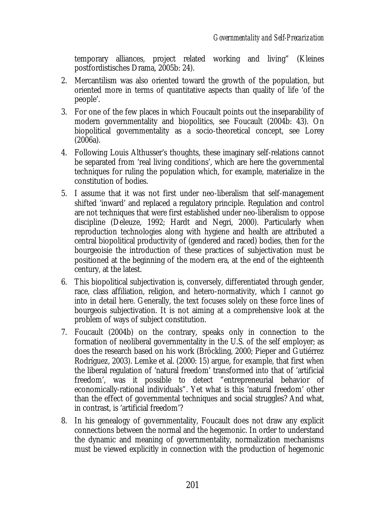temporary alliances, project related working and living" (Kleines postfordistisches Drama, 2005b: 24).

- 2. Mercantilism was also oriented toward the growth of the population, but oriented more in terms of quantitative aspects than quality of life 'of the people'.
- 3. For one of the few places in which Foucault points out the inseparability of modern governmentality and biopolitics, see Foucault (2004b: 43). On biopolitical governmentality as a socio-theoretical concept, see Lorey (2006a).
- 4. Following Louis Althusser's thoughts, these imaginary self-relations cannot be separated from 'real living conditions', which are here the governmental techniques for ruling the population which, for example, materialize in the constitution of bodies.
- 5. I assume that it was not first under neo-liberalism that self-management shifted 'inward' and replaced a regulatory principle. Regulation and control are not techniques that were first established under neo-liberalism to oppose discipline (Deleuze, 1992; Hardt and Negri, 2000). Particularly when reproduction technologies along with hygiene and health are attributed a central biopolitical productivity of (gendered and raced) bodies, then for the bourgeoisie the introduction of these practices of subjectivation must be positioned at the beginning of the modern era, at the end of the eighteenth century, at the latest.
- 6. This biopolitical subjectivation is, conversely, differentiated through gender, race, class affiliation, religion, and hetero-normativity, which I cannot go into in detail here. Generally, the text focuses solely on these force lines of bourgeois subjectivation. It is not aiming at a comprehensive look at the problem of ways of subject constitution.
- 7. Foucault (2004b) on the contrary, speaks only in connection to the formation of neoliberal governmentality in the U.S. of the self employer; as does the research based on his work (Bröckling, 2000; Pieper and Gutiérrez Rodríguez, 2003). Lemke et al. (2000: 15) argue, for example, that first when the liberal regulation of 'natural freedom' transformed into that of 'artificial freedom', was it possible to detect "entrepreneurial behavior of economically-rational individuals". Yet what is this 'natural freedom' other than the effect of governmental techniques and social struggles? And what, in contrast, is 'artificial freedom'?
- 8. In his genealogy of governmentality, Foucault does not draw any explicit connections between the normal and the hegemonic. In order to understand the dynamic and meaning of governmentality, normalization mechanisms must be viewed explicitly in connection with the production of hegemonic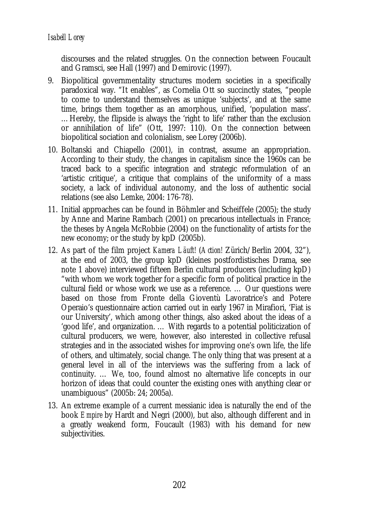discourses and the related struggles. On the connection between Foucault and Gramsci, see Hall (1997) and Demirovic (1997).

- 9. Biopolitical governmentality structures modern societies in a specifically paradoxical way. "It enables", as Cornelia Ott so succinctly states, "people to come to understand themselves as unique 'subjects', and at the same time, brings them together as an amorphous, unified, 'population mass'. …Hereby, the flipside is always the 'right to life' rather than the exclusion or annihilation of life" (Ott, 1997: 110). On the connection between biopolitical sociation and colonialism, see Lorey (2006b).
- 10. Boltanski and Chiapello (2001), in contrast, assume an appropriation. According to their study, the changes in capitalism since the 1960s can be traced back to a specific integration and strategic reformulation of an 'artistic critique', a critique that complains of the uniformity of a mass society, a lack of individual autonomy, and the loss of authentic social relations (see also Lemke, 2004: 176-78).
- 11. Initial approaches can be found in Böhmler and Scheiffele (2005); the study by Anne and Marine Rambach (2001) on precarious intellectuals in France; the theses by Angela McRobbie (2004) on the functionality of artists for the new economy; or the study by kpD (2005b).
- 12. As part of the film project *Kamera Läuft!* (*Action!* Zürich/Berlin 2004, 32"), at the end of 2003, the group kpD (kleines postfordistisches Drama, see note 1 above) interviewed fifteen Berlin cultural producers (including kpD) "with whom we work together for a specific form of political practice in the cultural field or whose work we use as a reference. … Our questions were based on those from Fronte della Gioventù Lavoratrice's and Potere Operaio's questionnaire action carried out in early 1967 in Mirafiori, 'Fiat is our University', which among other things, also asked about the ideas of a 'good life', and organization. … With regards to a potential politicization of cultural producers, we were, however, also interested in collective refusal strategies and in the associated wishes for improving one's own life, the life of others, and ultimately, social change. The only thing that was present at a general level in all of the interviews was the suffering from a lack of continuity. … We, too, found almost no alternative life concepts in our horizon of ideas that could counter the existing ones with anything clear or unambiguous" (2005b: 24; 2005a).
- 13. An extreme example of a current messianic idea is naturally the end of the book *Empire* by Hardt and Negri (2000), but also, although different and in a greatly weakend form, Foucault (1983) with his demand for new subjectivities.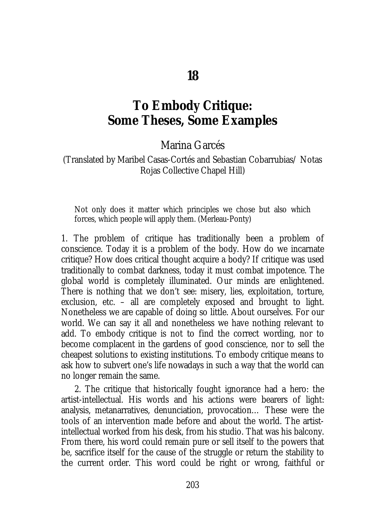# **To Embody Critique: Some Theses, Some Examples**

Marina Garcés

(Translated by Maribel Casas-Cortés and Sebastian Cobarrubias/ Notas Rojas Collective Chapel Hill)

Not only does it matter which principles we chose but also which forces, which people will apply them. (Merleau-Ponty)

1. The problem of critique has traditionally been a problem of conscience. Today it is a problem of the body. How do we incarnate critique? How does critical thought acquire a body? If critique was used traditionally to combat darkness, today it must combat impotence. The global world is completely illuminated. Our minds are enlightened. There is nothing that we don't see: misery, lies, exploitation, torture, exclusion, etc. – all are completely exposed and brought to light. Nonetheless we are capable of doing so little. About ourselves. For our world. We can say it all and nonetheless we have nothing relevant to add. To embody critique is not to find the correct wording, nor to become complacent in the gardens of good conscience, nor to sell the cheapest solutions to existing institutions. To embody critique means to ask how to subvert one's life nowadays in such a way that the world can no longer remain the same.

2. The critique that historically fought ignorance had a hero: the artist-intellectual. His words and his actions were bearers of light: analysis, metanarratives, denunciation, provocation… These were the tools of an intervention made before and about the world. The artistintellectual worked from his desk, from his studio. That was his balcony. From there, his word could remain pure or sell itself to the powers that be, sacrifice itself for the cause of the struggle or return the stability to the current order. This word could be right or wrong, faithful or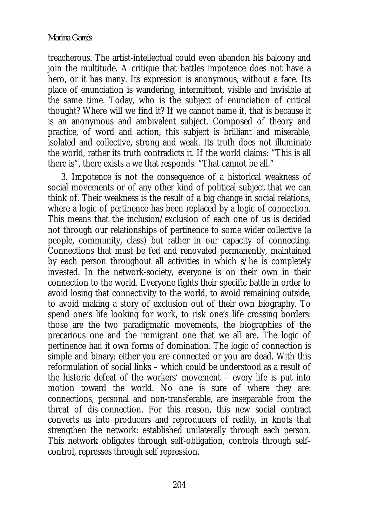#### *Marina Garcés*

treacherous. The artist-intellectual could even abandon his balcony and join the multitude. A critique that battles impotence does not have a hero, or it has many. Its expression is anonymous, without a face. Its place of enunciation is wandering, intermittent, visible and invisible at the same time. Today, who is the subject of enunciation of critical thought? Where will we find it? If we cannot name it, that is because it is an anonymous and ambivalent subject. Composed of theory and practice, of word and action, this subject is brilliant and miserable, isolated and collective, strong and weak. Its truth does not illuminate the world, rather its truth contradicts it. If the world claims: "This is all there is", there exists a we that responds: "That cannot be all."

3. Impotence is not the consequence of a historical weakness of social movements or of any other kind of political subject that we can think of. Their weakness is the result of a big change in social relations, where a logic of pertinence has been replaced by a logic of connection. This means that the inclusion/exclusion of each one of us is decided not through our relationships of pertinence to some wider collective (a people, community, class) but rather in our capacity of connecting. Connections that must be fed and renovated permanently, maintained by each person throughout all activities in which s/he is completely invested. In the network-society, everyone is on their own in their connection to the world. Everyone fights their specific battle in order to avoid losing that connectivity to the world, to avoid remaining outside, to avoid making a story of exclusion out of their own biography. To spend one's life looking for work, to risk one's life crossing borders: those are the two paradigmatic movements, the biographies of the precarious one and the immigrant one that we all are. The logic of pertinence had it own forms of domination. The logic of connection is simple and binary: either you are connected or you are dead. With this reformulation of social links – which could be understood as a result of the historic defeat of the workers' movement – every life is put into motion toward the world. No one is sure of where they are: connections, personal and non-transferable, are inseparable from the threat of dis-connection. For this reason, this new social contract converts us into producers and reproducers of reality, in knots that strengthen the network: established unilaterally through each person. This network obligates through self-obligation, controls through selfcontrol, represses through self repression.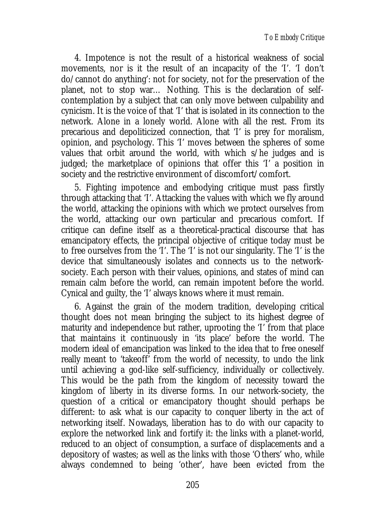4. Impotence is not the result of a historical weakness of social movements, nor is it the result of an incapacity of the 'I'. 'I don't do/cannot do anything': not for society, not for the preservation of the planet, not to stop war… Nothing. This is the declaration of selfcontemplation by a subject that can only move between culpability and cynicism. It is the voice of that 'I' that is isolated in its connection to the network. Alone in a lonely world. Alone with all the rest. From its precarious and depoliticized connection, that 'I' is prey for moralism, opinion, and psychology. This 'I' moves between the spheres of some values that orbit around the world, with which s/he judges and is judged; the marketplace of opinions that offer this 'I' a position in society and the restrictive environment of discomfort/comfort.

5. Fighting impotence and embodying critique must pass firstly through attacking that 'I'. Attacking the values with which we fly around the world, attacking the opinions with which we protect ourselves from the world, attacking our own particular and precarious comfort. If critique can define itself as a theoretical-practical discourse that has emancipatory effects, the principal objective of critique today must be to free ourselves from the 'I'. The 'I' is not our singularity. The 'I' is the device that simultaneously isolates and connects us to the networksociety. Each person with their values, opinions, and states of mind can remain calm before the world, can remain impotent before the world. Cynical and guilty, the 'I' always knows where it must remain.

6. Against the grain of the modern tradition, developing critical thought does not mean bringing the subject to its highest degree of maturity and independence but rather, uprooting the 'I' from that place that maintains it continuously in 'its place' before the world. The modern ideal of emancipation was linked to the idea that to free oneself really meant to 'takeoff' from the world of necessity, to undo the link until achieving a god-like self-sufficiency, individually or collectively. This would be the path from the kingdom of necessity toward the kingdom of liberty in its diverse forms. In our network-society, the question of a critical or emancipatory thought should perhaps be different: to ask what is our capacity to conquer liberty in the act of networking itself. Nowadays, liberation has to do with our capacity to explore the networked link and fortify it: the links with a planet-world, reduced to an object of consumption, a surface of displacements and a depository of wastes; as well as the links with those 'Others' who, while always condemned to being 'other', have been evicted from the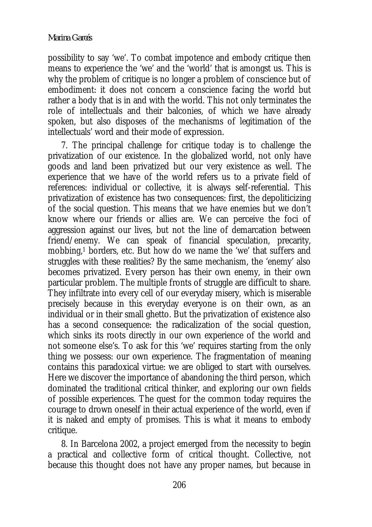#### *Marina Garcés*

possibility to say 'we'. To combat impotence and embody critique then means to experience the 'we' and the 'world' that is amongst us. This is why the problem of critique is no longer a problem of conscience but of embodiment: it does not concern a conscience facing the world but rather a body that is in and with the world. This not only terminates the role of intellectuals and their balconies, of which we have already spoken, but also disposes of the mechanisms of legitimation of the intellectuals' word and their mode of expression.

7. The principal challenge for critique today is to challenge the privatization of our existence. In the globalized world, not only have goods and land been privatized but our very existence as well. The experience that we have of the world refers us to a private field of references: individual or collective, it is always self-referential. This privatization of existence has two consequences: first, the depoliticizing of the social question. This means that we have enemies but we don't know where our friends or allies are. We can perceive the foci of aggression against our lives, but not the line of demarcation between friend/enemy. We can speak of financial speculation, precarity, mobbing,1 borders, etc. But how do we name the 'we' that suffers and struggles with these realities? By the same mechanism, the 'enemy' also becomes privatized. Every person has their own enemy, in their own particular problem. The multiple fronts of struggle are difficult to share. They infiltrate into every cell of our everyday misery, which is miserable precisely because in this everyday everyone is on their own, as an individual or in their small ghetto. But the privatization of existence also has a second consequence: the radicalization of the social question, which sinks its roots directly in our own experience of the world and not someone else's. To ask for this 'we' requires starting from the only thing we possess: our own experience. The fragmentation of meaning contains this paradoxical virtue: we are obliged to start with ourselves. Here we discover the importance of abandoning the third person, which dominated the traditional critical thinker, and exploring our own fields of possible experiences. The quest for the common today requires the courage to drown oneself in their actual experience of the world, even if it is naked and empty of promises. This is what it means to embody critique.

8. In Barcelona 2002, a project emerged from the necessity to begin a practical and collective form of critical thought. Collective, not because this thought does not have any proper names, but because in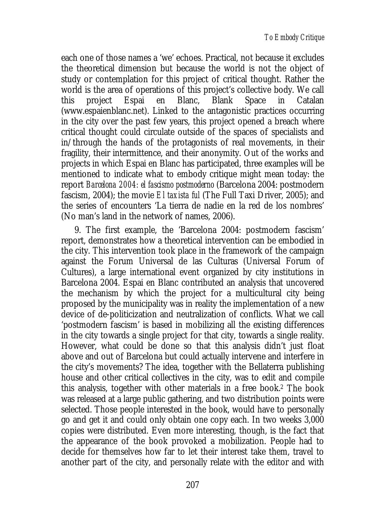each one of those names a 'we' echoes. Practical, not because it excludes the theoretical dimension but because the world is not the object of study or contemplation for this project of critical thought. Rather the world is the area of operations of this project's collective body. We call this project Espai en Blanc, Blank Space in Catalan (www.espaienblanc.net). Linked to the antagonistic practices occurring in the city over the past few years, this project opened a breach where critical thought could circulate outside of the spaces of specialists and in/through the hands of the protagonists of real movements, in their fragility, their intermittence, and their anonymity. Out of the works and projects in which Espai en Blanc has participated, three examples will be mentioned to indicate what to embody critique might mean today: the report *Barcelona 2004: el fascismo postmoderno* (Barcelona 2004: postmodern fascism, 2004); the movie *El taxista ful* (The Full Taxi Driver, 2005); and the series of encounters 'La tierra de nadie en la red de los nombres' (No man's land in the network of names, 2006).

9. The first example, the 'Barcelona 2004: postmodern fascism' report, demonstrates how a theoretical intervention can be embodied in the city. This intervention took place in the framework of the campaign against the Forum Universal de las Culturas (Universal Forum of Cultures), a large international event organized by city institutions in Barcelona 2004. Espai en Blanc contributed an analysis that uncovered the mechanism by which the project for a multicultural city being proposed by the municipality was in reality the implementation of a new device of de-politicization and neutralization of conflicts. What we call 'postmodern fascism' is based in mobilizing all the existing differences in the city towards a single project for that city, towards a single reality. However, what could be done so that this analysis didn't just float above and out of Barcelona but could actually intervene and interfere in the city's movements? The idea, together with the Bellaterra publishing house and other critical collectives in the city, was to edit and compile this analysis, together with other materials in a free book.2 The book was released at a large public gathering, and two distribution points were selected. Those people interested in the book, would have to personally go and get it and could only obtain one copy each. In two weeks 3,000 copies were distributed. Even more interesting, though, is the fact that the appearance of the book provoked a mobilization. People had to decide for themselves how far to let their interest take them, travel to another part of the city, and personally relate with the editor and with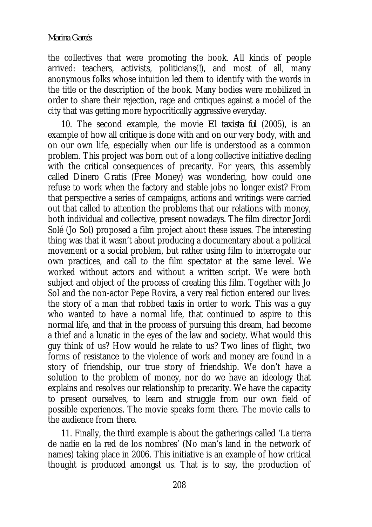the collectives that were promoting the book. All kinds of people arrived: teachers, activists, politicians(!), and most of all, many anonymous folks whose intuition led them to identify with the words in the title or the description of the book. Many bodies were mobilized in order to share their rejection, rage and critiques against a model of the city that was getting more hypocritically aggressive everyday.

10. The second example, the movie *El taxista ful* (2005), is an example of how all critique is done with and on our very body, with and on our own life, especially when our life is understood as a common problem. This project was born out of a long collective initiative dealing with the critical consequences of precarity. For years, this assembly called Dinero Gratis (Free Money) was wondering, how could one refuse to work when the factory and stable jobs no longer exist? From that perspective a series of campaigns, actions and writings were carried out that called to attention the problems that our relations with money, both individual and collective, present nowadays. The film director Jordi Solé (Jo Sol) proposed a film project about these issues. The interesting thing was that it wasn't about producing a documentary about a political movement or a social problem, but rather using film to interrogate our own practices, and call to the film spectator at the same level. We worked without actors and without a written script. We were both subject and object of the process of creating this film. Together with Jo Sol and the non-actor Pepe Rovira, a very real fiction entered our lives: the story of a man that robbed taxis in order to work. This was a guy who wanted to have a normal life, that continued to aspire to this normal life, and that in the process of pursuing this dream, had become a thief and a lunatic in the eyes of the law and society. What would this guy think of us? How would he relate to us? Two lines of flight, two forms of resistance to the violence of work and money are found in a story of friendship, our true story of friendship. We don't have a solution to the problem of money, nor do we have an ideology that explains and resolves our relationship to precarity. We have the capacity to present ourselves, to learn and struggle from our own field of possible experiences. The movie speaks form there. The movie calls to the audience from there.

11. Finally, the third example is about the gatherings called 'La tierra de nadie en la red de los nombres' (No man's land in the network of names) taking place in 2006. This initiative is an example of how critical thought is produced amongst us. That is to say, the production of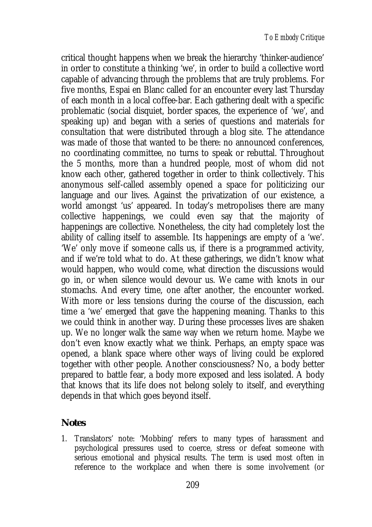critical thought happens when we break the hierarchy 'thinker-audience' in order to constitute a thinking 'we', in order to build a collective word capable of advancing through the problems that are truly problems. For five months, Espai en Blanc called for an encounter every last Thursday of each month in a local coffee-bar. Each gathering dealt with a specific problematic (social disquiet, border spaces, the experience of 'we', and speaking up) and began with a series of questions and materials for consultation that were distributed through a blog site. The attendance was made of those that wanted to be there: no announced conferences, no coordinating committee, no turns to speak or rebuttal. Throughout the 5 months, more than a hundred people, most of whom did not know each other, gathered together in order to think collectively. This anonymous self-called assembly opened a space for politicizing our language and our lives. Against the privatization of our existence, a world amongst 'us' appeared. In today's metropolises there are many collective happenings, we could even say that the majority of happenings are collective. Nonetheless, the city had completely lost the ability of calling itself to assemble. Its happenings are empty of a 'we'. 'We' only move if someone calls us, if there is a programmed activity, and if we're told what to do. At these gatherings, we didn't know what would happen, who would come, what direction the discussions would go in, or when silence would devour us. We came with knots in our stomachs. And every time, one after another, the encounter worked. With more or less tensions during the course of the discussion, each time a 'we' emerged that gave the happening meaning. Thanks to this we could think in another way. During these processes lives are shaken up. We no longer walk the same way when we return home. Maybe we don't even know exactly what we think. Perhaps, an empty space was opened, a blank space where other ways of living could be explored together with other people. Another consciousness? No, a body better prepared to battle fear, a body more exposed and less isolated. A body that knows that its life does not belong solely to itself, and everything depends in that which goes beyond itself.

## **Notes**

1. Translators' note: 'Mobbing' refers to many types of harassment and psychological pressures used to coerce, stress or defeat someone with serious emotional and physical results. The term is used most often in reference to the workplace and when there is some involvement (or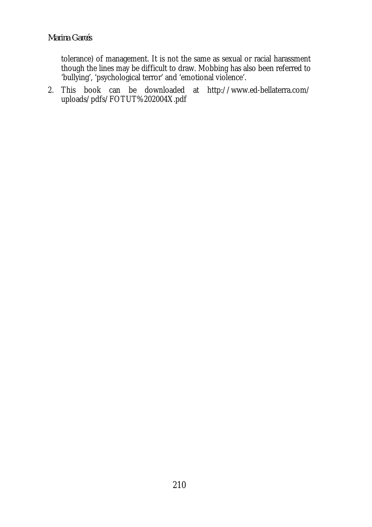tolerance) of management. It is not the same as sexual or racial harassment though the lines may be difficult to draw. Mobbing has also been referred to 'bullying', 'psychological terror' and 'emotional violence'.

2. This book can be downloaded at http://www.ed-bellaterra.com/ uploads/pdfs/FOTUT%202004X.pdf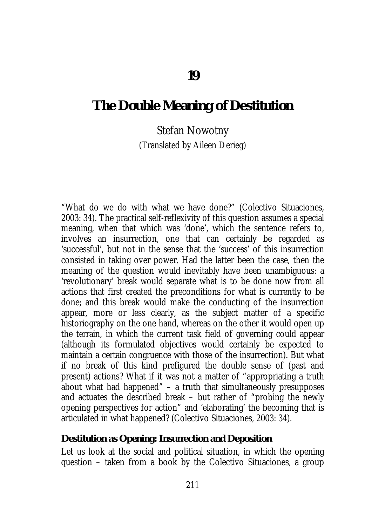# **The Double Meaning of Destitution**

Stefan Nowotny

(Translated by Aileen Derieg)

"What do we do with what we have done?" (Colectivo Situaciones, 2003: 34). The practical self-reflexivity of this question assumes a special meaning, when that which was 'done', which the sentence refers to, involves an insurrection, one that can certainly be regarded as 'successful', but not in the sense that the 'success' of this insurrection consisted in taking over power. Had the latter been the case, then the meaning of the question would inevitably have been unambiguous: a 'revolutionary' break would separate what is to be done now from all actions that first created the preconditions for what is currently to be done; and this break would make the conducting of the insurrection appear, more or less clearly, as the subject matter of a specific historiography on the one hand, whereas on the other it would open up the terrain, in which the current task field of governing could appear (although its formulated objectives would certainly be expected to maintain a certain congruence with those of the insurrection). But what if no break of this kind prefigured the double sense of (past and present) actions? What if it was not a matter of "appropriating a truth about what had happened" – a truth that simultaneously presupposes and actuates the described break – but rather of "probing the newly opening perspectives for action" and 'elaborating' the becoming that is articulated in what happened? (Colectivo Situaciones, 2003: 34).

## **Destitution as Opening: Insurrection and Deposition**

Let us look at the social and political situation, in which the opening question – taken from a book by the Colectivo Situaciones, a group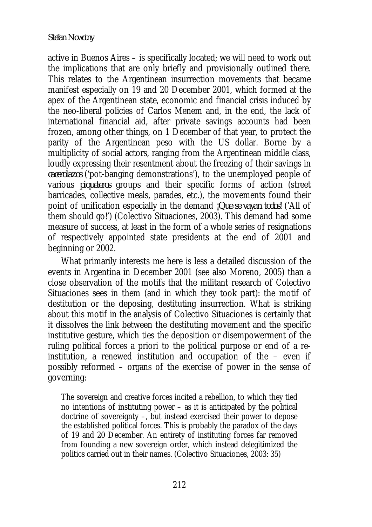active in Buenos Aires – is specifically located; we will need to work out the implications that are only briefly and provisionally outlined there. This relates to the Argentinean insurrection movements that became manifest especially on 19 and 20 December 2001, which formed at the apex of the Argentinean state, economic and financial crisis induced by the neo-liberal policies of Carlos Menem and, in the end, the lack of international financial aid, after private savings accounts had been frozen, among other things, on 1 December of that year, to protect the parity of the Argentinean peso with the US dollar. Borne by a multiplicity of social actors, ranging from the Argentinean middle class, loudly expressing their resentment about the freezing of their savings in *cacerolazos* ('pot-banging demonstrations'), to the unemployed people of various *piqueteros* groups and their specific forms of action (street barricades, collective meals, parades, etc.), the movements found their point of unification especially in the demand *¡Que se vayan todos!* ('All of them should go!') (Colectivo Situaciones, 2003). This demand had some measure of success, at least in the form of a whole series of resignations of respectively appointed state presidents at the end of 2001 and beginning or 2002.

What primarily interests me here is less a detailed discussion of the events in Argentina in December 2001 (see also Moreno, 2005) than a close observation of the motifs that the militant research of Colectivo Situaciones sees in them (and in which they took part): the motif of destitution or the deposing, destituting insurrection. What is striking about this motif in the analysis of Colectivo Situaciones is certainly that it dissolves the link between the destituting movement and the specific institutive gesture, which ties the deposition or disempowerment of the ruling political forces a priori to the political purpose or end of a reinstitution, a renewed institution and occupation of the – even if possibly reformed – organs of the exercise of power in the sense of governing:

The sovereign and creative forces incited a rebellion, to which they tied no intentions of instituting power – as it is anticipated by the political doctrine of sovereignty –, but instead exercised their power to depose the established political forces. This is probably the paradox of the days of 19 and 20 December. An entirety of instituting forces far removed from founding a new sovereign order, which instead delegitimized the politics carried out in their names. (Colectivo Situaciones, 2003: 35)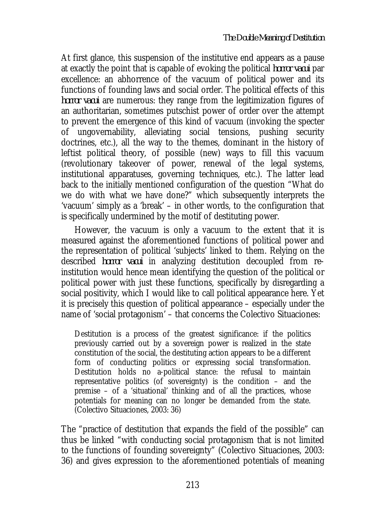At first glance, this suspension of the institutive end appears as a pause at exactly the point that is capable of evoking the political *horror vacui* par excellence: an abhorrence of the vacuum of political power and its functions of founding laws and social order. The political effects of this *horror vacui* are numerous: they range from the legitimization figures of an authoritarian, sometimes putschist power of order over the attempt to prevent the emergence of this kind of vacuum (invoking the specter of ungovernability, alleviating social tensions, pushing security doctrines, etc.), all the way to the themes, dominant in the history of leftist political theory, of possible (new) ways to fill this vacuum (revolutionary takeover of power, renewal of the legal systems, institutional apparatuses, governing techniques, etc.). The latter lead back to the initially mentioned configuration of the question "What do we do with what we have done?" which subsequently interprets the 'vacuum' simply as a 'break' – in other words, to the configuration that is specifically undermined by the motif of destituting power.

However, the vacuum is only a vacuum to the extent that it is measured against the aforementioned functions of political power and the representation of political 'subjects' linked to them. Relying on the described *horror vacui* in analyzing destitution decoupled from reinstitution would hence mean identifying the question of the political or political power with just these functions, specifically by disregarding a social positivity, which I would like to call political appearance here. Yet it is precisely this question of political appearance – especially under the name of 'social protagonism' – that concerns the Colectivo Situaciones:

Destitution is a process of the greatest significance: if the politics previously carried out by a sovereign power is realized in the state constitution of the social, the destituting action appears to be a different form of conducting politics or expressing social transformation. Destitution holds no a-political stance: the refusal to maintain representative politics (of sovereignty) is the condition  $-$  and the premise – of a 'situational' thinking and of all the practices, whose potentials for meaning can no longer be demanded from the state. (Colectivo Situaciones, 2003: 36)

The "practice of destitution that expands the field of the possible" can thus be linked "with conducting social protagonism that is not limited to the functions of founding sovereignty" (Colectivo Situaciones, 2003: 36) and gives expression to the aforementioned potentials of meaning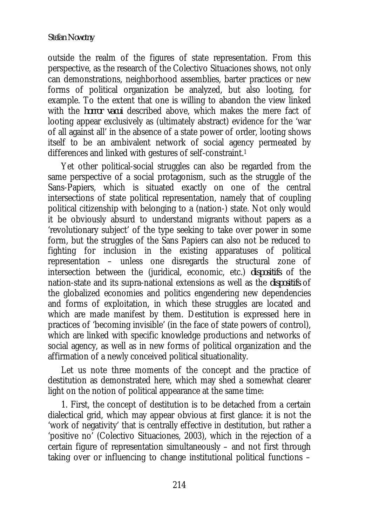#### *Stefan Nowotny*

outside the realm of the figures of state representation. From this perspective, as the research of the Colectivo Situaciones shows, not only can demonstrations, neighborhood assemblies, barter practices or new forms of political organization be analyzed, but also looting, for example. To the extent that one is willing to abandon the view linked with the *horror vacui* described above, which makes the mere fact of looting appear exclusively as (ultimately abstract) evidence for the 'war of all against all' in the absence of a state power of order, looting shows itself to be an ambivalent network of social agency permeated by differences and linked with gestures of self-constraint.1

Yet other political-social struggles can also be regarded from the same perspective of a social protagonism, such as the struggle of the Sans-Papiers, which is situated exactly on one of the central intersections of state political representation, namely that of coupling political citizenship with belonging to a (nation-) state. Not only would it be obviously absurd to understand migrants without papers as a 'revolutionary subject' of the type seeking to take over power in some form, but the struggles of the Sans Papiers can also not be reduced to fighting for inclusion in the existing apparatuses of political representation – unless one disregards the structural zone of intersection between the (juridical, economic, etc.) *dispositifs* of the nation-state and its supra-national extensions as well as the *dispositifs* of the globalized economies and politics engendering new dependencies and forms of exploitation, in which these struggles are located and which are made manifest by them. Destitution is expressed here in practices of 'becoming invisible' (in the face of state powers of control), which are linked with specific knowledge productions and networks of social agency, as well as in new forms of political organization and the affirmation of a newly conceived political situationality.

Let us note three moments of the concept and the practice of destitution as demonstrated here, which may shed a somewhat clearer light on the notion of political appearance at the same time:

1. First, the concept of destitution is to be detached from a certain dialectical grid, which may appear obvious at first glance: it is not the 'work of negativity' that is centrally effective in destitution, but rather a 'positive no' (Colectivo Situaciones, 2003), which in the rejection of a certain figure of representation simultaneously – and not first through taking over or influencing to change institutional political functions –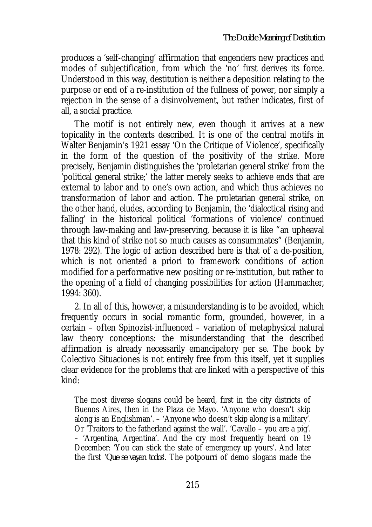produces a 'self-changing' affirmation that engenders new practices and modes of subjectification, from which the 'no' first derives its force. Understood in this way, destitution is neither a deposition relating to the purpose or end of a re-institution of the fullness of power, nor simply a rejection in the sense of a disinvolvement, but rather indicates, first of all, a social practice.

The motif is not entirely new, even though it arrives at a new topicality in the contexts described. It is one of the central motifs in Walter Benjamin's 1921 essay 'On the Critique of Violence', specifically in the form of the question of the positivity of the strike. More precisely, Benjamin distinguishes the 'proletarian general strike' from the 'political general strike;' the latter merely seeks to achieve ends that are external to labor and to one's own action, and which thus achieves no transformation of labor and action. The proletarian general strike, on the other hand, eludes, according to Benjamin, the 'dialectical rising and falling' in the historical political 'formations of violence' continued through law-making and law-preserving, because it is like "an upheaval that this kind of strike not so much causes as consummates" (Benjamin, 1978: 292). The logic of action described here is that of a de-position, which is not oriented a priori to framework conditions of action modified for a performative new positing or re-institution, but rather to the opening of a field of changing possibilities for action (Hammacher, 1994: 360).

2. In all of this, however, a misunderstanding is to be avoided, which frequently occurs in social romantic form, grounded, however, in a certain – often Spinozist-influenced – variation of metaphysical natural law theory conceptions: the misunderstanding that the described affirmation is already necessarily emancipatory per se. The book by Colectivo Situaciones is not entirely free from this itself, yet it supplies clear evidence for the problems that are linked with a perspective of this kind:

The most diverse slogans could be heard, first in the city districts of Buenos Aires, then in the Plaza de Mayo. 'Anyone who doesn't skip along is an Englishman'. – 'Anyone who doesn't skip along is a military'. Or 'Traitors to the fatherland against the wall'. 'Cavallo – you are a pig'. – 'Argentina, Argentina'. And the cry most frequently heard on 19 December: 'You can stick the state of emergency up yours'. And later the first '*Que se vayan todos*'. The potpourri of demo slogans made the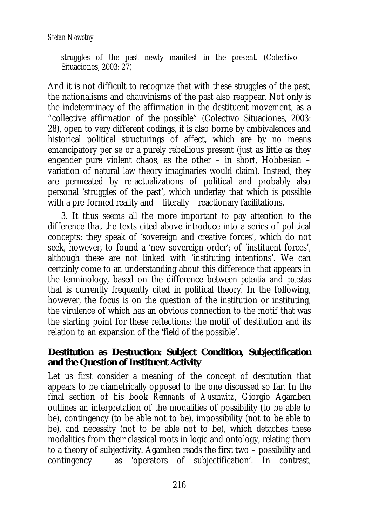struggles of the past newly manifest in the present. (Colectivo Situaciones, 2003: 27)

And it is not difficult to recognize that with these struggles of the past, the nationalisms and chauvinisms of the past also reappear. Not only is the indeterminacy of the affirmation in the destituent movement, as a "collective affirmation of the possible" (Colectivo Situaciones, 2003: 28), open to very different codings, it is also borne by ambivalences and historical political structurings of affect, which are by no means emancipatory per se or a purely rebellious present (just as little as they engender pure violent chaos, as the other – in short, Hobbesian – variation of natural law theory imaginaries would claim). Instead, they are permeated by re-actualizations of political and probably also personal 'struggles of the past', which underlay that which is possible with a pre-formed reality and – literally – reactionary facilitations.

3. It thus seems all the more important to pay attention to the difference that the texts cited above introduce into a series of political concepts: they speak of 'sovereign and creative forces', which do not seek, however, to found a 'new sovereign order'; of 'instituent forces', although these are not linked with 'instituting intentions'. We can certainly come to an understanding about this difference that appears in the terminology, based on the difference between *potentia* and *potestas* that is currently frequently cited in political theory. In the following, however, the focus is on the question of the institution or instituting, the virulence of which has an obvious connection to the motif that was the starting point for these reflections: the motif of destitution and its relation to an expansion of the 'field of the possible'.

# **Destitution as Destruction: Subject Condition, Subjectification and the Question of Instituent Activity**

Let us first consider a meaning of the concept of destitution that appears to be diametrically opposed to the one discussed so far. In the final section of his book *Remnants of Auschwitz*, Giorgio Agamben outlines an interpretation of the modalities of possibility (to be able to be), contingency (to be able not to be), impossibility (not to be able to be), and necessity (not to be able not to be), which detaches these modalities from their classical roots in logic and ontology, relating them to a theory of subjectivity. Agamben reads the first two – possibility and contingency – as 'operators of subjectification'. In contrast,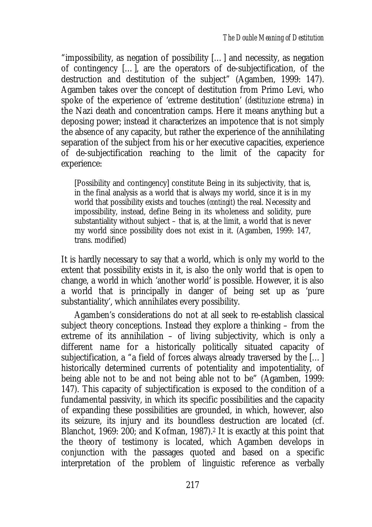"impossibility, as negation of possibility  $[...]$  and necessity, as negation of contingency […], are the operators of de-subjectification, of the destruction and destitution of the subject" (Agamben, 1999: 147). Agamben takes over the concept of destitution from Primo Levi, who spoke of the experience of 'extreme destitution' (*destituzione estrema*) in the Nazi death and concentration camps. Here it means anything but a deposing power; instead it characterizes an impotence that is not simply the absence of any capacity, but rather the experience of the annihilating separation of the subject from his or her executive capacities, experience of de-subjectification reaching to the limit of the capacity for experience:

[Possibility and contingency] constitute Being in its subjectivity, that is, in the final analysis as a world that is always my world, since it is in my world that possibility exists and touches (*contingit*) the real. Necessity and impossibility, instead, define Being in its wholeness and solidity, pure substantiality without subject – that is, at the limit, a world that is never my world since possibility does not exist in it. (Agamben, 1999: 147, trans. modified)

It is hardly necessary to say that a world, which is only my world to the extent that possibility exists in it, is also the only world that is open to change, a world in which 'another world' is possible. However, it is also a world that is principally in danger of being set up as 'pure substantiality', which annihilates every possibility.

Agamben's considerations do not at all seek to re-establish classical subject theory conceptions. Instead they explore a thinking – from the extreme of its annihilation – of living subjectivity, which is only a different name for a historically politically situated capacity of subjectification, a "a field of forces always already traversed by the […] historically determined currents of potentiality and impotentiality, of being able not to be and not being able not to be" (Agamben, 1999: 147). This capacity of subjectification is exposed to the condition of a fundamental passivity, in which its specific possibilities and the capacity of expanding these possibilities are grounded, in which, however, also its seizure, its injury and its boundless destruction are located (cf. Blanchot, 1969: 200; and Kofman, 1987).<sup>2</sup> It is exactly at this point that the theory of testimony is located, which Agamben develops in conjunction with the passages quoted and based on a specific interpretation of the problem of linguistic reference as verbally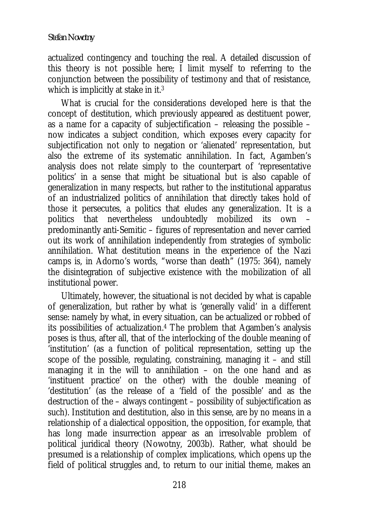actualized contingency and touching the real. A detailed discussion of this theory is not possible here; I limit myself to referring to the conjunction between the possibility of testimony and that of resistance, which is implicitly at stake in it.<sup>3</sup>

What is crucial for the considerations developed here is that the concept of destitution, which previously appeared as destituent power, as a name for a capacity of subjectification – releasing the possible – now indicates a subject condition, which exposes every capacity for subjectification not only to negation or 'alienated' representation, but also the extreme of its systematic annihilation. In fact, Agamben's analysis does not relate simply to the counterpart of 'representative politics' in a sense that might be situational but is also capable of generalization in many respects, but rather to the institutional apparatus of an industrialized politics of annihilation that directly takes hold of those it persecutes, a politics that eludes any generalization. It is a politics that nevertheless undoubtedly mobilized its own – predominantly anti-Semitic – figures of representation and never carried out its work of annihilation independently from strategies of symbolic annihilation. What destitution means in the experience of the Nazi camps is, in Adorno's words, "worse than death" (1975: 364), namely the disintegration of subjective existence with the mobilization of all institutional power.

Ultimately, however, the situational is not decided by what is capable of generalization, but rather by what is 'generally valid' in a different sense: namely by what, in every situation, can be actualized or robbed of its possibilities of actualization.4 The problem that Agamben's analysis poses is thus, after all, that of the interlocking of the double meaning of 'institution' (as a function of political representation, setting up the scope of the possible, regulating, constraining, managing it – and still managing it in the will to annihilation  $-$  on the one hand and as 'instituent practice' on the other) with the double meaning of 'destitution' (as the release of a 'field of the possible' and as the destruction of the – always contingent – possibility of subjectification as such). Institution and destitution, also in this sense, are by no means in a relationship of a dialectical opposition, the opposition, for example, that has long made insurrection appear as an irresolvable problem of political juridical theory (Nowotny, 2003b). Rather, what should be presumed is a relationship of complex implications, which opens up the field of political struggles and, to return to our initial theme, makes an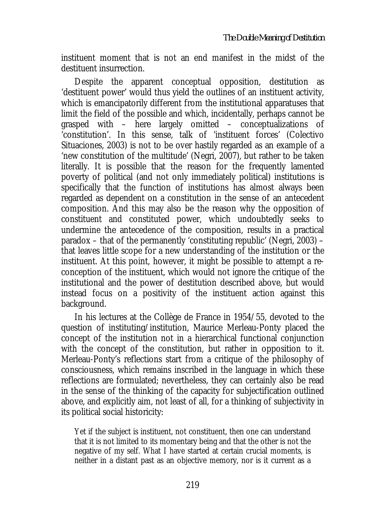instituent moment that is not an end manifest in the midst of the destituent insurrection.

Despite the apparent conceptual opposition, destitution as 'destituent power' would thus yield the outlines of an instituent activity, which is emancipatorily different from the institutional apparatuses that limit the field of the possible and which, incidentally, perhaps cannot be grasped with – here largely omitted – conceptualizations of 'constitution'. In this sense, talk of 'instituent forces' (Colectivo Situaciones, 2003) is not to be over hastily regarded as an example of a 'new constitution of the multitude' (Negri, 2007), but rather to be taken literally. It is possible that the reason for the frequently lamented poverty of political (and not only immediately political) institutions is specifically that the function of institutions has almost always been regarded as dependent on a constitution in the sense of an antecedent composition. And this may also be the reason why the opposition of constituent and constituted power, which undoubtedly seeks to undermine the antecedence of the composition, results in a practical paradox – that of the permanently 'constituting republic' (Negri, 2003) – that leaves little scope for a new understanding of the institution or the instituent. At this point, however, it might be possible to attempt a reconception of the instituent, which would not ignore the critique of the institutional and the power of destitution described above, but would instead focus on a positivity of the instituent action against this background.

In his lectures at the Collège de France in 1954/55, devoted to the question of instituting/institution, Maurice Merleau-Ponty placed the concept of the institution not in a hierarchical functional conjunction with the concept of the constitution, but rather in opposition to it. Merleau-Ponty's reflections start from a critique of the philosophy of consciousness, which remains inscribed in the language in which these reflections are formulated; nevertheless, they can certainly also be read in the sense of the thinking of the capacity for subjectification outlined above, and explicitly aim, not least of all, for a thinking of subjectivity in its political social historicity:

Yet if the subject is instituent, not constituent, then one can understand that it is not limited to its momentary being and that the other is not the negative of my self. What I have started at certain crucial moments, is neither in a distant past as an objective memory, nor is it current as a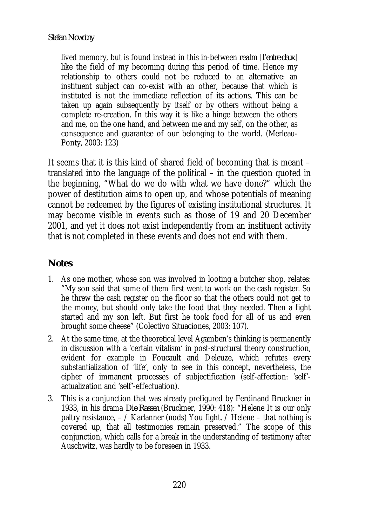lived memory, but is found instead in this in-between realm [*l'entre-deux*] like the field of my becoming during this period of time. Hence my relationship to others could not be reduced to an alternative: an instituent subject can co-exist with an other, because that which is instituted is not the immediate reflection of its actions. This can be taken up again subsequently by itself or by others without being a complete re-creation. In this way it is like a hinge between the others and me, on the one hand, and between me and my self, on the other, as consequence and guarantee of our belonging to the world. (Merleau-Ponty, 2003: 123)

It seems that it is this kind of shared field of becoming that is meant – translated into the language of the political – in the question quoted in the beginning, "What do we do with what we have done?" which the power of destitution aims to open up, and whose potentials of meaning cannot be redeemed by the figures of existing institutional structures. It may become visible in events such as those of 19 and 20 December 2001, and yet it does not exist independently from an instituent activity that is not completed in these events and does not end with them.

# **Notes**

- 1. As one mother, whose son was involved in looting a butcher shop, relates: "My son said that some of them first went to work on the cash register. So he threw the cash register on the floor so that the others could not get to the money, but should only take the food that they needed. Then a fight started and my son left. But first he took food for all of us and even brought some cheese" (Colectivo Situaciones, 2003: 107).
- 2. At the same time, at the theoretical level Agamben's thinking is permanently in discussion with a 'certain vitalism' in post-structural theory construction, evident for example in Foucault and Deleuze, which refutes every substantialization of 'life', only to see in this concept, nevertheless, the cipher of immanent processes of subjectification (self-affection: 'self' actualization and 'self'-effectuation).
- 3. This is a conjunction that was already prefigured by Ferdinand Bruckner in 1933, in his drama *Die Rassen* (Bruckner, 1990: 418): "Helene It is our only paltry resistance, – / Karlanner (nods) You fight. / Helene – that nothing is covered up, that all testimonies remain preserved." The scope of this conjunction, which calls for a break in the understanding of testimony after Auschwitz, was hardly to be foreseen in 1933.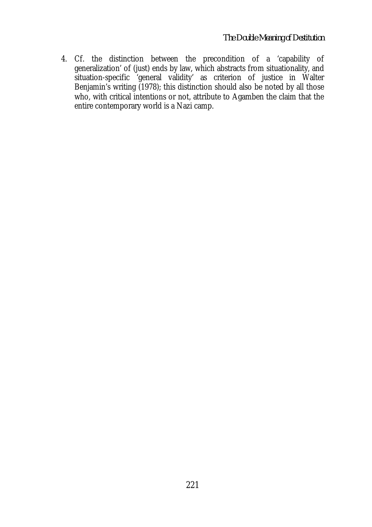4. Cf. the distinction between the precondition of a 'capability of generalization' of (just) ends by law, which abstracts from situationality, and situation-specific 'general validity' as criterion of justice in Walter Benjamin's writing (1978); this distinction should also be noted by all those who, with critical intentions or not, attribute to Agamben the claim that the entire contemporary world is a Nazi camp.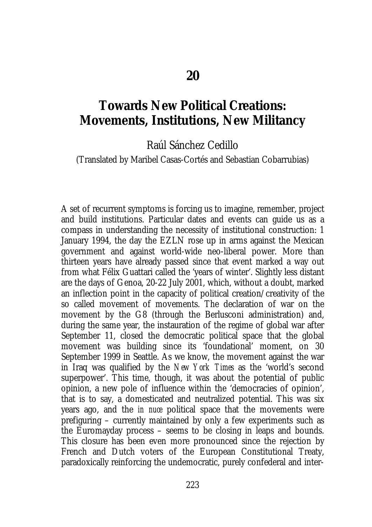# **Towards New Political Creations: Movements, Institutions, New Militancy**

Raúl Sánchez Cedillo

(Translated by Maribel Casas-Cortés and Sebastian Cobarrubias)

A set of recurrent symptoms is forcing us to imagine, remember, project and build institutions. Particular dates and events can guide us as a compass in understanding the necessity of institutional construction: 1 January 1994, the day the EZLN rose up in arms against the Mexican government and against world-wide neo-liberal power. More than thirteen years have already passed since that event marked a way out from what Félix Guattari called the 'years of winter'. Slightly less distant are the days of Genoa, 20-22 July 2001, which, without a doubt, marked an inflection point in the capacity of political creation/creativity of the so called movement of movements. The declaration of war on the movement by the G8 (through the Berlusconi administration) and, during the same year, the instauration of the regime of global war after September 11, closed the democratic political space that the global movement was building since its 'foundational' moment, on 30 September 1999 in Seattle. As we know, the movement against the war in Iraq was qualified by the *New York Times* as the 'world's second superpower'. This time, though, it was about the potential of public opinion, a new pole of influence within the 'democracies of opinion', that is to say, a domesticated and neutralized potential. This was six years ago, and the *in nuce* political space that the movements were prefiguring – currently maintained by only a few experiments such as the Euromayday process – seems to be closing in leaps and bounds. This closure has been even more pronounced since the rejection by French and Dutch voters of the European Constitutional Treaty, paradoxically reinforcing the undemocratic, purely confederal and inter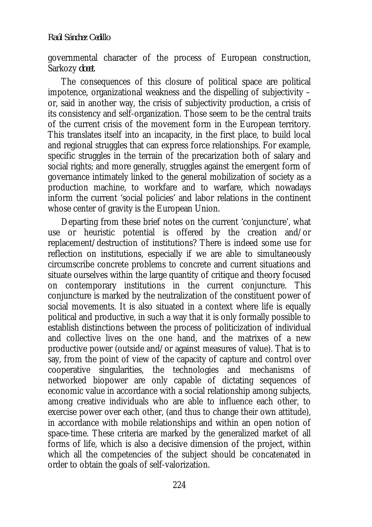governmental character of the process of European construction, Sarkozy *docet*.

The consequences of this closure of political space are political impotence, organizational weakness and the dispelling of subjectivity – or, said in another way, the crisis of subjectivity production, a crisis of its consistency and self-organization. Those seem to be the central traits of the current crisis of the movement form in the European territory. This translates itself into an incapacity, in the first place, to build local and regional struggles that can express force relationships. For example, specific struggles in the terrain of the precarization both of salary and social rights; and more generally, struggles against the emergent form of governance intimately linked to the general mobilization of society as a production machine, to workfare and to warfare, which nowadays inform the current 'social policies' and labor relations in the continent whose center of gravity is the European Union.

Departing from these brief notes on the current 'conjuncture', what use or heuristic potential is offered by the creation and/or replacement/destruction of institutions? There is indeed some use for reflection on institutions, especially if we are able to simultaneously circumscribe concrete problems to concrete and current situations and situate ourselves within the large quantity of critique and theory focused on contemporary institutions in the current conjuncture. This conjuncture is marked by the neutralization of the constituent power of social movements. It is also situated in a context where life is equally political and productive, in such a way that it is only formally possible to establish distinctions between the process of politicization of individual and collective lives on the one hand, and the matrixes of a new productive power (outside and/or against measures of value). That is to say, from the point of view of the capacity of capture and control over cooperative singularities, the technologies and mechanisms of networked biopower are only capable of dictating sequences of economic value in accordance with a social relationship among subjects, among creative individuals who are able to influence each other, to exercise power over each other, (and thus to change their own attitude), in accordance with mobile relationships and within an open notion of space-time. These criteria are marked by the generalized market of all forms of life, which is also a decisive dimension of the project, within which all the competencies of the subject should be concatenated in order to obtain the goals of self-valorization.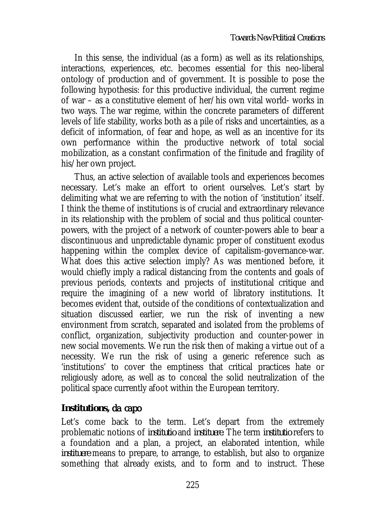In this sense, the individual (as a form) as well as its relationships, interactions, experiences, etc. becomes essential for this neo-liberal ontology of production and of government. It is possible to pose the following hypothesis: for this productive individual, the current regime of war – as a constitutive element of her/his own vital world- works in two ways. The war regime, within the concrete parameters of different levels of life stability, works both as a pile of risks and uncertainties, as a deficit of information, of fear and hope, as well as an incentive for its own performance within the productive network of total social mobilization, as a constant confirmation of the finitude and fragility of his/her own project.

Thus, an active selection of available tools and experiences becomes necessary. Let's make an effort to orient ourselves. Let's start by delimiting what we are referring to with the notion of 'institution' itself. I think the theme of institutions is of crucial and extraordinary relevance in its relationship with the problem of social and thus political counterpowers, with the project of a network of counter-powers able to bear a discontinuous and unpredictable dynamic proper of constituent exodus happening within the complex device of capitalism-governance-war. What does this active selection imply? As was mentioned before, it would chiefly imply a radical distancing from the contents and goals of previous periods, contexts and projects of institutional critique and require the imagining of a new world of libratory institutions. It becomes evident that, outside of the conditions of contextualization and situation discussed earlier, we run the risk of inventing a new environment from scratch, separated and isolated from the problems of conflict, organization, subjectivity production and counter-power in new social movements. We run the risk then of making a virtue out of a necessity. We run the risk of using a generic reference such as 'institutions' to cover the emptiness that critical practices hate or religiously adore, as well as to conceal the solid neutralization of the political space currently afoot within the European territory.

## **Institutions,** *da capo*

Let's come back to the term. Let's depart from the extremely problematic notions of *institutio* and *instituere*. The term *institutio* refers to a foundation and a plan, a project, an elaborated intention, while *instituere* means to prepare, to arrange, to establish, but also to organize something that already exists, and to form and to instruct. These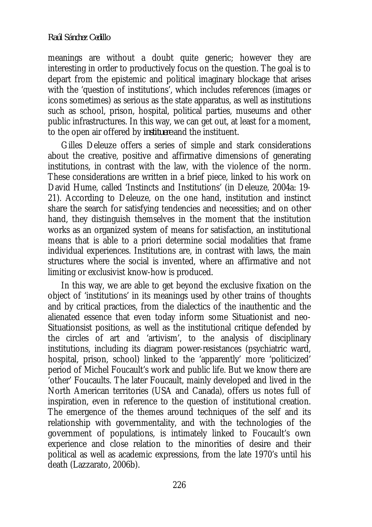#### *Raúl Sánchez Cedillo*

meanings are without a doubt quite generic; however they are interesting in order to productively focus on the question. The goal is to depart from the epistemic and political imaginary blockage that arises with the 'question of institutions', which includes references (images or icons sometimes) as serious as the state apparatus, as well as institutions such as school, prison, hospital, political parties, museums and other public infrastructures. In this way, we can get out, at least for a moment, to the open air offered by *instituere* and the instituent.

Gilles Deleuze offers a series of simple and stark considerations about the creative, positive and affirmative dimensions of generating institutions, in contrast with the law, with the violence of the norm. These considerations are written in a brief piece, linked to his work on David Hume, called 'Instincts and Institutions' (in Deleuze, 2004a: 19- 21). According to Deleuze, on the one hand, institution and instinct share the search for satisfying tendencies and necessities; and on other hand, they distinguish themselves in the moment that the institution works as an organized system of means for satisfaction, an institutional means that is able to a priori determine social modalities that frame individual experiences. Institutions are, in contrast with laws, the main structures where the social is invented, where an affirmative and not limiting or exclusivist know-how is produced.

In this way, we are able to get beyond the exclusive fixation on the object of 'institutions' in its meanings used by other trains of thoughts and by critical practices, from the dialectics of the inauthentic and the alienated essence that even today inform some Situationist and neo-Situationsist positions, as well as the institutional critique defended by the circles of art and 'artivism', to the analysis of disciplinary institutions, including its diagram power-resistances (psychiatric ward, hospital, prison, school) linked to the 'apparently' more 'politicized' period of Michel Foucault's work and public life. But we know there are 'other' Foucaults. The later Foucault, mainly developed and lived in the North American territories (USA and Canada), offers us notes full of inspiration, even in reference to the question of institutional creation. The emergence of the themes around techniques of the self and its relationship with governmentality, and with the technologies of the government of populations, is intimately linked to Foucault's own experience and close relation to the minorities of desire and their political as well as academic expressions, from the late 1970's until his death (Lazzarato, 2006b).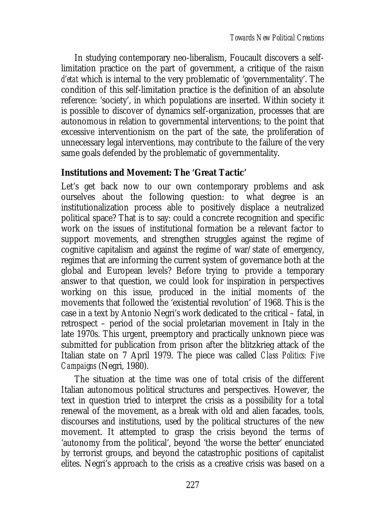In studying contemporary neo-liberalism, Foucault discovers a selflimitation practice on the part of government, a critique of the *raison d'etat* which is internal to the very problematic of 'governmentality'. The condition of this self-limitation practice is the definition of an absolute reference: 'society', in which populations are inserted. Within society it is possible to discover of dynamics self-organization, processes that are autonomous in relation to governmental interventions; to the point that excessive interventionism on the part of the sate, the proliferation of unnecessary legal interventions, may contribute to the failure of the very same goals defended by the problematic of governmentality.

# **Institutions and Movement: The 'Great Tactic'**

Let's get back now to our own contemporary problems and ask ourselves about the following question: to what degree is an institutionalization process able to positively displace a neutralized political space? That is to say: could a concrete recognition and specific work on the issues of institutional formation be a relevant factor to support movements, and strengthen struggles against the regime of cognitive capitalism and against the regime of war/state of emergency, regimes that are informing the current system of governance both at the global and European levels? Before trying to provide a temporary answer to that question, we could look for inspiration in perspectives working on this issue, produced in the initial moments of the movements that followed the 'existential revolution' of 1968. This is the case in a text by Antonio Negri's work dedicated to the critical – fatal, in retrospect – period of the social proletarian movement in Italy in the late 1970s. This urgent, preemptory and practically unknown piece was submitted for publication from prison after the blitzkrieg attack of the Italian state on 7 April 1979. The piece was called *Class Politics: Five Campaigns* (Negri, 1980).

The situation at the time was one of total crisis of the different Italian autonomous political structures and perspectives. However, the text in question tried to interpret the crisis as a possibility for a total renewal of the movement, as a break with old and alien facades, tools, discourses and institutions, used by the political structures of the new movement. It attempted to grasp the crisis beyond the terms of 'autonomy from the political', beyond 'the worse the better' enunciated by terrorist groups, and beyond the catastrophic positions of capitalist elites. Negri's approach to the crisis as a creative crisis was based on a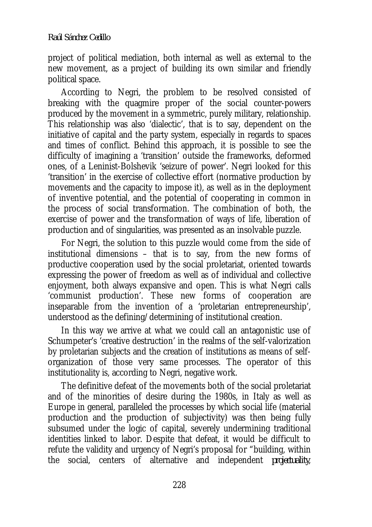project of political mediation, both internal as well as external to the new movement, as a project of building its own similar and friendly political space.

According to Negri, the problem to be resolved consisted of breaking with the quagmire proper of the social counter-powers produced by the movement in a symmetric, purely military, relationship. This relationship was also 'dialectic', that is to say, dependent on the initiative of capital and the party system, especially in regards to spaces and times of conflict. Behind this approach, it is possible to see the difficulty of imagining a 'transition' outside the frameworks, deformed ones, of a Leninist-Bolshevik 'seizure of power'. Negri looked for this 'transition' in the exercise of collective effort (normative production by movements and the capacity to impose it), as well as in the deployment of inventive potential, and the potential of cooperating in common in the process of social transformation. The combination of both, the exercise of power and the transformation of ways of life, liberation of production and of singularities, was presented as an insolvable puzzle.

For Negri, the solution to this puzzle would come from the side of institutional dimensions – that is to say, from the new forms of productive cooperation used by the social proletariat, oriented towards expressing the power of freedom as well as of individual and collective enjoyment, both always expansive and open. This is what Negri calls 'communist production'. These new forms of cooperation are inseparable from the invention of a 'proletarian entrepreneurship', understood as the defining/determining of institutional creation.

In this way we arrive at what we could call an antagonistic use of Schumpeter's 'creative destruction' in the realms of the self-valorization by proletarian subjects and the creation of institutions as means of selforganization of those very same processes. The operator of this institutionality is, according to Negri, negative work.

The definitive defeat of the movements both of the social proletariat and of the minorities of desire during the 1980s, in Italy as well as Europe in general, paralleled the processes by which social life (material production and the production of subjectivity) was then being fully subsumed under the logic of capital, severely undermining traditional identities linked to labor. Despite that defeat, it would be difficult to refute the validity and urgency of Negri's proposal for "building, within the social, centers of alternative and independent *projectuality*,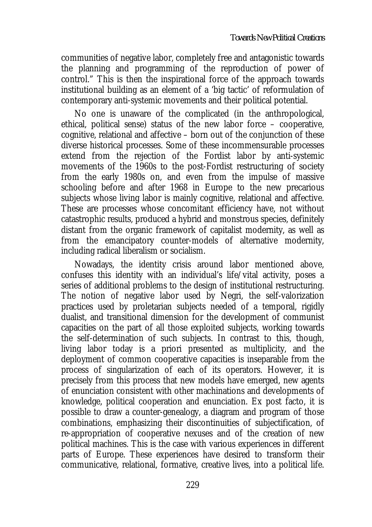communities of negative labor, completely free and antagonistic towards the planning and programming of the reproduction of power of control." This is then the inspirational force of the approach towards institutional building as an element of a 'big tactic' of reformulation of contemporary anti-systemic movements and their political potential.

No one is unaware of the complicated (in the anthropological, ethical, political sense) status of the new labor force – cooperative, cognitive, relational and affective – born out of the conjunction of these diverse historical processes. Some of these incommensurable processes extend from the rejection of the Fordist labor by anti-systemic movements of the 1960s to the post-Fordist restructuring of society from the early 1980s on, and even from the impulse of massive schooling before and after 1968 in Europe to the new precarious subjects whose living labor is mainly cognitive, relational and affective. These are processes whose concomitant efficiency have, not without catastrophic results, produced a hybrid and monstrous species, definitely distant from the organic framework of capitalist modernity, as well as from the emancipatory counter-models of alternative modernity, including radical liberalism or socialism.

Nowadays, the identity crisis around labor mentioned above, confuses this identity with an individual's life/vital activity, poses a series of additional problems to the design of institutional restructuring. The notion of negative labor used by Negri, the self-valorization practices used by proletarian subjects needed of a temporal, rigidly dualist, and transitional dimension for the development of communist capacities on the part of all those exploited subjects, working towards the self-determination of such subjects. In contrast to this, though, living labor today is a priori presented as multiplicity, and the deployment of common cooperative capacities is inseparable from the process of singularization of each of its operators. However, it is precisely from this process that new models have emerged, new agents of enunciation consistent with other machinations and developments of knowledge, political cooperation and enunciation. Ex post facto, it is possible to draw a counter-genealogy, a diagram and program of those combinations, emphasizing their discontinuities of subjectification, of re-appropriation of cooperative nexuses and of the creation of new political machines. This is the case with various experiences in different parts of Europe. These experiences have desired to transform their communicative, relational, formative, creative lives, into a political life.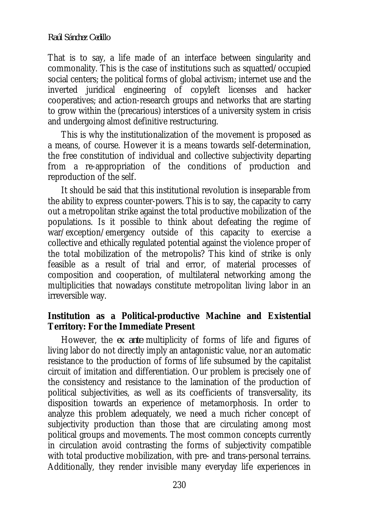That is to say, a life made of an interface between singularity and commonality. This is the case of institutions such as squatted/occupied social centers; the political forms of global activism; internet use and the inverted juridical engineering of copyleft licenses and hacker cooperatives; and action-research groups and networks that are starting to grow within the (precarious) interstices of a university system in crisis and undergoing almost definitive restructuring.

This is why the institutionalization of the movement is proposed as a means, of course. However it is a means towards self-determination, the free constitution of individual and collective subjectivity departing from a re-appropriation of the conditions of production and reproduction of the self.

It should be said that this institutional revolution is inseparable from the ability to express counter-powers. This is to say, the capacity to carry out a metropolitan strike against the total productive mobilization of the populations. Is it possible to think about defeating the regime of war/exception/emergency outside of this capacity to exercise a collective and ethically regulated potential against the violence proper of the total mobilization of the metropolis? This kind of strike is only feasible as a result of trial and error, of material processes of composition and cooperation, of multilateral networking among the multiplicities that nowadays constitute metropolitan living labor in an irreversible way.

## **Institution as a Political-productive Machine and Existential Territory: For the Immediate Present**

However, the *ex ante* multiplicity of forms of life and figures of living labor do not directly imply an antagonistic value, nor an automatic resistance to the production of forms of life subsumed by the capitalist circuit of imitation and differentiation. Our problem is precisely one of the consistency and resistance to the lamination of the production of political subjectivities, as well as its coefficients of transversality, its disposition towards an experience of metamorphosis. In order to analyze this problem adequately, we need a much richer concept of subjectivity production than those that are circulating among most political groups and movements. The most common concepts currently in circulation avoid contrasting the forms of subjectivity compatible with total productive mobilization, with pre- and trans-personal terrains. Additionally, they render invisible many everyday life experiences in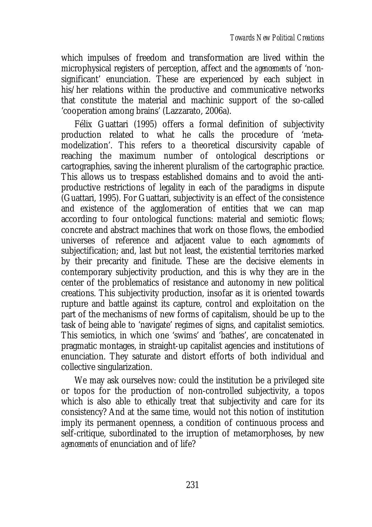which impulses of freedom and transformation are lived within the microphysical registers of perception, affect and the *agencements* of 'nonsignificant' enunciation. These are experienced by each subject in his/her relations within the productive and communicative networks that constitute the material and machinic support of the so-called 'cooperation among brains' (Lazzarato, 2006a).

Félix Guattari (1995) offers a formal definition of subjectivity production related to what he calls the procedure of 'metamodelization'. This refers to a theoretical discursivity capable of reaching the maximum number of ontological descriptions or cartographies, saving the inherent pluralism of the cartographic practice. This allows us to trespass established domains and to avoid the antiproductive restrictions of legality in each of the paradigms in dispute (Guattari, 1995). For Guattari, subjectivity is an effect of the consistence and existence of the agglomeration of entities that we can map according to four ontological functions: material and semiotic flows; concrete and abstract machines that work on those flows, the embodied universes of reference and adjacent value to each *agencements* of subjectification; and, last but not least, the existential territories marked by their precarity and finitude. These are the decisive elements in contemporary subjectivity production, and this is why they are in the center of the problematics of resistance and autonomy in new political creations. This subjectivity production, insofar as it is oriented towards rupture and battle against its capture, control and exploitation on the part of the mechanisms of new forms of capitalism, should be up to the task of being able to 'navigate' regimes of signs, and capitalist semiotics. This semiotics, in which one 'swims' and 'bathes', are concatenated in pragmatic montages, in straight-up capitalist agencies and institutions of enunciation. They saturate and distort efforts of both individual and collective singularization.

We may ask ourselves now: could the institution be a privileged site or topos for the production of non-controlled subjectivity, a topos which is also able to ethically treat that subjectivity and care for its consistency? And at the same time, would not this notion of institution imply its permanent openness, a condition of continuous process and self-critique, subordinated to the irruption of metamorphoses, by new *agencements* of enunciation and of life?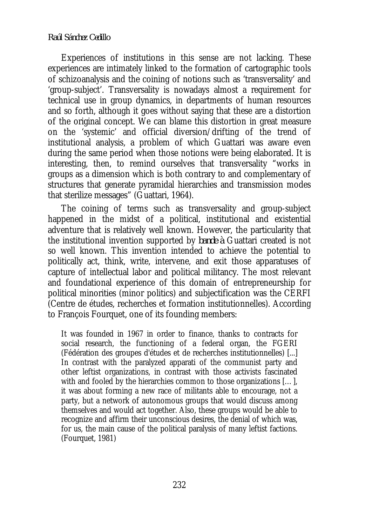#### *Raúl Sánchez Cedillo*

Experiences of institutions in this sense are not lacking. These experiences are intimately linked to the formation of cartographic tools of schizoanalysis and the coining of notions such as 'transversality' and 'group-subject'. Transversality is nowadays almost a requirement for technical use in group dynamics, in departments of human resources and so forth, although it goes without saying that these are a distortion of the original concept. We can blame this distortion in great measure on the 'systemic' and official diversion/drifting of the trend of institutional analysis, a problem of which Guattari was aware even during the same period when those notions were being elaborated. It is interesting, then, to remind ourselves that transversality "works in groups as a dimension which is both contrary to and complementary of structures that generate pyramidal hierarchies and transmission modes that sterilize messages" (Guattari, 1964).

The coining of terms such as transversality and group-subject happened in the midst of a political, institutional and existential adventure that is relatively well known. However, the particularity that the institutional invention supported by *bande à* Guattari created is not so well known. This invention intended to achieve the potential to politically act, think, write, intervene, and exit those apparatuses of capture of intellectual labor and political militancy. The most relevant and foundational experience of this domain of entrepreneurship for political minorities (minor politics) and subjectification was the CERFI (Centre de études, recherches et formation institutionnelles). According to François Fourquet, one of its founding members:

It was founded in 1967 in order to finance, thanks to contracts for social research, the functioning of a federal organ, the FGERI (Fédération des groupes d'études et de recherches institutionnelles) [...] In contrast with the paralyzed apparati of the communist party and other leftist organizations, in contrast with those activists fascinated with and fooled by the hierarchies common to those organizations [...], it was about forming a new race of militants able to encourage, not a party, but a network of autonomous groups that would discuss among themselves and would act together. Also, these groups would be able to recognize and affirm their unconscious desires, the denial of which was, for us, the main cause of the political paralysis of many leftist factions. (Fourquet, 1981)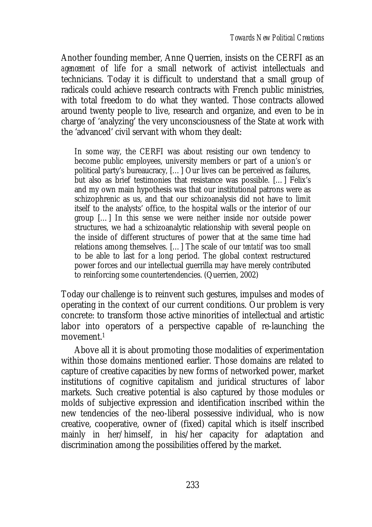Another founding member, Anne Querrien, insists on the CERFI as an *agencement* of life for a small network of activist intellectuals and technicians. Today it is difficult to understand that a small group of radicals could achieve research contracts with French public ministries, with total freedom to do what they wanted. Those contracts allowed around twenty people to live, research and organize, and even to be in charge of 'analyzing' the very unconsciousness of the State at work with the 'advanced' civil servant with whom they dealt:

In some way, the CERFI was about resisting our own tendency to become public employees, university members or part of a union's or political party's bureaucracy, […] Our lives can be perceived as failures, but also as brief testimonies that resistance was possible. […] Felix's and my own main hypothesis was that our institutional patrons were as schizophrenic as us, and that our schizoanalysis did not have to limit itself to the analysts' office, to the hospital walls or the interior of our group […] In this sense we were neither inside nor outside power structures, we had a schizoanalytic relationship with several people on the inside of different structures of power that at the same time had relations among themselves. […] The scale of our *tentatif* was too small to be able to last for a long period. The global context restructured power forces and our intellectual guerrilla may have merely contributed to reinforcing some countertendencies. (Querrien, 2002)

Today our challenge is to reinvent such gestures, impulses and modes of operating in the context of our current conditions. Our problem is very concrete: to transform those active minorities of intellectual and artistic labor into operators of a perspective capable of re-launching the movement.1

Above all it is about promoting those modalities of experimentation within those domains mentioned earlier. Those domains are related to capture of creative capacities by new forms of networked power, market institutions of cognitive capitalism and juridical structures of labor markets. Such creative potential is also captured by those modules or molds of subjective expression and identification inscribed within the new tendencies of the neo-liberal possessive individual, who is now creative, cooperative, owner of (fixed) capital which is itself inscribed mainly in her/himself, in his/her capacity for adaptation and discrimination among the possibilities offered by the market.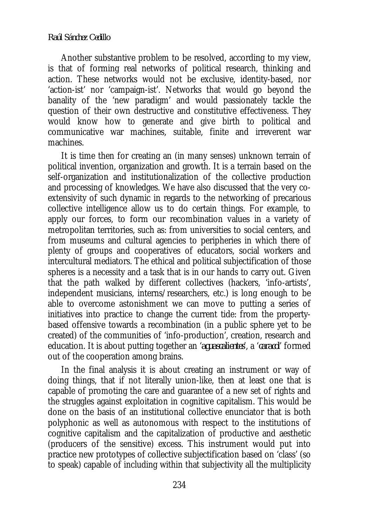#### *Raúl Sánchez Cedillo*

Another substantive problem to be resolved, according to my view, is that of forming real networks of political research, thinking and action. These networks would not be exclusive, identity-based, nor 'action-ist' nor 'campaign-ist'. Networks that would go beyond the banality of the 'new paradigm' and would passionately tackle the question of their own destructive and constitutive effectiveness. They would know how to generate and give birth to political and communicative war machines, suitable, finite and irreverent war machines.

It is time then for creating an (in many senses) unknown terrain of political invention, organization and growth. It is a terrain based on the self-organization and institutionalization of the collective production and processing of knowledges. We have also discussed that the very coextensivity of such dynamic in regards to the networking of precarious collective intelligence allow us to do certain things. For example, to apply our forces, to form our recombination values in a variety of metropolitan territories, such as: from universities to social centers, and from museums and cultural agencies to peripheries in which there of plenty of groups and cooperatives of educators, social workers and intercultural mediators. The ethical and political subjectification of those spheres is a necessity and a task that is in our hands to carry out. Given that the path walked by different collectives (hackers, 'info-artists', independent musicians, interns/researchers, etc.) is long enough to be able to overcome astonishment we can move to putting a series of initiatives into practice to change the current tide: from the propertybased offensive towards a recombination (in a public sphere yet to be created) of the communities of 'info-production', creation, research and education. It is about putting together an '*aguascalientes*', a '*caracol*' formed out of the cooperation among brains.

In the final analysis it is about creating an instrument or way of doing things, that if not literally union-like, then at least one that is capable of promoting the care and guarantee of a new set of rights and the struggles against exploitation in cognitive capitalism. This would be done on the basis of an institutional collective enunciator that is both polyphonic as well as autonomous with respect to the institutions of cognitive capitalism and the capitalization of productive and aesthetic (producers of the sensitive) excess. This instrument would put into practice new prototypes of collective subjectification based on 'class' (so to speak) capable of including within that subjectivity all the multiplicity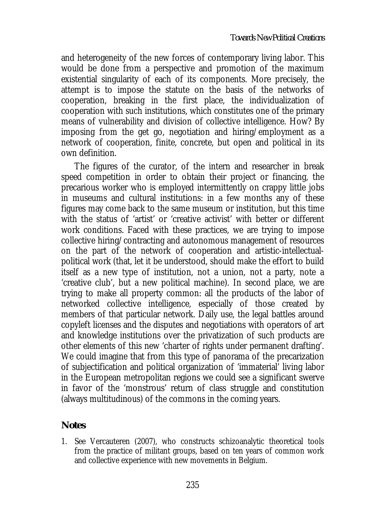and heterogeneity of the new forces of contemporary living labor. This would be done from a perspective and promotion of the maximum existential singularity of each of its components. More precisely, the attempt is to impose the statute on the basis of the networks of cooperation, breaking in the first place, the individualization of cooperation with such institutions, which constitutes one of the primary means of vulnerability and division of collective intelligence. How? By imposing from the get go, negotiation and hiring/employment as a network of cooperation, finite, concrete, but open and political in its own definition.

The figures of the curator, of the intern and researcher in break speed competition in order to obtain their project or financing, the precarious worker who is employed intermittently on crappy little jobs in museums and cultural institutions: in a few months any of these figures may come back to the same museum or institution, but this time with the status of 'artist' or 'creative activist' with better or different work conditions. Faced with these practices, we are trying to impose collective hiring/contracting and autonomous management of resources on the part of the network of cooperation and artistic-intellectualpolitical work (that, let it be understood, should make the effort to build itself as a new type of institution, not a union, not a party, note a 'creative club', but a new political machine). In second place, we are trying to make all property common: all the products of the labor of networked collective intelligence, especially of those created by members of that particular network. Daily use, the legal battles around copyleft licenses and the disputes and negotiations with operators of art and knowledge institutions over the privatization of such products are other elements of this new 'charter of rights under permanent drafting'. We could imagine that from this type of panorama of the precarization of subjectification and political organization of 'immaterial' living labor in the European metropolitan regions we could see a significant swerve in favor of the 'monstrous' return of class struggle and constitution (always multitudinous) of the commons in the coming years.

#### **Notes**

1. See Vercauteren (2007), who constructs schizoanalytic theoretical tools from the practice of militant groups, based on ten years of common work and collective experience with new movements in Belgium.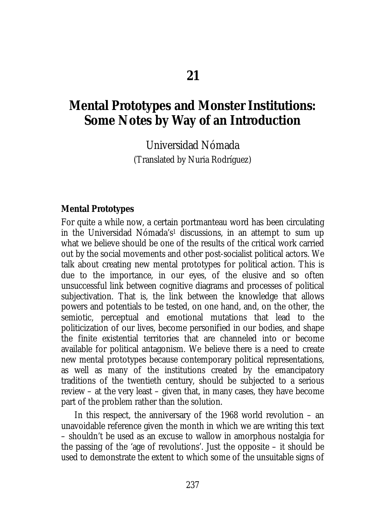## **Mental Prototypes and Monster Institutions: Some Notes by Way of an Introduction**

Universidad Nómada (Translated by Nuria Rodríguez)

#### **Mental Prototypes**

For quite a while now, a certain portmanteau word has been circulating in the Universidad Nómada's<sup>1</sup> discussions, in an attempt to sum up what we believe should be one of the results of the critical work carried out by the social movements and other post-socialist political actors. We talk about creating new mental prototypes for political action. This is due to the importance, in our eyes, of the elusive and so often unsuccessful link between cognitive diagrams and processes of political subjectivation. That is, the link between the knowledge that allows powers and potentials to be tested, on one hand, and, on the other, the semiotic, perceptual and emotional mutations that lead to the politicization of our lives, become personified in our bodies, and shape the finite existential territories that are channeled into or become available for political antagonism. We believe there is a need to create new mental prototypes because contemporary political representations, as well as many of the institutions created by the emancipatory traditions of the twentieth century, should be subjected to a serious review – at the very least – given that, in many cases, they have become part of the problem rather than the solution.

In this respect, the anniversary of the 1968 world revolution – an unavoidable reference given the month in which we are writing this text – shouldn't be used as an excuse to wallow in amorphous nostalgia for the passing of the 'age of revolutions'. Just the opposite – it should be used to demonstrate the extent to which some of the unsuitable signs of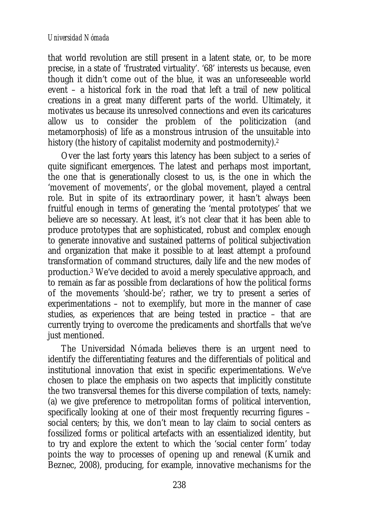#### *Universidad Nómada*

that world revolution are still present in a latent state, or, to be more precise, in a state of 'frustrated virtuality'. '68' interests us because, even though it didn't come out of the blue, it was an unforeseeable world event – a historical fork in the road that left a trail of new political creations in a great many different parts of the world. Ultimately, it motivates us because its unresolved connections and even its caricatures allow us to consider the problem of the politicization (and metamorphosis) of life as a monstrous intrusion of the unsuitable into history (the history of capitalist modernity and postmodernity).2

Over the last forty years this latency has been subject to a series of quite significant emergences. The latest and perhaps most important, the one that is generationally closest to us, is the one in which the 'movement of movements', or the global movement, played a central role. But in spite of its extraordinary power, it hasn't always been fruitful enough in terms of generating the 'mental prototypes' that we believe are so necessary. At least, it's not clear that it has been able to produce prototypes that are sophisticated, robust and complex enough to generate innovative and sustained patterns of political subjectivation and organization that make it possible to at least attempt a profound transformation of command structures, daily life and the new modes of production.3 We've decided to avoid a merely speculative approach, and to remain as far as possible from declarations of how the political forms of the movements 'should-be'; rather, we try to present a series of experimentations – not to exemplify, but more in the manner of case studies, as experiences that are being tested in practice – that are currently trying to overcome the predicaments and shortfalls that we've just mentioned.

The Universidad Nómada believes there is an urgent need to identify the differentiating features and the differentials of political and institutional innovation that exist in specific experimentations. We've chosen to place the emphasis on two aspects that implicitly constitute the two transversal themes for this diverse compilation of texts, namely: (a) we give preference to metropolitan forms of political intervention, specifically looking at one of their most frequently recurring figures – social centers; by this, we don't mean to lay claim to social centers as fossilized forms or political artefacts with an essentialized identity, but to try and explore the extent to which the 'social center form' today points the way to processes of opening up and renewal (Kurnik and Beznec, 2008), producing, for example, innovative mechanisms for the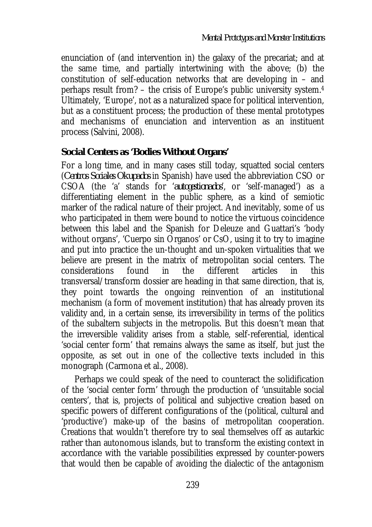enunciation of (and intervention in) the galaxy of the precariat; and at the same time, and partially intertwining with the above; (b) the constitution of self-education networks that are developing in – and perhaps result from? – the crisis of Europe's public university system.4 Ultimately, 'Europe', not as a naturalized space for political intervention, but as a constituent process; the production of these mental prototypes and mechanisms of enunciation and intervention as an instituent process (Salvini, 2008).

## **Social Centers as 'Bodies Without Organs'**

For a long time, and in many cases still today, squatted social centers (*Centros Sociales Okupados* in Spanish) have used the abbreviation CSO or CSOA (the 'a' stands for '*autogestionados*', or 'self-managed') as a differentiating element in the public sphere, as a kind of semiotic marker of the radical nature of their project. And inevitably, some of us who participated in them were bound to notice the virtuous coincidence between this label and the Spanish for Deleuze and Guattari's 'body without organs', 'Cuerpo sin Organos' or CsO, using it to try to imagine and put into practice the un-thought and un-spoken virtualities that we believe are present in the matrix of metropolitan social centers. The considerations found in the different articles in this transversal/transform dossier are heading in that same direction, that is, they point towards the ongoing reinvention of an institutional mechanism (a form of movement institution) that has already proven its validity and, in a certain sense, its irreversibility in terms of the politics of the subaltern subjects in the metropolis. But this doesn't mean that the irreversible validity arises from a stable, self-referential, identical 'social center form' that remains always the same as itself, but just the opposite, as set out in one of the collective texts included in this monograph (Carmona et al., 2008).

Perhaps we could speak of the need to counteract the solidification of the 'social center form' through the production of 'unsuitable social centers', that is, projects of political and subjective creation based on specific powers of different configurations of the (political, cultural and 'productive') make-up of the basins of metropolitan cooperation. Creations that wouldn't therefore try to seal themselves off as autarkic rather than autonomous islands, but to transform the existing context in accordance with the variable possibilities expressed by counter-powers that would then be capable of avoiding the dialectic of the antagonism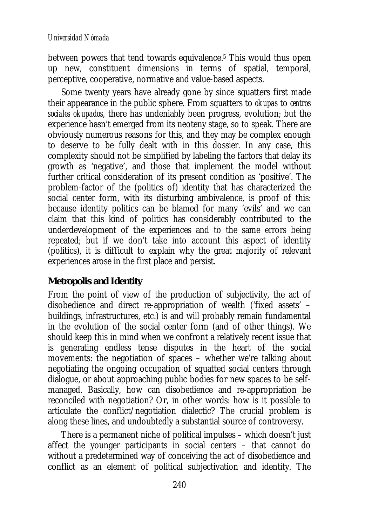between powers that tend towards equivalence.5 This would thus open up new, constituent dimensions in terms of spatial, temporal, perceptive, cooperative, normative and value-based aspects.

Some twenty years have already gone by since squatters first made their appearance in the public sphere. From squatters to *okupas* to *centros sociales okupados*, there has undeniably been progress, evolution; but the experience hasn't emerged from its neoteny stage, so to speak. There are obviously numerous reasons for this, and they may be complex enough to deserve to be fully dealt with in this dossier. In any case, this complexity should not be simplified by labeling the factors that delay its growth as 'negative', and those that implement the model without further critical consideration of its present condition as 'positive'. The problem-factor of the (politics of) identity that has characterized the social center form, with its disturbing ambivalence, is proof of this: because identity politics can be blamed for many 'evils' and we can claim that this kind of politics has considerably contributed to the underdevelopment of the experiences and to the same errors being repeated; but if we don't take into account this aspect of identity (politics), it is difficult to explain why the great majority of relevant experiences arose in the first place and persist.

### **Metropolis and Identity**

From the point of view of the production of subjectivity, the act of disobedience and direct re-appropriation of wealth ('fixed assets' – buildings, infrastructures, etc.) is and will probably remain fundamental in the evolution of the social center form (and of other things). We should keep this in mind when we confront a relatively recent issue that is generating endless tense disputes in the heart of the social movements: the negotiation of spaces – whether we're talking about negotiating the ongoing occupation of squatted social centers through dialogue, or about approaching public bodies for new spaces to be selfmanaged. Basically, how can disobedience and re-appropriation be reconciled with negotiation? Or, in other words: how is it possible to articulate the conflict/negotiation dialectic? The crucial problem is along these lines, and undoubtedly a substantial source of controversy.

There is a permanent niche of political impulses – which doesn't just affect the younger participants in social centers – that cannot do without a predetermined way of conceiving the act of disobedience and conflict as an element of political subjectivation and identity. The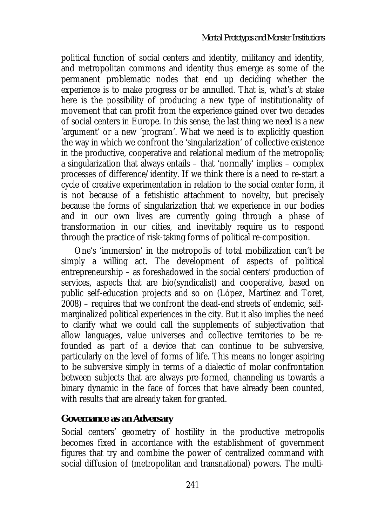political function of social centers and identity, militancy and identity, and metropolitan commons and identity thus emerge as some of the permanent problematic nodes that end up deciding whether the experience is to make progress or be annulled. That is, what's at stake here is the possibility of producing a new type of institutionality of movement that can profit from the experience gained over two decades of social centers in Europe. In this sense, the last thing we need is a new 'argument' or a new 'program'. What we need is to explicitly question the way in which we confront the 'singularization' of collective existence in the productive, cooperative and relational medium of the metropolis; a singularization that always entails – that 'normally' implies – complex processes of difference/identity. If we think there is a need to re-start a cycle of creative experimentation in relation to the social center form, it is not because of a fetishistic attachment to novelty, but precisely because the forms of singularization that we experience in our bodies and in our own lives are currently going through a phase of transformation in our cities, and inevitably require us to respond through the practice of risk-taking forms of political re-composition.

One's 'immersion' in the metropolis of total mobilization can't be simply a willing act. The development of aspects of political entrepreneurship – as foreshadowed in the social centers' production of services, aspects that are bio(syndicalist) and cooperative, based on public self-education projects and so on (López, Martínez and Toret, 2008) – requires that we confront the dead-end streets of endemic, selfmarginalized political experiences in the city. But it also implies the need to clarify what we could call the supplements of subjectivation that allow languages, value universes and collective territories to be refounded as part of a device that can continue to be subversive, particularly on the level of forms of life. This means no longer aspiring to be subversive simply in terms of a dialectic of molar confrontation between subjects that are always pre-formed, channeling us towards a binary dynamic in the face of forces that have already been counted, with results that are already taken for granted.

#### **Governance as an Adversary**

Social centers' geometry of hostility in the productive metropolis becomes fixed in accordance with the establishment of government figures that try and combine the power of centralized command with social diffusion of (metropolitan and transnational) powers. The multi-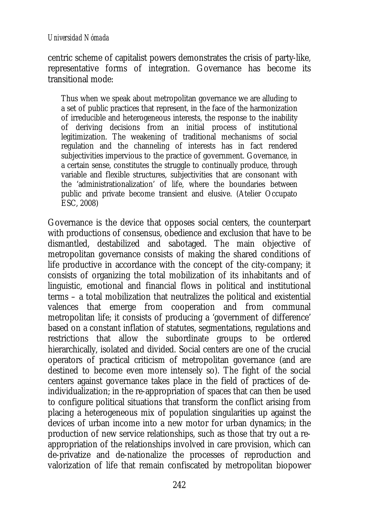#### *Universidad Nómada*

centric scheme of capitalist powers demonstrates the crisis of party-like, representative forms of integration. Governance has become its transitional mode:

Thus when we speak about metropolitan governance we are alluding to a set of public practices that represent, in the face of the harmonization of irreducible and heterogeneous interests, the response to the inability of deriving decisions from an initial process of institutional legitimization. The weakening of traditional mechanisms of social regulation and the channeling of interests has in fact rendered subjectivities impervious to the practice of government. Governance, in a certain sense, constitutes the struggle to continually produce, through variable and flexible structures, subjectivities that are consonant with the 'administrationalization' of life, where the boundaries between public and private become transient and elusive. (Atelier Occupato ESC, 2008)

Governance is the device that opposes social centers, the counterpart with productions of consensus, obedience and exclusion that have to be dismantled, destabilized and sabotaged. The main objective of metropolitan governance consists of making the shared conditions of life productive in accordance with the concept of the city-company; it consists of organizing the total mobilization of its inhabitants and of linguistic, emotional and financial flows in political and institutional terms – a total mobilization that neutralizes the political and existential valences that emerge from cooperation and from communal metropolitan life; it consists of producing a 'government of difference' based on a constant inflation of statutes, segmentations, regulations and restrictions that allow the subordinate groups to be ordered hierarchically, isolated and divided. Social centers are one of the crucial operators of practical criticism of metropolitan governance (and are destined to become even more intensely so). The fight of the social centers against governance takes place in the field of practices of deindividualization; in the re-appropriation of spaces that can then be used to configure political situations that transform the conflict arising from placing a heterogeneous mix of population singularities up against the devices of urban income into a new motor for urban dynamics; in the production of new service relationships, such as those that try out a reappropriation of the relationships involved in care provision, which can de-privatize and de-nationalize the processes of reproduction and valorization of life that remain confiscated by metropolitan biopower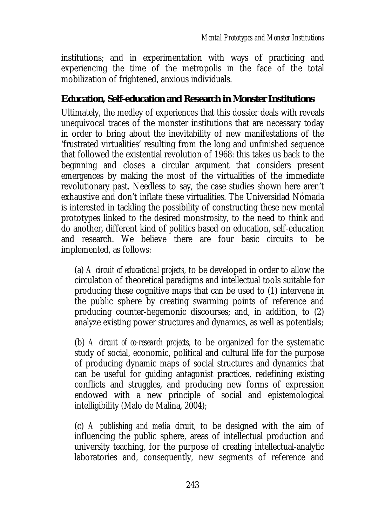institutions; and in experimentation with ways of practicing and experiencing the time of the metropolis in the face of the total mobilization of frightened, anxious individuals.

## **Education, Self-education and Research in Monster Institutions**

Ultimately, the medley of experiences that this dossier deals with reveals unequivocal traces of the monster institutions that are necessary today in order to bring about the inevitability of new manifestations of the 'frustrated virtualities' resulting from the long and unfinished sequence that followed the existential revolution of 1968: this takes us back to the beginning and closes a circular argument that considers present emergences by making the most of the virtualities of the immediate revolutionary past. Needless to say, the case studies shown here aren't exhaustive and don't inflate these virtualities. The Universidad Nómada is interested in tackling the possibility of constructing these new mental prototypes linked to the desired monstrosity, to the need to think and do another, different kind of politics based on education, self-education and research. We believe there are four basic circuits to be implemented, as follows:

(a) *A circuit of educational projects*, to be developed in order to allow the circulation of theoretical paradigms and intellectual tools suitable for producing these cognitive maps that can be used to (1) intervene in the public sphere by creating swarming points of reference and producing counter-hegemonic discourses; and, in addition, to (2) analyze existing power structures and dynamics, as well as potentials;

(b) *A circuit of co-research projects*, to be organized for the systematic study of social, economic, political and cultural life for the purpose of producing dynamic maps of social structures and dynamics that can be useful for guiding antagonist practices, redefining existing conflicts and struggles, and producing new forms of expression endowed with a new principle of social and epistemological intelligibility (Malo de Malina, 2004);

(c) *A publishing and media circuit*, to be designed with the aim of influencing the public sphere, areas of intellectual production and university teaching, for the purpose of creating intellectual-analytic laboratories and, consequently, new segments of reference and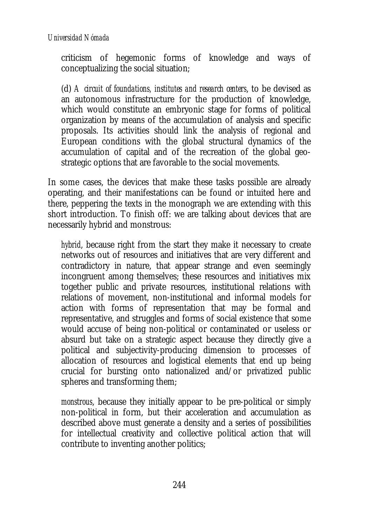criticism of hegemonic forms of knowledge and ways of conceptualizing the social situation;

(d) *A circuit of foundations, institutes and research centers*, to be devised as an autonomous infrastructure for the production of knowledge, which would constitute an embryonic stage for forms of political organization by means of the accumulation of analysis and specific proposals. Its activities should link the analysis of regional and European conditions with the global structural dynamics of the accumulation of capital and of the recreation of the global geostrategic options that are favorable to the social movements.

In some cases, the devices that make these tasks possible are already operating, and their manifestations can be found or intuited here and there, peppering the texts in the monograph we are extending with this short introduction. To finish off: we are talking about devices that are necessarily hybrid and monstrous:

*hybrid*, because right from the start they make it necessary to create networks out of resources and initiatives that are very different and contradictory in nature, that appear strange and even seemingly incongruent among themselves; these resources and initiatives mix together public and private resources, institutional relations with relations of movement, non-institutional and informal models for action with forms of representation that may be formal and representative, and struggles and forms of social existence that some would accuse of being non-political or contaminated or useless or absurd but take on a strategic aspect because they directly give a political and subjectivity-producing dimension to processes of allocation of resources and logistical elements that end up being crucial for bursting onto nationalized and/or privatized public spheres and transforming them;

*monstrous*, because they initially appear to be pre-political or simply non-political in form, but their acceleration and accumulation as described above must generate a density and a series of possibilities for intellectual creativity and collective political action that will contribute to inventing another politics;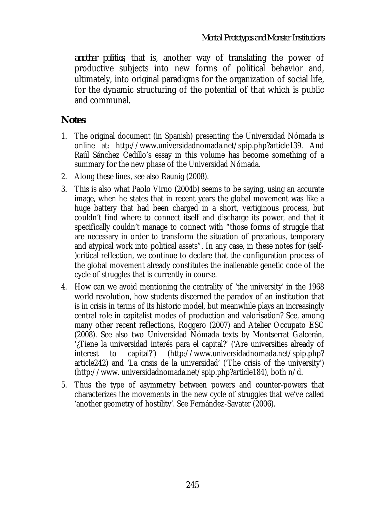*another politics*, that is, another way of translating the power of productive subjects into new forms of political behavior and, ultimately, into original paradigms for the organization of social life, for the dynamic structuring of the potential of that which is public and communal.

## **Notes**

- 1. The original document (in Spanish) presenting the Universidad Nómada is online at: http://www.universidadnomada.net/spip.php?article139. And Raúl Sánchez Cedillo's essay in this volume has become something of a summary for the new phase of the Universidad Nómada.
- 2. Along these lines, see also Raunig (2008).
- 3. This is also what Paolo Virno (2004b) seems to be saying, using an accurate image, when he states that in recent years the global movement was like a huge battery that had been charged in a short, vertiginous process, but couldn't find where to connect itself and discharge its power, and that it specifically couldn't manage to connect with "those forms of struggle that are necessary in order to transform the situation of precarious, temporary and atypical work into political assets". In any case, in these notes for (self- )critical reflection, we continue to declare that the configuration process of the global movement already constitutes the inalienable genetic code of the cycle of struggles that is currently in course.
- 4. How can we avoid mentioning the centrality of 'the university' in the 1968 world revolution, how students discerned the paradox of an institution that is in crisis in terms of its historic model, but meanwhile plays an increasingly central role in capitalist modes of production and valorisation? See, among many other recent reflections, Roggero (2007) and Atelier Occupato ESC (2008). See also two Universidad Nómada texts by Montserrat Galcerán, '¿Tiene la universidad interés para el capital?' ('Are universities already of interest to capital?') (http://www.universidadnomada.net/spip.php? article242) and 'La crisis de la universidad' ('The crisis of the university') (http://www. universidadnomada.net/spip.php?article184), both n/d.
- 5. Thus the type of asymmetry between powers and counter-powers that characterizes the movements in the new cycle of struggles that we've called 'another geometry of hostility'. See Fernández-Savater (2006).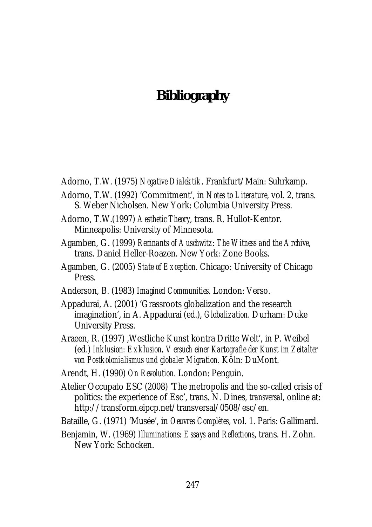# **Bibliography**

Adorno, T.W. (1975) *Negative Dialektik*. Frankfurt/Main: Suhrkamp.

- Adorno, T.W. (1992) 'Commitment', in *Notes to Literature*, vol. 2, trans. S. Weber Nicholsen. New York: Columbia University Press.
- Adorno, T.W.(1997) *Aesthetic Theory*, trans. R. Hullot-Kentor. Minneapolis: University of Minnesota.
- Agamben, G. (1999) *Remnants of Auschwitz: The Witness and the Archive*, trans. Daniel Heller-Roazen. New York: Zone Books.
- Agamben, G. (2005) *State of Exception*. Chicago: University of Chicago Press.
- Anderson, B. (1983) *Imagined Communities*. London: Verso.
- Appadurai, A. (2001) 'Grassroots globalization and the research imagination', in A. Appadurai (ed.), *Globalization*. Durham: Duke University Press.
- Araeen, R. (1997) 'Westliche Kunst kontra Dritte Welt', in P. Weibel (ed.) *Inklusion: Exklusion. Versuch einer Kartografie der Kunst im Zeitalter von Postkolonialismus und globaler Migration*. Köln: DuMont.
- Arendt, H. (1990) *On Revolution*. London: Penguin.
- Atelier Occupato ESC (2008) 'The metropolis and the so-called crisis of politics: the experience of Esc', trans. N. Dines, *transversal*, online at: http://transform.eipcp.net/transversal/0508/esc/en.
- Bataille, G. (1971) 'Musée', in *Oeuvres Complètes*, vol. 1. Paris: Gallimard.
- Benjamin, W. (1969) *Illuminations: Essays and Reflections*, trans. H. Zohn. New York: Schocken.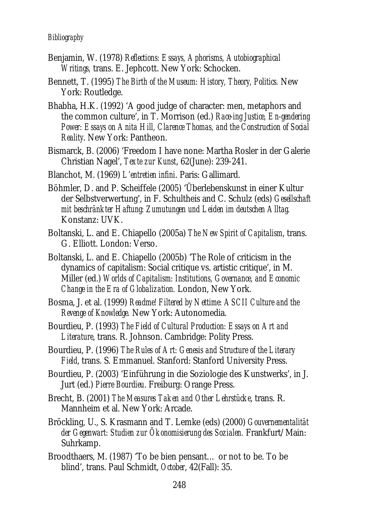- Benjamin, W. (1978) *Reflections: Essays, Aphorisms, Autobiographical Writings,* trans. E. Jephcott. New York: Schocken.
- Bennett, T. (1995) *The Birth of the Museum: History, Theory, Politics.* New York: Routledge.
- Bhabha, H.K. (1992) 'A good judge of character: men, metaphors and the common culture', in T. Morrison (ed.) *Race-ing Justice, En-gendering Power: Essays on Anita Hill, Clarence Thomas, and the Construction of Social Reality*. New York: Pantheon.
- Bismarck, B. (2006) 'Freedom I have none: Martha Rosler in der Galerie Christian Nagel', *Texte zur Kunst*, 62(June): 239-241.
- Blanchot, M. (1969) *L'entretien infini*. Paris: Gallimard.
- Böhmler, D. and P. Scheiffele (2005) 'Überlebenskunst in einer Kultur der Selbstverwertung', in F. Schultheis and C. Schulz (eds) *Gesellschaft mit beschränkter Haftung: Zumutungen und Leiden im deutschen Alltag.* Konstanz: UVK.
- Boltanski, L. and E. Chiapello (2005a) *The New Spirit of Capitalism*, trans. G. Elliott. London: Verso.
- Boltanski, L. and E. Chiapello (2005b) 'The Role of criticism in the dynamics of capitalism: Social critique vs. artistic critique', in M. Miller (ed.) *Worlds of Capitalism: Institutions, Governance, and Economic Change in the Era of Globalization.* London, New York.
- Bosma, J. et al. (1999) *Readme! Filtered by Nettime: ASCII Culture and the Revenge of Knowledge.* New York: Autonomedia.
- Bourdieu, P. (1993) *The Field of Cultural Production: Essays on Art and Literature*, trans. R. Johnson. Cambridge: Polity Press.
- Bourdieu, P. (1996) *The Rules of Art: Genesis and Structure of the Literary Field*, trans. S. Emmanuel. Stanford: Stanford University Press.
- Bourdieu, P. (2003) 'Einführung in die Soziologie des Kunstwerks', in J. Jurt (ed.) *Pierre Bourdieu*. Freiburg: Orange Press.
- Brecht, B. (2001) *The Measures Taken and Other Lehrstücke*, trans. R. Mannheim et al. New York: Arcade.
- Bröckling, U., S. Krasmann and T. Lemke (eds) (2000) *Gouvernementalität der Gegenwart: Studien zur Ökonomisierung des Sozialen.* Frankfurt/Main: Suhrkamp.
- Broodthaers, M. (1987) 'To be bien pensant… or not to be. To be blind', trans. Paul Schmidt, *October*, 42(Fall): 35.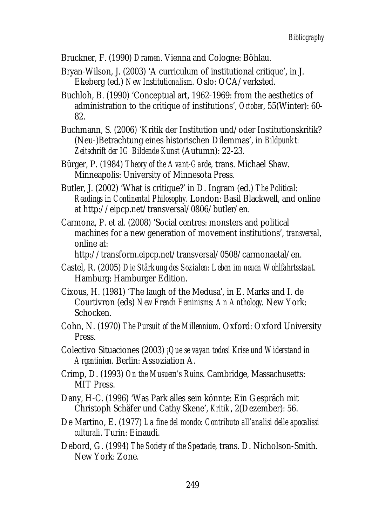Bruckner, F. (1990) *Dramen*. Vienna and Cologne: Böhlau.

- Bryan-Wilson, J. (2003) 'A curriculum of institutional critique', in J. Ekeberg (ed.) *New Institutionalism*. Oslo: OCA/verksted.
- Buchloh, B. (1990) 'Conceptual art, 1962-1969: from the aesthetics of administration to the critique of institutions', *October*, 55(Winter): 60- 82.
- Buchmann, S. (2006) 'Kritik der Institution und/oder Institutionskritik? (Neu-)Betrachtung eines historischen Dilemmas', in *Bildpunkt: Zeitschrift der IG Bildende Kunst* (Autumn): 22-23.
- Bürger, P. (1984) *Theory of the Avant-Garde*, trans. Michael Shaw. Minneapolis: University of Minnesota Press.
- Butler, J. (2002) 'What is critique?' in D. Ingram (ed.) *The Political: Readings in Continental Philosophy*. London: Basil Blackwell, and online at http://eipcp.net/transversal/0806/butler/en.
- Carmona, P. et al. (2008) 'Social centres: monsters and political machines for a new generation of movement institutions', *transversal*, online at:

http://transform.eipcp.net/transversal/0508/carmonaetal/en.

- Castel, R. (2005) *Die Stärkung des Sozialen: Leben im neuen Wohlfahrtsstaat*. Hamburg: Hamburger Edition.
- Cixous, H. (1981) 'The laugh of the Medusa', in E. Marks and I. de Courtivron (eds) *New French Feminisms: An Anthology.* New York: Schocken.
- Cohn, N. (1970) *The Pursuit of the Millennium*. Oxford: Oxford University Press.
- Colectivo Situaciones (2003) *¡Que se vayan todos! Krise und Widerstand in Argentinien.* Berlin: Assoziation A.
- Crimp, D. (1993) *On the Musuem's Ruins*. Cambridge, Massachusetts: **MIT Press.**
- Dany, H-C. (1996) 'Was Park alles sein könnte: Ein Gespräch mit Christoph Schäfer und Cathy Skene', *Kritik*, 2(Dezember): 56.
- De Martino, E. (1977) *La fine del mondo: Contributo all'analisi delle apocalissi culturali*. Turin: Einaudi.
- Debord, G. (1994) *The Society of the Spectacle*, trans. D. Nicholson-Smith. New York: Zone.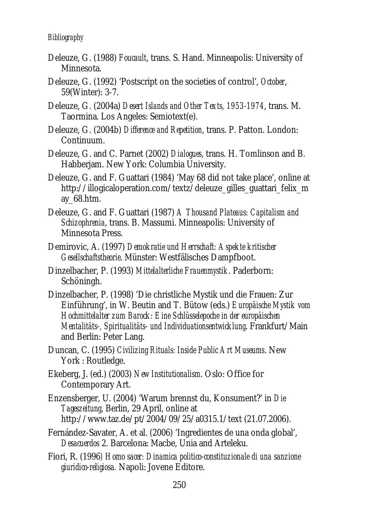- Deleuze, G. (1988) *Foucault*, trans. S. Hand. Minneapolis: University of Minnesota.
- Deleuze, G. (1992) 'Postscript on the societies of control', *October*, 59(Winter): 3-7.
- Deleuze, G. (2004a) *Desert Islands and Other Texts, 1953-1974*, trans. M. Taormina. Los Angeles: Semiotext(e).
- Deleuze, G. (2004b) *Difference and Repetition*, trans. P. Patton. London: Continuum.
- Deleuze, G. and C. Parnet (2002) *Dialogues*, trans. H. Tomlinson and B. Habberjam. New York: Columbia University.
- Deleuze, G. and F. Guattari (1984) 'May 68 did not take place', online at http://illogicaloperation.com/textz/deleuze\_gilles\_guattari\_felix\_m ay\_68.htm.
- Deleuze, G. and F. Guattari (1987) *A Thousand Plateaus: Capitalism and Schizophrenia*, trans. B. Massumi. Minneapolis: University of Minnesota Press.
- Demirovic, A. (1997) *Demokratie und Herrschaft: Aspekte kritischer Gesellschaftstheorie*. Münster: Westfälisches Dampfboot.
- Dinzelbacher, P. (1993) *Mittelalterliche Frauenmystik*. Paderborn: Schöningh.
- Dinzelbacher, P. (1998) 'Die christliche Mystik und die Frauen: Zur Einführung', in W. Beutin and T. Bütow (eds.) *Europäische Mystik vom Hochmittelalter zum Barock: Eine Schlüsselepoche in der europäischen Mentalitäts-, Spiritualitäts- und Individuationsentwicklung*. Frankfurt/Main and Berlin: Peter Lang.
- Duncan, C. (1995) *Civilizing Rituals: Inside Public Art Museums*. New York : Routledge.
- Ekeberg, J. (ed.) (2003) *New Institutionalism*. Oslo: Office for Contemporary Art.
- Enzensberger, U. (2004) 'Warum brennst du, Konsument?' in *Die Tageszeitung*, Berlin, 29 April, online at http://www.taz.de/pt/2004/09/25/a0315.1/text (21.07.2006).
- Fernández-Savater, A. et al. (2006) 'Ingredientes de una onda global', *Desacuerdos* 2. Barcelona: Macbe, Unia and Arteleku.
- Fiori, R. (1996*) Homo sacer: Dinamica politico-constituzionale di una sanzione giuridico-religiosa.* Napoli: Jovene Editore.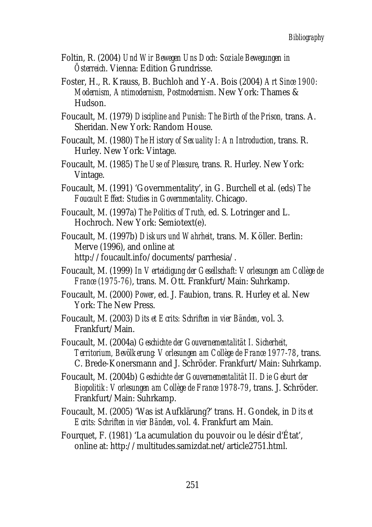- Foltin, R. (2004) *Und Wir Bewegen Uns Doch: Soziale Bewegungen in Österreich*. Vienna: Edition Grundrisse.
- Foster, H., R. Krauss, B. Buchloh and Y-A. Bois (2004) *Art Since 1900: Modernism, Antimodernism, Postmodernism*. New York: Thames & Hudson.
- Foucault, M. (1979) *Discipline and Punish: The Birth of the Prison,* trans. A. Sheridan. New York: Random House.
- Foucault, M. (1980) *The History of Sexuality I: An Introduction*, trans. R. Hurley. New York: Vintage.
- Foucault, M. (1985) *The Use of Pleasure*, trans. R. Hurley. New York: Vintage.
- Foucault, M. (1991) 'Governmentality', in G. Burchell et al. (eds) *The Foucault Effect: Studies in Governmentality*. Chicago.
- Foucault, M. (1997a) *The Politics of Truth,* ed. S. Lotringer and L. Hochroch. New York: Semiotext(e).
- Foucault, M. (1997b) *Diskurs und Wahrheit*, trans. M. Köller. Berlin: Merve (1996), and online at http://foucault.info/documents/parrhesia/.
- Foucault, M. (1999) *In Verteidigung der Gesellschaft: Vorlesungen am Collège de France (1975-76)*, trans. M. Ott. Frankfurt/Main: Suhrkamp.
- Foucault, M. (2000) *Power*, ed. J. Faubion, trans. R. Hurley et al. New York: The New Press.
- Foucault, M. (2003) *Dits et Ecrits: Schriften in vier Bänden*, vol. 3. Frankfurt/Main.
- Foucault, M. (2004a) *Geschichte der Gouvernementalität I. Sicherheit, Territorium, Bevölkerung: Vorlesungen am Collège de France 1977-78*, trans. C. Brede-Konersmann and J. Schröder. Frankfurt/Main: Suhrkamp.
- Foucault, M. (2004b) *Geschichte der Gouvernementalität II. Die Geburt der Biopolitik: Vorlesungen am Collège de France 1978-79*, trans. J. Schröder. Frankfurt/Main: Suhrkamp.
- Foucault, M. (2005) 'Was ist Aufklärung?' trans. H. Gondek, in *Dits et Ecrits: Schriften in vier Bänden*, vol. 4. Frankfurt am Main.
- Fourquet, F. (1981) 'La acumulation du pouvoir ou le désir d'État', online at: http://multitudes.samizdat.net/article2751.html.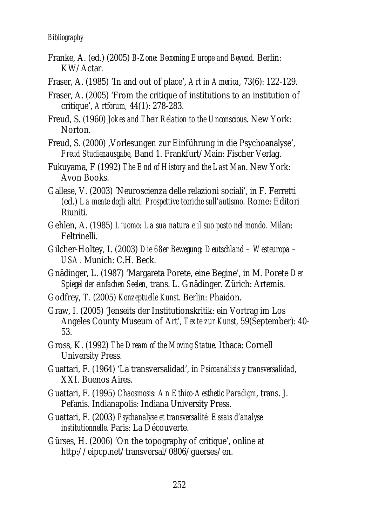#### *Bibliography*

- Franke, A. (ed.) (2005) *B-Zone: Becoming Europe and Beyond.* Berlin: KW/Actar.
- Fraser, A. (1985) 'In and out of place', *Art in America*, 73(6): 122-129.
- Fraser, A. (2005) 'From the critique of institutions to an institution of critique', *Artforum,* 44(1): 278-283.
- Freud, S. (1960) *Jokes and Their Relation to the Unconscious*. New York: Norton.
- Freud, S. (2000), Vorlesungen zur Einführung in die Psychoanalyse', *Freud Studienausgabe*, Band 1. Frankfurt/Main: Fischer Verlag.
- Fukuyama, F (1992) *The End of History and the Last Man*. New York: Avon Books.
- Gallese, V. (2003) 'Neuroscienza delle relazioni sociali', in F. Ferretti (ed.) *La mente degli altri: Prospettive teoriche sull'autismo*. Rome: Editori Riuniti.
- Gehlen, A. (1985) *L'uomo: La sua natura e il suo posto nel mondo.* Milan: Feltrinelli.
- Gilcher-Holtey, I. (2003) *Die 68er Bewegung: Deutschland Westeuropa USA*. Munich: C.H. Beck.
- Gnädinger, L. (1987) 'Margareta Porete, eine Begine', in M. Porete *Der Spiegel der einfachen Seelen*, trans. L. Gnädinger. Zürich: Artemis.
- Godfrey, T. (2005) *Konzeptuelle Kunst*. Berlin: Phaidon.
- Graw, I. (2005) 'Jenseits der Institutionskritik: ein Vortrag im Los Angeles County Museum of Art', *Texte zur Kunst*, 59(September): 40- 53.
- Gross, K. (1992) *The Dream of the Moving Statue.* Ithaca: Cornell University Press.
- Guattari, F. (1964) 'La transversalidad', in *Psicoanálisis y transversalidad*, XXI. Buenos Aires.
- Guattari, F. (1995) *Chaosmosis: An Ethico-Aesthetic Paradigm*, trans. J. Pefanis. Indianapolis: Indiana University Press.
- Guattari, F. (2003) *Psychanalyse et transversalité: Essais d'analyse institutionnelle*. Paris: La Découverte.
- Gürses, H. (2006) 'On the topography of critique', online at http://eipcp.net/transversal/0806/guerses/en.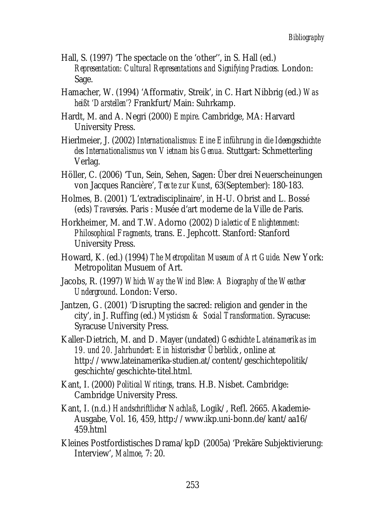- Hall, S. (1997) 'The spectacle on the 'other'', in S. Hall (ed.) *Representation: Cultural Representations and Signifying Practices.* London: Sage.
- Hamacher, W. (1994) 'Afformativ, Streik', in C. Hart Nibbrig (ed.) *Was heißt 'Darstellen'?* Frankfurt/Main: Suhrkamp.
- Hardt, M. and A. Negri (2000) *Empire*. Cambridge, MA: Harvard University Press.
- Hierlmeier, J. (2002) *Internationalismus: Eine Einführung in die Ideengeschichte des Internationalismus von Vietnam bis Genua.* Stuttgart: Schmetterling Verlag.
- Höller, C. (2006) 'Tun, Sein, Sehen, Sagen: Über drei Neuerscheinungen von Jacques Rancière', *Texte zur Kunst*, 63(September): 180-183.
- Holmes, B. (2001) 'L'extradisciplinaire', in H-U. Obrist and L. Bossé (eds) *Traversées*. Paris : Musée d'art moderne de la Ville de Paris.
- Horkheimer, M. and T.W. Adorno (2002) *Dialectic of Enlightenment: Philosophical Fragments*, trans. E. Jephcott. Stanford: Stanford University Press.
- Howard, K. (ed.) (1994) *The Metropolitan Museum of Art Guide.* New York: Metropolitan Musuem of Art.
- Jacobs, R. (1997) *Which Way the Wind Blew: A Biography of the Weather Underground*. London: Verso.
- Jantzen, G. (2001) 'Disrupting the sacred: religion and gender in the city', in J. Ruffing (ed.) *Mysticism & Social Transformation*. Syracuse: Syracuse University Press.
- Kaller-Dietrich, M. and D. Mayer (undated) *Geschichte Lateinamerikas im 19. und 20. Jahrhundert: Ein historischer Überblick*, online at http://www.lateinamerika-studien.at/content/geschichtepolitik/ geschichte/geschichte-titel.html.
- Kant, I. (2000) *Political Writings*, trans. H.B. Nisbet. Cambridge: Cambridge University Press.
- Kant, I. (n.d.) *Handschriftlicher Nachlaß*, Logik/, Refl. 2665. Akademie-Ausgabe, Vol. 16, 459, http://www.ikp.uni-bonn.de/kant/aa16/ 459.html
- Kleines Postfordistisches Drama/kpD (2005a) 'Prekäre Subjektivierung: Interview', *Malmoe*, 7: 20.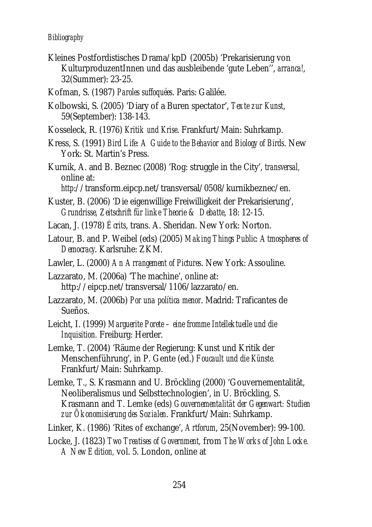#### *Bibliography*

- Kleines Postfordistisches Drama/kpD (2005b) 'Prekarisierung von KulturproduzentInnen und das ausbleibende 'gute Leben'', *arranca!*, 32(Summer): 23-25.
- Kofman, S. (1987) *Paroles suffoquées*. Paris: Galilée.
- Kolbowski, S. (2005) 'Diary of a Buren spectator', *Texte zur Kunst*, 59(September): 138-143.
- Kosseleck, R. (1976) *Kritik und Krise*. Frankfurt/Main: Suhrkamp.
- Kress, S. (1991) *Bird Life: A Guide to the Behavior and Biology of Birds*. New York: St. Martin's Press.
- Kurnik, A. and B. Beznec (2008) 'Rog: struggle in the City', *transversal,*  online at:

*http*://transform.eipcp.net/transversal/0508/kurnikbeznec/en.

- Kuster, B. (2006) 'Die eigenwillige Freiwilligkeit der Prekarisierung', *Grundrisse, Zeitschrift für linke Theorie & Debatte*, 18: 12-15.
- Lacan, J. (1978) *Écrits*, trans. A. Sheridan. New York: Norton.
- Latour, B. and P. Weibel (eds) (2005) *Making Things Public: Atmospheres of Democracy*. Karlsruhe: ZKM.
- Lawler, L. (2000) *An Arrangement of Pictures*. New York: Assouline.
- Lazzarato, M. (2006a) 'The machine', online at: http://eipcp.net/transversal/1106/lazzarato/en.
- Lazzarato, M. (2006b) *Por una política menor*. Madrid: Traficantes de Sueños.
- Leicht, I. (1999) *Marguerite Porete eine fromme Intellektuelle und die Inquisition.* Freiburg: Herder.
- Lemke, T. (2004) 'Räume der Regierung: Kunst und Kritik der Menschenführung', in P. Gente (ed.) *Foucault und die Künste.* Frankfurt/Main: Suhrkamp.
- Lemke, T., S. Krasmann and U. Bröckling (2000) 'Gouvernementalität, Neoliberalismus und Selbsttechnologien', in U. Bröckling, S. Krasmann and T. Lemke (eds) *Gouvernementalität der Gegenwart: Studien zur Ökonomisierung des Sozialen*. Frankfurt/Main: Suhrkamp.
- Linker, K. (1986) 'Rites of exchange', *Artforum*, 25(November): 99-100.
- Locke, J. (1823) *Two Treatises of Government,* from *The Works of John Locke. A New Edition,* vol. 5. London, online at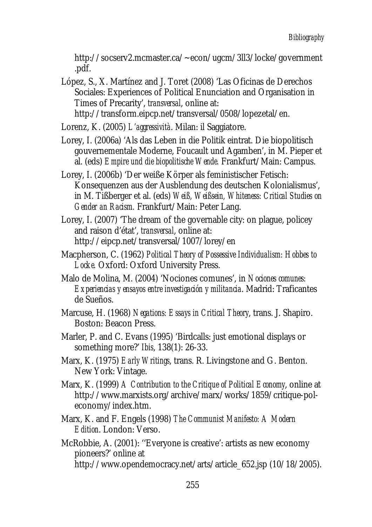http://socserv2.mcmaster.ca/~econ/ugcm/3ll3/locke/government .pdf.

López, S., X. Martínez and J. Toret (2008) 'Las Oficinas de Derechos Sociales: Experiences of Political Enunciation and Organisation in Times of Precarity', *transversal*, online at: http://transform.eipcp.net/transversal/0508/lopezetal/en.

Lorenz, K. (2005) *L'aggressività*. Milan: il Saggiatore.

Lorey, I. (2006a) 'Als das Leben in die Politik eintrat. Die biopolitisch gouvernementale Moderne, Foucault und Agamben', in M. Pieper et al. (eds) *Empire und die biopolitische Wende.* Frankfurt/Main: Campus.

Lorey, I. (2006b) 'Der weiße Körper als feministischer Fetisch: Konsequenzen aus der Ausblendung des deutschen Kolonialismus', in M. Tißberger et al. (eds) *Weiß, Weißsein, Whiteness: Critical Studies on Gender an Racism.* Frankfurt/Main: Peter Lang.

Lorey, I. (2007) 'The dream of the governable city: on plague, policey and raison d'état', *transversal*, online at: http://eipcp.net/transversal/1007/lorey/en

Macpherson, C. (1962) *Political Theory of Possessive Individualism: Hobbes to Locke.* Oxford: Oxford University Press.

Malo de Molina, M. (2004) 'Nociones comunes', in *Nociones comunes: Experiencias y ensayos entre investigación y militancia*. Madrid: Traficantes de Sueños.

Marcuse, H. (1968) *Negations: Essays in Critical Theory*, trans. J. Shapiro. Boston: Beacon Press.

Marler, P. and C. Evans (1995) 'Birdcalls: just emotional displays or something more?' *Ibis*, 138(1): 26-33.

Marx, K. (1975) *Early Writings*, trans. R. Livingstone and G. Benton. New York: Vintage.

Marx, K. (1999) *A Contribution to the Critique of Political Economy*, online at http://www.marxists.org/archive/marx/works/1859/critique-poleconomy/index.htm.

Marx, K. and F. Engels (1998) *The Communist Manifesto: A Modern Edition*. London: Verso.

McRobbie, A. (2001): ''Everyone is creative': artists as new economy pioneers?' online at http://www.opendemocracy.net/arts/article\_652.jsp (10/18/2005).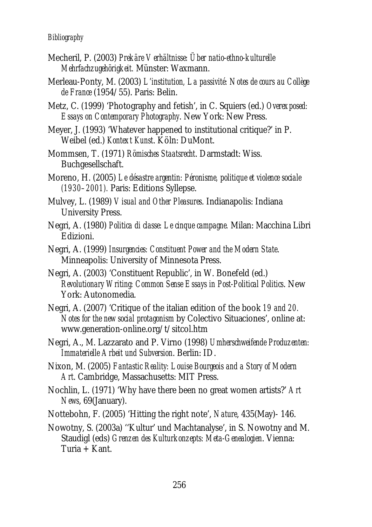#### *Bibliography*

- Mecheril, P. (2003) *Prekäre Verhältnisse: Über natio-ethno-kulturelle Mehrfachzugehörigkeit.* Münster: Waxmann.
- Merleau-Ponty, M. (2003) *L'institution, La passivité: Notes de cours au Collège de France* (1954/55). Paris: Belin.
- Metz, C. (1999) 'Photography and fetish', in C. Squiers (ed.) *Overexposed: Essays on Contemporary Photography*. New York: New Press.
- Meyer, J. (1993) 'Whatever happened to institutional critique?' in P. Weibel (ed.) *Kontext Kunst*. Köln: DuMont.
- Mommsen, T. (1971) *Römisches Staatsrecht*. Darmstadt: Wiss. Buchgesellschaft.
- Moreno, H. (2005) *Le désastre argentin: Péronisme, politique et violence sociale (1930–2001).* Paris: Editions Syllepse.
- Mulvey, L. (1989) *Visual and Other Pleasures*. Indianapolis: Indiana University Press.
- Negri, A. (1980) *Politica di classe: Le cinque campagne.* Milan: Macchina Libri Edizioni.
- Negri, A. (1999) *Insurgencies: Constituent Power and the Modern State*. Minneapolis: University of Minnesota Press.
- Negri, A. (2003) 'Constituent Republic', in W. Bonefeld (ed.) *Revolutionary Writing: Common Sense Essays in Post-Political Politics*. New York: Autonomedia.
- Negri, A. (2007) 'Critique of the italian edition of the book *19 and 20. Notes for the new social protagonism* by Colectivo Situaciones', online at: www.generation-online.org/t/sitcol.htm
- Negri, A., M. Lazzarato and P. Virno (1998) *Umherschweifende Produzenten: Immaterielle Arbeit und Subversion*. Berlin: ID.
- Nixon, M. (2005) *Fantastic Reality: Louise Bourgeois and a Story of Modern Art*. Cambridge, Massachusetts: MIT Press.
- Nochlin, L. (1971) 'Why have there been no great women artists?' *Art News*, 69(January).
- Nottebohn, F. (2005) 'Hitting the right note', *Nature*, 435(May)- 146.
- Nowotny, S. (2003a) ''Kultur' und Machtanalyse', in S. Nowotny and M. Staudigl (eds) *Grenzen des Kulturkonzepts: Meta-Genealogien*. Vienna: Turia  $+$  Kant.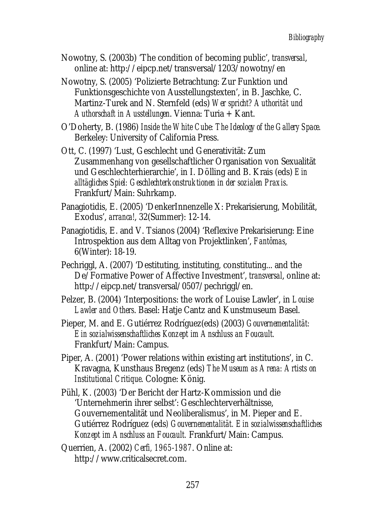- Nowotny, S. (2003b) 'The condition of becoming public', *transversal*, online at: http://eipcp.net/transversal/1203/nowotny/en
- Nowotny, S. (2005) 'Polizierte Betrachtung: Zur Funktion und Funktionsgeschichte von Ausstellungstexten', in B. Jaschke, C. Martinz-Turek and N. Sternfeld (eds) *Wer spricht? Authorität und Authorschaft in Ausstellungen*. Vienna: Turia + Kant.

O'Doherty, B. (1986) *Inside the White Cube: The Ideology of the Gallery Space.*  Berkeley: University of California Press.

Ott, C. (1997) 'Lust, Geschlecht und Generativität: Zum Zusammenhang von gesellschaftlicher Organisation von Sexualität und Geschlechterhierarchie', in I. Dölling and B. Krais (eds) *Ein alltägliches Spiel: Geschlechterkonstruktionen in der sozialen Praxis*. Frankfurt/Main: Suhrkamp.

Panagiotidis, E. (2005) 'DenkerInnenzelle X: Prekarisierung, Mobilität, Exodus', *arranca!*, 32(Summer): 12-14.

Panagiotidis, E. and V. Tsianos (2004) 'Reflexive Prekarisierung: Eine Introspektion aus dem Alltag von Projektlinken', *Fantômas*, 6(Winter): 18-19.

Pechriggl, A. (2007) 'Destituting, instituting, constituting... and the De/Formative Power of Affective Investment', *transversal*, online at: http://eipcp.net/transversal/0507/pechriggl/en.

Pelzer, B. (2004) 'Interpositions: the work of Louise Lawler', in *Louise Lawler and Others*. Basel: Hatje Cantz and Kunstmuseum Basel.

Pieper, M. and E. Gutiérrez Rodríguez(eds) (2003) *Gouvernementalität: Ein sozialwissenschaftliches Konzept im Anschluss an Foucault.* Frankfurt/Main: Campus.

Piper, A. (2001) 'Power relations within existing art institutions', in C. Kravagna, Kunsthaus Bregenz (eds) *The Museum as Arena: Artists on Institutional Critique*. Cologne: König.

Pühl, K. (2003) 'Der Bericht der Hartz-Kommission und die 'Unternehmerin ihrer selbst': Geschlechterverhältnisse, Gouvernementalität und Neoliberalismus', in M. Pieper and E. Gutiérrez Rodríguez (eds*) Gouvernementalität. Ein sozialwissenschaftliches Konzept im Anschluss an Foucault.* Frankfurt/Main: Campus.

Querrien, A. (2002) *Cerfi, 1965-1987*. Online at: http://www.criticalsecret.com.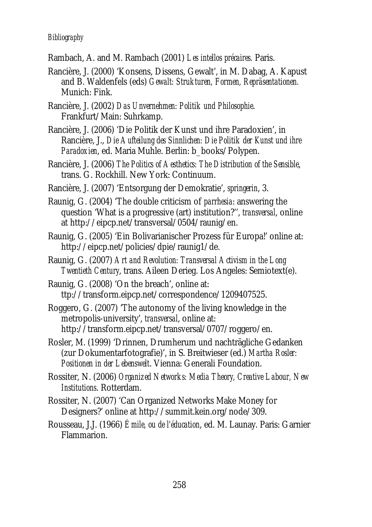- Rambach, A. and M. Rambach (2001) *Les intellos précaires.* Paris.
- Rancière, J. (2000) 'Konsens, Dissens, Gewalt', in M. Dabag, A. Kapust and B. Waldenfels (eds) *Gewalt: Strukturen, Formen, Repräsentationen.*  Munich: Fink.
- Rancière, J. (2002) *Das Unvernehmen: Politik und Philosophie*. Frankfurt/Main: Suhrkamp.
- Rancière, J. (2006) 'Die Politik der Kunst und ihre Paradoxien', in Rancière, J., *Die Aufteilung des Sinnlichen: Die Politik der Kunst und ihre Paradoxien*, ed. Maria Muhle. Berlin: b\_books/Polypen.
- Rancière, J. (2006) *The Politics of Aesthetics: The Distribution of the Sensible*, trans. G. Rockhill. New York: Continuum.
- Rancière, J. (2007) 'Entsorgung der Demokratie', *springerin*, 3.
- Raunig, G. (2004) 'The double criticism of *parrhesia*: answering the question 'What is a progressive (art) institution?'', *transversal*, online at http://eipcp.net/transversal/0504/raunig/en.
- Raunig, G. (2005) 'Ein Bolivarianischer Prozess für Europa!' online at: http://eipcp.net/policies/dpie/raunig1/de.
- Raunig, G. (2007) *Art and Revolution: Transversal Activism in the Long Twentieth Century*, trans. Aileen Derieg. Los Angeles: Semiotext(e).
- Raunig, G. (2008) 'On the breach', online at: ttp://transform.eipcp.net/correspondence/1209407525.
- Roggero, G. (2007) 'The autonomy of the living knowledge in the metropolis-university', *transversal*, online at: http://transform.eipcp.net/transversal/0707/roggero/en.
- Rosler, M. (1999) 'Drinnen, Drumherum und nachträgliche Gedanken (zur Dokumentarfotografie)', in S. Breitwieser (ed.) *Martha Rosler: Positionen in der Lebenswelt*. Vienna: Generali Foundation.
- Rossiter, N. (2006) *Organized Networks: Media Theory, Creative Labour, New Institutions*. Rotterdam.
- Rossiter, N. (2007) 'Can Organized Networks Make Money for Designers?' online at http://summit.kein.org/node/309.
- Rousseau, J.J. (1966) *Émile, ou de l'éducation*, ed. M. Launay. Paris: Garnier Flammarion.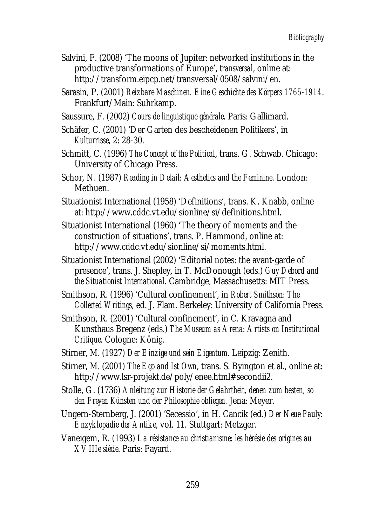- Salvini, F. (2008) 'The moons of Jupiter: networked institutions in the productive transformations of Europe', *transversal*, online at: http://transform.eipcp.net/transversal/0508/salvini/en.
- Sarasin, P. (2001) *Reizbare Maschinen. Eine Geschichte des Körpers 1765-1914*. Frankfurt/Main: Suhrkamp.
- Saussure, F. (2002) *Cours de linguistique générale*. Paris: Gallimard.
- Schäfer, C. (2001) 'Der Garten des bescheidenen Politikers', in *Kulturrisse*, 2: 28-30.
- Schmitt, C. (1996) *The Concept of the Political*, trans. G. Schwab. Chicago: University of Chicago Press.
- Schor, N. (1987) *Reading in Detail: Aesthetics and the Feminine*. London: Methuen.
- Situationist International (1958) 'Definitions', trans. K. Knabb, online at: http://www.cddc.vt.edu/sionline/si/definitions.html.
- Situationist International (1960) 'The theory of moments and the construction of situations', trans. P. Hammond, online at: http://www.cddc.vt.edu/sionline/si/moments.html.
- Situationist International (2002) 'Editorial notes: the avant-garde of presence', trans. J. Shepley, in T. McDonough (eds.) *Guy Debord and the Situationist International*. Cambridge, Massachusetts: MIT Press.
- Smithson, R. (1996) 'Cultural confinement', in *Robert Smithson: The Collected Writings*, ed. J. Flam. Berkeley: University of California Press.
- Smithson, R. (2001) 'Cultural confinement', in C. Kravagna and Kunsthaus Bregenz (eds.) *The Museum as Arena: Artists on Institutional Critique*. Cologne: König.
- Stirner, M. (1927) *Der Einzige und sein Eigentum*. Leipzig: Zenith.
- Stirner, M. (2001) *The Ego and Ist Own*, trans. S. Byington et al., online at: http://www.lsr-projekt.de/poly/enee.html#secondii2.
- Stolle, G. (1736) *Anleitung zur Historie der Gelahrtheit, denen zum besten, so den Freyen Künsten und der Philosophie obliegen.* Jena: Meyer.
- Ungern-Sternberg, J. (2001) 'Secessio', in H. Cancik (ed.) *Der Neue Pauly: Enzyklopädie der Antike*, vol. 11. Stuttgart: Metzger.
- Vaneigem, R. (1993) *La résistance au christianisme: les hérésie des origines au XVIIIe siècle*. Paris: Fayard.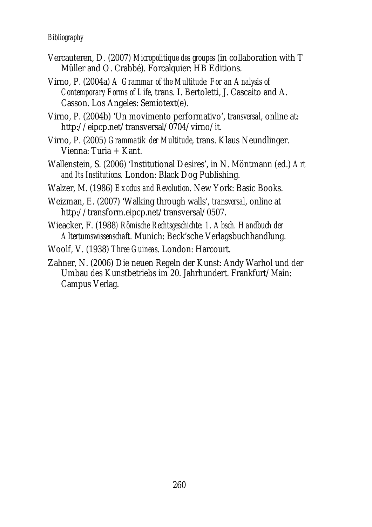#### *Bibliography*

- Vercauteren, D. (2007) *Micropolitique des groupes* (in collaboration with T Müller and O. Crabbé). Forcalquier: HB Editions.
- Virno, P. (2004a) *A Grammar of the Multitude: For an Analysis of Contemporary Forms of Life*, trans. I. Bertoletti, J. Cascaito and A. Casson. Los Angeles: Semiotext(e).
- Virno, P. (2004b) 'Un movimento performativo', *transversal*, online at: http://eipcp.net/transversal/0704/virno/it.
- Virno, P. (2005) *Grammatik der Multitude*, trans. Klaus Neundlinger. Vienna: Turia + Kant.
- Wallenstein, S. (2006) 'Institutional Desires', in N. Möntmann (ed.) *Art and Its Institutions.* London: Black Dog Publishing.
- Walzer, M. (1986) *Exodus and Revolution*. New York: Basic Books.
- Weizman, E. (2007) 'Walking through walls', *transversal*, online at http://transform.eipcp.net/transversal/0507.
- Wieacker, F. (1988*) Römische Rechtsgeschichte: 1. Absch. Handbuch der Altertumswissenschaft*. Munich: Beck'sche Verlagsbuchhandlung.
- Woolf, V. (1938) *Three Guineas*. London: Harcourt.
- Zahner, N. (2006) Die neuen Regeln der Kunst: Andy Warhol und der Umbau des Kunstbetriebs im 20. Jahrhundert. Frankfurt/Main: Campus Verlag.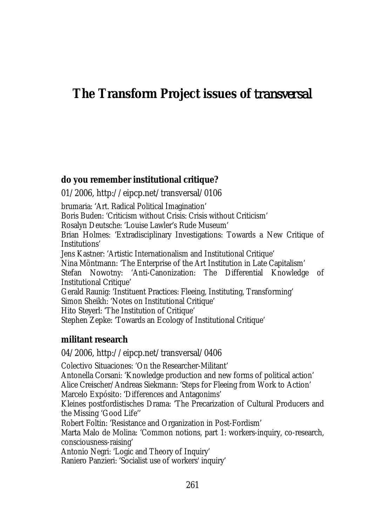## **The Transform Project issues of** *transversal*

#### **do you remember institutional critique?**

01/2006, http://eipcp.net/transversal/0106

brumaria: 'Art. Radical Political Imagination'

Boris Buden: 'Criticism without Crisis: Crisis without Criticism'

Rosalyn Deutsche: 'Louise Lawler's Rude Museum'

Brian Holmes: 'Extradisciplinary Investigations: Towards a New Critique of Institutions'

Jens Kastner: 'Artistic Internationalism and Institutional Critique'

Nina Möntmann: 'The Enterprise of the Art Institution in Late Capitalism' Stefan Nowotny: 'Anti-Canonization: The Differential Knowledge of Institutional Critique'

Gerald Raunig: 'Instituent Practices: Fleeing, Instituting, Transforming' Simon Sheikh: 'Notes on Institutional Critique'

Hito Steyerl: 'The Institution of Critique'

Stephen Zepke: 'Towards an Ecology of Institutional Critique'

#### **militant research**

04/2006, http://eipcp.net/transversal/0406

Colectivo Situaciones: 'On the Researcher-Militant'

Antonella Corsani: 'Knowledge production and new forms of political action' Alice Creischer/Andreas Siekmann: 'Steps for Fleeing from Work to Action' Marcelo Expósito: 'Differences and Antagonims'

Kleines postfordistisches Drama: 'The Precarization of Cultural Producers and the Missing 'Good Life''

Robert Foltin: 'Resistance and Organization in Post-Fordism'

Marta Malo de Molina: 'Common notions, part 1: workers-inquiry, co-research, consciousness-raising'

Antonio Negri: 'Logic and Theory of Inquiry'

Raniero Panzieri: 'Socialist use of workers' inquiry'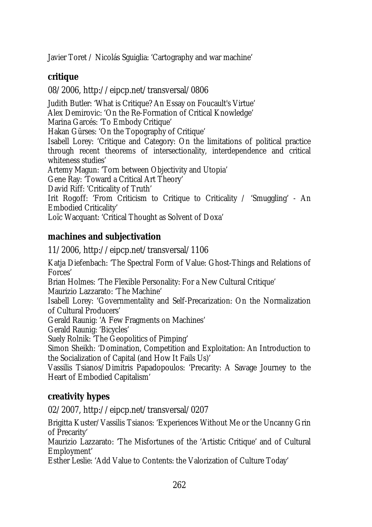Javier Toret / Nicolás Sguiglia: 'Cartography and war machine'

## **critique**

08/2006, http://eipcp.net/transversal/0806

Judith Butler: 'What is Critique? An Essay on Foucault's Virtue'

Alex Demirovic: 'On the Re-Formation of Critical Knowledge'

Marina Garcés: 'To Embody Critique'

Hakan Gürses: 'On the Topography of Critique'

Isabell Lorey: 'Critique and Category: On the limitations of political practice through recent theorems of intersectionality, interdependence and critical whiteness studies'

Artemy Magun: 'Torn between Objectivity and Utopia'

Gene Ray: 'Toward a Critical Art Theory'

David Riff: 'Criticality of Truth'

Irit Rogoff: 'From Criticism to Critique to Criticality / 'Smuggling' - An Embodied Criticality'

Loïc Wacquant: 'Critical Thought as Solvent of Doxa'

## **machines and subjectivation**

11/2006, http://eipcp.net/transversal/1106

Katja Diefenbach: 'The Spectral Form of Value: Ghost-Things and Relations of Forces'

Brian Holmes: 'The Flexible Personality: For a New Cultural Critique' Maurizio Lazzarato: 'The Machine'

Isabell Lorey: 'Governmentality and Self-Precarization: On the Normalization of Cultural Producers'

Gerald Raunig: 'A Few Fragments on Machines'

Gerald Raunig: 'Bicycles'

Suely Rolnik: 'The Geopolitics of Pimping'

Simon Sheikh: 'Domination, Competition and Exploitation: An Introduction to the Socialization of Capital (and How It Fails Us)'

Vassilis Tsianos/Dimitris Papadopoulos: 'Precarity: A Savage Journey to the Heart of Embodied Capitalism'

## **creativity hypes**

02/2007, http://eipcp.net/transversal/0207

Brigitta Kuster/Vassilis Tsianos: 'Experiences Without Me or the Uncanny Grin of Precarity'

Maurizio Lazzarato: 'The Misfortunes of the 'Artistic Critique' and of Cultural Employment'

Esther Leslie: 'Add Value to Contents: the Valorization of Culture Today'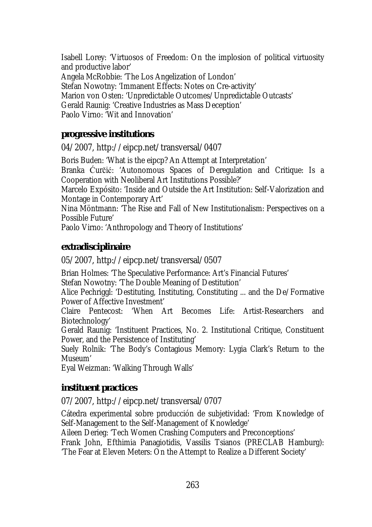Isabell Lorey: 'Virtuosos of Freedom: On the implosion of political virtuosity and productive labor'

Angela McRobbie: 'The Los Angelization of London'

Stefan Nowotny: 'Immanent Effects: Notes on Cre-activity'

Marion von Osten: 'Unpredictable Outcomes/Unpredictable Outcasts'

Gerald Raunig: 'Creative Industries as Mass Deception'

Paolo Virno: 'Wit and Innovation'

## **progressive institutions**

04/2007, http://eipcp.net/transversal/0407

Boris Buden: 'What is the eipcp? An Attempt at Interpretation'

Branka Curčić: 'Autonomous Spaces of Deregulation and Critique: Is a Cooperation with Neoliberal Art Institutions Possible?'

Marcelo Expósito: 'Inside and Outside the Art Institution: Self-Valorization and Montage in Contemporary Art'

Nina Möntmann: 'The Rise and Fall of New Institutionalism: Perspectives on a Possible Future'

Paolo Virno: 'Anthropology and Theory of Institutions'

## **extradisciplinaire**

05/2007, http://eipcp.net/transversal/0507

Brian Holmes: 'The Speculative Performance: Art's Financial Futures'

Stefan Nowotny: 'The Double Meaning of Destitution'

Alice Pechriggl: 'Destituting, Instituting, Constituting ... and the De/Formative Power of Affective Investment'

Claire Pentecost: 'When Art Becomes Life: Artist-Researchers and Biotechnology'

Gerald Raunig: 'Instituent Practices, No. 2. Institutional Critique, Constituent Power, and the Persistence of Instituting'

Suely Rolnik: 'The Body's Contagious Memory: Lygia Clark's Return to the Museum'

Eyal Weizman: 'Walking Through Walls'

### **instituent practices**

07/2007, http://eipcp.net/transversal/0707

Cátedra experimental sobre producción de subjetividad: 'From Knowledge of Self-Management to the Self-Management of Knowledge'

Aileen Derieg: 'Tech Women Crashing Computers and Preconceptions'

Frank John, Efthimia Panagiotidis, Vassilis Tsianos (PRECLAB Hamburg): 'The Fear at Eleven Meters: On the Attempt to Realize a Different Society'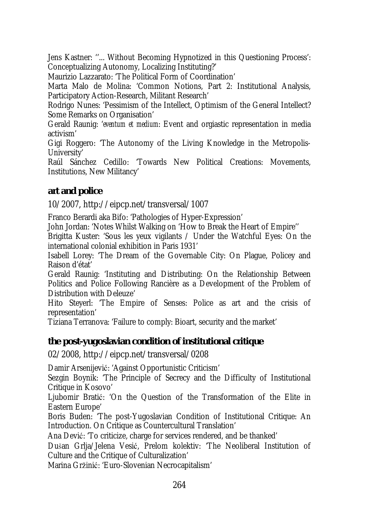Jens Kastner: ''... Without Becoming Hypnotized in this Questioning Process': Conceptualizing Autonomy, Localizing Instituting?'

Maurizio Lazzarato: 'The Political Form of Coordination'

Marta Malo de Molina: 'Common Notions, Part 2: Institutional Analysis, Participatory Action-Research, Militant Research'

Rodrigo Nunes: 'Pessimism of the Intellect, Optimism of the General Intellect? Some Remarks on Organisation'

Gerald Raunig: '*eventum et medium*: Event and orgiastic representation in media activism'

Gigi Roggero: 'The Autonomy of the Living Knowledge in the Metropolis-University'

Raúl Sánchez Cedillo: 'Towards New Political Creations: Movements, Institutions, New Militancy'

## **art and police**

10/2007, http://eipcp.net/transversal/1007

Franco Berardi aka Bifo: 'Pathologies of Hyper-Expression'

John Jordan: 'Notes Whilst Walking on 'How to Break the Heart of Empire''

Brigitta Kuster: 'Sous les yeux vigilants / Under the Watchful Eyes: On the international colonial exhibition in Paris 1931'

Isabell Lorey: 'The Dream of the Governable City: On Plague, Policey and Raison d'état'

Gerald Raunig: 'Instituting and Distributing: On the Relationship Between Politics and Police Following Rancière as a Development of the Problem of Distribution with Deleuze'

Hito Steyerl: 'The Empire of Senses: Police as art and the crisis of representation'

Tiziana Terranova: 'Failure to comply: Bioart, security and the market'

## **the post-yugoslavian condition of institutional critique**

02/2008, http://eipcp.net/transversal/0208

Damir Arsenijević: 'Against Opportunistic Criticism'

Sezgin Boynik: 'The Principle of Secrecy and the Difficulty of Institutional Critique in Kosovo'

Ljubomir Bratić: 'On the Question of the Transformation of the Elite in Eastern Europe'

Boris Buden: 'The post-Yugoslavian Condition of Institutional Critique: An Introduction. On Critique as Countercultural Translation'

Ana Dević: 'To criticize, charge for services rendered, and be thanked'

Dušan Grlja/Jelena Vesić, Prelom kolektiv: 'The Neoliberal Institution of Culture and the Critique of Culturalization'

Marina Gržinić: 'Euro-Slovenian Necrocapitalism'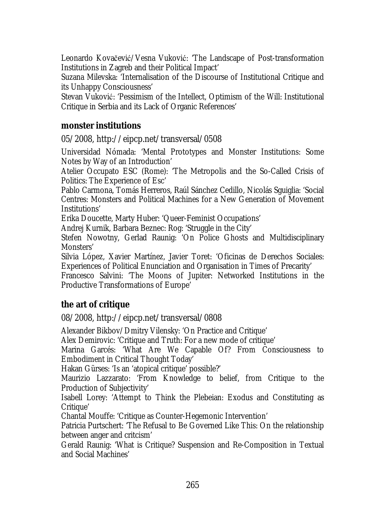Leonardo Kovačević/Vesna Vuković: 'The Landscape of Post-transformation Institutions in Zagreb and their Political Impact'

Suzana Milevska: 'Internalisation of the Discourse of Institutional Critique and its Unhappy Consciousness'

Stevan Vuković: 'Pessimism of the Intellect, Optimism of the Will: Institutional Critique in Serbia and its Lack of Organic References'

#### **monster institutions**

05/2008, http://eipcp.net/transversal/0508

Universidad Nómada: 'Mental Prototypes and Monster Institutions: Some Notes by Way of an Introduction'

Atelier Occupato ESC (Rome): 'The Metropolis and the So-Called Crisis of Politics: The Experience of Esc'

Pablo Carmona, Tomás Herreros, Raúl Sánchez Cedillo, Nicolás Sguiglia: 'Social Centres: Monsters and Political Machines for a New Generation of Movement Institutions'

Erika Doucette, Marty Huber: 'Queer-Feminist Occupations'

Andrej Kurnik, Barbara Beznec: Rog: 'Struggle in the City'

Stefen Nowotny, Gerlad Raunig: 'On Police Ghosts and Multidisciplinary Monsters'

Silvia López, Xavier Martínez, Javier Toret: 'Oficinas de Derechos Sociales: Experiences of Political Enunciation and Organisation in Times of Precarity'

Francesco Salvini: 'The Moons of Jupiter: Networked Institutions in the Productive Transformations of Europe'

## **the art of critique**

08/2008, http://eipcp.net/transversal/0808

Alexander Bikbov/Dmitry Vilensky: 'On Practice and Critique'

Alex Demirovic: 'Critique and Truth: For a new mode of critique'

Marina Garcés: 'What Are We Capable Of? From Consciousness to Embodiment in Critical Thought Today'

Hakan Gürses: 'Is an 'atopical critique' possible?'

Maurizio Lazzarato: 'From Knowledge to belief, from Critique to the Production of Subjectivity'

Isabell Lorey: 'Attempt to Think the Plebeian: Exodus and Constituting as Critique'

Chantal Mouffe: 'Critique as Counter-Hegemonic Intervention'

Patricia Purtschert: 'The Refusal to Be Governed Like This: On the relationship between anger and critcism'

Gerald Raunig: 'What is Critique? Suspension and Re-Composition in Textual and Social Machines'